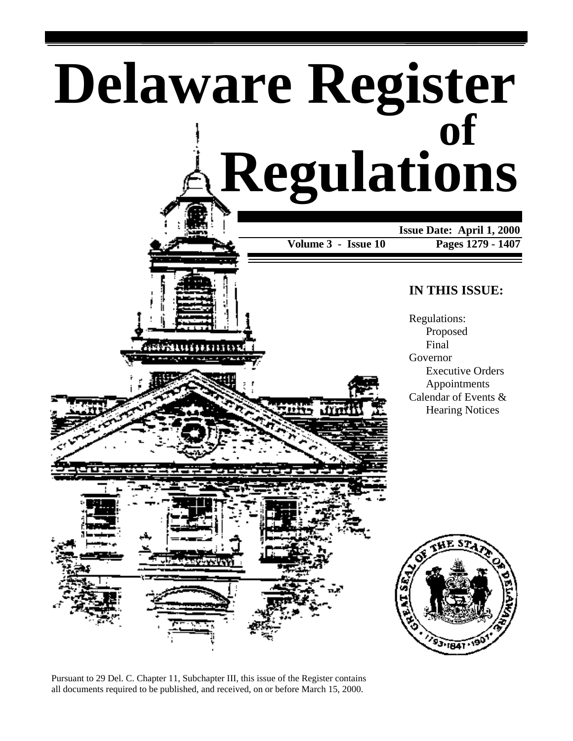



Pursuant to 29 Del. C. Chapter 11, Subchapter III, this issue of the Register contains all documents required to be published, and received, on or before March 15, 2000.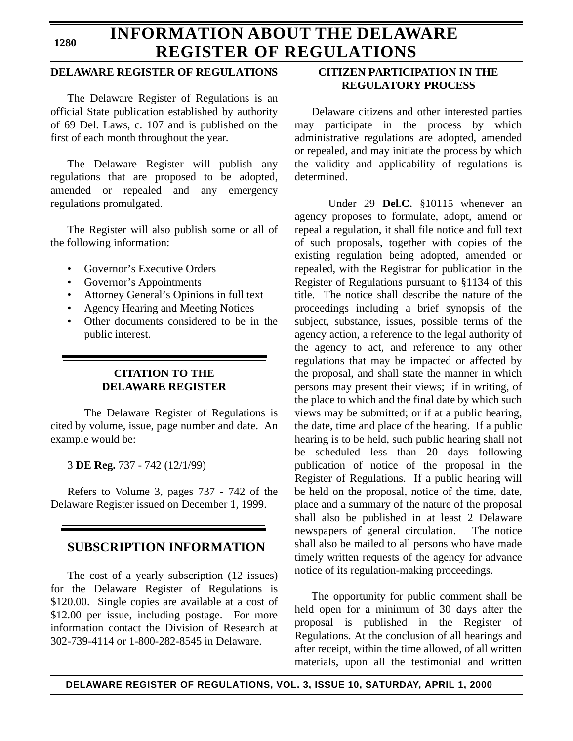### **INFORMATION ABOUT THE DELAWARE REGISTER OF REGULATIONS**

### **DELAWARE REGISTER OF REGULATIONS**

The Delaware Register of Regulations is an official State publication established by authority of 69 Del. Laws, c. 107 and is published on the first of each month throughout the year.

The Delaware Register will publish any regulations that are proposed to be adopted, amended or repealed and any emergency regulations promulgated.

The Register will also publish some or all of the following information:

- Governor's Executive Orders
- Governor's Appointments
- Attorney General's Opinions in full text
- Agency Hearing and Meeting Notices
- Other documents considered to be in the public interest.

### **CITATION TO THE DELAWARE REGISTER**

The Delaware Register of Regulations is cited by volume, issue, page number and date. An example would be:

3 **DE Reg.** 737 - 742 (12/1/99)

Refers to Volume 3, pages 737 - 742 of the Delaware Register issued on December 1, 1999.

### **SUBSCRIPTION INFORMATION**

The cost of a yearly subscription (12 issues) for the Delaware Register of Regulations is \$120.00. Single copies are available at a cost of \$12.00 per issue, including postage. For more information contact the Division of Research at 302-739-4114 or 1-800-282-8545 in Delaware.

### **CITIZEN PARTICIPATION IN THE REGULATORY PROCESS**

Delaware citizens and other interested parties may participate in the process by which administrative regulations are adopted, amended or repealed, and may initiate the process by which the validity and applicability of regulations is determined.

Under 29 **Del.C.** §10115 whenever an agency proposes to formulate, adopt, amend or repeal a regulation, it shall file notice and full text of such proposals, together with copies of the existing regulation being adopted, amended or repealed, with the Registrar for publication in the Register of Regulations pursuant to §1134 of this title. The notice shall describe the nature of the proceedings including a brief synopsis of the subject, substance, issues, possible terms of the agency action, a reference to the legal authority of the agency to act, and reference to any other regulations that may be impacted or affected by the proposal, and shall state the manner in which persons may present their views; if in writing, of the place to which and the final date by which such views may be submitted; or if at a public hearing, the date, time and place of the hearing. If a public hearing is to be held, such public hearing shall not be scheduled less than 20 days following publication of notice of the proposal in the Register of Regulations. If a public hearing will be held on the proposal, notice of the time, date, place and a summary of the nature of the proposal shall also be published in at least 2 Delaware newspapers of general circulation. The notice shall also be mailed to all persons who have made timely written requests of the agency for advance notice of its regulation-making proceedings.

The opportunity for public comment shall be held open for a minimum of 30 days after the proposal is published in the Register of Regulations. At the conclusion of all hearings and after receipt, within the time allowed, of all written materials, upon all the testimonial and written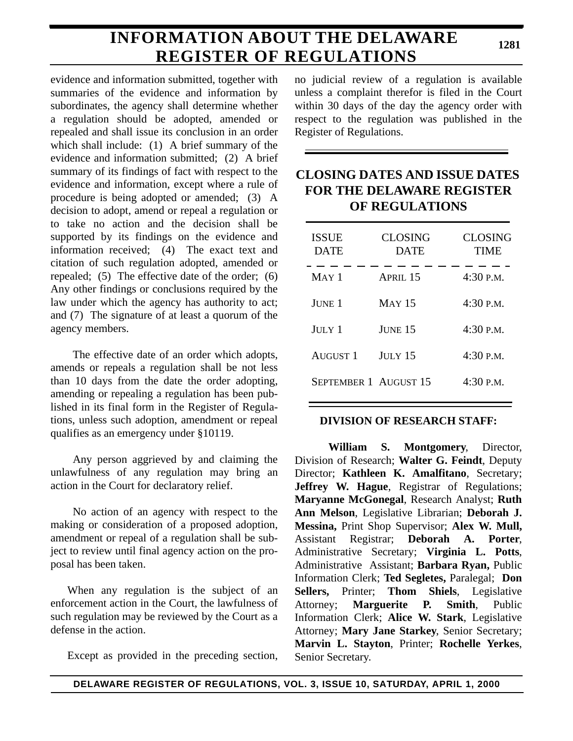# **INFORMATION ABOUT THE DELAWARE REGISTER OF REGULATIONS**

evidence and information submitted, together with summaries of the evidence and information by subordinates, the agency shall determine whether a regulation should be adopted, amended or repealed and shall issue its conclusion in an order which shall include: (1) A brief summary of the evidence and information submitted; (2) A brief summary of its findings of fact with respect to the evidence and information, except where a rule of procedure is being adopted or amended; (3) A decision to adopt, amend or repeal a regulation or to take no action and the decision shall be supported by its findings on the evidence and information received; (4) The exact text and citation of such regulation adopted, amended or repealed; (5) The effective date of the order; (6) Any other findings or conclusions required by the law under which the agency has authority to act; and (7) The signature of at least a quorum of the agency members.

The effective date of an order which adopts, amends or repeals a regulation shall be not less than 10 days from the date the order adopting, amending or repealing a regulation has been published in its final form in the Register of Regulations, unless such adoption, amendment or repeal qualifies as an emergency under §10119.

Any person aggrieved by and claiming the unlawfulness of any regulation may bring an action in the Court for declaratory relief.

No action of an agency with respect to the making or consideration of a proposed adoption, amendment or repeal of a regulation shall be subject to review until final agency action on the proposal has been taken.

When any regulation is the subject of an enforcement action in the Court, the lawfulness of such regulation may be reviewed by the Court as a defense in the action.

Except as provided in the preceding section,

no judicial review of a regulation is available unless a complaint therefor is filed in the Court within 30 days of the day the agency order with respect to the regulation was published in the Register of Regulations.

### **CLOSING DATES AND ISSUE DATES FOR THE DELAWARE REGISTER OF REGULATIONS**

| <b>ISSUE</b><br><b>DATE</b> | <b>CLOSING</b><br><b>DATE</b> | <b>CLOSING</b><br><b>TIME</b> |
|-----------------------------|-------------------------------|-------------------------------|
| $MAY$ 1                     | <b>APRIL 15</b>               | 4:30 P.M.                     |
| JUNE 1                      | <b>MAY 15</b>                 | $4:30$ P.M.                   |
| $JULY$ 1                    | JUNE 15                       | $4:30$ P.M.                   |
| <b>AUGUST 1</b>             | <b>JULY 15</b>                | 4:30 P.M.                     |
| SEPTEMBER 1 AUGUST 15       |                               | 4:30 P.M.                     |

### **DIVISION OF RESEARCH STAFF:**

**William S. Montgomery**, Director, Division of Research; **Walter G. Feindt**, Deputy Director; **Kathleen K. Amalfitano**, Secretary; **Jeffrey W. Hague**, Registrar of Regulations; **Maryanne McGonegal**, Research Analyst; **Ruth Ann Melson**, Legislative Librarian; **Deborah J. Messina,** Print Shop Supervisor; **Alex W. Mull,** Assistant Registrar; **Deborah A. Porter**, Administrative Secretary; **Virginia L. Potts**, Administrative Assistant; **Barbara Ryan,** Public Information Clerk; **Ted Segletes,** Paralegal; **Don Sellers,** Printer; **Thom Shiels**, Legislative Attorney; **Marguerite P. Smith**, Public Information Clerk; **Alice W. Stark**, Legislative Attorney; **Mary Jane Starkey**, Senior Secretary; **Marvin L. Stayton**, Printer; **Rochelle Yerkes**, Senior Secretary.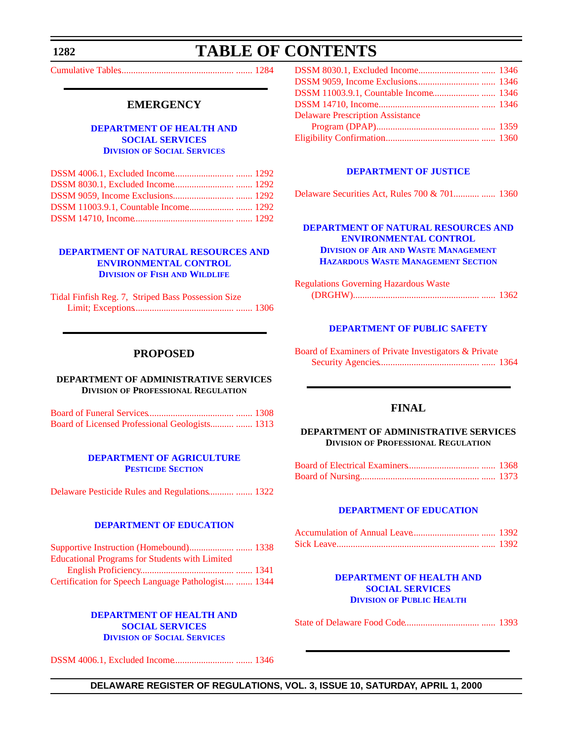## **TABLE OF CONTENTS**

<span id="page-3-0"></span>[Cumulative Tables................................................. ....... 1284](#page-5-0)

### **EMERGENCY**

### **[DEPARTMENT OF HEALTH AND](http://www.state.de.us/dhss/irm/dhss.htm) SOCIAL SERVICES DIVISION OF SOCIAL SERVICES**

#### **[DEPARTMENT OF NATURAL RESOURCES AND](http://www.dnrec.state.de.us/fw/fwwel.htm) ENVIRONMENTAL CONTROL DIVISION OF FISH AND WILDLIFE**

| Tidal Finfish Reg. 7, Striped Bass Possession Size |  |
|----------------------------------------------------|--|
|                                                    |  |

### **PROPOSED**

#### **DEPARTMENT OF ADMINISTRATIVE SERVICES DIVISION OF PROFESSIONAL REGULATION**

#### **[DEPARTMENT OF AGRICULTURE](http://www.state.de.us/deptagri/pest/pest.htm) PESTICIDE SECTION**

[Delaware Pesticide Rules and Regulations........... ....... 1322](#page-43-0)

### **[DEPARTMENT OF EDUCATION](http://www.doe.state.de.us/)**

| <b>Educational Programs for Students with Limited</b> |  |
|-------------------------------------------------------|--|
|                                                       |  |
| Certification for Speech Language Pathologist  1344   |  |

#### **[DEPARTMENT OF HEALTH AND](http://www.state.de.us/dhss/irm/dss/dsshome.htm) SOCIAL SERVICES DIVISION OF SOCIAL SERVICES**

[DSSM 4006.1, Excluded Income.......................... ....... 1346](#page-67-0)

| DSSM 11003.9.1, Countable Income 1346   |  |
|-----------------------------------------|--|
|                                         |  |
| <b>Delaware Prescription Assistance</b> |  |
|                                         |  |
|                                         |  |
|                                         |  |

#### **[DEPARTMENT OF JUSTICE](http://www.state.de.us/attgen/index.htm)**

|--|--|--|--|

### **[DEPARTMENT OF NATURAL RESOURCES AND](http://www.dnrec.state.de.us/aandw.htm) ENVIRONMENTAL CONTROL DIVISION OF AIR AND WASTE MANAGEMENT HAZARDOUS WASTE MANAGEMENT SECTION**

| <b>Regulations Governing Hazardous Waste</b> |  |
|----------------------------------------------|--|
|                                              |  |

### **[DEPARTMENT OF PUBLIC SAFETY](http://www.state.de.us/pubsafe/index.htm)**

| Board of Examiners of Private Investigators & Private |  |
|-------------------------------------------------------|--|
|                                                       |  |

### **FINAL**

**DEPARTMENT OF ADMINISTRATIVE SERVICES DIVISION OF PROFESSIONAL REGULATION**

#### **[DEPARTMENT OF EDUCATION](http://www.doe.state.de.us/)**

#### **[DEPARTMENT OF HEALTH AND](http://www.state.de.us/dhss/irm/dhss.htm) SOCIAL SERVICES DIVISION OF PUBLIC HEALTH**

[State of Delaware Food Code................................](#page-114-0) ...... 1393

**DELAWARE REGISTER OF REGULATIONS, VOL. 3, ISSUE 10, SATURDAY, APRIL 1, 2000**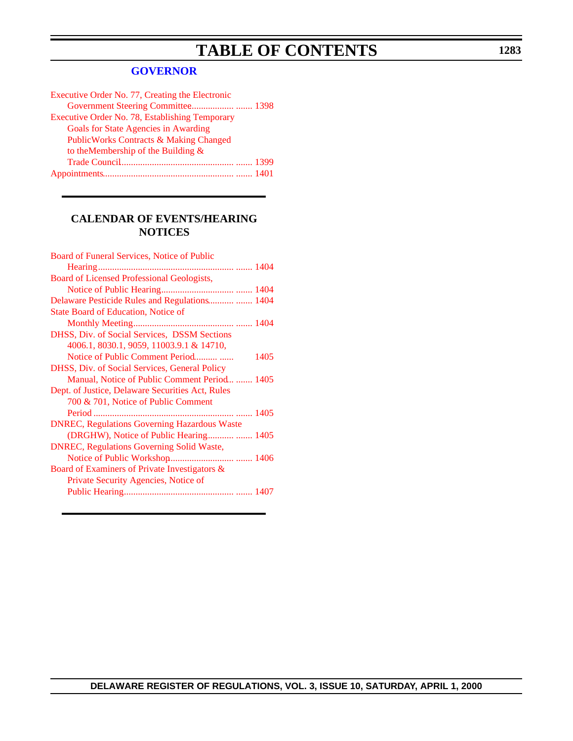# **TABLE OF CONTENTS**

### **[GOVERNOR](http://www.state.de.us/governor/index.htm)**

| Executive Order No. 77, Creating the Electronic   |  |
|---------------------------------------------------|--|
|                                                   |  |
| Executive Order No. 78, Establishing Temporary    |  |
| Goals for State Agencies in Awarding              |  |
| <b>PublicWorks Contracts &amp; Making Changed</b> |  |
| to the Membership of the Building $\&$            |  |
|                                                   |  |
|                                                   |  |
|                                                   |  |

### **CALENDAR OF EVENTS/HEARING NOTICES**

| Board of Funeral Services, Notice of Public         |      |
|-----------------------------------------------------|------|
|                                                     |      |
| Board of Licensed Professional Geologists,          |      |
|                                                     |      |
| Delaware Pesticide Rules and Regulations  1404      |      |
| State Board of Education, Notice of                 |      |
|                                                     |      |
| DHSS, Div. of Social Services, DSSM Sections        |      |
| 4006.1, 8030.1, 9059, 11003.9.1 & 14710,            |      |
|                                                     | 1405 |
| DHSS, Div. of Social Services, General Policy       |      |
| Manual, Notice of Public Comment Period  1405       |      |
| Dept. of Justice, Delaware Securities Act, Rules    |      |
| 700 & 701, Notice of Public Comment                 |      |
|                                                     |      |
| <b>DNREC, Regulations Governing Hazardous Waste</b> |      |
| (DRGHW), Notice of Public Hearing  1405             |      |
| <b>DNREC, Regulations Governing Solid Waste,</b>    |      |
|                                                     |      |
| Board of Examiners of Private Investigators &       |      |
| Private Security Agencies, Notice of                |      |
|                                                     |      |
|                                                     |      |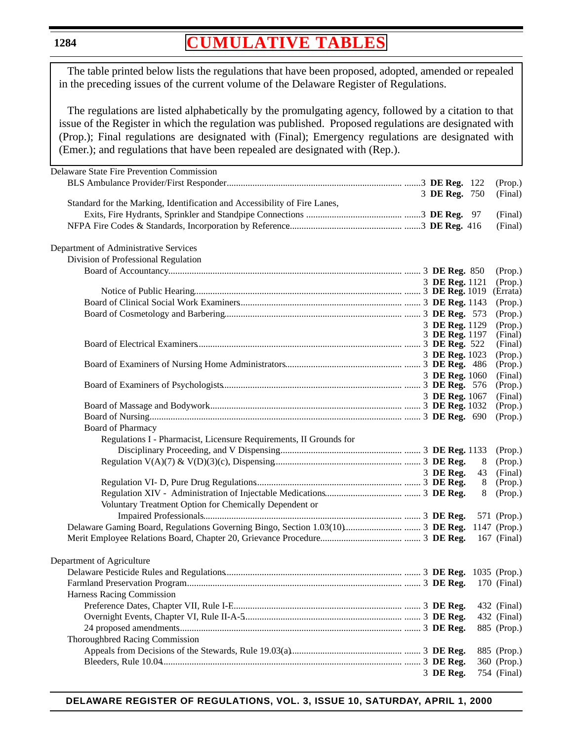## **[CUMULATIVE TABLES](#page-3-0)**

<span id="page-5-0"></span>The table printed below lists the regulations that have been proposed, adopted, amended or repealed in the preceding issues of the current volume of the Delaware Register of Regulations.

The regulations are listed alphabetically by the promulgating agency, followed by a citation to that issue of the Register in which the regulation was published. Proposed regulations are designated with (Prop.); Final regulations are designated with (Final); Emergency regulations are designated with (Emer.); and regulations that have been repealed are designated with (Rep.).

| Delaware State Fire Prevention Commission                                 |                |                |                    |
|---------------------------------------------------------------------------|----------------|----------------|--------------------|
|                                                                           |                |                | (Prop.)            |
|                                                                           | 3 DE Reg. 750  |                | (Final)            |
| Standard for the Marking, Identification and Accessibility of Fire Lanes, |                |                |                    |
|                                                                           |                |                | (Final)            |
|                                                                           |                |                | (Final)            |
|                                                                           |                |                |                    |
| Department of Administrative Services                                     |                |                |                    |
| Division of Professional Regulation                                       |                |                |                    |
|                                                                           |                |                | (Prop.)            |
|                                                                           | 3 DE Reg. 1121 |                | (Prop.)            |
|                                                                           |                |                | (Errata)           |
|                                                                           |                |                | (Prop.)            |
|                                                                           |                |                | (Prop.)            |
|                                                                           |                | 3 DE Reg. 1129 | (Prop.)            |
|                                                                           |                | 3 DE Reg. 1197 | (Final)            |
|                                                                           |                |                | (Final)            |
|                                                                           |                | 3 DE Reg. 1023 | (Prop.)            |
|                                                                           |                |                | (Prop.)            |
|                                                                           |                | 3 DE Reg. 1060 | (Final)            |
|                                                                           |                |                | (Prop.)            |
|                                                                           |                | 3 DE Reg. 1067 | (Final)<br>(Prop.) |
|                                                                           |                |                | (Prop.)            |
| <b>Board of Pharmacy</b>                                                  |                |                |                    |
| Regulations I - Pharmacist, Licensure Requirements, II Grounds for        |                |                |                    |
|                                                                           |                |                | (Prop.)            |
|                                                                           |                | 8              | (Prop.)            |
|                                                                           | 3 DE Reg.      | 43             | (Final)            |
|                                                                           |                | 8              | (Prop.)            |
|                                                                           |                | 8              | (Prop.)            |
| Voluntary Treatment Option for Chemically Dependent or                    |                |                |                    |
|                                                                           |                |                | 571 (Prop.)        |
|                                                                           |                |                |                    |
|                                                                           |                |                | 167 (Final)        |
|                                                                           |                |                |                    |
| Department of Agriculture                                                 |                |                |                    |
|                                                                           |                |                |                    |
|                                                                           |                |                |                    |
| Harness Racing Commission                                                 |                |                |                    |
|                                                                           |                |                | 432 (Final)        |
|                                                                           |                |                | 432 (Final)        |
|                                                                           |                |                | 885 (Prop.)        |
| Thoroughbred Racing Commission                                            |                |                |                    |
|                                                                           |                |                | 885 (Prop.)        |
|                                                                           |                |                | 360 (Prop.)        |
|                                                                           | 3 DE Reg.      |                | 754 (Final)        |
|                                                                           |                |                |                    |

### **DELAWARE REGISTER OF REGULATIONS, VOL. 3, ISSUE 10, SATURDAY, APRIL 1, 2000**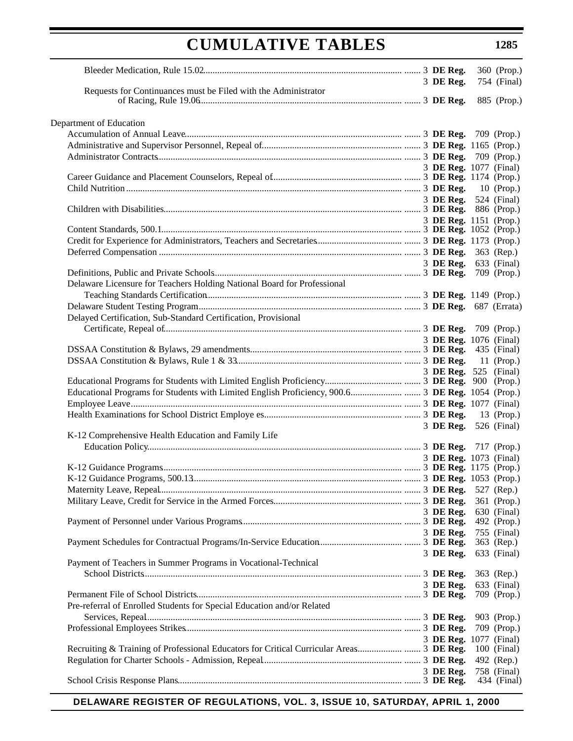|                                                                         |                              | 360 (Prop.) |
|-------------------------------------------------------------------------|------------------------------|-------------|
| Requests for Continuances must be Filed with the Administrator          | 3 DE Reg.                    | 754 (Final) |
|                                                                         |                              | 885 (Prop.) |
| Department of Education                                                 |                              |             |
|                                                                         |                              |             |
|                                                                         |                              |             |
|                                                                         |                              |             |
|                                                                         | 3 DE Reg. 1077 (Final)       |             |
|                                                                         |                              |             |
|                                                                         |                              |             |
|                                                                         | 3 DE Reg. 524 (Final)        |             |
|                                                                         |                              |             |
|                                                                         | 3 DE Reg. 1151 (Prop.)       |             |
|                                                                         |                              |             |
|                                                                         |                              |             |
|                                                                         |                              |             |
|                                                                         | 3 <b>DE Reg.</b> 633 (Final) |             |
| Delaware Licensure for Teachers Holding National Board for Professional |                              |             |
|                                                                         |                              |             |
|                                                                         |                              |             |
| Delayed Certification, Sub-Standard Certification, Provisional          |                              |             |
|                                                                         |                              |             |
|                                                                         | 3 DE Reg. 1076 (Final)       |             |
|                                                                         |                              |             |
|                                                                         |                              | 11 (Prop.)  |
|                                                                         | 3 DE Reg. 525 (Final)        |             |
|                                                                         |                              |             |
|                                                                         |                              |             |
|                                                                         |                              |             |
|                                                                         |                              |             |
|                                                                         | 3 DE Reg. 526 (Final)        |             |
| K-12 Comprehensive Health Education and Family Life                     |                              |             |
|                                                                         |                              |             |
|                                                                         | 3 DE Reg. 1073 (Final)       |             |
|                                                                         |                              |             |
|                                                                         |                              | 527 (Rep.)  |
|                                                                         |                              | 361 (Prop.) |
|                                                                         | 3 DE Reg.                    | 630 (Final) |
|                                                                         |                              | 492 (Prop.) |
|                                                                         | 3 DE Reg.                    | 755 (Final) |
|                                                                         |                              | 363 (Rep.)  |
|                                                                         | 3 DE Reg.                    | 633 (Final) |
| Payment of Teachers in Summer Programs in Vocational-Technical          |                              |             |
|                                                                         |                              | 363 (Rep.)  |
|                                                                         | 3 DE Reg.                    | 633 (Final) |
|                                                                         |                              | 709 (Prop.) |
| Pre-referral of Enrolled Students for Special Education and/or Related  |                              |             |
|                                                                         |                              | 903 (Prop.) |
|                                                                         |                              | 709 (Prop.) |
|                                                                         | 3 DE Reg. 1077 (Final)       | 100 (Final) |
|                                                                         |                              | 492 (Rep.)  |
|                                                                         | 3 DE Reg.                    | 758 (Final) |
|                                                                         |                              | 434 (Final) |
|                                                                         |                              |             |

**DELAWARE REGISTER OF REGULATIONS, VOL. 3, ISSUE 10, SATURDAY, APRIL 1, 2000**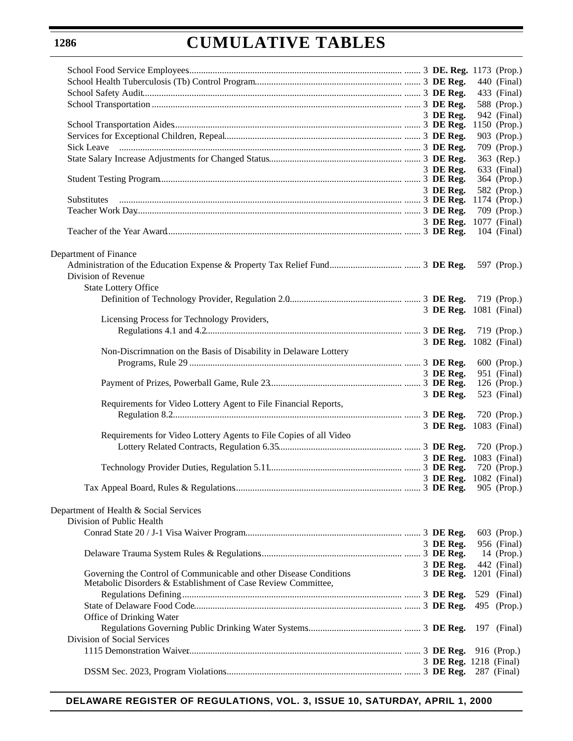# **CUMULATIVE TABLES**

|                                                                    |                                     |     | 440 (Final)                 |
|--------------------------------------------------------------------|-------------------------------------|-----|-----------------------------|
|                                                                    |                                     |     | 433 (Final)                 |
|                                                                    |                                     |     | 588 (Prop.)                 |
|                                                                    | 3 DE Reg.                           |     | 942 (Final)                 |
|                                                                    |                                     |     | 1150 (Prop.)                |
|                                                                    |                                     |     | 903 (Prop.)                 |
|                                                                    |                                     |     | 709 (Prop.)                 |
|                                                                    |                                     |     | 363 (Rep.)                  |
|                                                                    | 3 DE Reg.                           |     | 633 (Final)                 |
|                                                                    |                                     |     | 364 (Prop.)                 |
| Substitutes                                                        | 3 DE Reg.                           |     | 582 (Prop.)<br>1174 (Prop.) |
|                                                                    |                                     |     | 709 (Prop.)                 |
|                                                                    | 3 DE Reg.                           |     | 1077 (Final)                |
|                                                                    |                                     |     | 104 (Final)                 |
|                                                                    |                                     |     |                             |
| Department of Finance                                              |                                     |     |                             |
|                                                                    |                                     |     | 597 (Prop.)                 |
| Division of Revenue                                                |                                     |     |                             |
| <b>State Lottery Office</b>                                        |                                     |     |                             |
|                                                                    |                                     |     | 719 (Prop.)                 |
|                                                                    | 3 DE Reg. 1081 (Final)              |     |                             |
| Licensing Process for Technology Providers,                        |                                     |     |                             |
|                                                                    |                                     |     | 719 (Prop.)                 |
|                                                                    | 3 DE Reg.                           |     | 1082 (Final)                |
| Non-Discrimnation on the Basis of Disability in Delaware Lottery   |                                     |     |                             |
|                                                                    |                                     |     | 600 (Prop.)                 |
|                                                                    | 3 DE Reg.                           |     | 951 (Final)                 |
|                                                                    |                                     |     | 126 (Prop.)                 |
|                                                                    | 3 DE Reg.                           |     | 523 (Final)                 |
| Requirements for Video Lottery Agent to File Financial Reports,    |                                     |     |                             |
|                                                                    | 3 DE Reg.                           |     | 720 (Prop.)<br>1083 (Final) |
| Requirements for Video Lottery Agents to File Copies of all Video  |                                     |     |                             |
|                                                                    |                                     |     |                             |
|                                                                    | 3 DE Reg. 1083 (Final)              |     |                             |
|                                                                    |                                     |     | 720 (Prop.)                 |
|                                                                    | 3 DE Reg. 1082 (Final)              |     |                             |
|                                                                    |                                     |     | 905 (Prop.)                 |
|                                                                    |                                     |     |                             |
| Department of Health & Social Services                             |                                     |     |                             |
| Division of Public Health                                          |                                     |     |                             |
|                                                                    |                                     |     | 603 (Prop.)                 |
|                                                                    | 3 DE Reg.                           |     | 956 (Final)                 |
|                                                                    |                                     |     | 14 (Prop.)                  |
| Governing the Control of Communicable and other Disease Conditions | 3 DE Reg.<br>3 DE Reg. 1201 (Final) |     | 442 (Final)                 |
| Metabolic Disorders & Establishment of Case Review Committee,      |                                     |     |                             |
|                                                                    |                                     |     | 529 (Final)                 |
|                                                                    |                                     | 495 | (Prop.)                     |
| Office of Drinking Water                                           |                                     |     |                             |
|                                                                    |                                     |     | 197 (Final)                 |
| Division of Social Services                                        |                                     |     |                             |
|                                                                    |                                     |     | 916 (Prop.)                 |
|                                                                    | 3 DE Reg. 1218 (Final)              |     |                             |
|                                                                    |                                     |     |                             |
|                                                                    |                                     |     |                             |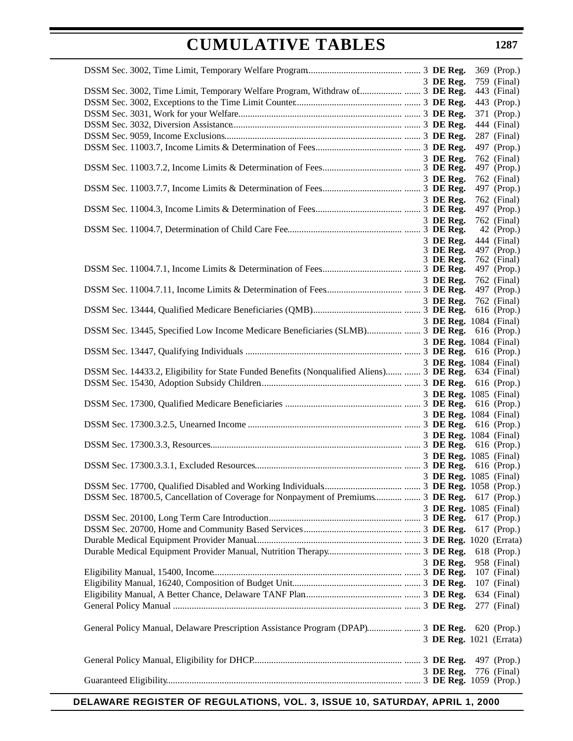|                                                                                                       |  |                        | 369 (Prop.)                           |
|-------------------------------------------------------------------------------------------------------|--|------------------------|---------------------------------------|
|                                                                                                       |  | 3 DE Reg.              | 759 (Final)                           |
|                                                                                                       |  |                        | 443 (Final)<br>443 (Prop.)            |
|                                                                                                       |  |                        | 371 (Prop.)                           |
|                                                                                                       |  |                        | 444 (Final)                           |
|                                                                                                       |  |                        | 287 (Final)                           |
|                                                                                                       |  |                        | 497 (Prop.)                           |
|                                                                                                       |  | 3 DE Reg.              | 762 (Final)                           |
|                                                                                                       |  |                        | 497 (Prop.)                           |
|                                                                                                       |  | 3 DE Reg.              | 762 (Final)                           |
|                                                                                                       |  | 3 DE Reg.              | 497 (Prop.)<br>762 (Final)            |
|                                                                                                       |  |                        | 497 (Prop.)                           |
|                                                                                                       |  | 3 DE Reg.              | 762 (Final)                           |
|                                                                                                       |  |                        | 42 (Prop.)                            |
|                                                                                                       |  | 3 DE Reg.<br>3 DE Reg. | 444 (Final)<br>497 (Prop.)            |
|                                                                                                       |  | 3 DE Reg.              | 762 (Final)                           |
|                                                                                                       |  |                        | 497 (Prop.)                           |
|                                                                                                       |  | $3$ DE Reg.            | 762 (Final)                           |
|                                                                                                       |  |                        | 497 (Prop.)                           |
|                                                                                                       |  | 3 DE Reg.              | 762 (Final)<br>616 (Prop.)            |
|                                                                                                       |  |                        | 3 DE Reg. 1084 (Final)                |
|                                                                                                       |  |                        |                                       |
|                                                                                                       |  |                        | 3 DE Reg. 1084 (Final)                |
|                                                                                                       |  |                        | 616 (Prop.)                           |
| DSSM Sec. 14433.2, Eligibility for State Funded Benefits (Nonqualified Aliens)  3 DE Reg. 634 (Final) |  |                        | 3 DE Reg. 1084 (Final)                |
|                                                                                                       |  |                        |                                       |
|                                                                                                       |  |                        | 3 DE Reg. 1085 (Final)                |
|                                                                                                       |  |                        |                                       |
|                                                                                                       |  |                        | 3 DE Reg. 1084 (Final)                |
|                                                                                                       |  |                        | 616 (Prop.)                           |
|                                                                                                       |  |                        | 3 DE Reg. 1084 (Final)                |
|                                                                                                       |  |                        | 3 DE Reg. 1085 (Final)                |
|                                                                                                       |  |                        |                                       |
|                                                                                                       |  |                        | 3 DE Reg. 1085 (Final)                |
| DSSM Sec. 18700.5, Cancellation of Coverage for Nonpayment of Premiums  3 DE Reg.                     |  |                        |                                       |
|                                                                                                       |  |                        | 617 (Prop.)<br>3 DE Reg. 1085 (Final) |
|                                                                                                       |  |                        | 617 (Prop.)                           |
|                                                                                                       |  |                        | 617 (Prop.)                           |
|                                                                                                       |  |                        |                                       |
|                                                                                                       |  |                        | 618 (Prop.)                           |
|                                                                                                       |  | 3 DE Reg.              | 958 (Final)                           |
|                                                                                                       |  |                        | 107 (Final)                           |
|                                                                                                       |  |                        | 107 (Final)<br>634 (Final)            |
|                                                                                                       |  |                        | 277 (Final)                           |
|                                                                                                       |  |                        |                                       |
| General Policy Manual, Delaware Prescription Assistance Program (DPAP)  3 DE Reg.                     |  |                        | 620 (Prop.)                           |
|                                                                                                       |  |                        | 3 DE Reg. 1021 (Errata)               |
|                                                                                                       |  |                        |                                       |
|                                                                                                       |  |                        | 497 (Prop.)                           |
|                                                                                                       |  | 3 DE Reg.              | 776 (Final)                           |
|                                                                                                       |  |                        |                                       |

### **DELAWARE REGISTER OF REGULATIONS, VOL. 3, ISSUE 10, SATURDAY, APRIL 1, 2000**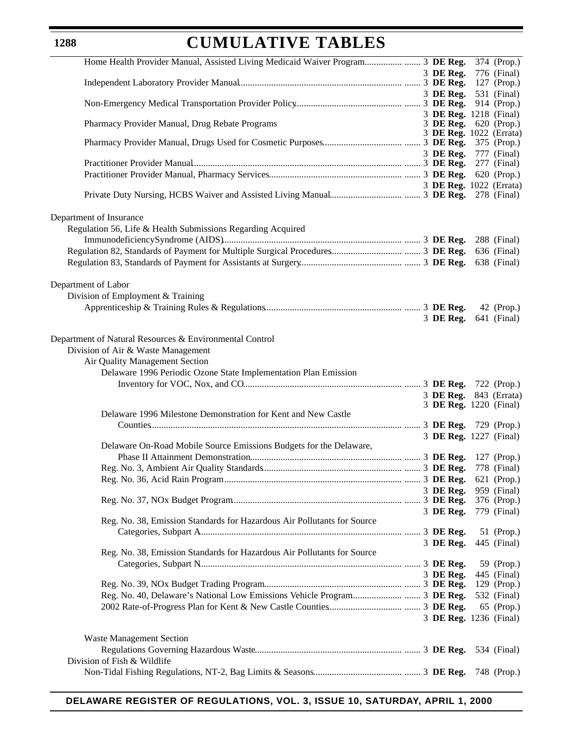# **CUMULATIVE TABLES**

|                                                                                                                                                                                                    | $3$ DE Reg. | 776 (Final)                                     |
|----------------------------------------------------------------------------------------------------------------------------------------------------------------------------------------------------|-------------|-------------------------------------------------|
|                                                                                                                                                                                                    |             | 127 (Prop.)                                     |
|                                                                                                                                                                                                    | 3 DE Reg.   | 531 (Final)                                     |
|                                                                                                                                                                                                    |             | 914 (Prop.)                                     |
|                                                                                                                                                                                                    |             | 3 DE Reg. 1218 (Final)<br>3 DE Reg. 620 (Prop.) |
| Pharmacy Provider Manual, Drug Rebate Programs                                                                                                                                                     |             | 3 DE Reg. 1022 (Errata)                         |
|                                                                                                                                                                                                    |             |                                                 |
|                                                                                                                                                                                                    | 3 DE Reg.   | 777 (Final)                                     |
|                                                                                                                                                                                                    |             | 277 (Final)                                     |
|                                                                                                                                                                                                    |             |                                                 |
|                                                                                                                                                                                                    |             | 3 DE Reg. 1022 (Errata)                         |
|                                                                                                                                                                                                    |             |                                                 |
| Department of Insurance                                                                                                                                                                            |             |                                                 |
| Regulation 56, Life & Health Submissions Regarding Acquired                                                                                                                                        |             |                                                 |
|                                                                                                                                                                                                    |             | 288 (Final)                                     |
|                                                                                                                                                                                                    |             | 636 (Final)                                     |
|                                                                                                                                                                                                    |             | 638 (Final)                                     |
|                                                                                                                                                                                                    |             |                                                 |
| Department of Labor                                                                                                                                                                                |             |                                                 |
| Division of Employment & Training                                                                                                                                                                  |             |                                                 |
|                                                                                                                                                                                                    |             | 42 (Prop.)                                      |
|                                                                                                                                                                                                    | $3$ DE Reg. | 641 (Final)                                     |
| Department of Natural Resources & Environmental Control<br>Division of Air & Waste Management<br>Air Quality Management Section<br>Delaware 1996 Periodic Ozone State Implementation Plan Emission |             |                                                 |
|                                                                                                                                                                                                    |             |                                                 |
|                                                                                                                                                                                                    |             | 3 DE Reg. 843 (Errata)                          |
|                                                                                                                                                                                                    |             | 3 DE Reg. 1220 (Final)                          |
| Delaware 1996 Milestone Demonstration for Kent and New Castle                                                                                                                                      |             |                                                 |
|                                                                                                                                                                                                    |             |                                                 |
| Delaware On-Road Mobile Source Emissions Budgets for the Delaware,                                                                                                                                 |             | 3 DE Reg. 1227 (Final)                          |
|                                                                                                                                                                                                    |             |                                                 |
|                                                                                                                                                                                                    |             |                                                 |
|                                                                                                                                                                                                    |             | 621 (Prop.)                                     |
|                                                                                                                                                                                                    | 3 DE Reg.   | 959 (Final)                                     |
|                                                                                                                                                                                                    |             | 376 (Prop.)                                     |
|                                                                                                                                                                                                    | 3 DE Reg.   | 779 (Final)                                     |
| Reg. No. 38, Emission Standards for Hazardous Air Pollutants for Source                                                                                                                            |             |                                                 |
|                                                                                                                                                                                                    |             | 51 (Prop.)                                      |
|                                                                                                                                                                                                    | 3 DE Reg.   | 445 (Final)                                     |
| Reg. No. 38, Emission Standards for Hazardous Air Pollutants for Source                                                                                                                            |             |                                                 |
|                                                                                                                                                                                                    |             | 59 (Prop.)                                      |
|                                                                                                                                                                                                    | 3 DE Reg.   | 445 (Final)                                     |
|                                                                                                                                                                                                    |             | 129 (Prop.)                                     |
|                                                                                                                                                                                                    |             | 532 (Final)                                     |
|                                                                                                                                                                                                    |             | 65 (Prop.)                                      |
|                                                                                                                                                                                                    |             | 3 DE Reg. 1236 (Final)                          |
| <b>Waste Management Section</b>                                                                                                                                                                    |             |                                                 |
|                                                                                                                                                                                                    |             | 534 (Final)                                     |
| Division of Fish & Wildlife                                                                                                                                                                        |             |                                                 |
|                                                                                                                                                                                                    |             | 748 (Prop.)                                     |

### **DELAWARE REGISTER OF REGULATIONS, VOL. 3, ISSUE 10, SATURDAY, APRIL 1, 2000**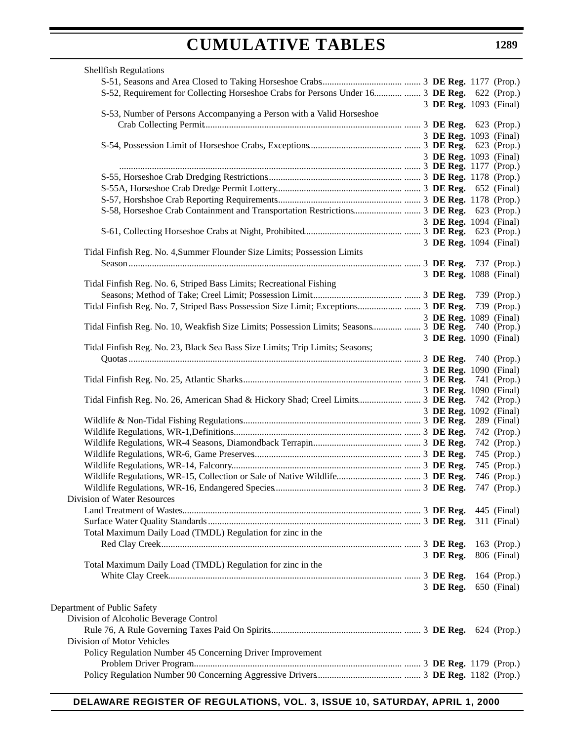| <b>Shellfish Regulations</b>                                                 |                        |             |
|------------------------------------------------------------------------------|------------------------|-------------|
|                                                                              |                        |             |
|                                                                              |                        |             |
|                                                                              | 3 DE Reg. 1093 (Final) |             |
| S-53, Number of Persons Accompanying a Person with a Valid Horseshoe         |                        |             |
|                                                                              |                        |             |
|                                                                              | 3 DE Reg. 1093 (Final) |             |
|                                                                              |                        |             |
|                                                                              | 3 DE Reg. 1093 (Final) |             |
|                                                                              |                        |             |
|                                                                              |                        |             |
|                                                                              |                        |             |
|                                                                              |                        |             |
|                                                                              |                        |             |
|                                                                              | 3 DE Reg. 1094 (Final) |             |
|                                                                              |                        |             |
|                                                                              | 3 DE Reg. 1094 (Final) |             |
| Tidal Finfish Reg. No. 4, Summer Flounder Size Limits; Possession Limits     |                        |             |
|                                                                              |                        |             |
|                                                                              | 3 DE Reg. 1088 (Final) |             |
| Tidal Finfish Reg. No. 6, Striped Bass Limits; Recreational Fishing          |                        |             |
|                                                                              |                        |             |
|                                                                              |                        |             |
|                                                                              |                        |             |
|                                                                              | 3 DE Reg. 1089 (Final) |             |
|                                                                              | 3 DE Reg. 1090 (Final) |             |
| Tidal Finfish Reg. No. 23, Black Sea Bass Size Limits; Trip Limits; Seasons; |                        |             |
|                                                                              |                        |             |
|                                                                              |                        |             |
|                                                                              | 3 DE Reg. 1090 (Final) |             |
|                                                                              |                        |             |
|                                                                              | 3 DE Reg. 1090 (Final) |             |
|                                                                              | 3 DE Reg. 1092 (Final) |             |
|                                                                              |                        | 289 (Final) |
|                                                                              |                        | 742 (Prop.) |
|                                                                              |                        | 742 (Prop.) |
|                                                                              |                        |             |
|                                                                              |                        | 745 (Prop.) |
|                                                                              |                        | 745 (Prop.) |
|                                                                              |                        | 746 (Prop.) |
|                                                                              |                        | 747 (Prop.) |
| Division of Water Resources                                                  |                        |             |
|                                                                              |                        | 445 (Final) |
|                                                                              |                        | 311 (Final) |
| Total Maximum Daily Load (TMDL) Regulation for zinc in the                   |                        |             |
|                                                                              |                        | 163 (Prop.) |
|                                                                              | 3 DE Reg.              | 806 (Final) |
| Total Maximum Daily Load (TMDL) Regulation for zinc in the                   |                        |             |
|                                                                              |                        | 164 (Prop.) |
|                                                                              | 3 DE Reg.              | 650 (Final) |
|                                                                              |                        |             |
| Department of Public Safety                                                  |                        |             |
| Division of Alcoholic Beverage Control                                       |                        |             |
|                                                                              |                        |             |
| Division of Motor Vehicles                                                   |                        |             |
| Policy Regulation Number 45 Concerning Driver Improvement                    |                        |             |
|                                                                              |                        |             |
|                                                                              |                        |             |
|                                                                              |                        |             |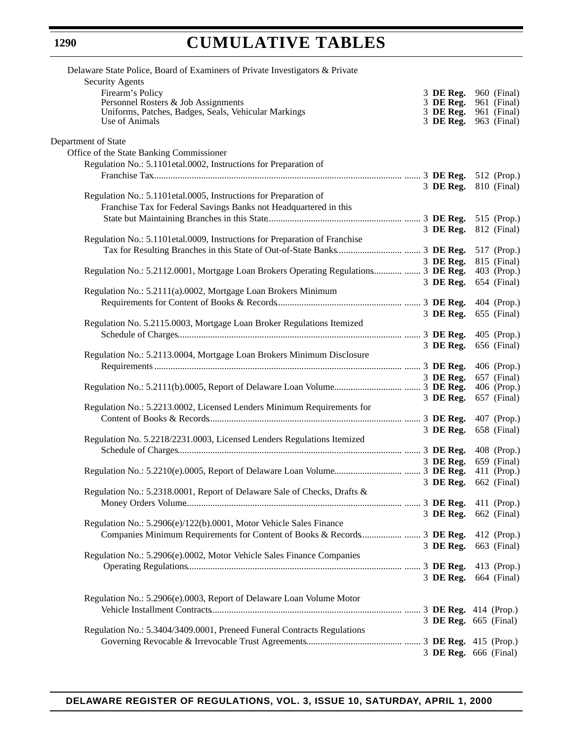| Delaware State Police, Board of Examiners of Private Investigators & Private        |                        |                            |
|-------------------------------------------------------------------------------------|------------------------|----------------------------|
| <b>Security Agents</b>                                                              |                        |                            |
| Firearm's Policy<br>Personnel Rosters & Job Assignments                             | 3 DE Reg.              | 960 (Final)                |
| Uniforms, Patches, Badges, Seals, Vehicular Markings                                | 3 DE Reg.<br>3 DE Reg. | 961 (Final)<br>961 (Final) |
| Use of Animals                                                                      | 3 DE Reg.              | 963 (Final)                |
| Department of State                                                                 |                        |                            |
| Office of the State Banking Commissioner                                            |                        |                            |
| Regulation No.: 5.1101etal.0002, Instructions for Preparation of                    |                        |                            |
|                                                                                     |                        |                            |
|                                                                                     | 3 DE Reg. 810 (Final)  |                            |
| Regulation No.: 5.1101etal.0005, Instructions for Preparation of                    |                        |                            |
| Franchise Tax for Federal Savings Banks not Headquartered in this                   |                        |                            |
|                                                                                     |                        |                            |
|                                                                                     | 3 DE Reg.              | 812 (Final)                |
| Regulation No.: 5.1101etal.0009, Instructions for Preparation of Franchise          |                        |                            |
|                                                                                     |                        | 517 (Prop.)                |
|                                                                                     | 3 DE Reg.              | 815 (Final)                |
| Regulation No.: 5.2112.0001, Mortgage Loan Brokers Operating Regulations  3 DE Reg. |                        | 403 (Prop.)                |
|                                                                                     | 3 DE Reg.              | 654 (Final)                |
| Regulation No.: 5.2111(a).0002, Mortgage Loan Brokers Minimum                       |                        |                            |
|                                                                                     |                        | 404 (Prop.)                |
|                                                                                     | 3 DE Reg.              | 655 (Final)                |
| Regulation No. 5.2115.0003, Mortgage Loan Broker Regulations Itemized               |                        |                            |
|                                                                                     |                        | 405 (Prop.)                |
| Regulation No.: 5.2113.0004, Mortgage Loan Brokers Minimum Disclosure               | 3 DE Reg.              | 656 (Final)                |
|                                                                                     |                        | 406 (Prop.)                |
|                                                                                     | 3 DE Reg.              | 657 (Final)                |
|                                                                                     |                        | 406 (Prop.)                |
|                                                                                     | 3 DE Reg.              | 657 (Final)                |
| Regulation No.: 5.2213.0002, Licensed Lenders Minimum Requirements for              |                        |                            |
|                                                                                     |                        | 407 (Prop.)                |
|                                                                                     | 3 DE Reg.              | 658 (Final)                |
| Regulation No. 5.2218/2231.0003, Licensed Lenders Regulations Itemized              |                        |                            |
|                                                                                     |                        | 408 (Prop.)                |
|                                                                                     | 3 DE Reg.              | 659 (Final)                |
|                                                                                     |                        | 411 (Prop.)                |
|                                                                                     | 3 DE Reg.              | 662 (Final)                |
| Regulation No.: 5.2318.0001, Report of Delaware Sale of Checks, Drafts &            |                        |                            |
|                                                                                     |                        | 411 (Prop.)                |
| Regulation No.: 5.2906(e)/122(b).0001, Motor Vehicle Sales Finance                  | 3 DE Reg.              | 662 (Final)                |
|                                                                                     |                        |                            |
|                                                                                     |                        | 412 (Prop.)                |
| Regulation No.: 5.2906(e).0002, Motor Vehicle Sales Finance Companies               | 3 DE Reg.              | 663 (Final)                |
|                                                                                     |                        | 413 (Prop.)                |
|                                                                                     | 3 DE Reg.              | 664 (Final)                |
|                                                                                     |                        |                            |
| Regulation No.: 5.2906(e).0003, Report of Delaware Loan Volume Motor                |                        |                            |
|                                                                                     |                        |                            |
|                                                                                     | 3 DE Reg. 665 (Final)  |                            |
| Regulation No.: 5.3404/3409.0001, Preneed Funeral Contracts Regulations             |                        |                            |
|                                                                                     |                        |                            |
|                                                                                     | 3 DE Reg. 666 (Final)  |                            |
|                                                                                     |                        |                            |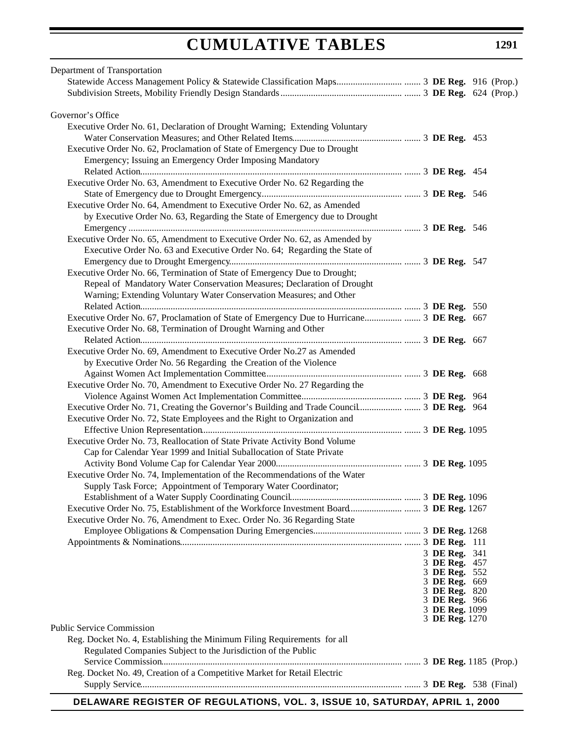| Department of Transportation                                                |                                |  |
|-----------------------------------------------------------------------------|--------------------------------|--|
|                                                                             |                                |  |
|                                                                             |                                |  |
|                                                                             |                                |  |
| Governor's Office                                                           |                                |  |
| Executive Order No. 61, Declaration of Drought Warning; Extending Voluntary |                                |  |
|                                                                             |                                |  |
| Executive Order No. 62, Proclamation of State of Emergency Due to Drought   |                                |  |
| Emergency; Issuing an Emergency Order Imposing Mandatory                    |                                |  |
|                                                                             |                                |  |
| Executive Order No. 63, Amendment to Executive Order No. 62 Regarding the   |                                |  |
|                                                                             |                                |  |
| Executive Order No. 64, Amendment to Executive Order No. 62, as Amended     |                                |  |
| by Executive Order No. 63, Regarding the State of Emergency due to Drought  |                                |  |
|                                                                             |                                |  |
| Executive Order No. 65, Amendment to Executive Order No. 62, as Amended by  |                                |  |
| Executive Order No. 63 and Executive Order No. 64; Regarding the State of   |                                |  |
|                                                                             |                                |  |
| Executive Order No. 66, Termination of State of Emergency Due to Drought;   |                                |  |
| Repeal of Mandatory Water Conservation Measures; Declaration of Drought     |                                |  |
| Warning; Extending Voluntary Water Conservation Measures; and Other         |                                |  |
|                                                                             |                                |  |
|                                                                             |                                |  |
| Executive Order No. 68, Termination of Drought Warning and Other            |                                |  |
|                                                                             |                                |  |
| Executive Order No. 69, Amendment to Executive Order No.27 as Amended       |                                |  |
| by Executive Order No. 56 Regarding the Creation of the Violence            |                                |  |
|                                                                             |                                |  |
| Executive Order No. 70, Amendment to Executive Order No. 27 Regarding the   |                                |  |
|                                                                             |                                |  |
| Executive Order No. 72, State Employees and the Right to Organization and   |                                |  |
|                                                                             |                                |  |
| Executive Order No. 73, Reallocation of State Private Activity Bond Volume  |                                |  |
| Cap for Calendar Year 1999 and Initial Suballocation of State Private       |                                |  |
|                                                                             |                                |  |
| Executive Order No. 74, Implementation of the Recommendations of the Water  |                                |  |
| Supply Task Force; Appointment of Temporary Water Coordinator;              |                                |  |
|                                                                             |                                |  |
|                                                                             |                                |  |
| Executive Order No. 76, Amendment to Exec. Order No. 36 Regarding State     |                                |  |
|                                                                             |                                |  |
|                                                                             |                                |  |
|                                                                             | 3 DE Reg. 341                  |  |
|                                                                             | 3 DE Reg. 457                  |  |
|                                                                             | 3 DE Reg. 552                  |  |
|                                                                             | 3 DE Reg. 669<br>3 DE Reg. 820 |  |
|                                                                             | 3 DE Reg. 966                  |  |
|                                                                             | 3 DE Reg. 1099                 |  |
|                                                                             | 3 DE Reg. 1270                 |  |
| <b>Public Service Commission</b>                                            |                                |  |
| Reg. Docket No. 4, Establishing the Minimum Filing Requirements for all     |                                |  |
| Regulated Companies Subject to the Jurisdiction of the Public               |                                |  |
| Reg. Docket No. 49, Creation of a Competitive Market for Retail Electric    |                                |  |
|                                                                             |                                |  |
|                                                                             |                                |  |

**DELAWARE REGISTER OF REGULATIONS, VOL. 3, ISSUE 10, SATURDAY, APRIL 1, 2000**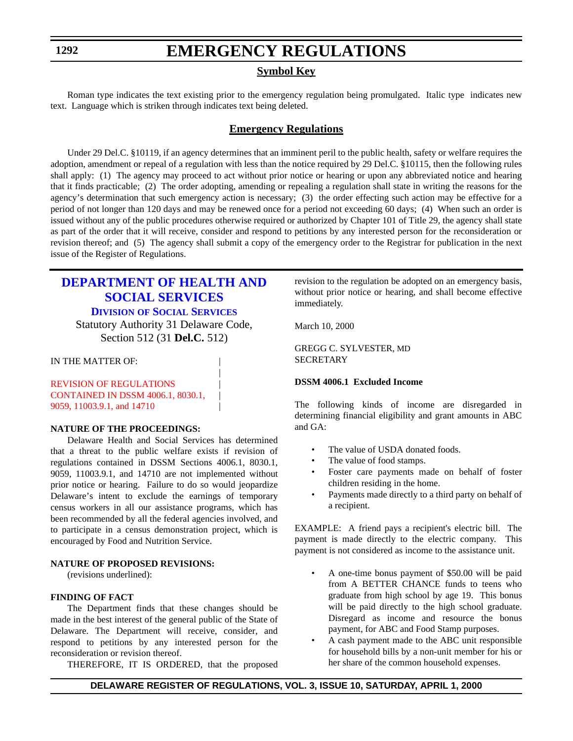# **EMERGENCY REGULATIONS**

### **Symbol Key**

<span id="page-13-0"></span>Roman type indicates the text existing prior to the emergency regulation being promulgated. Italic type indicates new text. Language which is striken through indicates text being deleted.

### **Emergency Regulations**

Under 29 Del.C. §10119, if an agency determines that an imminent peril to the public health, safety or welfare requires the adoption, amendment or repeal of a regulation with less than the notice required by 29 Del.C. §10115, then the following rules shall apply: (1) The agency may proceed to act without prior notice or hearing or upon any abbreviated notice and hearing that it finds practicable; (2) The order adopting, amending or repealing a regulation shall state in writing the reasons for the agency's determination that such emergency action is necessary; (3) the order effecting such action may be effective for a period of not longer than 120 days and may be renewed once for a period not exceeding 60 days; (4) When such an order is issued without any of the public procedures otherwise required or authorized by Chapter 101 of Title 29, the agency shall state as part of the order that it will receive, consider and respond to petitions by any interested person for the reconsideration or revision thereof; and (5) The agency shall submit a copy of the emergency order to the Registrar for publication in the next issue of the Register of Regulations.

### **[DEPARTMENT OF HEALTH AND](http://www.state.de.us/dhss/irm/dhss.htm) SOCIAL SERVICES DIVISION OF SOCIAL SERVICES**

Statutory Authority 31 Delaware Code, Section 512 (31 **Del.C.** 512)

|

IN THE MATTER OF:

### REVISION OF REGULATIONS [CONTAINED IN DSSM 4006.1, 8030.1,](#page-3-0) 9059, 11003.9.1, and 14710 |

### **NATURE OF THE PROCEEDINGS:**

Delaware Health and Social Services has determined that a threat to the public welfare exists if revision of regulations contained in DSSM Sections 4006.1, 8030.1, 9059, 11003.9.1, and 14710 are not implemented without prior notice or hearing. Failure to do so would jeopardize Delaware's intent to exclude the earnings of temporary census workers in all our assistance programs, which has been recommended by all the federal agencies involved, and to participate in a census demonstration project, which is encouraged by Food and Nutrition Service.

#### **NATURE OF PROPOSED REVISIONS:**

(revisions underlined):

### **FINDING OF FACT**

The Department finds that these changes should be made in the best interest of the general public of the State of Delaware. The Department will receive, consider, and respond to petitions by any interested person for the reconsideration or revision thereof.

THEREFORE, IT IS ORDERED, that the proposed

revision to the regulation be adopted on an emergency basis, without prior notice or hearing, and shall become effective immediately.

March 10, 2000

GREGG C. SYLVESTER, MD **SECRETARY** 

#### **DSSM 4006.1 Excluded Income**

The following kinds of income are disregarded in determining financial eligibility and grant amounts in ABC and GA:

- The value of USDA donated foods.
- The value of food stamps.
- Foster care payments made on behalf of foster children residing in the home.
- Payments made directly to a third party on behalf of a recipient.

EXAMPLE: A friend pays a recipient's electric bill. The payment is made directly to the electric company. This payment is not considered as income to the assistance unit.

- A one-time bonus payment of \$50.00 will be paid from A BETTER CHANCE funds to teens who graduate from high school by age 19. This bonus will be paid directly to the high school graduate. Disregard as income and resource the bonus payment, for ABC and Food Stamp purposes.
- A cash payment made to the ABC unit responsible for household bills by a non-unit member for his or her share of the common household expenses.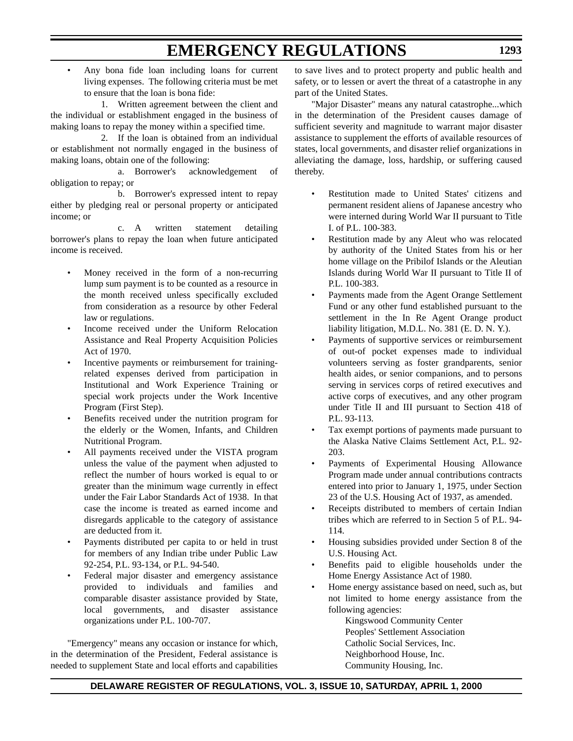• Any bona fide loan including loans for current living expenses. The following criteria must be met to ensure that the loan is bona fide:

1. Written agreement between the client and the individual or establishment engaged in the business of making loans to repay the money within a specified time.

2. If the loan is obtained from an individual or establishment not normally engaged in the business of making loans, obtain one of the following:

a. Borrower's acknowledgement of obligation to repay; or

b. Borrower's expressed intent to repay either by pledging real or personal property or anticipated income; or

c. A written statement detailing borrower's plans to repay the loan when future anticipated income is received.

- Money received in the form of a non-recurring lump sum payment is to be counted as a resource in the month received unless specifically excluded from consideration as a resource by other Federal law or regulations.
- Income received under the Uniform Relocation Assistance and Real Property Acquisition Policies Act of 1970.
- Incentive payments or reimbursement for trainingrelated expenses derived from participation in Institutional and Work Experience Training or special work projects under the Work Incentive Program (First Step).
- Benefits received under the nutrition program for the elderly or the Women, Infants, and Children Nutritional Program.
- All payments received under the VISTA program unless the value of the payment when adjusted to reflect the number of hours worked is equal to or greater than the minimum wage currently in effect under the Fair Labor Standards Act of 1938. In that case the income is treated as earned income and disregards applicable to the category of assistance are deducted from it.
- Payments distributed per capita to or held in trust for members of any Indian tribe under Public Law 92-254, P.L. 93-134, or P.L. 94-540.
- Federal major disaster and emergency assistance provided to individuals and families and comparable disaster assistance provided by State, local governments, and disaster assistance organizations under P.L. 100-707.

"Emergency" means any occasion or instance for which, in the determination of the President, Federal assistance is needed to supplement State and local efforts and capabilities to save lives and to protect property and public health and safety, or to lessen or avert the threat of a catastrophe in any part of the United States.

"Major Disaster" means any natural catastrophe...which in the determination of the President causes damage of sufficient severity and magnitude to warrant major disaster assistance to supplement the efforts of available resources of states, local governments, and disaster relief organizations in alleviating the damage, loss, hardship, or suffering caused thereby.

- Restitution made to United States' citizens and permanent resident aliens of Japanese ancestry who were interned during World War II pursuant to Title I. of P.L. 100-383.
- Restitution made by any Aleut who was relocated by authority of the United States from his or her home village on the Pribilof Islands or the Aleutian Islands during World War II pursuant to Title II of P.L. 100-383.
- Payments made from the Agent Orange Settlement Fund or any other fund established pursuant to the settlement in the In Re Agent Orange product liability litigation, M.D.L. No. 381 (E. D. N. Y.).
- Payments of supportive services or reimbursement of out-of pocket expenses made to individual volunteers serving as foster grandparents, senior health aides, or senior companions, and to persons serving in services corps of retired executives and active corps of executives, and any other program under Title II and III pursuant to Section 418 of P.L. 93-113.
- Tax exempt portions of payments made pursuant to the Alaska Native Claims Settlement Act, P.L. 92- 203.
- Payments of Experimental Housing Allowance Program made under annual contributions contracts entered into prior to January 1, 1975, under Section 23 of the U.S. Housing Act of 1937, as amended.
- Receipts distributed to members of certain Indian tribes which are referred to in Section 5 of P.L. 94- 114.
- Housing subsidies provided under Section 8 of the U.S. Housing Act.
- Benefits paid to eligible households under the Home Energy Assistance Act of 1980.
- Home energy assistance based on need, such as, but not limited to home energy assistance from the following agencies:

Kingswood Community Center Peoples' Settlement Association Catholic Social Services, Inc. Neighborhood House, Inc. Community Housing, Inc.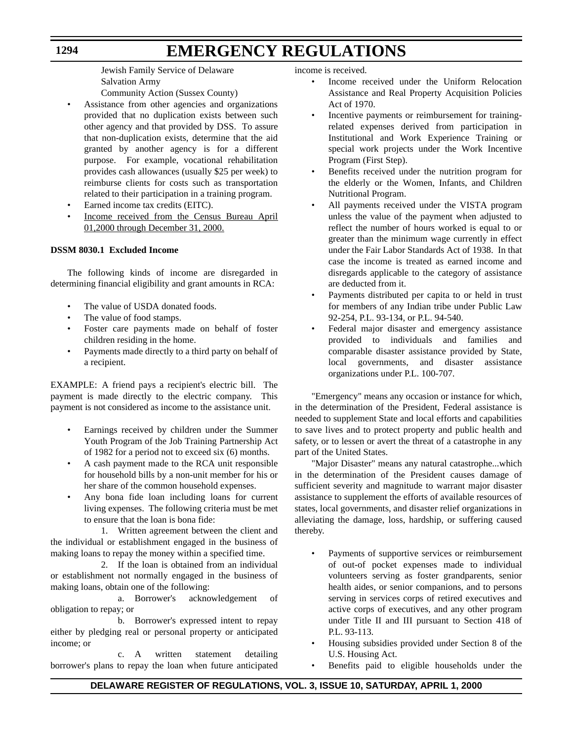Jewish Family Service of Delaware Salvation Army

Community Action (Sussex County)

- Assistance from other agencies and organizations provided that no duplication exists between such other agency and that provided by DSS. To assure that non-duplication exists, determine that the aid granted by another agency is for a different purpose. For example, vocational rehabilitation provides cash allowances (usually \$25 per week) to reimburse clients for costs such as transportation related to their participation in a training program.
- Earned income tax credits (EITC).
- Income received from the Census Bureau April 01,2000 through December 31, 2000.

### **DSSM 8030.1 Excluded Income**

The following kinds of income are disregarded in determining financial eligibility and grant amounts in RCA:

- The value of USDA donated foods.
- The value of food stamps.
- Foster care payments made on behalf of foster children residing in the home.
- Payments made directly to a third party on behalf of a recipient.

EXAMPLE: A friend pays a recipient's electric bill. The payment is made directly to the electric company. This payment is not considered as income to the assistance unit.

- Earnings received by children under the Summer Youth Program of the Job Training Partnership Act of 1982 for a period not to exceed six (6) months.
- A cash payment made to the RCA unit responsible for household bills by a non-unit member for his or her share of the common household expenses.
- Any bona fide loan including loans for current living expenses. The following criteria must be met to ensure that the loan is bona fide:

1. Written agreement between the client and the individual or establishment engaged in the business of making loans to repay the money within a specified time.

2. If the loan is obtained from an individual or establishment not normally engaged in the business of making loans, obtain one of the following:

a. Borrower's acknowledgement of obligation to repay; or

b. Borrower's expressed intent to repay either by pledging real or personal property or anticipated income; or

c. A written statement detailing borrower's plans to repay the loan when future anticipated income is received.

- Income received under the Uniform Relocation Assistance and Real Property Acquisition Policies Act of 1970.
- Incentive payments or reimbursement for trainingrelated expenses derived from participation in Institutional and Work Experience Training or special work projects under the Work Incentive Program (First Step).
- Benefits received under the nutrition program for the elderly or the Women, Infants, and Children Nutritional Program.
- All payments received under the VISTA program unless the value of the payment when adjusted to reflect the number of hours worked is equal to or greater than the minimum wage currently in effect under the Fair Labor Standards Act of 1938. In that case the income is treated as earned income and disregards applicable to the category of assistance are deducted from it.
- Payments distributed per capita to or held in trust for members of any Indian tribe under Public Law 92-254, P.L. 93-134, or P.L. 94-540.
- Federal major disaster and emergency assistance provided to individuals and families and comparable disaster assistance provided by State, local governments, and disaster assistance organizations under P.L. 100-707.

"Emergency" means any occasion or instance for which, in the determination of the President, Federal assistance is needed to supplement State and local efforts and capabilities to save lives and to protect property and public health and safety, or to lessen or avert the threat of a catastrophe in any part of the United States.

"Major Disaster" means any natural catastrophe...which in the determination of the President causes damage of sufficient severity and magnitude to warrant major disaster assistance to supplement the efforts of available resources of states, local governments, and disaster relief organizations in alleviating the damage, loss, hardship, or suffering caused thereby.

- Payments of supportive services or reimbursement of out-of pocket expenses made to individual volunteers serving as foster grandparents, senior health aides, or senior companions, and to persons serving in services corps of retired executives and active corps of executives, and any other program under Title II and III pursuant to Section 418 of P.L. 93-113.
- Housing subsidies provided under Section 8 of the U.S. Housing Act.
- Benefits paid to eligible households under the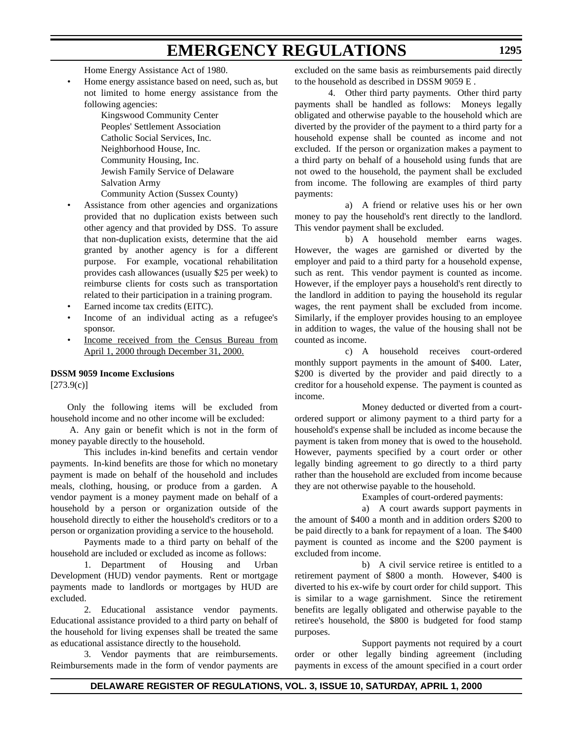Home Energy Assistance Act of 1980.

• Home energy assistance based on need, such as, but not limited to home energy assistance from the following agencies:

> Kingswood Community Center Peoples' Settlement Association Catholic Social Services, Inc. Neighborhood House, Inc. Community Housing, Inc. Jewish Family Service of Delaware Salvation Army

Community Action (Sussex County)

- Assistance from other agencies and organizations provided that no duplication exists between such other agency and that provided by DSS. To assure that non-duplication exists, determine that the aid granted by another agency is for a different purpose. For example, vocational rehabilitation provides cash allowances (usually \$25 per week) to reimburse clients for costs such as transportation related to their participation in a training program.
- Earned income tax credits (EITC).
- Income of an individual acting as a refugee's sponsor.
- Income received from the Census Bureau from April 1, 2000 through December 31, 2000.

#### **DSSM 9059 Income Exclusions**

 $[273.9(c)]$ 

Only the following items will be excluded from household income and no other income will be excluded:

 A. Any gain or benefit which is not in the form of money payable directly to the household.

This includes in-kind benefits and certain vendor payments. In-kind benefits are those for which no monetary payment is made on behalf of the household and includes meals, clothing, housing, or produce from a garden. A vendor payment is a money payment made on behalf of a household by a person or organization outside of the household directly to either the household's creditors or to a person or organization providing a service to the household.

Payments made to a third party on behalf of the household are included or excluded as income as follows:

1. Department of Housing and Urban Development (HUD) vendor payments. Rent or mortgage payments made to landlords or mortgages by HUD are excluded.

2. Educational assistance vendor payments. Educational assistance provided to a third party on behalf of the household for living expenses shall be treated the same as educational assistance directly to the household.

3. Vendor payments that are reimbursements. Reimbursements made in the form of vendor payments are excluded on the same basis as reimbursements paid directly to the household as described in DSSM 9059 E .

4. Other third party payments. Other third party payments shall be handled as follows: Moneys legally obligated and otherwise payable to the household which are diverted by the provider of the payment to a third party for a household expense shall be counted as income and not excluded. If the person or organization makes a payment to a third party on behalf of a household using funds that are not owed to the household, the payment shall be excluded from income. The following are examples of third party payments:

a) A friend or relative uses his or her own money to pay the household's rent directly to the landlord. This vendor payment shall be excluded.

b) A household member earns wages. However, the wages are garnished or diverted by the employer and paid to a third party for a household expense, such as rent. This vendor payment is counted as income. However, if the employer pays a household's rent directly to the landlord in addition to paying the household its regular wages, the rent payment shall be excluded from income. Similarly, if the employer provides housing to an employee in addition to wages, the value of the housing shall not be counted as income.

c) A household receives court-ordered monthly support payments in the amount of \$400. Later, \$200 is diverted by the provider and paid directly to a creditor for a household expense. The payment is counted as income.

Money deducted or diverted from a courtordered support or alimony payment to a third party for a household's expense shall be included as income because the payment is taken from money that is owed to the household. However, payments specified by a court order or other legally binding agreement to go directly to a third party rather than the household are excluded from income because they are not otherwise payable to the household.

Examples of court-ordered payments:

a) A court awards support payments in the amount of \$400 a month and in addition orders \$200 to be paid directly to a bank for repayment of a loan. The \$400 payment is counted as income and the \$200 payment is excluded from income.

b) A civil service retiree is entitled to a retirement payment of \$800 a month. However, \$400 is diverted to his ex-wife by court order for child support. This is similar to a wage garnishment. Since the retirement benefits are legally obligated and otherwise payable to the retiree's household, the \$800 is budgeted for food stamp purposes.

Support payments not required by a court order or other legally binding agreement (including payments in excess of the amount specified in a court order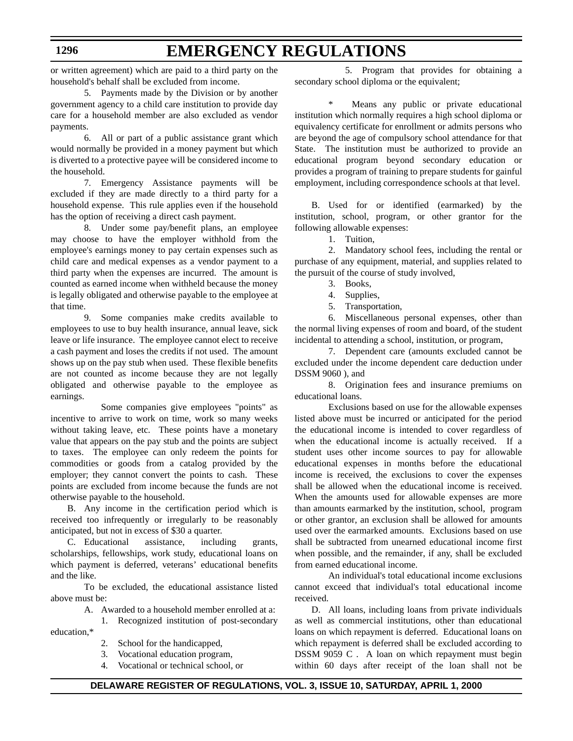## **EMERGENCY REGULATIONS**

or written agreement) which are paid to a third party on the household's behalf shall be excluded from income.

5. Payments made by the Division or by another government agency to a child care institution to provide day care for a household member are also excluded as vendor payments.

6. All or part of a public assistance grant which would normally be provided in a money payment but which is diverted to a protective payee will be considered income to the household.

7. Emergency Assistance payments will be excluded if they are made directly to a third party for a household expense. This rule applies even if the household has the option of receiving a direct cash payment.

8. Under some pay/benefit plans, an employee may choose to have the employer withhold from the employee's earnings money to pay certain expenses such as child care and medical expenses as a vendor payment to a third party when the expenses are incurred. The amount is counted as earned income when withheld because the money is legally obligated and otherwise payable to the employee at that time.

9. Some companies make credits available to employees to use to buy health insurance, annual leave, sick leave or life insurance. The employee cannot elect to receive a cash payment and loses the credits if not used. The amount shows up on the pay stub when used. These flexible benefits are not counted as income because they are not legally obligated and otherwise payable to the employee as earnings.

Some companies give employees "points" as incentive to arrive to work on time, work so many weeks without taking leave, etc. These points have a monetary value that appears on the pay stub and the points are subject to taxes. The employee can only redeem the points for commodities or goods from a catalog provided by the employer; they cannot convert the points to cash. These points are excluded from income because the funds are not otherwise payable to the household.

B. Any income in the certification period which is received too infrequently or irregularly to be reasonably anticipated, but not in excess of \$30 a quarter.

C. Educational assistance, including grants, scholarships, fellowships, work study, educational loans on which payment is deferred, veterans' educational benefits and the like.

To be excluded, the educational assistance listed above must be:

A. Awarded to a household member enrolled at a:

1. Recognized institution of post-secondary education,\*

- 2. School for the handicapped,
- 3. Vocational education program,

4. Vocational or technical school, or

5. Program that provides for obtaining a secondary school diploma or the equivalent;

Means any public or private educational institution which normally requires a high school diploma or equivalency certificate for enrollment or admits persons who are beyond the age of compulsory school attendance for that State. The institution must be authorized to provide an educational program beyond secondary education or provides a program of training to prepare students for gainful employment, including correspondence schools at that level.

B. Used for or identified (earmarked) by the institution, school, program, or other grantor for the following allowable expenses:

1. Tuition,

2. Mandatory school fees, including the rental or purchase of any equipment, material, and supplies related to the pursuit of the course of study involved,

- 3. Books,
- 4. Supplies,
- 5. Transportation,

6. Miscellaneous personal expenses, other than the normal living expenses of room and board, of the student incidental to attending a school, institution, or program,

7. Dependent care (amounts excluded cannot be excluded under the income dependent care deduction under DSSM 9060 ), and

8. Origination fees and insurance premiums on educational loans.

Exclusions based on use for the allowable expenses listed above must be incurred or anticipated for the period the educational income is intended to cover regardless of when the educational income is actually received. If a student uses other income sources to pay for allowable educational expenses in months before the educational income is received, the exclusions to cover the expenses shall be allowed when the educational income is received. When the amounts used for allowable expenses are more than amounts earmarked by the institution, school, program or other grantor, an exclusion shall be allowed for amounts used over the earmarked amounts. Exclusions based on use shall be subtracted from unearned educational income first when possible, and the remainder, if any, shall be excluded from earned educational income.

An individual's total educational income exclusions cannot exceed that individual's total educational income received.

D. All loans, including loans from private individuals as well as commercial institutions, other than educational loans on which repayment is deferred. Educational loans on which repayment is deferred shall be excluded according to DSSM 9059 C . A loan on which repayment must begin within 60 days after receipt of the loan shall not be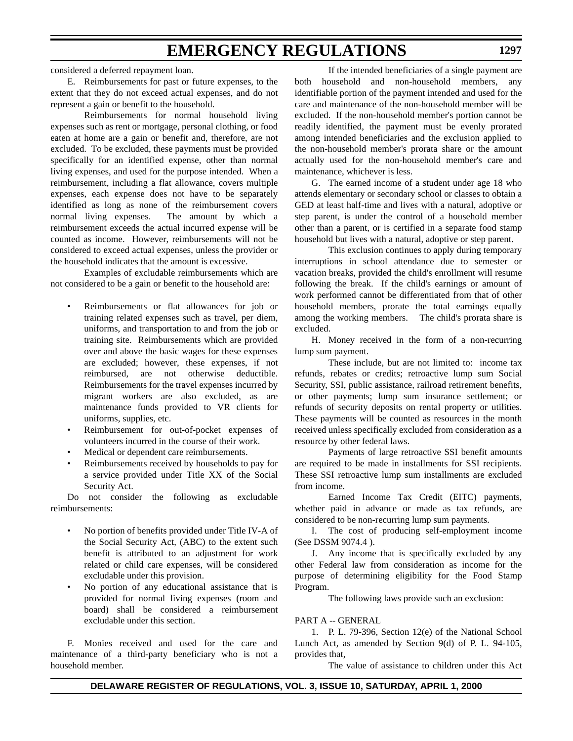considered a deferred repayment loan.

E. Reimbursements for past or future expenses, to the extent that they do not exceed actual expenses, and do not represent a gain or benefit to the household.

Reimbursements for normal household living expenses such as rent or mortgage, personal clothing, or food eaten at home are a gain or benefit and, therefore, are not excluded. To be excluded, these payments must be provided specifically for an identified expense, other than normal living expenses, and used for the purpose intended. When a reimbursement, including a flat allowance, covers multiple expenses, each expense does not have to be separately identified as long as none of the reimbursement covers normal living expenses. The amount by which a reimbursement exceeds the actual incurred expense will be counted as income. However, reimbursements will not be considered to exceed actual expenses, unless the provider or the household indicates that the amount is excessive.

Examples of excludable reimbursements which are not considered to be a gain or benefit to the household are:

- Reimbursements or flat allowances for job or training related expenses such as travel, per diem, uniforms, and transportation to and from the job or training site. Reimbursements which are provided over and above the basic wages for these expenses are excluded; however, these expenses, if not reimbursed, are not otherwise deductible. Reimbursements for the travel expenses incurred by migrant workers are also excluded, as are maintenance funds provided to VR clients for uniforms, supplies, etc.
- Reimbursement for out-of-pocket expenses of volunteers incurred in the course of their work.
- Medical or dependent care reimbursements.
- Reimbursements received by households to pay for a service provided under Title XX of the Social Security Act.

Do not consider the following as excludable reimbursements:

- No portion of benefits provided under Title IV-A of the Social Security Act, (ABC) to the extent such benefit is attributed to an adjustment for work related or child care expenses, will be considered excludable under this provision.
- No portion of any educational assistance that is provided for normal living expenses (room and board) shall be considered a reimbursement excludable under this section.

F. Monies received and used for the care and maintenance of a third-party beneficiary who is not a household member.

If the intended beneficiaries of a single payment are both household and non-household members, any identifiable portion of the payment intended and used for the care and maintenance of the non-household member will be excluded. If the non-household member's portion cannot be readily identified, the payment must be evenly prorated among intended beneficiaries and the exclusion applied to the non-household member's prorata share or the amount actually used for the non-household member's care and maintenance, whichever is less.

G. The earned income of a student under age 18 who attends elementary or secondary school or classes to obtain a GED at least half-time and lives with a natural, adoptive or step parent, is under the control of a household member other than a parent, or is certified in a separate food stamp household but lives with a natural, adoptive or step parent.

This exclusion continues to apply during temporary interruptions in school attendance due to semester or vacation breaks, provided the child's enrollment will resume following the break. If the child's earnings or amount of work performed cannot be differentiated from that of other household members, prorate the total earnings equally among the working members. The child's prorata share is excluded.

H. Money received in the form of a non-recurring lump sum payment.

These include, but are not limited to: income tax refunds, rebates or credits; retroactive lump sum Social Security, SSI, public assistance, railroad retirement benefits, or other payments; lump sum insurance settlement; or refunds of security deposits on rental property or utilities. These payments will be counted as resources in the month received unless specifically excluded from consideration as a resource by other federal laws.

Payments of large retroactive SSI benefit amounts are required to be made in installments for SSI recipients. These SSI retroactive lump sum installments are excluded from income.

Earned Income Tax Credit (EITC) payments, whether paid in advance or made as tax refunds, are considered to be non-recurring lump sum payments.

I. The cost of producing self-employment income (See DSSM 9074.4 ).

J. Any income that is specifically excluded by any other Federal law from consideration as income for the purpose of determining eligibility for the Food Stamp Program.

The following laws provide such an exclusion:

### PART A -- GENERAL

1. P. L. 79-396, Section 12(e) of the National School Lunch Act, as amended by Section 9(d) of P. L. 94-105, provides that,

The value of assistance to children under this Act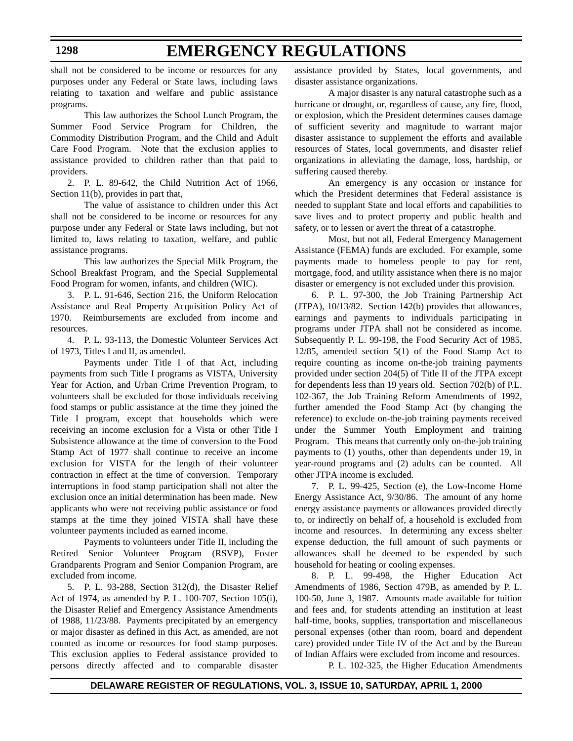shall not be considered to be income or resources for any purposes under any Federal or State laws, including laws relating to taxation and welfare and public assistance programs.

This law authorizes the School Lunch Program, the Summer Food Service Program for Children, the Commodity Distribution Program, and the Child and Adult Care Food Program. Note that the exclusion applies to assistance provided to children rather than that paid to providers.

2. P. L. 89-642, the Child Nutrition Act of 1966, Section 11(b), provides in part that,

The value of assistance to children under this Act shall not be considered to be income or resources for any purpose under any Federal or State laws including, but not limited to, laws relating to taxation, welfare, and public assistance programs.

This law authorizes the Special Milk Program, the School Breakfast Program, and the Special Supplemental Food Program for women, infants, and children (WIC).

3. P. L. 91-646, Section 216, the Uniform Relocation Assistance and Real Property Acquisition Policy Act of 1970. Reimbursements are excluded from income and resources.

4. P. L. 93-113, the Domestic Volunteer Services Act of 1973, Titles I and II, as amended.

Payments under Title I of that Act, including payments from such Title I programs as VISTA, University Year for Action, and Urban Crime Prevention Program, to volunteers shall be excluded for those individuals receiving food stamps or public assistance at the time they joined the Title I program, except that households which were receiving an income exclusion for a Vista or other Title I Subsistence allowance at the time of conversion to the Food Stamp Act of 1977 shall continue to receive an income exclusion for VISTA for the length of their volunteer contraction in effect at the time of conversion. Temporary interruptions in food stamp participation shall not alter the exclusion once an initial determination has been made. New applicants who were not receiving public assistance or food stamps at the time they joined VISTA shall have these volunteer payments included as earned income.

Payments to volunteers under Title II, including the Retired Senior Volunteer Program (RSVP), Foster Grandparents Program and Senior Companion Program, are excluded from income.

5. P. L. 93-288, Section 312(d), the Disaster Relief Act of 1974, as amended by P. L. 100-707, Section 105(i), the Disaster Relief and Emergency Assistance Amendments of 1988, 11/23/88. Payments precipitated by an emergency or major disaster as defined in this Act, as amended, are not counted as income or resources for food stamp purposes. This exclusion applies to Federal assistance provided to persons directly affected and to comparable disaster

assistance provided by States, local governments, and disaster assistance organizations.

A major disaster is any natural catastrophe such as a hurricane or drought, or, regardless of cause, any fire, flood, or explosion, which the President determines causes damage of sufficient severity and magnitude to warrant major disaster assistance to supplement the efforts and available resources of States, local governments, and disaster relief organizations in alleviating the damage, loss, hardship, or suffering caused thereby.

An emergency is any occasion or instance for which the President determines that Federal assistance is needed to supplant State and local efforts and capabilities to save lives and to protect property and public health and safety, or to lessen or avert the threat of a catastrophe.

Most, but not all, Federal Emergency Management Assistance (FEMA) funds are excluded. For example, some payments made to homeless people to pay for rent, mortgage, food, and utility assistance when there is no major disaster or emergency is not excluded under this provision.

6. P. L. 97-300, the Job Training Partnership Act (JTPA), 10/13/82. Section 142(b) provides that allowances, earnings and payments to individuals participating in programs under JTPA shall not be considered as income. Subsequently P. L. 99-198, the Food Security Act of 1985, 12/85, amended section 5(1) of the Food Stamp Act to require counting as income on-the-job training payments provided under section 204(5) of Title II of the JTPA except for dependents less than 19 years old. Section 702(b) of P.L. 102-367, the Job Training Reform Amendments of 1992, further amended the Food Stamp Act (by changing the reference) to exclude on-the-job training payments received under the Summer Youth Employment and training Program. This means that currently only on-the-job training payments to (1) youths, other than dependents under 19, in year-round programs and (2) adults can be counted. All other JTPA income is excluded.

7. P. L. 99-425, Section (e), the Low-Income Home Energy Assistance Act, 9/30/86. The amount of any home energy assistance payments or allowances provided directly to, or indirectly on behalf of, a household is excluded from income and resources. In determining any excess shelter expense deduction, the full amount of such payments or allowances shall be deemed to be expended by such household for heating or cooling expenses.

8. P. L. 99-498, the Higher Education Act Amendments of 1986, Section 479B, as amended by P. L. 100-50, June 3, 1987. Amounts made available for tuition and fees and, for students attending an institution at least half-time, books, supplies, transportation and miscellaneous personal expenses (other than room, board and dependent care) provided under Title IV of the Act and by the Bureau of Indian Affairs were excluded from income and resources.

P. L. 102-325, the Higher Education Amendments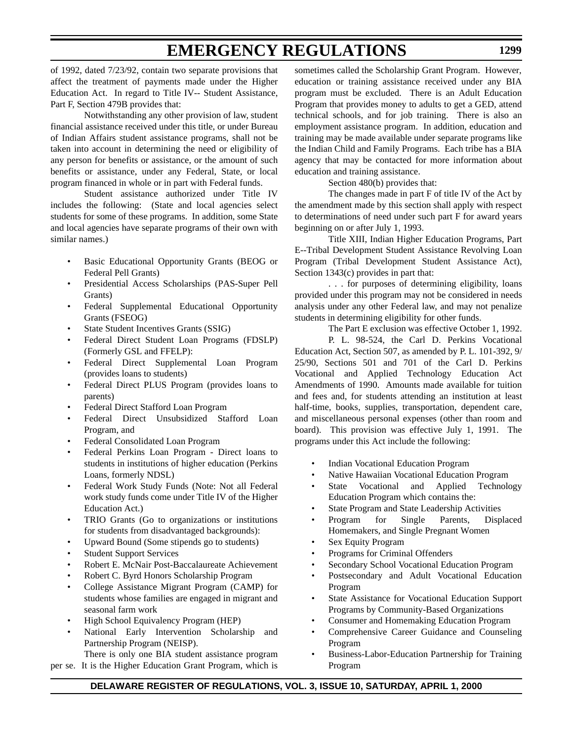of 1992, dated 7/23/92, contain two separate provisions that affect the treatment of payments made under the Higher Education Act. In regard to Title IV-- Student Assistance, Part F, Section 479B provides that:

Notwithstanding any other provision of law, student financial assistance received under this title, or under Bureau of Indian Affairs student assistance programs, shall not be taken into account in determining the need or eligibility of any person for benefits or assistance, or the amount of such benefits or assistance, under any Federal, State, or local program financed in whole or in part with Federal funds.

Student assistance authorized under Title IV includes the following: (State and local agencies select students for some of these programs. In addition, some State and local agencies have separate programs of their own with similar names.)

- Basic Educational Opportunity Grants (BEOG or Federal Pell Grants)
- Presidential Access Scholarships (PAS-Super Pell Grants)
- Federal Supplemental Educational Opportunity Grants (FSEOG)
- State Student Incentives Grants (SSIG)
- Federal Direct Student Loan Programs (FDSLP) (Formerly GSL and FFELP):
- Federal Direct Supplemental Loan Program (provides loans to students)
- Federal Direct PLUS Program (provides loans to parents)
- Federal Direct Stafford Loan Program
- Federal Direct Unsubsidized Stafford Loan Program, and
- Federal Consolidated Loan Program
- Federal Perkins Loan Program Direct loans to students in institutions of higher education (Perkins Loans, formerly NDSL)
- Federal Work Study Funds (Note: Not all Federal work study funds come under Title IV of the Higher Education Act.)
- TRIO Grants (Go to organizations or institutions for students from disadvantaged backgrounds):
- Upward Bound (Some stipends go to students)
- **Student Support Services**
- Robert E. McNair Post-Baccalaureate Achievement
- Robert C. Byrd Honors Scholarship Program
- College Assistance Migrant Program (CAMP) for students whose families are engaged in migrant and seasonal farm work
- High School Equivalency Program (HEP)
- National Early Intervention Scholarship and Partnership Program (NEISP).

There is only one BIA student assistance program per se. It is the Higher Education Grant Program, which is

sometimes called the Scholarship Grant Program. However, education or training assistance received under any BIA program must be excluded. There is an Adult Education Program that provides money to adults to get a GED, attend technical schools, and for job training. There is also an employment assistance program. In addition, education and training may be made available under separate programs like the Indian Child and Family Programs. Each tribe has a BIA agency that may be contacted for more information about education and training assistance.

Section 480(b) provides that:

The changes made in part F of title IV of the Act by the amendment made by this section shall apply with respect to determinations of need under such part F for award years beginning on or after July 1, 1993.

Title XIII, Indian Higher Education Programs, Part E--Tribal Development Student Assistance Revolving Loan Program (Tribal Development Student Assistance Act), Section 1343(c) provides in part that:

. . . for purposes of determining eligibility, loans provided under this program may not be considered in needs analysis under any other Federal law, and may not penalize students in determining eligibility for other funds.

The Part E exclusion was effective October 1, 1992.

P. L. 98-524, the Carl D. Perkins Vocational Education Act, Section 507, as amended by P. L. 101-392, 9/ 25/90, Sections 501 and 701 of the Carl D. Perkins Vocational and Applied Technology Education Act Amendments of 1990. Amounts made available for tuition and fees and, for students attending an institution at least half-time, books, supplies, transportation, dependent care, and miscellaneous personal expenses (other than room and board). This provision was effective July 1, 1991. The programs under this Act include the following:

- Indian Vocational Education Program
- Native Hawaiian Vocational Education Program
- State Vocational and Applied Technology Education Program which contains the:
- State Program and State Leadership Activities
- Program for Single Parents, Displaced Homemakers, and Single Pregnant Women
- Sex Equity Program
- Programs for Criminal Offenders
- Secondary School Vocational Education Program
- Postsecondary and Adult Vocational Education Program
- State Assistance for Vocational Education Support Programs by Community-Based Organizations
- Consumer and Homemaking Education Program
- Comprehensive Career Guidance and Counseling Program
- Business-Labor-Education Partnership for Training Program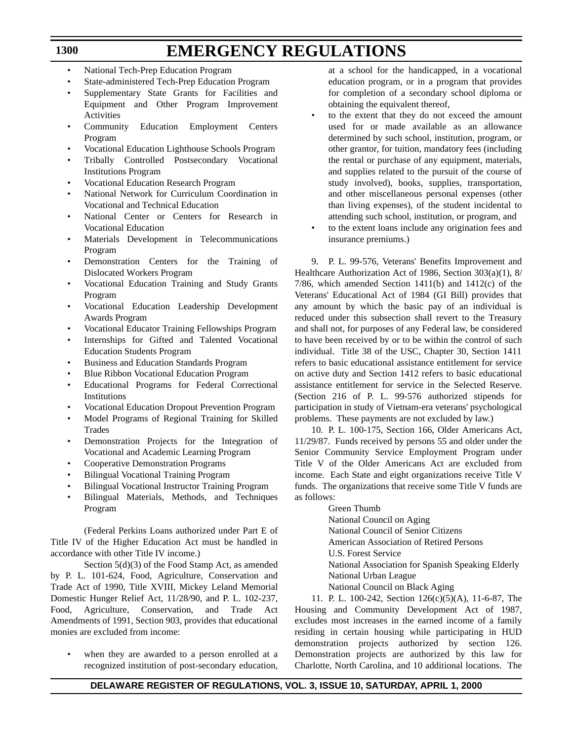- National Tech-Prep Education Program
- State-administered Tech-Prep Education Program
- Supplementary State Grants for Facilities and Equipment and Other Program Improvement Activities
- Community Education Employment Centers Program
- Vocational Education Lighthouse Schools Program
- Tribally Controlled Postsecondary Vocational Institutions Program
- Vocational Education Research Program
- National Network for Curriculum Coordination in Vocational and Technical Education
- National Center or Centers for Research in Vocational Education
- Materials Development in Telecommunications Program
- Demonstration Centers for the Training of Dislocated Workers Program
- Vocational Education Training and Study Grants Program
- Vocational Education Leadership Development Awards Program
- Vocational Educator Training Fellowships Program
- Internships for Gifted and Talented Vocational Education Students Program
- Business and Education Standards Program
- Blue Ribbon Vocational Education Program
- Educational Programs for Federal Correctional Institutions
- Vocational Education Dropout Prevention Program
- Model Programs of Regional Training for Skilled Trades
- Demonstration Projects for the Integration of Vocational and Academic Learning Program
- Cooperative Demonstration Programs
- Bilingual Vocational Training Program
- Bilingual Vocational Instructor Training Program
- Bilingual Materials, Methods, and Techniques Program

(Federal Perkins Loans authorized under Part E of Title IV of the Higher Education Act must be handled in accordance with other Title IV income.)

Section 5(d)(3) of the Food Stamp Act, as amended by P. L. 101-624, Food, Agriculture, Conservation and Trade Act of 1990, Title XVIII, Mickey Leland Memorial Domestic Hunger Relief Act, 11/28/90, and P. L. 102-237, Food, Agriculture, Conservation, and Trade Act Amendments of 1991, Section 903, provides that educational monies are excluded from income:

when they are awarded to a person enrolled at a recognized institution of post-secondary education,

at a school for the handicapped, in a vocational education program, or in a program that provides for completion of a secondary school diploma or obtaining the equivalent thereof,

- to the extent that they do not exceed the amount used for or made available as an allowance determined by such school, institution, program, or other grantor, for tuition, mandatory fees (including the rental or purchase of any equipment, materials, and supplies related to the pursuit of the course of study involved), books, supplies, transportation, and other miscellaneous personal expenses (other than living expenses), of the student incidental to attending such school, institution, or program, and
- to the extent loans include any origination fees and insurance premiums.)

9. P. L. 99-576, Veterans' Benefits Improvement and Healthcare Authorization Act of 1986, Section 303(a)(1), 8/ 7/86, which amended Section  $1411(b)$  and  $1412(c)$  of the Veterans' Educational Act of 1984 (GI Bill) provides that any amount by which the basic pay of an individual is reduced under this subsection shall revert to the Treasury and shall not, for purposes of any Federal law, be considered to have been received by or to be within the control of such individual. Title 38 of the USC, Chapter 30, Section 1411 refers to basic educational assistance entitlement for service on active duty and Section 1412 refers to basic educational assistance entitlement for service in the Selected Reserve. (Section 216 of P. L. 99-576 authorized stipends for participation in study of Vietnam-era veterans' psychological problems. These payments are not excluded by law.)

10. P. L. 100-175, Section 166, Older Americans Act, 11/29/87. Funds received by persons 55 and older under the Senior Community Service Employment Program under Title V of the Older Americans Act are excluded from income. Each State and eight organizations receive Title V funds. The organizations that receive some Title V funds are as follows:

> Green Thumb National Council on Aging National Council of Senior Citizens American Association of Retired Persons U.S. Forest Service National Association for Spanish Speaking Elderly National Urban League National Council on Black Aging

11. P. L. 100-242, Section 126(c)(5)(A), 11-6-87, The Housing and Community Development Act of 1987, excludes most increases in the earned income of a family residing in certain housing while participating in HUD demonstration projects authorized by section 126. Demonstration projects are authorized by this law for Charlotte, North Carolina, and 10 additional locations. The

### **DELAWARE REGISTER OF REGULATIONS, VOL. 3, ISSUE 10, SATURDAY, APRIL 1, 2000**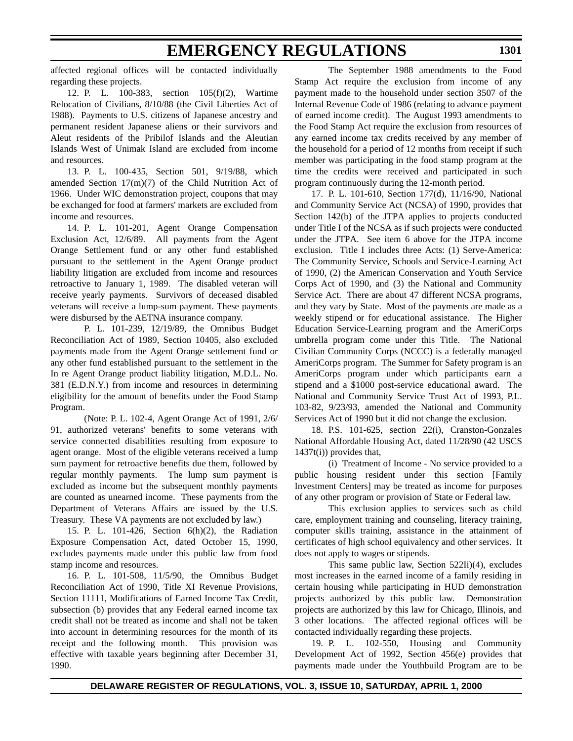affected regional offices will be contacted individually regarding these projects.

12. P. L. 100-383, section 105(f)(2), Wartime Relocation of Civilians, 8/10/88 (the Civil Liberties Act of 1988). Payments to U.S. citizens of Japanese ancestry and permanent resident Japanese aliens or their survivors and Aleut residents of the Pribilof Islands and the Aleutian Islands West of Unimak Island are excluded from income and resources.

13. P. L. 100-435, Section 501, 9/19/88, which amended Section 17(m)(7) of the Child Nutrition Act of 1966. Under WIC demonstration project, coupons that may be exchanged for food at farmers' markets are excluded from income and resources.

14. P. L. 101-201, Agent Orange Compensation Exclusion Act, 12/6/89. All payments from the Agent Orange Settlement fund or any other fund established pursuant to the settlement in the Agent Orange product liability litigation are excluded from income and resources retroactive to January 1, 1989. The disabled veteran will receive yearly payments. Survivors of deceased disabled veterans will receive a lump-sum payment. These payments were disbursed by the AETNA insurance company.

P. L. 101-239, 12/19/89, the Omnibus Budget Reconciliation Act of 1989, Section 10405, also excluded payments made from the Agent Orange settlement fund or any other fund established pursuant to the settlement in the In re Agent Orange product liability litigation, M.D.L. No. 381 (E.D.N.Y.) from income and resources in determining eligibility for the amount of benefits under the Food Stamp Program.

(Note: P. L. 102-4, Agent Orange Act of 1991, 2/6/ 91, authorized veterans' benefits to some veterans with service connected disabilities resulting from exposure to agent orange. Most of the eligible veterans received a lump sum payment for retroactive benefits due them, followed by regular monthly payments. The lump sum payment is excluded as income but the subsequent monthly payments are counted as unearned income. These payments from the Department of Veterans Affairs are issued by the U.S. Treasury. These VA payments are not excluded by law.)

15. P. L. 101-426, Section 6(h)(2), the Radiation Exposure Compensation Act, dated October 15, 1990, excludes payments made under this public law from food stamp income and resources.

16. P. L. 101-508, 11/5/90, the Omnibus Budget Reconciliation Act of 1990, Title XI Revenue Provisions, Section 11111, Modifications of Earned Income Tax Credit, subsection (b) provides that any Federal earned income tax credit shall not be treated as income and shall not be taken into account in determining resources for the month of its receipt and the following month. This provision was effective with taxable years beginning after December 31, 1990.

The September 1988 amendments to the Food Stamp Act require the exclusion from income of any payment made to the household under section 3507 of the Internal Revenue Code of 1986 (relating to advance payment of earned income credit). The August 1993 amendments to the Food Stamp Act require the exclusion from resources of any earned income tax credits received by any member of the household for a period of 12 months from receipt if such member was participating in the food stamp program at the time the credits were received and participated in such program continuously during the 12-month period.

17. P. L. 101-610, Section 177(d), 11/16/90, National and Community Service Act (NCSA) of 1990, provides that Section 142(b) of the JTPA applies to projects conducted under Title I of the NCSA as if such projects were conducted under the JTPA. See item 6 above for the JTPA income exclusion. Title I includes three Acts: (1) Serve-America: The Community Service, Schools and Service-Learning Act of 1990, (2) the American Conservation and Youth Service Corps Act of 1990, and (3) the National and Community Service Act. There are about 47 different NCSA programs, and they vary by State. Most of the payments are made as a weekly stipend or for educational assistance. The Higher Education Service-Learning program and the AmeriCorps umbrella program come under this Title. The National Civilian Community Corps (NCCC) is a federally managed AmeriCorps program. The Summer for Safety program is an AmeriCorps program under which participants earn a stipend and a \$1000 post-service educational award. The National and Community Service Trust Act of 1993, P.L. 103-82, 9/23/93, amended the National and Community Services Act of 1990 but it did not change the exclusion.

18. P.S. 101-625, section 22(i), Cranston-Gonzales National Affordable Housing Act, dated 11/28/90 (42 USCS  $1437t(i)$ ) provides that,

(i) Treatment of Income - No service provided to a public housing resident under this section [Family Investment Centers] may be treated as income for purposes of any other program or provision of State or Federal law.

This exclusion applies to services such as child care, employment training and counseling, literacy training, computer skills training, assistance in the attainment of certificates of high school equivalency and other services. It does not apply to wages or stipends.

This same public law, Section 522Ii)(4), excludes most increases in the earned income of a family residing in certain housing while participating in HUD demonstration projects authorized by this public law. Demonstration projects are authorized by this law for Chicago, Illinois, and 3 other locations. The affected regional offices will be contacted individually regarding these projects.

19. P. L. 102-550, Housing and Community Development Act of 1992, Section 456(e) provides that payments made under the Youthbuild Program are to be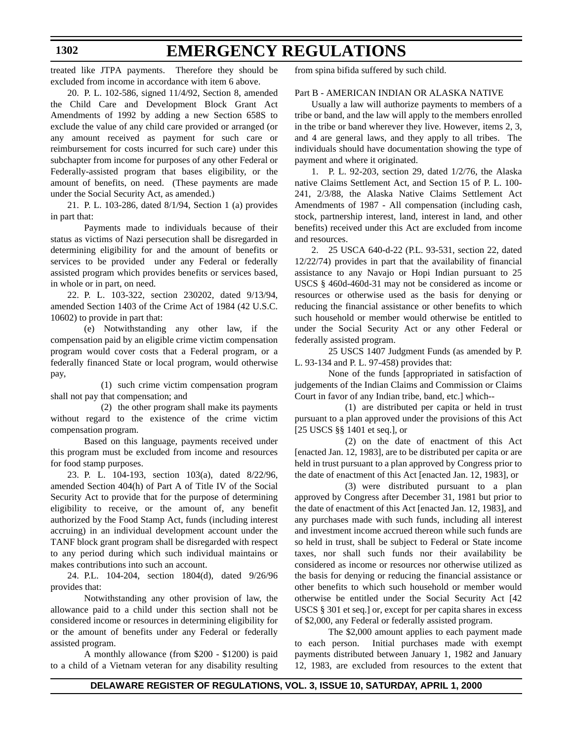treated like JTPA payments. Therefore they should be excluded from income in accordance with item 6 above.

20. P. L. 102-586, signed 11/4/92, Section 8, amended the Child Care and Development Block Grant Act Amendments of 1992 by adding a new Section 658S to exclude the value of any child care provided or arranged (or any amount received as payment for such care or reimbursement for costs incurred for such care) under this subchapter from income for purposes of any other Federal or Federally-assisted program that bases eligibility, or the amount of benefits, on need. (These payments are made under the Social Security Act, as amended.)

21. P. L. 103-286, dated 8/1/94, Section 1 (a) provides in part that:

Payments made to individuals because of their status as victims of Nazi persecution shall be disregarded in determining eligibility for and the amount of benefits or services to be provided under any Federal or federally assisted program which provides benefits or services based, in whole or in part, on need.

22. P. L. 103-322, section 230202, dated 9/13/94, amended Section 1403 of the Crime Act of 1984 (42 U.S.C. 10602) to provide in part that:

(e) Notwithstanding any other law, if the compensation paid by an eligible crime victim compensation program would cover costs that a Federal program, or a federally financed State or local program, would otherwise pay,

(1) such crime victim compensation program shall not pay that compensation; and

(2) the other program shall make its payments without regard to the existence of the crime victim compensation program.

Based on this language, payments received under this program must be excluded from income and resources for food stamp purposes.

23. P. L. 104-193, section 103(a), dated 8/22/96, amended Section 404(h) of Part A of Title IV of the Social Security Act to provide that for the purpose of determining eligibility to receive, or the amount of, any benefit authorized by the Food Stamp Act, funds (including interest accruing) in an individual development account under the TANF block grant program shall be disregarded with respect to any period during which such individual maintains or makes contributions into such an account.

24. P.L. 104-204, section 1804(d), dated 9/26/96 provides that:

Notwithstanding any other provision of law, the allowance paid to a child under this section shall not be considered income or resources in determining eligibility for or the amount of benefits under any Federal or federally assisted program.

A monthly allowance (from \$200 - \$1200) is paid to a child of a Vietnam veteran for any disability resulting from spina bifida suffered by such child.

#### Part B - AMERICAN INDIAN OR ALASKA NATIVE

Usually a law will authorize payments to members of a tribe or band, and the law will apply to the members enrolled in the tribe or band wherever they live. However, items 2, 3, and 4 are general laws, and they apply to all tribes. The individuals should have documentation showing the type of payment and where it originated.

1. P. L. 92-203, section 29, dated 1/2/76, the Alaska native Claims Settlement Act, and Section 15 of P. L. 100- 241, 2/3/88, the Alaska Native Claims Settlement Act Amendments of 1987 - All compensation (including cash, stock, partnership interest, land, interest in land, and other benefits) received under this Act are excluded from income and resources.

2. 25 USCA 640-d-22 (P.L. 93-531, section 22, dated 12/22/74) provides in part that the availability of financial assistance to any Navajo or Hopi Indian pursuant to 25 USCS § 460d-460d-31 may not be considered as income or resources or otherwise used as the basis for denying or reducing the financial assistance or other benefits to which such household or member would otherwise be entitled to under the Social Security Act or any other Federal or federally assisted program.

25 USCS 1407 Judgment Funds (as amended by P. L. 93-134 and P. L. 97-458) provides that:

None of the funds [appropriated in satisfaction of judgements of the Indian Claims and Commission or Claims Court in favor of any Indian tribe, band, etc.] which--

(1) are distributed per capita or held in trust pursuant to a plan approved under the provisions of this Act [25 USCS §§ 1401 et seq.], or

(2) on the date of enactment of this Act [enacted Jan. 12, 1983], are to be distributed per capita or are held in trust pursuant to a plan approved by Congress prior to the date of enactment of this Act [enacted Jan. 12, 1983], or

(3) were distributed pursuant to a plan approved by Congress after December 31, 1981 but prior to the date of enactment of this Act [enacted Jan. 12, 1983], and any purchases made with such funds, including all interest and investment income accrued thereon while such funds are so held in trust, shall be subject to Federal or State income taxes, nor shall such funds nor their availability be considered as income or resources nor otherwise utilized as the basis for denying or reducing the financial assistance or other benefits to which such household or member would otherwise be entitled under the Social Security Act [42 USCS § 301 et seq.] or, except for per capita shares in excess of \$2,000, any Federal or federally assisted program.

The \$2,000 amount applies to each payment made to each person. Initial purchases made with exempt payments distributed between January 1, 1982 and January 12, 1983, are excluded from resources to the extent that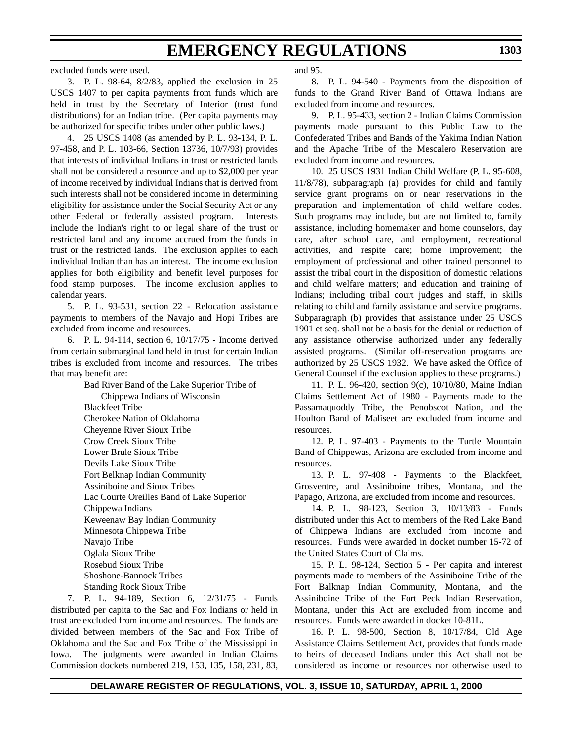excluded funds were used.

3. P. L. 98-64, 8/2/83, applied the exclusion in 25 USCS 1407 to per capita payments from funds which are held in trust by the Secretary of Interior (trust fund distributions) for an Indian tribe. (Per capita payments may be authorized for specific tribes under other public laws.)

4. 25 USCS 1408 (as amended by P. L. 93-134, P. L. 97-458, and P. L. 103-66, Section 13736, 10/7/93) provides that interests of individual Indians in trust or restricted lands shall not be considered a resource and up to \$2,000 per year of income received by individual Indians that is derived from such interests shall not be considered income in determining eligibility for assistance under the Social Security Act or any other Federal or federally assisted program. Interests include the Indian's right to or legal share of the trust or restricted land and any income accrued from the funds in trust or the restricted lands. The exclusion applies to each individual Indian than has an interest. The income exclusion applies for both eligibility and benefit level purposes for food stamp purposes. The income exclusion applies to calendar years.

5. P. L. 93-531, section 22 - Relocation assistance payments to members of the Navajo and Hopi Tribes are excluded from income and resources.

6. P. L. 94-114, section 6, 10/17/75 - Income derived from certain submarginal land held in trust for certain Indian tribes is excluded from income and resources. The tribes that may benefit are:

> Bad River Band of the Lake Superior Tribe of Chippewa Indians of Wisconsin Blackfeet Tribe Cherokee Nation of Oklahoma Cheyenne River Sioux Tribe Crow Creek Sioux Tribe Lower Brule Sioux Tribe Devils Lake Sioux Tribe Fort Belknap Indian Community Assiniboine and Sioux Tribes Lac Courte Oreilles Band of Lake Superior Chippewa Indians Keweenaw Bay Indian Community Minnesota Chippewa Tribe Navajo Tribe Oglala Sioux Tribe Rosebud Sioux Tribe Shoshone-Bannock Tribes Standing Rock Sioux Tribe

7. P. L. 94-189, Section 6, 12/31/75 - Funds distributed per capita to the Sac and Fox Indians or held in trust are excluded from income and resources. The funds are divided between members of the Sac and Fox Tribe of Oklahoma and the Sac and Fox Tribe of the Mississippi in Iowa. The judgments were awarded in Indian Claims Commission dockets numbered 219, 153, 135, 158, 231, 83, and 95.

8. P. L. 94-540 - Payments from the disposition of funds to the Grand River Band of Ottawa Indians are excluded from income and resources.

9. P. L. 95-433, section 2 - Indian Claims Commission payments made pursuant to this Public Law to the Confederated Tribes and Bands of the Yakima Indian Nation and the Apache Tribe of the Mescalero Reservation are excluded from income and resources.

10. 25 USCS 1931 Indian Child Welfare (P. L. 95-608, 11/8/78), subparagraph (a) provides for child and family service grant programs on or near reservations in the preparation and implementation of child welfare codes. Such programs may include, but are not limited to, family assistance, including homemaker and home counselors, day care, after school care, and employment, recreational activities, and respite care; home improvement; the employment of professional and other trained personnel to assist the tribal court in the disposition of domestic relations and child welfare matters; and education and training of Indians; including tribal court judges and staff, in skills relating to child and family assistance and service programs. Subparagraph (b) provides that assistance under 25 USCS 1901 et seq. shall not be a basis for the denial or reduction of any assistance otherwise authorized under any federally assisted programs. (Similar off-reservation programs are authorized by 25 USCS 1932. We have asked the Office of General Counsel if the exclusion applies to these programs.)

11. P. L. 96-420, section 9(c), 10/10/80, Maine Indian Claims Settlement Act of 1980 - Payments made to the Passamaquoddy Tribe, the Penobscot Nation, and the Houlton Band of Maliseet are excluded from income and resources.

12. P. L. 97-403 - Payments to the Turtle Mountain Band of Chippewas, Arizona are excluded from income and resources.

13. P. L. 97-408 - Payments to the Blackfeet, Grosventre, and Assiniboine tribes, Montana, and the Papago, Arizona, are excluded from income and resources.

14. P. L. 98-123, Section 3, 10/13/83 - Funds distributed under this Act to members of the Red Lake Band of Chippewa Indians are excluded from income and resources. Funds were awarded in docket number 15-72 of the United States Court of Claims.

15. P. L. 98-124, Section 5 - Per capita and interest payments made to members of the Assiniboine Tribe of the Fort Balknap Indian Community, Montana, and the Assiniboine Tribe of the Fort Peck Indian Reservation, Montana, under this Act are excluded from income and resources. Funds were awarded in docket 10-81L.

16. P. L. 98-500, Section 8, 10/17/84, Old Age Assistance Claims Settlement Act, provides that funds made to heirs of deceased Indians under this Act shall not be considered as income or resources nor otherwise used to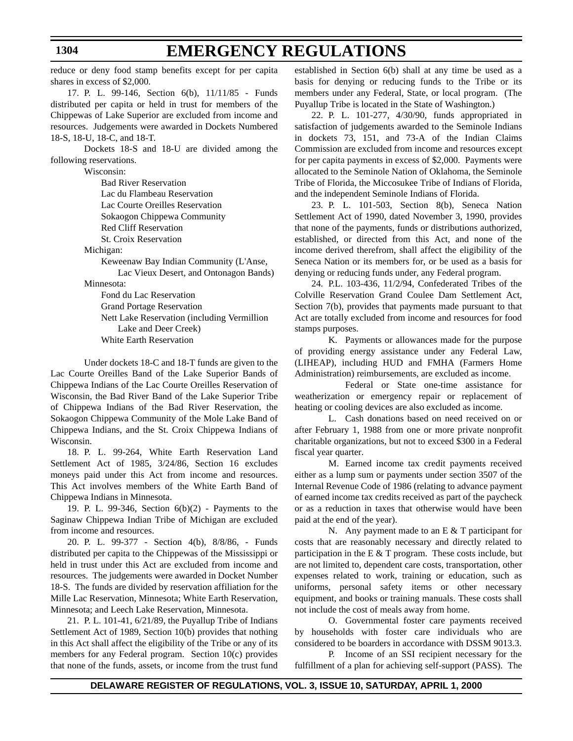reduce or deny food stamp benefits except for per capita shares in excess of \$2,000.

17. P. L. 99-146, Section 6(b), 11/11/85 - Funds distributed per capita or held in trust for members of the Chippewas of Lake Superior are excluded from income and resources. Judgements were awarded in Dockets Numbered 18-S, 18-U, 18-C, and 18-T.

Dockets 18-S and 18-U are divided among the following reservations.

Wisconsin:

Bad River Reservation Lac du Flambeau Reservation Lac Courte Oreilles Reservation Sokaogon Chippewa Community Red Cliff Reservation St. Croix Reservation Michigan: Keweenaw Bay Indian Community (L'Anse, Lac Vieux Desert, and Ontonagon Bands) Minnesota: Fond du Lac Reservation Grand Portage Reservation Nett Lake Reservation (including Vermillion Lake and Deer Creek)

White Earth Reservation

Under dockets 18-C and 18-T funds are given to the Lac Courte Oreilles Band of the Lake Superior Bands of Chippewa Indians of the Lac Courte Oreilles Reservation of Wisconsin, the Bad River Band of the Lake Superior Tribe of Chippewa Indians of the Bad River Reservation, the Sokaogon Chippewa Community of the Mole Lake Band of Chippewa Indians, and the St. Croix Chippewa Indians of Wisconsin.

18. P. L. 99-264, White Earth Reservation Land Settlement Act of 1985, 3/24/86, Section 16 excludes moneys paid under this Act from income and resources. This Act involves members of the White Earth Band of Chippewa Indians in Minnesota.

19. P. L. 99-346, Section 6(b)(2) - Payments to the Saginaw Chippewa Indian Tribe of Michigan are excluded from income and resources.

20. P. L. 99-377 - Section 4(b), 8/8/86, - Funds distributed per capita to the Chippewas of the Mississippi or held in trust under this Act are excluded from income and resources. The judgements were awarded in Docket Number 18-S. The funds are divided by reservation affiliation for the Mille Lac Reservation, Minnesota; White Earth Reservation, Minnesota; and Leech Lake Reservation, Minnesota.

21. P. L. 101-41, 6/21/89, the Puyallup Tribe of Indians Settlement Act of 1989, Section 10(b) provides that nothing in this Act shall affect the eligibility of the Tribe or any of its members for any Federal program. Section 10(c) provides that none of the funds, assets, or income from the trust fund established in Section 6(b) shall at any time be used as a basis for denying or reducing funds to the Tribe or its members under any Federal, State, or local program. (The Puyallup Tribe is located in the State of Washington.)

22. P. L. 101-277, 4/30/90, funds appropriated in satisfaction of judgements awarded to the Seminole Indians in dockets 73, 151, and 73-A of the Indian Claims Commission are excluded from income and resources except for per capita payments in excess of \$2,000. Payments were allocated to the Seminole Nation of Oklahoma, the Seminole Tribe of Florida, the Miccosukee Tribe of Indians of Florida, and the independent Seminole Indians of Florida.

23. P. L. 101-503, Section 8(b), Seneca Nation Settlement Act of 1990, dated November 3, 1990, provides that none of the payments, funds or distributions authorized, established, or directed from this Act, and none of the income derived therefrom, shall affect the eligibility of the Seneca Nation or its members for, or be used as a basis for denying or reducing funds under, any Federal program.

24. P.L. 103-436, 11/2/94, Confederated Tribes of the Colville Reservation Grand Coulee Dam Settlement Act, Section 7(b), provides that payments made pursuant to that Act are totally excluded from income and resources for food stamps purposes.

K. Payments or allowances made for the purpose of providing energy assistance under any Federal Law, (LIHEAP), including HUD and FMHA (Farmers Home Administration) reimbursements, are excluded as income.

Federal or State one-time assistance for weatherization or emergency repair or replacement of heating or cooling devices are also excluded as income.

L. Cash donations based on need received on or after February 1, 1988 from one or more private nonprofit charitable organizations, but not to exceed \$300 in a Federal fiscal year quarter.

M. Earned income tax credit payments received either as a lump sum or payments under section 3507 of the Internal Revenue Code of 1986 (relating to advance payment of earned income tax credits received as part of the paycheck or as a reduction in taxes that otherwise would have been paid at the end of the year).

N. Any payment made to an  $E \& T$  participant for costs that are reasonably necessary and directly related to participation in the E  $&$  T program. These costs include, but are not limited to, dependent care costs, transportation, other expenses related to work, training or education, such as uniforms, personal safety items or other necessary equipment, and books or training manuals. These costs shall not include the cost of meals away from home.

O. Governmental foster care payments received by households with foster care individuals who are considered to be boarders in accordance with DSSM 9013.3.

P. Income of an SSI recipient necessary for the fulfillment of a plan for achieving self-support (PASS). The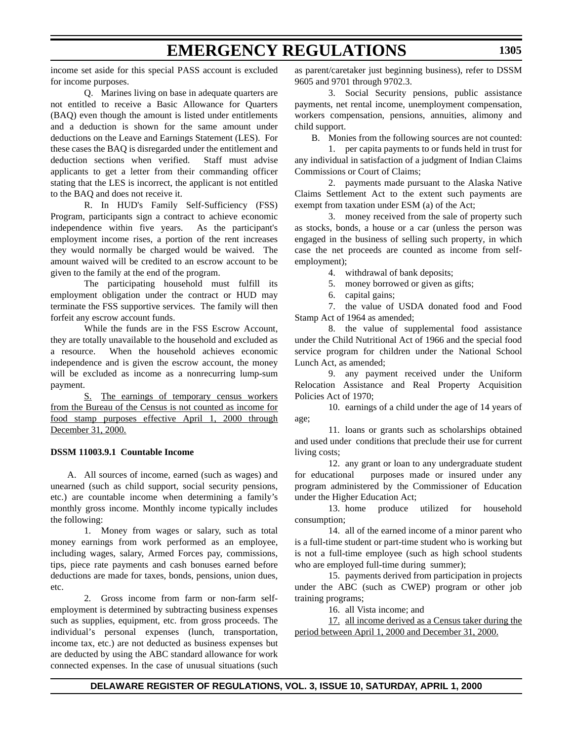income set aside for this special PASS account is excluded for income purposes.

Q. Marines living on base in adequate quarters are not entitled to receive a Basic Allowance for Quarters (BAQ) even though the amount is listed under entitlements and a deduction is shown for the same amount under deductions on the Leave and Earnings Statement (LES). For these cases the BAQ is disregarded under the entitlement and deduction sections when verified. Staff must advise applicants to get a letter from their commanding officer stating that the LES is incorrect, the applicant is not entitled to the BAQ and does not receive it.

R. In HUD's Family Self-Sufficiency (FSS) Program, participants sign a contract to achieve economic independence within five years. As the participant's employment income rises, a portion of the rent increases they would normally be charged would be waived. The amount waived will be credited to an escrow account to be given to the family at the end of the program.

The participating household must fulfill its employment obligation under the contract or HUD may terminate the FSS supportive services. The family will then forfeit any escrow account funds.

While the funds are in the FSS Escrow Account, they are totally unavailable to the household and excluded as a resource. When the household achieves economic independence and is given the escrow account, the money will be excluded as income as a nonrecurring lump-sum payment.

S. The earnings of temporary census workers from the Bureau of the Census is not counted as income for food stamp purposes effective April 1, 2000 through December 31, 2000.

### **DSSM 11003.9.1 Countable Income**

A. All sources of income, earned (such as wages) and unearned (such as child support, social security pensions, etc.) are countable income when determining a family's monthly gross income. Monthly income typically includes the following:

1. Money from wages or salary, such as total money earnings from work performed as an employee, including wages, salary, Armed Forces pay, commissions, tips, piece rate payments and cash bonuses earned before deductions are made for taxes, bonds, pensions, union dues, etc.

2. Gross income from farm or non-farm selfemployment is determined by subtracting business expenses such as supplies, equipment, etc. from gross proceeds. The individual's personal expenses (lunch, transportation, income tax, etc.) are not deducted as business expenses but are deducted by using the ABC standard allowance for work connected expenses. In the case of unusual situations (such as parent/caretaker just beginning business), refer to DSSM 9605 and 9701 through 9702.3.

3. Social Security pensions, public assistance payments, net rental income, unemployment compensation, workers compensation, pensions, annuities, alimony and child support.

B. Monies from the following sources are not counted:

1. per capita payments to or funds held in trust for any individual in satisfaction of a judgment of Indian Claims Commissions or Court of Claims;

2. payments made pursuant to the Alaska Native Claims Settlement Act to the extent such payments are exempt from taxation under ESM (a) of the Act;

3. money received from the sale of property such as stocks, bonds, a house or a car (unless the person was engaged in the business of selling such property, in which case the net proceeds are counted as income from selfemployment);

4. withdrawal of bank deposits;

5. money borrowed or given as gifts;

6. capital gains;

7. the value of USDA donated food and Food Stamp Act of 1964 as amended;

8. the value of supplemental food assistance under the Child Nutritional Act of 1966 and the special food service program for children under the National School Lunch Act, as amended;

9. any payment received under the Uniform Relocation Assistance and Real Property Acquisition Policies Act of 1970;

10. earnings of a child under the age of 14 years of age;

11. loans or grants such as scholarships obtained and used under conditions that preclude their use for current living costs;

12. any grant or loan to any undergraduate student for educational purposes made or insured under any program administered by the Commissioner of Education under the Higher Education Act;

13. home produce utilized for household consumption;

14. all of the earned income of a minor parent who is a full-time student or part-time student who is working but is not a full-time employee (such as high school students who are employed full-time during summer);

15. payments derived from participation in projects under the ABC (such as CWEP) program or other job training programs;

16. all Vista income; and

17. all income derived as a Census taker during the period between April 1, 2000 and December 31, 2000.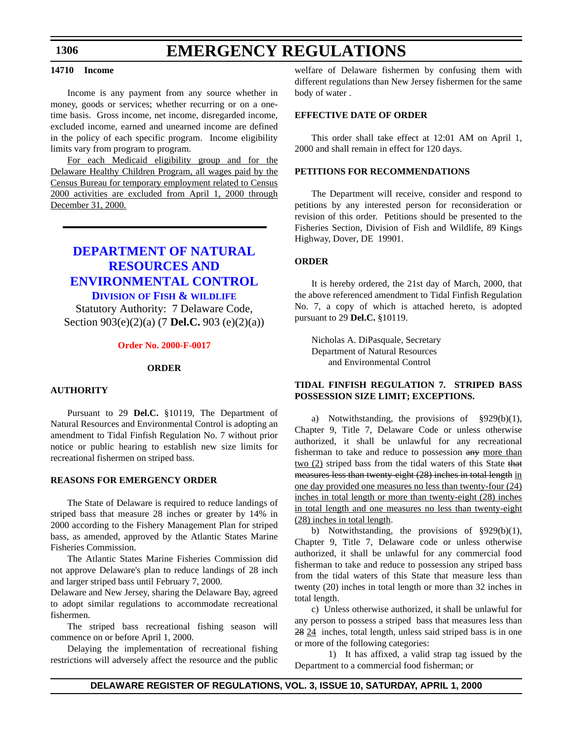#### <span id="page-27-0"></span>**1306**

#### **14710 Income**

Income is any payment from any source whether in money, goods or services; whether recurring or on a onetime basis. Gross income, net income, disregarded income, excluded income, earned and unearned income are defined in the policy of each specific program. Income eligibility limits vary from program to program.

For each Medicaid eligibility group and for the Delaware Healthy Children Program, all wages paid by the Census Bureau for temporary employment related to Census 2000 activities are excluded from April 1, 2000 through December 31, 2000.

### **DEPARTMENT OF NATURAL RESOURCES AND [ENVIRONMENTAL CONTROL](http://www.dnrec.state.de.us/fw/fwwel.htm) DIVISION OF FISH & WILDLIFE**

Statutory Authority: 7 Delaware Code, Section 903(e)(2)(a) (7 **Del.C.** 903 (e)(2)(a))

#### **[Order No. 2000-F-0017](#page-3-0)**

#### **ORDER**

#### **AUTHORITY**

Pursuant to 29 **Del.C.** §10119, The Department of Natural Resources and Environmental Control is adopting an amendment to Tidal Finfish Regulation No. 7 without prior notice or public hearing to establish new size limits for recreational fishermen on striped bass.

#### **REASONS FOR EMERGENCY ORDER**

The State of Delaware is required to reduce landings of striped bass that measure 28 inches or greater by 14% in 2000 according to the Fishery Management Plan for striped bass, as amended, approved by the Atlantic States Marine Fisheries Commission.

The Atlantic States Marine Fisheries Commission did not approve Delaware's plan to reduce landings of 28 inch and larger striped bass until February 7, 2000.

Delaware and New Jersey, sharing the Delaware Bay, agreed to adopt similar regulations to accommodate recreational fishermen.

The striped bass recreational fishing season will commence on or before April 1, 2000.

Delaying the implementation of recreational fishing restrictions will adversely affect the resource and the public welfare of Delaware fishermen by confusing them with different regulations than New Jersey fishermen for the same body of water .

#### **EFFECTIVE DATE OF ORDER**

This order shall take effect at 12:01 AM on April 1, 2000 and shall remain in effect for 120 days.

#### **PETITIONS FOR RECOMMENDATIONS**

The Department will receive, consider and respond to petitions by any interested person for reconsideration or revision of this order. Petitions should be presented to the Fisheries Section, Division of Fish and Wildlife, 89 Kings Highway, Dover, DE 19901.

#### **ORDER**

It is hereby ordered, the 21st day of March, 2000, that the above referenced amendment to Tidal Finfish Regulation No. 7, a copy of which is attached hereto, is adopted pursuant to 29 **Del.C.** §10119.

Nicholas A. DiPasquale, Secretary Department of Natural Resources and Environmental Control

### **TIDAL FINFISH REGULATION 7. STRIPED BASS POSSESSION SIZE LIMIT; EXCEPTIONS.**

a) Notwithstanding, the provisions of §929(b)(1), Chapter 9, Title 7, Delaware Code or unless otherwise authorized, it shall be unlawful for any recreational fisherman to take and reduce to possession any more than two (2) striped bass from the tidal waters of this State that measures less than twenty-eight (28) inches in total length in one day provided one measures no less than twenty-four (24) inches in total length or more than twenty-eight (28) inches in total length and one measures no less than twenty-eight (28) inches in total length.

b) Notwithstanding, the provisions of §929(b)(1), Chapter 9, Title 7, Delaware code or unless otherwise authorized, it shall be unlawful for any commercial food fisherman to take and reduce to possession any striped bass from the tidal waters of this State that measure less than twenty (20) inches in total length or more than 32 inches in total length.

c) Unless otherwise authorized, it shall be unlawful for any person to possess a striped bass that measures less than 28 24 inches, total length, unless said striped bass is in one or more of the following categories:

1) It has affixed, a valid strap tag issued by the Department to a commercial food fisherman; or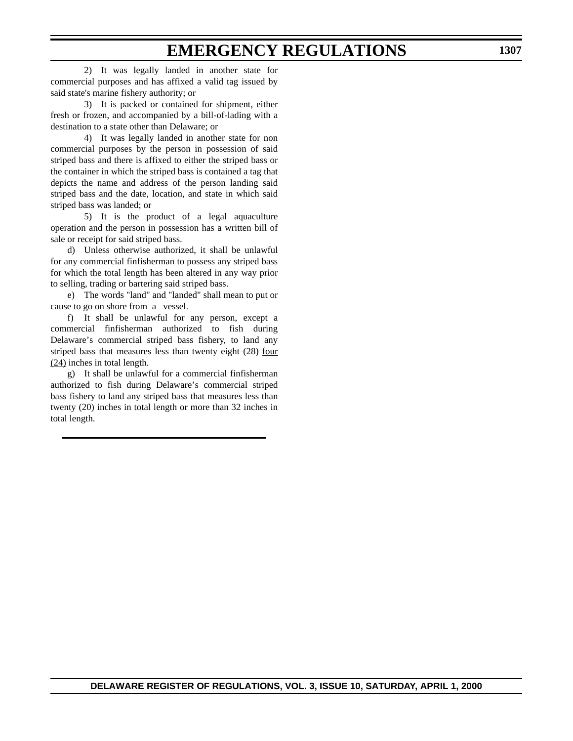2) It was legally landed in another state for commercial purposes and has affixed a valid tag issued by said state's marine fishery authority; or

3) It is packed or contained for shipment, either fresh or frozen, and accompanied by a bill-of-lading with a destination to a state other than Delaware; or

4) It was legally landed in another state for non commercial purposes by the person in possession of said striped bass and there is affixed to either the striped bass or the container in which the striped bass is contained a tag that depicts the name and address of the person landing said striped bass and the date, location, and state in which said striped bass was landed; or

5) It is the product of a legal aquaculture operation and the person in possession has a written bill of sale or receipt for said striped bass.

d) Unless otherwise authorized, it shall be unlawful for any commercial finfisherman to possess any striped bass for which the total length has been altered in any way prior to selling, trading or bartering said striped bass.

e) The words "land" and "landed" shall mean to put or cause to go on shore from a vessel.

f) It shall be unlawful for any person, except a commercial finfisherman authorized to fish during Delaware's commercial striped bass fishery, to land any striped bass that measures less than twenty eight (28) four (24) inches in total length.

g) It shall be unlawful for a commercial finfisherman authorized to fish during Delaware's commercial striped bass fishery to land any striped bass that measures less than twenty (20) inches in total length or more than 32 inches in total length.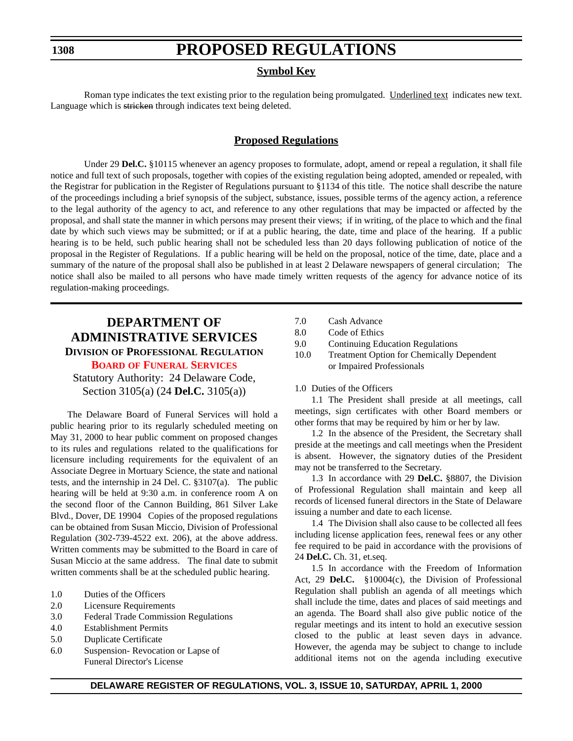# **PROPOSED REGULATIONS**

### **Symbol Key**

<span id="page-29-0"></span>Roman type indicates the text existing prior to the regulation being promulgated. Underlined text indicates new text. Language which is stricken through indicates text being deleted.

### **Proposed Regulations**

Under 29 **Del.C.** §10115 whenever an agency proposes to formulate, adopt, amend or repeal a regulation, it shall file notice and full text of such proposals, together with copies of the existing regulation being adopted, amended or repealed, with the Registrar for publication in the Register of Regulations pursuant to §1134 of this title. The notice shall describe the nature of the proceedings including a brief synopsis of the subject, substance, issues, possible terms of the agency action, a reference to the legal authority of the agency to act, and reference to any other regulations that may be impacted or affected by the proposal, and shall state the manner in which persons may present their views; if in writing, of the place to which and the final date by which such views may be submitted; or if at a public hearing, the date, time and place of the hearing. If a public hearing is to be held, such public hearing shall not be scheduled less than 20 days following publication of notice of the proposal in the Register of Regulations. If a public hearing will be held on the proposal, notice of the time, date, place and a summary of the nature of the proposal shall also be published in at least 2 Delaware newspapers of general circulation; The notice shall also be mailed to all persons who have made timely written requests of the agency for advance notice of its regulation-making proceedings.

### **DEPARTMENT OF ADMINISTRATIVE SERVICES DIVISION OF PROFESSIONAL REGULATION BOARD [OF FUNERAL SERVICES](#page-3-0)**

Statutory Authority: 24 Delaware Code, Section 3105(a) (24 **Del.C.** 3105(a))

The Delaware Board of Funeral Services will hold a public hearing prior to its regularly scheduled meeting on May 31, 2000 to hear public comment on proposed changes to its rules and regulations related to the qualifications for licensure including requirements for the equivalent of an Associate Degree in Mortuary Science, the state and national tests, and the internship in 24 Del. C. §3107(a). The public hearing will be held at 9:30 a.m. in conference room A on the second floor of the Cannon Building, 861 Silver Lake Blvd., Dover, DE 19904 Copies of the proposed regulations can be obtained from Susan Miccio, Division of Professional Regulation (302-739-4522 ext. 206), at the above address. Written comments may be submitted to the Board in care of Susan Miccio at the same address. The final date to submit written comments shall be at the scheduled public hearing.

- 1.0 Duties of the Officers
- 2.0 Licensure Requirements
- 3.0 Federal Trade Commission Regulations
- 4.0 Establishment Permits
- 5.0 Duplicate Certificate
- 6.0 Suspension- Revocation or Lapse of Funeral Director's License
- 7.0 Cash Advance
- 8.0 Code of Ethics
- 9.0 Continuing Education Regulations
- 10.0 Treatment Option for Chemically Dependent or Impaired Professionals

#### 1.0 Duties of the Officers

1.1 The President shall preside at all meetings, call meetings, sign certificates with other Board members or other forms that may be required by him or her by law.

1.2 In the absence of the President, the Secretary shall preside at the meetings and call meetings when the President is absent. However, the signatory duties of the President may not be transferred to the Secretary.

1.3 In accordance with 29 **Del.C.** §8807, the Division of Professional Regulation shall maintain and keep all records of licensed funeral directors in the State of Delaware issuing a number and date to each license.

1.4 The Division shall also cause to be collected all fees including license application fees, renewal fees or any other fee required to be paid in accordance with the provisions of 24 **Del.C.** Ch. 31, et.seq.

1.5 In accordance with the Freedom of Information Act, 29 **Del.C.** §10004(c), the Division of Professional Regulation shall publish an agenda of all meetings which shall include the time, dates and places of said meetings and an agenda. The Board shall also give public notice of the regular meetings and its intent to hold an executive session closed to the public at least seven days in advance. However, the agenda may be subject to change to include additional items not on the agenda including executive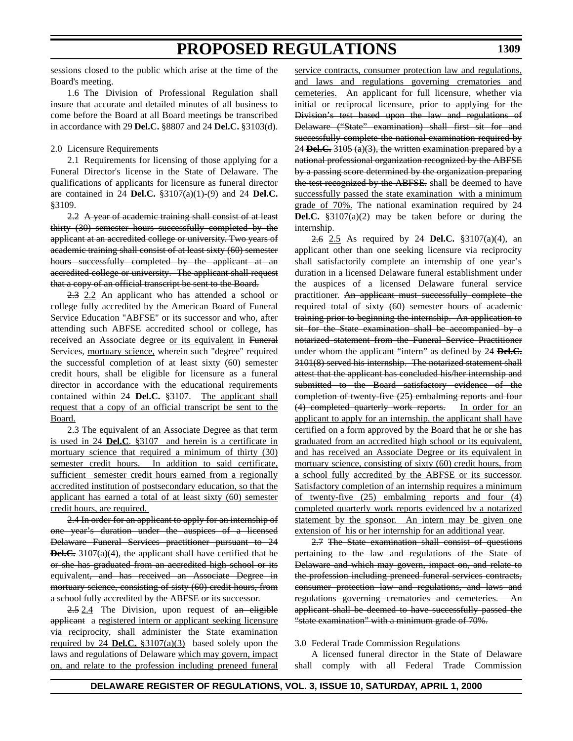sessions closed to the public which arise at the time of the Board's meeting.

1.6 The Division of Professional Regulation shall insure that accurate and detailed minutes of all business to come before the Board at all Board meetings be transcribed in accordance with 29 **Del.C.** §8807 and 24 **Del.C.** §3103(d).

#### 2.0 Licensure Requirements

2.1 Requirements for licensing of those applying for a Funeral Director's license in the State of Delaware. The qualifications of applicants for licensure as funeral director are contained in 24 **Del.C.** §3107(a)(1)-(9) and 24 **Del.C.** §3109.

2.2 A year of academic training shall consist of at least thirty (30) semester hours successfully completed by the applicant at an accredited college or university. Two years of academic training shall consist of at least sixty (60) semester hours successfully completed by the applicant at an accredited college or university. The applicant shall request that a copy of an official transcript be sent to the Board.

2.3 2.2 An applicant who has attended a school or college fully accredited by the American Board of Funeral Service Education "ABFSE" or its successor and who, after attending such ABFSE accredited school or college, has received an Associate degree or its equivalent in Funeral Services, mortuary science, wherein such "degree" required the successful completion of at least sixty (60) semester credit hours, shall be eligible for licensure as a funeral director in accordance with the educational requirements contained within 24 **Del.C.** §3107. The applicant shall request that a copy of an official transcript be sent to the Board.

2.3 The equivalent of an Associate Degree as that term is used in 24 **Del.C**. §3107 and herein is a certificate in mortuary science that required a minimum of thirty (30) semester credit hours. In addition to said certificate, sufficient semester credit hours earned from a regionally accredited institution of postsecondary education, so that the applicant has earned a total of at least sixty (60) semester credit hours, are required.

2.4 In order for an applicant to apply for an internship of one year's duration under the auspices of a licensed Delaware Funeral Services practitioner pursuant to 24 **Del.C.** 3107(a)(4), the applicant shall have certified that he or she has graduated from an accredited high school or its equivalent, and has received an Associate Degree in mortuary science, consisting of sisty (60) credit hours, from a school fully accredited by the ABFSE or its successor.

 $2.5$  2.4 The Division, upon request of an eligible applicant a registered intern or applicant seeking licensure via reciprocity, shall administer the State examination required by 24 **Del.C.** §3107(a)(3) based solely upon the laws and regulations of Delaware which may govern, impact on, and relate to the profession including preneed funeral service contracts, consumer protection law and regulations, and laws and regulations governing crematories and cemeteries. An applicant for full licensure, whether via initial or reciprocal licensure, prior to applying for the Division's test based upon the law and regulations of Delaware ("State" examination) shall first sit for and successfully complete the national examination required by 24 **Del.C.** 3105 (a)(3), the written examination prepared by a national professional organization recognized by the ABFSE by a passing score determined by the organization preparing the test recognized by the ABFSE. shall be deemed to have successfully passed the state examination with a minimum grade of 70%. The national examination required by 24 **Del.C.** §3107(a)(2) may be taken before or during the internship.

2.6 2.5 As required by 24 **Del.C.** §3107(a)(4), an applicant other than one seeking licensure via reciprocity shall satisfactorily complete an internship of one year's duration in a licensed Delaware funeral establishment under the auspices of a licensed Delaware funeral service practitioner. An applicant must successfully complete the required total of sixty (60) semester hours of academic training prior to beginning the internship. An application to sit for the State examination shall be accompanied by a notarized statement from the Funeral Service Practitioner under whom the applicant "intern" as defined by 24 **Del.C.** 3101(8) served his internship. The notarized statement shall attest that the applicant has concluded his/her internship and submitted to the Board satisfactory evidence of the completion of twenty-five (25) embalming reports and four (4) completed quarterly work reports. In order for an applicant to apply for an internship, the applicant shall have certified on a form approved by the Board that he or she has graduated from an accredited high school or its equivalent, and has received an Associate Degree or its equivalent in mortuary science, consisting of sixty (60) credit hours, from a school fully accredited by the ABFSE or its successor. Satisfactory completion of an internship requires a minimum of twenty-five (25) embalming reports and four (4) completed quarterly work reports evidenced by a notarized statement by the sponsor. An intern may be given one extension of his or her internship for an additional year.

2.7 The State examination shall consist of questions pertaining to the law and regulations of the State of Delaware and which may govern, impact on, and relate to the profession including preneed funeral services contracts, consumer protection law and regulations, and laws and regulations governing crematories and cemeteries. An applicant shall be deemed to have successfully passed the "state examination" with a minimum grade of 70%.

#### 3.0 Federal Trade Commission Regulations

A licensed funeral director in the State of Delaware shall comply with all Federal Trade Commission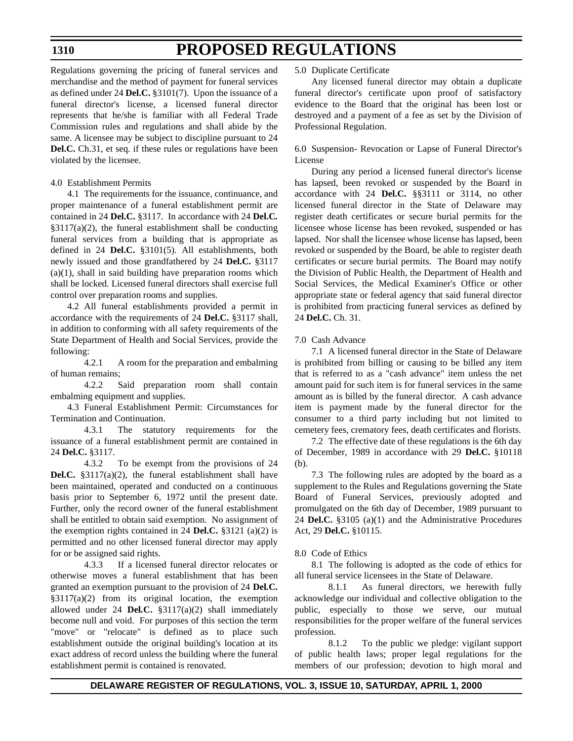# **PROPOSED REGULATIONS**

Regulations governing the pricing of funeral services and merchandise and the method of payment for funeral services as defined under 24 **Del.C.** §3101(7). Upon the issuance of a funeral director's license, a licensed funeral director represents that he/she is familiar with all Federal Trade Commission rules and regulations and shall abide by the same. A licensee may be subject to discipline pursuant to 24 **Del.C.** Ch.31, et seq. if these rules or regulations have been violated by the licensee.

#### 4.0 Establishment Permits

4.1 The requirements for the issuance, continuance, and proper maintenance of a funeral establishment permit are contained in 24 **Del.C.** §3117. In accordance with 24 **Del.C***.* §3117(a)(2), the funeral establishment shall be conducting funeral services from a building that is appropriate as defined in 24 **Del.C.** §3101(5). All establishments, both newly issued and those grandfathered by 24 **Del.C.** §3117 (a)(1), shall in said building have preparation rooms which shall be locked. Licensed funeral directors shall exercise full control over preparation rooms and supplies.

4.2 All funeral establishments provided a permit in accordance with the requirements of 24 **Del.C.** §3117 shall, in addition to conforming with all safety requirements of the State Department of Health and Social Services, provide the following:

4.2.1 A room for the preparation and embalming of human remains;

4.2.2 Said preparation room shall contain embalming equipment and supplies.

4.3 Funeral Establishment Permit: Circumstances for Termination and Continuation.

4.3.1 The statutory requirements for the issuance of a funeral establishment permit are contained in 24 **Del.C.** §3117.

4.3.2 To be exempt from the provisions of 24 **Del.C.** §3117(a)(2), the funeral establishment shall have been maintained, operated and conducted on a continuous basis prior to September 6, 1972 until the present date. Further, only the record owner of the funeral establishment shall be entitled to obtain said exemption. No assignment of the exemption rights contained in 24 **Del.C.** §3121 (a)(2) is permitted and no other licensed funeral director may apply for or be assigned said rights.

4.3.3 If a licensed funeral director relocates or otherwise moves a funeral establishment that has been granted an exemption pursuant to the provision of 24 **Del***.***C.** §3117(a)(2) from its original location, the exemption allowed under 24 **Del***.***C.** §3117(a)(2) shall immediately become null and void. For purposes of this section the term "move" or "relocate" is defined as to place such establishment outside the original building's location at its exact address of record unless the building where the funeral establishment permit is contained is renovated.

5.0 Duplicate Certificate

Any licensed funeral director may obtain a duplicate funeral director's certificate upon proof of satisfactory evidence to the Board that the original has been lost or destroyed and a payment of a fee as set by the Division of Professional Regulation.

6.0 Suspension- Revocation or Lapse of Funeral Director's License

During any period a licensed funeral director's license has lapsed, been revoked or suspended by the Board in accordance with 24 **Del.C.** §§3111 or 3114, no other licensed funeral director in the State of Delaware may register death certificates or secure burial permits for the licensee whose license has been revoked, suspended or has lapsed. Nor shall the licensee whose license has lapsed, been revoked or suspended by the Board, be able to register death certificates or secure burial permits. The Board may notify the Division of Public Health, the Department of Health and Social Services, the Medical Examiner's Office or other appropriate state or federal agency that said funeral director is prohibited from practicing funeral services as defined by 24 **Del.C.** Ch. 31.

#### 7.0 Cash Advance

7.1 A licensed funeral director in the State of Delaware is prohibited from billing or causing to be billed any item that is referred to as a "cash advance" item unless the net amount paid for such item is for funeral services in the same amount as is billed by the funeral director. A cash advance item is payment made by the funeral director for the consumer to a third party including but not limited to cemetery fees, crematory fees, death certificates and florists.

7.2 The effective date of these regulations is the 6th day of December, 1989 in accordance with 29 **Del.C.** §10118 (b).

7.3 The following rules are adopted by the board as a supplement to the Rules and Regulations governing the State Board of Funeral Services, previously adopted and promulgated on the 6th day of December, 1989 pursuant to 24 **Del.C.** §3105 (a)(1) and the Administrative Procedures Act, 29 **Del.C.** §10115.

#### 8.0 Code of Ethics

8.1 The following is adopted as the code of ethics for all funeral service licensees in the State of Delaware.

8.1.1 As funeral directors, we herewith fully acknowledge our individual and collective obligation to the public, especially to those we serve, our mutual responsibilities for the proper welfare of the funeral services profession.

8.1.2 To the public we pledge: vigilant support of public health laws; proper legal regulations for the members of our profession; devotion to high moral and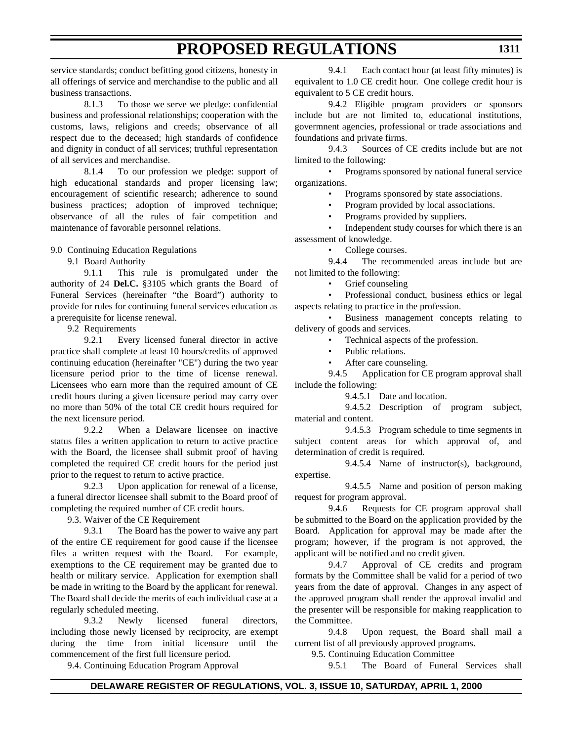service standards; conduct befitting good citizens, honesty in all offerings of service and merchandise to the public and all business transactions.

8.1.3 To those we serve we pledge: confidential business and professional relationships; cooperation with the customs, laws, religions and creeds; observance of all respect due to the deceased; high standards of confidence and dignity in conduct of all services; truthful representation of all services and merchandise.

8.1.4 To our profession we pledge: support of high educational standards and proper licensing law; encouragement of scientific research; adherence to sound business practices; adoption of improved technique; observance of all the rules of fair competition and maintenance of favorable personnel relations.

9.0 Continuing Education Regulations

9.1 Board Authority

9.1.1 This rule is promulgated under the authority of 24 **Del.C.** §3105 which grants the Board of Funeral Services (hereinafter "the Board") authority to provide for rules for continuing funeral services education as a prerequisite for license renewal.

9.2 Requirements

9.2.1 Every licensed funeral director in active practice shall complete at least 10 hours/credits of approved continuing education (hereinafter "CE") during the two year licensure period prior to the time of license renewal. Licensees who earn more than the required amount of CE credit hours during a given licensure period may carry over no more than 50% of the total CE credit hours required for the next licensure period.

9.2.2 When a Delaware licensee on inactive status files a written application to return to active practice with the Board, the licensee shall submit proof of having completed the required CE credit hours for the period just prior to the request to return to active practice.

9.2.3 Upon application for renewal of a license, a funeral director licensee shall submit to the Board proof of completing the required number of CE credit hours.

9.3. Waiver of the CE Requirement

9.3.1 The Board has the power to waive any part of the entire CE requirement for good cause if the licensee files a written request with the Board. For example, exemptions to the CE requirement may be granted due to health or military service. Application for exemption shall be made in writing to the Board by the applicant for renewal. The Board shall decide the merits of each individual case at a regularly scheduled meeting.

9.3.2 Newly licensed funeral directors, including those newly licensed by reciprocity, are exempt during the time from initial licensure until the commencement of the first full licensure period. 9.4. Continuing Education Program Approval

9.4.1 Each contact hour (at least fifty minutes) is equivalent to 1.0 CE credit hour. One college credit hour is equivalent to 5 CE credit hours.

9.4.2 Eligible program providers or sponsors include but are not limited to, educational institutions, govermnent agencies, professional or trade associations and foundations and private firms.

9.4.3 Sources of CE credits include but are not limited to the following:

• Programs sponsored by national funeral service organizations.

• Programs sponsored by state associations.

• Program provided by local associations.

• Programs provided by suppliers.

Independent study courses for which there is an assessment of knowledge.

• College courses.

9.4.4 The recommended areas include but are not limited to the following:

• Grief counseling

• Professional conduct, business ethics or legal aspects relating to practice in the profession.

Business management concepts relating to delivery of goods and services.

• Technical aspects of the profession.

Public relations.

• After care counseling.

9.4.5 Application for CE program approval shall include the following:

9.4.5.1 Date and location.

9.4.5.2 Description of program subject, material and content.

9.4.5.3 Program schedule to time segments in subject content areas for which approval of, and determination of credit is required.

9.4.5.4 Name of instructor(s), background, expertise.

9.4.5.5 Name and position of person making request for program approval.

9.4.6 Requests for CE program approval shall be submitted to the Board on the application provided by the Board. Application for approval may be made after the program; however, if the program is not approved, the applicant will be notified and no credit given.

9.4.7 Approval of CE credits and program formats by the Committee shall be valid for a period of two years from the date of approval. Changes in any aspect of the approved program shall render the approval invalid and the presenter will be responsible for making reapplication to the Committee.

9.4.8 Upon request, the Board shall mail a current list of all previously approved programs.

9.5. Continuing Education Committee

9.5.1 The Board of Funeral Services shall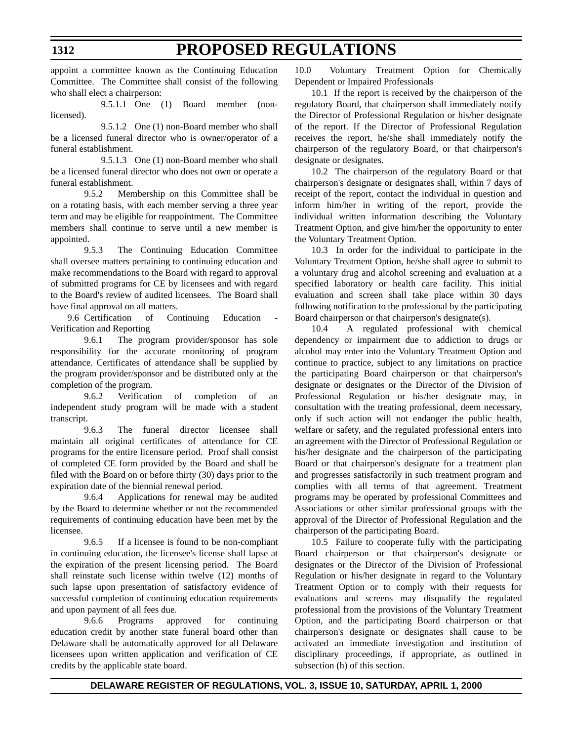appoint a committee known as the Continuing Education Committee. The Committee shall consist of the following who shall elect a chairperson:

9.5.1.1 One (1) Board member (nonlicensed).

9.5.1.2 One (1) non-Board member who shall be a licensed funeral director who is owner/operator of a funeral establishment.

9.5.1.3 One (1) non-Board member who shall be a licensed funeral director who does not own or operate a funeral establishment.

9.5.2 Membership on this Committee shall be on a rotating basis, with each member serving a three year term and may be eligible for reappointment. The Committee members shall continue to serve until a new member is appointed.

9.5.3 The Continuing Education Committee shall oversee matters pertaining to continuing education and make recommendations to the Board with regard to approval of submitted programs for CE by licensees and with regard to the Board's review of audited licensees. The Board shall have final approval on all matters.

9.6 Certification of Continuing Education Verification and Reporting

9.6.1 The program provider/sponsor has sole responsibility for the accurate monitoring of program attendance. Certificates of attendance shall be supplied by the program provider/sponsor and be distributed only at the completion of the program.

9.6.2 Verification of completion of an independent study program will be made with a student transcript.

9.6.3 The funeral director licensee shall maintain all original certificates of attendance for CE programs for the entire licensure period. Proof shall consist of completed CE form provided by the Board and shall be filed with the Board on or before thirty (30) days prior to the expiration date of the biennial renewal period.

9.6.4 Applications for renewal may be audited by the Board to determine whether or not the recommended requirements of continuing education have been met by the licensee.

9.6.5 If a licensee is found to be non-compliant in continuing education, the licensee's license shall lapse at the expiration of the present licensing period. The Board shall reinstate such license within twelve (12) months of such lapse upon presentation of satisfactory evidence of successful completion of continuing education requirements and upon payment of all fees due.

9.6.6 Programs approved for continuing education credit by another state funeral board other than Delaware shall be automatically approved for all Delaware licensees upon written application and verification of CE credits by the applicable state board.

10.0 Voluntary Treatment Option for Chemically Dependent or Impaired Professionals

10.1 If the report is received by the chairperson of the regulatory Board, that chairperson shall immediately notify the Director of Professional Regulation or his/her designate of the report. If the Director of Professional Regulation receives the report, he/she shall immediately notify the chairperson of the regulatory Board, or that chairperson's designate or designates.

10.2 The chairperson of the regulatory Board or that chairperson's designate or designates shall, within 7 days of receipt of the report, contact the individual in question and inform him/her in writing of the report, provide the individual written information describing the Voluntary Treatment Option, and give him/her the opportunity to enter the Voluntary Treatment Option.

10.3 In order for the individual to participate in the Voluntary Treatment Option, he/she shall agree to submit to a voluntary drug and alcohol screening and evaluation at a specified laboratory or health care facility. This initial evaluation and screen shall take place within 30 days following notification to the professional by the participating Board chairperson or that chairperson's designate(s).

10.4 A regulated professional with chemical dependency or impairment due to addiction to drugs or alcohol may enter into the Voluntary Treatment Option and continue to practice, subject to any limitations on practice the participating Board chairperson or that chairperson's designate or designates or the Director of the Division of Professional Regulation or his/her designate may, in consultation with the treating professional, deem necessary, only if such action will not endanger the public health, welfare or safety, and the regulated professional enters into an agreement with the Director of Professional Regulation or his/her designate and the chairperson of the participating Board or that chairperson's designate for a treatment plan and progresses satisfactorily in such treatment program and complies with all terms of that agreement. Treatment programs may be operated by professional Committees and Associations or other similar professional groups with the approval of the Director of Professional Regulation and the chairperson of the participating Board.

10.5 Failure to cooperate fully with the participating Board chairperson or that chairperson's designate or designates or the Director of the Division of Professional Regulation or his/her designate in regard to the Voluntary Treatment Option or to comply with their requests for evaluations and screens may disqualify the regulated professional from the provisions of the Voluntary Treatment Option, and the participating Board chairperson or that chairperson's designate or designates shall cause to be activated an immediate investigation and institution of disciplinary proceedings, if appropriate, as outlined in subsection (h) of this section.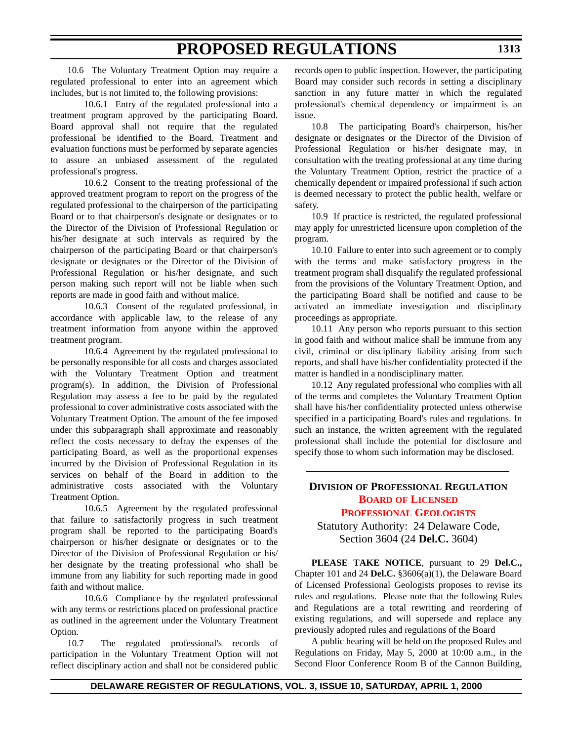<span id="page-34-0"></span>10.6 The Voluntary Treatment Option may require a regulated professional to enter into an agreement which includes, but is not limited to, the following provisions:

10.6.1 Entry of the regulated professional into a treatment program approved by the participating Board. Board approval shall not require that the regulated professional be identified to the Board. Treatment and evaluation functions must be performed by separate agencies to assure an unbiased assessment of the regulated professional's progress.

10.6.2 Consent to the treating professional of the approved treatment program to report on the progress of the regulated professional to the chairperson of the participating Board or to that chairperson's designate or designates or to the Director of the Division of Professional Regulation or his/her designate at such intervals as required by the chairperson of the participating Board or that chairperson's designate or designates or the Director of the Division of Professional Regulation or his/her designate, and such person making such report will not be liable when such reports are made in good faith and without malice.

10.6.3 Consent of the regulated professional, in accordance with applicable law, to the release of any treatment information from anyone within the approved treatment program.

10.6.4 Agreement by the regulated professional to be personally responsible for all costs and charges associated with the Voluntary Treatment Option and treatment program(s). In addition, the Division of Professional Regulation may assess a fee to be paid by the regulated professional to cover administrative costs associated with the Voluntary Treatment Option. The amount of the fee imposed under this subparagraph shall approximate and reasonably reflect the costs necessary to defray the expenses of the participating Board, as well as the proportional expenses incurred by the Division of Professional Regulation in its services on behalf of the Board in addition to the administrative costs associated with the Voluntary Treatment Option.

10.6.5 Agreement by the regulated professional that failure to satisfactorily progress in such treatment program shall be reported to the participating Board's chairperson or his/her designate or designates or to the Director of the Division of Professional Regulation or his/ her designate by the treating professional who shall be immune from any liability for such reporting made in good faith and without malice.

10.6.6 Compliance by the regulated professional with any terms or restrictions placed on professional practice as outlined in the agreement under the Voluntary Treatment Option.

10.7 The regulated professional's records of participation in the Voluntary Treatment Option will not reflect disciplinary action and shall not be considered public

records open to public inspection. However, the participating Board may consider such records in setting a disciplinary sanction in any future matter in which the regulated professional's chemical dependency or impairment is an issue.

10.8 The participating Board's chairperson, his/her designate or designates or the Director of the Division of Professional Regulation or his/her designate may, in consultation with the treating professional at any time during the Voluntary Treatment Option, restrict the practice of a chemically dependent or impaired professional if such action is deemed necessary to protect the public health, welfare or safety.

10.9 If practice is restricted, the regulated professional may apply for unrestricted licensure upon completion of the program.

10.10 Failure to enter into such agreement or to comply with the terms and make satisfactory progress in the treatment program shall disqualify the regulated professional from the provisions of the Voluntary Treatment Option, and the participating Board shall be notified and cause to be activated an immediate investigation and disciplinary proceedings as appropriate.

10.11 Any person who reports pursuant to this section in good faith and without malice shall be immune from any civil, criminal or disciplinary liability arising from such reports, and shall have his/her confidentiality protected if the matter is handled in a nondisciplinary matter.

10.12 Any regulated professional who complies with all of the terms and completes the Voluntary Treatment Option shall have his/her confidentiality protected unless otherwise specified in a participating Board's rules and regulations. In such an instance, the written agreement with the regulated professional shall include the potential for disclosure and specify those to whom such information may be disclosed.

### **DIVISION OF PROFESSIONAL REGULATION BOARD OF LICENSED [PROFESSIONAL GEOLOGISTS](#page-3-0)** Statutory Authority: 24 Delaware Code,

Section 3604 (24 **Del.C.** 3604)

**PLEASE TAKE NOTICE**, pursuant to 29 **Del.C.,** Chapter 101 and 24 **Del.C.** §3606(a)(1), the Delaware Board of Licensed Professional Geologists proposes to revise its rules and regulations. Please note that the following Rules and Regulations are a total rewriting and reordering of existing regulations, and will supersede and replace any previously adopted rules and regulations of the Board

A public hearing will be held on the proposed Rules and Regulations on Friday, May 5, 2000 at 10:00 a.m., in the Second Floor Conference Room B of the Cannon Building,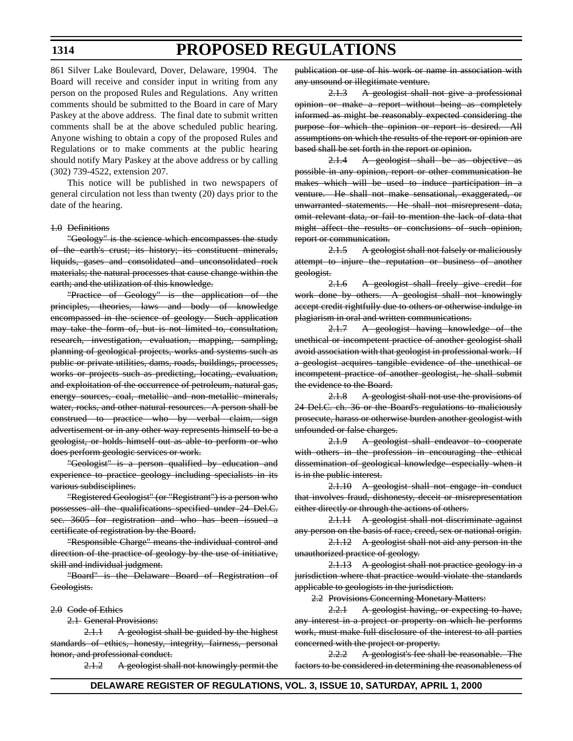861 Silver Lake Boulevard, Dover, Delaware, 19904. The Board will receive and consider input in writing from any person on the proposed Rules and Regulations. Any written comments should be submitted to the Board in care of Mary Paskey at the above address. The final date to submit written comments shall be at the above scheduled public hearing. Anyone wishing to obtain a copy of the proposed Rules and Regulations or to make comments at the public hearing should notify Mary Paskey at the above address or by calling (302) 739-4522, extension 207.

This notice will be published in two newspapers of general circulation not less than twenty (20) days prior to the date of the hearing.

#### 1.0 Definitions

"Geology" is the science which encompasses the study of the earth's crust; its history; its constituent minerals, liquids, gases and consolidated and unconsolidated rock materials; the natural processes that cause change within the earth; and the utilization of this knowledge.

"Practice of Geology" is the application of the principles, theories, laws and body of knowledge encompassed in the science of geology. Such application may take the form of, but is not limited to, consultation, research, investigation, evaluation, mapping, sampling, planning of geological projects, works and systems such as public or private utilities, dams, roads, buildings, processes, works or projects such as predicting, locating, evaluation, and exploitation of the occurrence of petroleum, natural gas, energy sources, coal, metallic and non-metallic minerals, water, rocks, and other natural resources. A person shall be construed to practice who by verbal claim, sign advertisement or in any other way represents himself to be a geologist, or holds himself out as able to perform or who does perform geologic services or work.

"Geologist" is a person qualified by education and experience to practice geology including specialists in its various subdisciplines.

"Registered Geologist" (or "Registrant") is a person who possesses all the qualifications specified under 24 Del.C. sec. 3605 for registration and who has been issued a certificate of registration by the Board.

"Responsible Charge" means the individual control and direction of the practice of geology by the use of initiative, skill and individual judgment.

"Board" is the Delaware Board of Registration of Geologists.

#### 2.0 Code of Ethics

2.1 General Provisions:

 $2.1.1$  A geologist shall be guided by the highest standards of ethics, honesty, integrity, fairness, personal honor, and professional conduct.

2.1.2 A geologist shall not knowingly permit the

publication or use of his work or name in association with any unsound or illegitimate venture.

2.1.3 A geologist shall not give a professional opinion or make a report without being as completely informed as might be reasonably expected considering the purpose for which the opinion or report is desired. All assumptions on which the results of the report or opinion are based shall be set forth in the report or opinion.

2.1.4 A geologist shall be as objective as possible in any opinion, report or other communication he makes which will be used to induce participation in a venture. He shall not make sensational, exaggerated, or unwarranted statements. He shall not misrepresent data, omit relevant data, or fail to mention the lack of data that might affect the results or conclusions of such opinion, report or communication.

2.1.5 A geologist shall not falsely or maliciously attempt to injure the reputation or business of another geologist.

2.1.6 A geologist shall freely give credit for work done by others. A geologist shall not knowingly accept credit rightfully due to others or otherwise indulge in plagiarism in oral and written communications.

2.1.7 A geologist having knowledge of the unethical or incompetent practice of another geologist shall avoid association with that geologist in professional work. If a geologist acquires tangible evidence of the unethical or incompetent practice of another geologist, he shall submit the evidence to the Board.

2.1.8 A geologist shall not use the provisions of 24 Del.C. ch. 36 or the Board's regulations to maliciously prosecute, harass or otherwise burden another geologist with unfounded or false charges.

2.1.9 A geologist shall endeavor to cooperate with others in the profession in encouraging the ethical dissemination of geological knowledge--especially when it is in the public interest.

2.1.10 A geologist shall not engage in conduct that involves fraud, dishonesty, deceit or misrepresentation either directly or through the actions of others.

2.1.11 A geologist shall not discriminate against any person on the basis of race, creed, sex or national origin.

2.1.12 A geologist shall not aid any person in the unauthorized practice of geology.

2.1.13 A geologist shall not practice geology in a jurisdiction where that practice would violate the standards applicable to geologists in the jurisdiction.

2.2 Provisions Concerning Monetary Matters:

2.2.1 A geologist having, or expecting to have, any interest in a project or property on which he performs work, must make full disclosure of the interest to all parties concerned with the project or property.

2.2.2 A geologist's fee shall be reasonable. The factors to be considered in determining the reasonableness of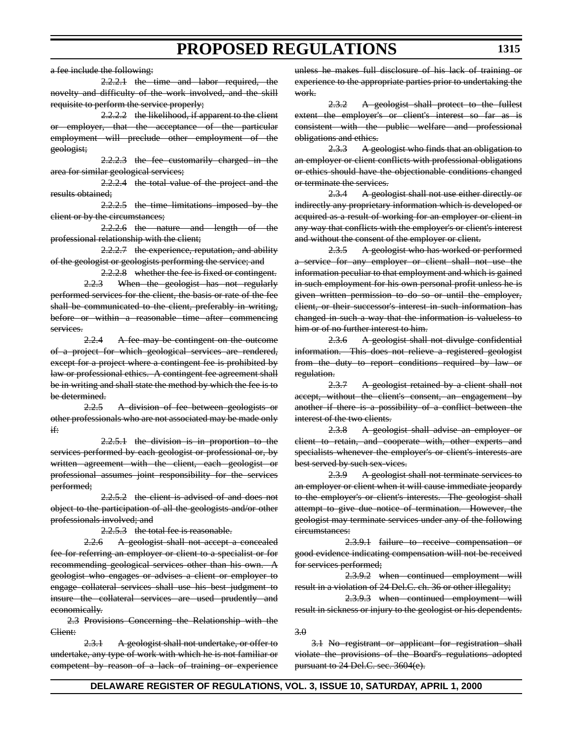a fee include the following:

2.2.2.1 the time and labor required, the novelty and difficulty of the work involved, and the skill requisite to perform the service properly;

2.2.2.2 the likelihood, if apparent to the client or employer, that the acceptance of the particular employment will preclude other employment of the geologist;

2.2.2.3 the fee customarily charged in the area for similar geological services;

2.2.2.4 the total value of the project and the results obtained;

2.2.2.5 the time limitations imposed by the client or by the circumstances;

2.2.2.6 the nature and length of the professional relationship with the client;

2.2.2.7 the experience, reputation, and ability of the geologist or geologists performing the service; and

2.2.2.8 whether the fee is fixed or contingent. 2.2.3 When the geologist has not regularly performed services for the client, the basis or rate of the fee shall be communicated to the client, preferably in writing, before or within a reasonable time after commencing services.

2.2.4 A fee may be contingent on the outcome of a project for which geological services are rendered, except for a project where a contingent fee is prohibited by law or professional ethics. A contingent fee agreement shall be in writing and shall state the method by which the fee is to be determined.

2.2.5 A division of fee between geologists or other professionals who are not associated may be made only if:

2.2.5.1 the division is in proportion to the services performed by each geologist or professional or, by written agreement with the client, each geologist or professional assumes joint responsibility for the services performed;

2.2.5.2 the client is advised of and does not object to the participation of all the geologists and/or other professionals involved; and

2.2.5.3 the total fee is reasonable.

2.2.6 A geologist shall not accept a concealed fee for referring an employer or client to a specialist or for recommending geological services other than his own. A geologist who engages or advises a client or employer to engage collateral services shall use his best judgment to insure the collateral services are used prudently and economically.

2.3 Provisions Concerning the Relationship with the Client:

2.3.1 A geologist shall not undertake, or offer to undertake, any type of work with which he is not familiar or competent by reason of a lack of training or experience unless he makes full disclosure of his lack of training or experience to the appropriate parties prior to undertaking the work.

2.3.2 A geologist shall protect to the fullest extent the employer's or client's interest so far as is consistent with the public welfare and professional obligations and ethics.

2.3.3 A geologist who finds that an obligation to an employer or client conflicts with professional obligations or ethics should have the objectionable conditions changed or terminate the services.

2.3.4 A geologist shall not use either directly or indirectly any proprietary information which is developed or acquired as a result of working for an employer or client in any way that conflicts with the employer's or client's interest and without the consent of the employer or client.

2.3.5 A geologist who has worked or performed a service for any employer or client shall not use the information peculiar to that employment and which is gained in such employment for his own personal profit unless he is given written permission to do so or until the employer, client, or their successor's interest in such information has changed in such a way that the information is valueless to him or of no further interest to him.

2.3.6 A geologist shall not divulge confidential information. This does not relieve a registered geologist from the duty to report conditions required by law or regulation.

2.3.7 A geologist retained by a client shall not accept, without the client's consent, an engagement by another if there is a possibility of a conflict between the interest of the two clients.

2.3.8 A geologist shall advise an employer or client to retain, and cooperate with, other experts and specialists whenever the employer's or client's interests are best served by such sex-vices.

2.3.9 A geologist shall not terminate services to an employer or client when it will cause immediate jeopardy to the employer's or client's interests. The geologist shall attempt to give due notice of termination. However, the geologist may terminate services under any of the following circumstances:

2.3.9.1 failure to receive compensation or good evidence indicating compensation will not be received for services performed;

2.3.9.2 when continued employment will result in a violation of 24 Del.C. ch. 36 or other illegality;

2.3.9.3 when continued employment will result in sickness or injury to the geologist or his dependents.

3.0

**DELAWARE REGISTER OF REGULATIONS, VOL. 3, ISSUE 10, SATURDAY, APRIL 1, 2000**

3.1 No registrant or applicant for registration shall violate the provisions of the Board's regulations adopted pursuant to 24 Del.C. sec. 3604(e).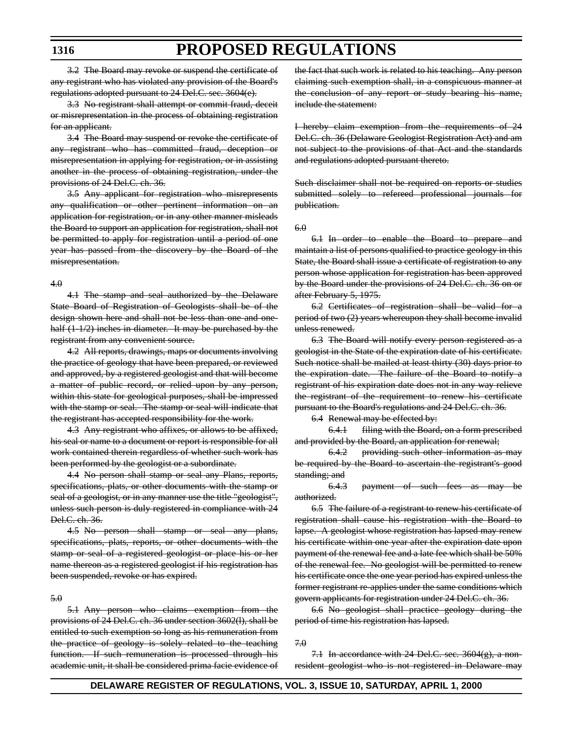3.2 The Board may revoke or suspend the certificate of any registrant who has violated any provision of the Board's regulations adopted pursuant to 24 Del.C. sec. 3604(e).

3.3 No registrant shall attempt or commit fraud, deceit or misrepresentation in the process of obtaining registration for an applicant.

3.4 The Board may suspend or revoke the certificate of any registrant who has committed fraud, deception or misrepresentation in applying for registration, or in assisting another in the process of obtaining registration, under the provisions of 24 Del.C. ch. 36.

3.5 Any applicant for registration who misrepresents any qualification or other pertinent information on an application for registration, or in any other manner misleads the Board to support an application for registration, shall not be permitted to apply for registration until a period of one year has passed from the discovery by the Board of the misrepresentation.

#### 4.0

4.1 The stamp and seal authorized by the Delaware State Board of Registration of Geologists shall be of the design shown here and shall not be less than one and onehalf  $(1-1/2)$  inches in diameter. It may be purchased by the registrant from any convenient source.

4.2 All reports, drawings, maps or documents involving the practice of geology that have been prepared, or reviewed and approved, by a registered geologist and that will become a matter of public record, or relied upon by any person, within this state for geological purposes, shall be impressed with the stamp or seal. The stamp or seal will indicate that the registrant has accepted responsibility for the work.

4.3 Any registrant who affixes, or allows to be affixed, his seal or name to a document or report is responsible for all work contained therein regardless of whether such work has been performed by the geologist or a subordinate.

4.4 No person shall stamp or seal any Plans, reports, specifications, plats, or other documents with the stamp or seal of a geologist, or in any manner use the title "geologist", unless such person is duly registered in compliance with 24 Del.C. ch. 36.

4.5 No person shall stamp or seal any plans, specifications, plats, reports, or other documents with the stamp or seal of a registered geologist or place his or her name thereon as a registered geologist if his registration has been suspended, revoke or has expired.

#### 5.0

5.1 Any person who claims exemption from the provisions of 24 Del.C. ch. 36 under section 3602(l), shall be entitled to such exemption so long as his remuneration from the practice of geology is solely related to the teaching function. If such remuneration is processed through his academic unit, it shall be considered prima facie evidence of

the fact that such work is related to his teaching. Any person claiming such exemption shall, in a conspicuous manner at the conclusion of any report or study bearing his name, include the statement:

I hereby claim exemption from the requirements of 24 Del.C. ch. 36 (Delaware Geologist Registration Act) and am not subject to the provisions of that Act and the standards and regulations adopted pursuant thereto.

Such disclaimer shall not be required on reports or studies submitted solely to refereed professional journals for publication.

6.0

6.1 In order to enable the Board to prepare and maintain a list of persons qualified to practice geology in this State, the Board shall issue a certificate of registration to any person whose application for registration has been approved by the Board under the provisions of 24 Del.C. ch. 36 on or after February 5, 1975.

6.2 Certificates of registration shall be valid for a period of two (2) years whereupon they shall become invalid unless renewed.

6.3 The Board will notify every person registered as a geologist in the State of the expiration date of his certificate. Such notice shall be mailed at least thirty (30) days prior to the expiration date. The failure of the Board to notify a registrant of his expiration date does not in any way relieve the registrant of the requirement to renew his certificate pursuant to the Board's regulations and 24 Del.C. ch. 36.

6.4 Renewal may be effected by:

6.4.1 filing with the Board, on a form prescribed and provided by the Board, an application for renewal;

6.4.2 providing such other information as may be required by the Board to ascertain the registrant's good standing; and

6.4.3 payment of such fees as may be authorized.

6.5 The failure of a registrant to renew his certificate of registration shall cause his registration with the Board to lapse. A geologist whose registration has lapsed may renew his certificate within one year after the expiration date upon payment of the renewal fee and a late fee which shall be 50% of the renewal fee. No geologist will be permitted to renew his certificate once the one year period has expired unless the former registrant re-applies under the same conditions which govern applicants for registration under 24 Del.C. ch. 36.

6.6 No geologist shall practice geology during the period of time his registration has lapsed.

7.0

7.1 In accordance with 24 Del.C. sec.  $3604(g)$ , a nonresident geologist who is not registered in Delaware may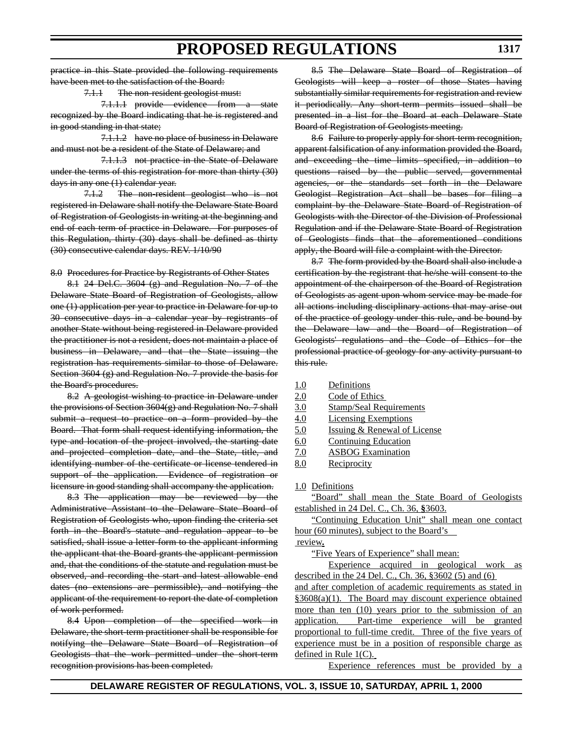practice in this State provided the following requirements have been met to the satisfaction of the Board:

7.1.1 The non-resident geologist must:

7.1.1.1 provide evidence from a state recognized by the Board indicating that he is registered and in good standing in that state;

7.1.1.2 have no place of business in Delaware and must not be a resident of the State of Delaware; and

7.1.1.3 not practice in the State of Delaware under the terms of this registration for more than thirty (30) days in any one (1) calendar year.

7.1.2 The non-resident geologist who is not registered in Delaware shall notify the Delaware State Board of Registration of Geologists in writing at the beginning and end of each term of practice in Delaware. For purposes of this Regulation, thirty (30) days shall be defined as thirty (30) consecutive calendar days. REV. 1/10/90

8.0 Procedures for Practice by Registrants of Other States

8.1 24 Del.C. 3604 (g) and Regulation No. 7 of the Delaware State Board of Registration of Geologists, allow one (1) application per year to practice in Delaware for up to 30 consecutive days in a calendar year by registrants of another State without being registered in Delaware provided the practitioner is not a resident, does not maintain a place of business in Delaware, and that the State issuing the registration has requirements similar to those of Delaware. Section 3604 (g) and Regulation No. 7 provide the basis for the Board's procedures.

8.2 A geologist wishing to practice in Delaware under the provisions of Section  $3604(g)$  and Regulation No. 7 shall submit a request to practice on a form provided by the Board. That form shall request identifying information, the type and location of the project involved, the starting date and projected completion date, and the State, title, and identifying number of the certificate or license tendered in support of the application. Evidence of registration or licensure in good standing shall accompany the application.

8.3 The application may be reviewed by the Administrative Assistant to the Delaware State Board of Registration of Geologists who, upon finding the criteria set forth in the Board's statute and regulation appear to be satisfied, shall issue a letter-form to the applicant informing the applicant that the Board grants the applicant permission and, that the conditions of the statute and regulation must be observed, and recording the start and latest allowable end dates (no extensions are permissible), and notifying the applicant of the requirement to report the date of completion of work performed.

8.4 Upon completion of the specified work in Delaware, the short-term practitioner shall be responsible for notifying the Delaware State Board of Registration of Geologists that the work permitted under the short-term recognition provisions has been completed.

8.5 The Delaware State Board of Registration of Geologists will keep a roster of those States having substantially similar requirements for registration and review it periodically. Any short-term permits issued shall be presented in a list for the Board at each Delaware State Board of Registration of Geologists meeting.

8.6 Failure to properly apply for short-term recognition, apparent falsification of any information provided the Board, and exceeding the time limits specified, in addition to questions raised by the public served, governmental agencies, or the standards set forth in the Delaware Geologist Registration Act shall be bases for filing a complaint by the Delaware State Board of Registration of Geologists with the Director of the Division of Professional Regulation and if the Delaware State Board of Registration of Geologists finds that the aforementioned conditions apply, the Board will file a complaint with the Director.

8.7 The form provided by the Board shall also include a certification by the registrant that he/she will consent to the appointment of the chairperson of the Board of Registration of Geologists as agent upon whom service may be made for all actions including disciplinary actions that may arise out of the practice of geology under this rule, and be bound by the Delaware law and the Board of Registration of Geologists' regulations and the Code of Ethics for the professional practice of geology for any activity pursuant to this rule.

- 1.0 Definitions
- 2.0 Code of Ethics
- 3.0 Stamp/Seal Requirements
- 4.0 Licensing Exemptions
- 5.0 Issuing & Renewal of License
- 6.0 Continuing Education
- 7.0 ASBOG Examination
- 8.0 Reciprocity

1.0 Definitions

"Board" shall mean the State Board of Geologists established in 24 Del. C., Ch. 36, **§**3603.

"Continuing Education Unit" shall mean one contact hour (60 minutes), subject to the Board's

## review**.**

"Five Years of Experience" shall mean:

Experience acquired in geological work as described in the 24 Del. C., Ch. 36, §3602 (5) and (6)

and after completion of academic requirements as stated in §3608(a)(1). The Board may discount experience obtained more than ten (10) years prior to the submission of an application. Part-time experience will be granted proportional to full-time credit. Three of the five years of experience must be in a position of responsible charge as defined in Rule 1(C).

Experience references must be provided by a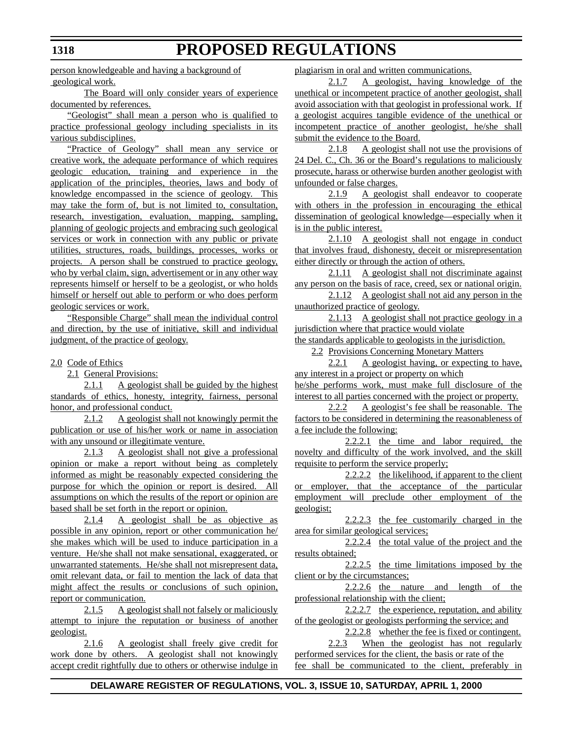person knowledgeable and having a background of geological work.

The Board will only consider years of experience documented by references.

"Geologist" shall mean a person who is qualified to practice professional geology including specialists in its various subdisciplines.

"Practice of Geology" shall mean any service or creative work, the adequate performance of which requires geologic education, training and experience in the application of the principles, theories, laws and body of knowledge encompassed in the science of geology. This may take the form of, but is not limited to, consultation, research, investigation, evaluation, mapping, sampling, planning of geologic projects and embracing such geological services or work in connection with any public or private utilities, structures, roads, buildings, processes, works or projects. A person shall be construed to practice geology, who by verbal claim, sign, advertisement or in any other way represents himself or herself to be a geologist, or who holds himself or herself out able to perform or who does perform geologic services or work.

"Responsible Charge" shall mean the individual control and direction, by the use of initiative, skill and individual judgment, of the practice of geology.

2.0 Code of Ethics

2.1 General Provisions:

 $2.1.1$  A geologist shall be guided by the highest standards of ethics, honesty, integrity, fairness, personal honor, and professional conduct.

2.1.2 A geologist shall not knowingly permit the publication or use of his/her work or name in association with any unsound or illegitimate venture.

2.1.3 A geologist shall not give a professional opinion or make a report without being as completely informed as might be reasonably expected considering the purpose for which the opinion or report is desired. All assumptions on which the results of the report or opinion are based shall be set forth in the report or opinion.

 $2.1.4$  A geologist shall be as objective as possible in any opinion, report or other communication he/ she makes which will be used to induce participation in a venture. He/she shall not make sensational, exaggerated, or unwarranted statements. He/she shall not misrepresent data, omit relevant data, or fail to mention the lack of data that might affect the results or conclusions of such opinion, report or communication.

2.1.5 A geologist shall not falsely or maliciously attempt to injure the reputation or business of another geologist.

2.1.6 A geologist shall freely give credit for work done by others. A geologist shall not knowingly accept credit rightfully due to others or otherwise indulge in

plagiarism in oral and written communications.

2.1.7 A geologist, having knowledge of the unethical or incompetent practice of another geologist, shall avoid association with that geologist in professional work. If a geologist acquires tangible evidence of the unethical or incompetent practice of another geologist, he/she shall submit the evidence to the Board.

2.1.8 A geologist shall not use the provisions of 24 Del. C., Ch. 36 or the Board's regulations to maliciously prosecute, harass or otherwise burden another geologist with unfounded or false charges.

2.1.9 A geologist shall endeavor to cooperate with others in the profession in encouraging the ethical dissemination of geological knowledge—especially when it is in the public interest.

2.1.10 A geologist shall not engage in conduct that involves fraud, dishonesty, deceit or misrepresentation either directly or through the action of others.

2.1.11 A geologist shall not discriminate against any person on the basis of race, creed, sex or national origin.

2.1.12 A geologist shall not aid any person in the unauthorized practice of geology.

2.1.13 A geologist shall not practice geology in a jurisdiction where that practice would violate

the standards applicable to geologists in the jurisdiction. 2.2 Provisions Concerning Monetary Matters

2.2.1 A geologist having, or expecting to have, any interest in a project or property on which

he/she performs work, must make full disclosure of the interest to all parties concerned with the project or property.

2.2.2 A geologist's fee shall be reasonable. The factors to be considered in determining the reasonableness of a fee include the following:

2.2.2.1 the time and labor required, the novelty and difficulty of the work involved, and the skill requisite to perform the service properly;

2.2.2.2 the likelihood, if apparent to the client or employer, that the acceptance of the particular employment will preclude other employment of the geologist;

2.2.2.3 the fee customarily charged in the area for similar geological services;

2.2.2.4 the total value of the project and the results obtained;

2.2.2.5 the time limitations imposed by the client or by the circumstances;

2.2.2.6 the nature and length of the professional relationship with the client;

2.2.2.7 the experience, reputation, and ability of the geologist or geologists performing the service; and

2.2.2.8 whether the fee is fixed or contingent.

2.2.3 When the geologist has not regularly performed services for the client, the basis or rate of the fee shall be communicated to the client, preferably in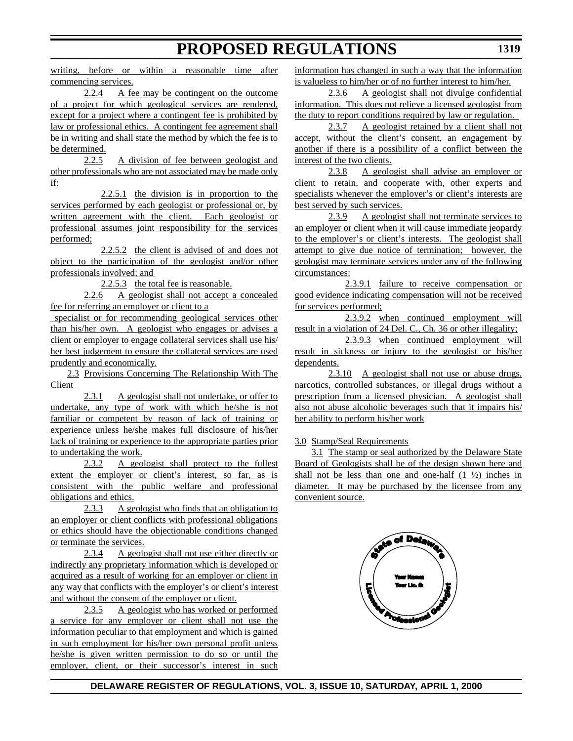writing, before or within a reasonable time after commencing services.

2.2.4 A fee may be contingent on the outcome of a project for which geological services are rendered, except for a project where a contingent fee is prohibited by law or professional ethics. A contingent fee agreement shall be in writing and shall state the method by which the fee is to be determined.

2.2.5 A division of fee between geologist and other professionals who are not associated may be made only if:

2.2.5.1 the division is in proportion to the services performed by each geologist or professional or, by written agreement with the client. Each geologist or professional assumes joint responsibility for the services performed;

2.2.5.2 the client is advised of and does not object to the participation of the geologist and/or other professionals involved; and

2.2.5.3 the total fee is reasonable.

2.2.6 A geologist shall not accept a concealed fee for referring an employer or client to a

 specialist or for recommending geological services other than his/her own. A geologist who engages or advises a client or employer to engage collateral services shall use his/ her best judgement to ensure the collateral services are used prudently and economically.

2.3 Provisions Concerning The Relationship With The Client

2.3.1 A geologist shall not undertake, or offer to undertake, any type of work with which he/she is not familiar or competent by reason of lack of training or experience unless he/she makes full disclosure of his/her lack of training or experience to the appropriate parties prior to undertaking the work.

2.3.2 A geologist shall protect to the fullest extent the employer or client's interest, so far, as is consistent with the public welfare and professional obligations and ethics.

2.3.3 A geologist who finds that an obligation to an employer or client conflicts with professional obligations or ethics should have the objectionable conditions changed or terminate the services.

2.3.4 A geologist shall not use either directly or indirectly any proprietary information which is developed or acquired as a result of working for an employer or client in any way that conflicts with the employer's or client's interest and without the consent of the employer or client.

2.3.5 A geologist who has worked or performed a service for any employer or client shall not use the information peculiar to that employment and which is gained in such employment for his/her own personal profit unless he/she is given written permission to do so or until the employer, client, or their successor's interest in such information has changed in such a way that the information is valueless to him/her or of no further interest to him/her.

2.3.6 A geologist shall not divulge confidential information. This does not relieve a licensed geologist from the duty to report conditions required by law or regulation.

2.3.7 A geologist retained by a client shall not accept, without the client's consent, an engagement by another if there is a possibility of a conflict between the interest of the two clients.

2.3.8 A geologist shall advise an employer or client to retain, and cooperate with, other experts and specialists whenever the employer's or client's interests are best served by such services.

2.3.9 A geologist shall not terminate services to an employer or client when it will cause immediate jeopardy to the employer's or client's interests. The geologist shall attempt to give due notice of termination; however, the geologist may terminate services under any of the following circumstances:

2.3.9.1 failure to receive compensation or good evidence indicating compensation will not be received for services performed;

2.3.9.2 when continued employment will result in a violation of 24 Del. C., Ch. 36 or other illegality;

2.3.9.3 when continued employment will result in sickness or injury to the geologist or his/her dependents.

2.3.10 A geologist shall not use or abuse drugs, narcotics, controlled substances, or illegal drugs without a prescription from a licensed physician. A geologist shall also not abuse alcoholic beverages such that it impairs his/ her ability to perform his/her work

3.0 Stamp/Seal Requirements

3.1 The stamp or seal authorized by the Delaware State Board of Geologists shall be of the design shown here and shall not be less than one and one-half  $(1 \frac{1}{2})$  inches in diameter. It may be purchased by the licensee from any convenient source.



**DELAWARE REGISTER OF REGULATIONS, VOL. 3, ISSUE 10, SATURDAY, APRIL 1, 2000**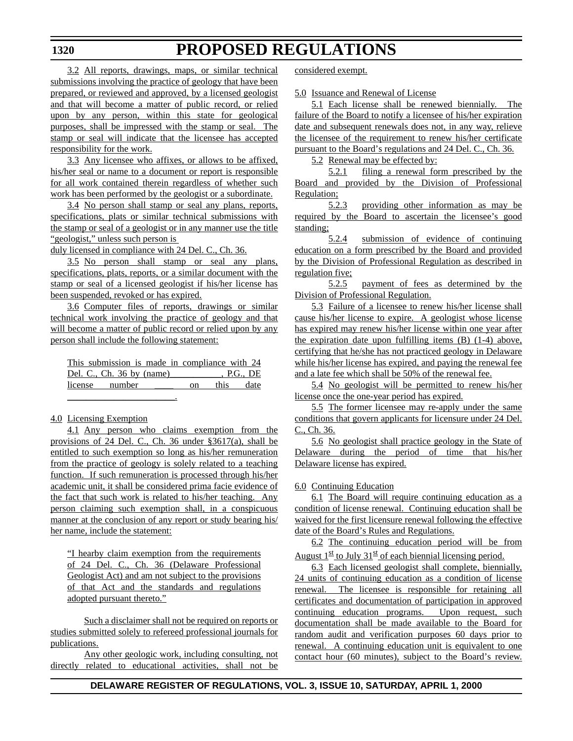#### **1320**

# **PROPOSED REGULATIONS**

3.2 All reports, drawings, maps, or similar technical submissions involving the practice of geology that have been prepared, or reviewed and approved, by a licensed geologist and that will become a matter of public record, or relied upon by any person, within this state for geological purposes, shall be impressed with the stamp or seal. The stamp or seal will indicate that the licensee has accepted responsibility for the work.

3.3 Any licensee who affixes, or allows to be affixed, his/her seal or name to a document or report is responsible for all work contained therein regardless of whether such work has been performed by the geologist or a subordinate.

3.4 No person shall stamp or seal any plans, reports, specifications, plats or similar technical submissions with the stamp or seal of a geologist or in any manner use the title "geologist," unless such person is

duly licensed in compliance with 24 Del. C., Ch. 36.

3.5 No person shall stamp or seal any plans, specifications, plats, reports, or a similar document with the stamp or seal of a licensed geologist if his/her license has been suspended, revoked or has expired.

3.6 Computer files of reports, drawings or similar technical work involving the practice of geology and that will become a matter of public record or relied upon by any person shall include the following statement:

| This submission is made in compliance with 24 |    |           |
|-----------------------------------------------|----|-----------|
| <u>Del. C., Ch. 36 by (name), P.G., DE</u>    |    |           |
| license number                                | on | this date |
|                                               |    |           |

### 4.0 Licensing Exemption

4.1 Any person who claims exemption from the provisions of 24 Del. C., Ch. 36 under §3617(a), shall be entitled to such exemption so long as his/her remuneration from the practice of geology is solely related to a teaching function. If such remuneration is processed through his/her academic unit, it shall be considered prima facie evidence of the fact that such work is related to his/her teaching. Any person claiming such exemption shall, in a conspicuous manner at the conclusion of any report or study bearing his/ her name, include the statement:

"I hearby claim exemption from the requirements of 24 Del. C., Ch. 36 (Delaware Professional Geologist Act) and am not subject to the provisions of that Act and the standards and regulations adopted pursuant thereto."

Such a disclaimer shall not be required on reports or studies submitted solely to refereed professional journals for publications.

Any other geologic work, including consulting, not directly related to educational activities, shall not be considered exempt.

5.0 Issuance and Renewal of License

5.1 Each license shall be renewed biennially. The failure of the Board to notify a licensee of his/her expiration date and subsequent renewals does not, in any way, relieve the licensee of the requirement to renew his/her certificate pursuant to the Board's regulations and 24 Del. C., Ch. 36.

5.2 Renewal may be effected by:

5.2.1 filing a renewal form prescribed by the Board and provided by the Division of Professional Regulation;

5.2.3 providing other information as may be required by the Board to ascertain the licensee's good standing;

5.2.4 submission of evidence of continuing education on a form prescribed by the Board and provided by the Division of Professional Regulation as described in regulation five;

5.2.5 payment of fees as determined by the Division of Professional Regulation.

5.3 Failure of a licensee to renew his/her license shall cause his/her license to expire. A geologist whose license has expired may renew his/her license within one year after the expiration date upon fulfilling items (B) (1-4) above, certifying that he/she has not practiced geology in Delaware while his/her license has expired, and paying the renewal fee and a late fee which shall be 50% of the renewal fee.

5.4 No geologist will be permitted to renew his/her license once the one-year period has expired.

5.5 The former licensee may re-apply under the same conditions that govern applicants for licensure under 24 Del. C., Ch. 36.

5.6 No geologist shall practice geology in the State of Delaware during the period of time that his/her Delaware license has expired.

### 6.0 Continuing Education

6.1 The Board will require continuing education as a condition of license renewal. Continuing education shall be waived for the first licensure renewal following the effective date of the Board's Rules and Regulations.

6.2 The continuing education period will be from August  $1^{\underline{\text{st}}}$  to July  $31^{\underline{\text{st}}}$  of each biennial licensing period.

6.3 Each licensed geologist shall complete, biennially, 24 units of continuing education as a condition of license renewal. The licensee is responsible for retaining all certificates and documentation of participation in approved continuing education programs. Upon request, such documentation shall be made available to the Board for random audit and verification purposes 60 days prior to renewal. A continuing education unit is equivalent to one contact hour (60 minutes), subject to the Board's review.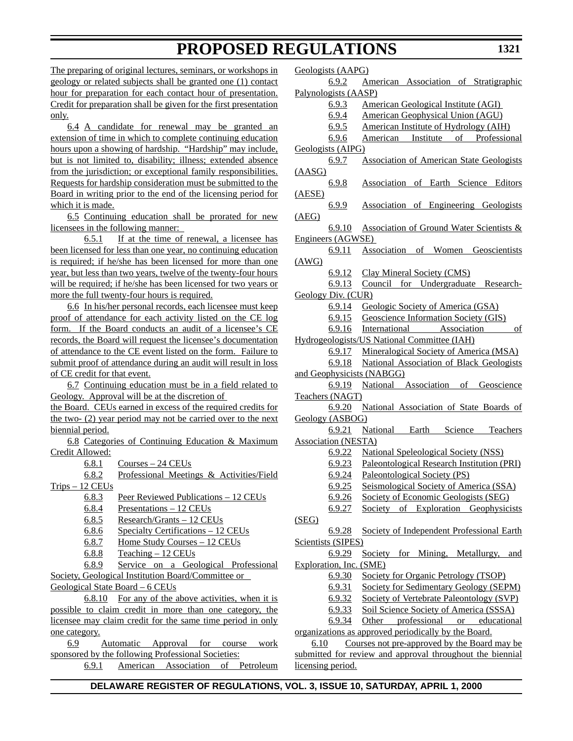**1321**

The preparing of original lectures, seminars, or workshops in geology or related subjects shall be granted one (1) contact hour for preparation for each contact hour of presentation. Credit for preparation shall be given for the first presentation only.

6.4 A candidate for renewal may be granted an extension of time in which to complete continuing education hours upon a showing of hardship. "Hardship" may include, but is not limited to, disability; illness; extended absence from the jurisdiction; or exceptional family responsibilities. Requests for hardship consideration must be submitted to the Board in writing prior to the end of the licensing period for which it is made.

6.5 Continuing education shall be prorated for new licensees in the following manner:

6.5.1 If at the time of renewal, a licensee has been licensed for less than one year, no continuing education is required; if he/she has been licensed for more than one year, but less than two years, twelve of the twenty-four hours will be required; if he/she has been licensed for two years or more the full twenty-four hours is required.

6.6 In his/her personal records, each licensee must keep proof of attendance for each activity listed on the CE log form. If the Board conducts an audit of a licensee's CE records, the Board will request the licensee's documentation of attendance to the CE event listed on the form. Failure to submit proof of attendance during an audit will result in loss of CE credit for that event.

6.7 Continuing education must be in a field related to Geology. Approval will be at the discretion of

the Board. CEUs earned in excess of the required credits for the two- (2) year period may not be carried over to the next biennial period.

6.8 Categories of Continuing Education & Maximum Credit Allowed:

 $6.8.1$  Courses – 24 CEUs

6.8.2 Professional Meetings & Activities/Field Trips – 12 CEUs

```
6.8.3 Peer Reviewed Publications – 12 CEUs
```
- 6.8.4 Presentations 12 CEUs
- 6.8.5 Research/Grants 12 CEUs
- 6.8.6 Specialty Certifications 12 CEUs
- 6.8.7 Home Study Courses 12 CEUs
- 6.8.8 Teaching 12 CEUs

6.8.9 Service on a Geological Professional Society, Geological Institution Board/Committee or Geological State Board – 6 CEUs

6.8.10 For any of the above activities, when it is possible to claim credit in more than one category, the licensee may claim credit for the same time period in only one category.

6.9 Automatic Approval for course work sponsored by the following Professional Societies:

6.9.1 American Association of Petroleum

| Geologists (AAPG)                                    |                                                           |  |  |  |  |
|------------------------------------------------------|-----------------------------------------------------------|--|--|--|--|
| 6.9.2                                                | American Association of Stratigraphic                     |  |  |  |  |
| Palynologists (AASP)                                 |                                                           |  |  |  |  |
| 6.9.3                                                | American Geological Institute (AGI)                       |  |  |  |  |
| 6.9.4                                                | American Geophysical Union (AGU)                          |  |  |  |  |
| 6.9.5                                                | American Institute of Hydrology (AIH)                     |  |  |  |  |
| 6.9.6                                                | American Institute of Professional                        |  |  |  |  |
| Geologists (AIPG)                                    |                                                           |  |  |  |  |
| 6.9.7                                                | <b>Association of American State Geologists</b>           |  |  |  |  |
| (AASG)                                               |                                                           |  |  |  |  |
| 6.9.8                                                | Association of Earth Science Editors                      |  |  |  |  |
| (AESE)                                               |                                                           |  |  |  |  |
| 6.9.9                                                | <b>Association of Engineering Geologists</b>              |  |  |  |  |
| (AEG)                                                |                                                           |  |  |  |  |
| <u>6.9.10</u>                                        | <b>Association of Ground Water Scientists &amp;</b>       |  |  |  |  |
| Engineers (AGWSE)                                    |                                                           |  |  |  |  |
| 6.9.11                                               | Association of Women Geoscientists                        |  |  |  |  |
| (AWG)                                                |                                                           |  |  |  |  |
| 6.9.12                                               | Clay Mineral Society (CMS)                                |  |  |  |  |
| 6.9.13                                               | Council for Undergraduate Research-                       |  |  |  |  |
| Geology Div. (CUR)                                   |                                                           |  |  |  |  |
| 6.9.14                                               | Geologic Society of America (GSA)                         |  |  |  |  |
| 6.9.15                                               | Geoscience Information Society (GIS)                      |  |  |  |  |
| 6.9.16                                               | International Association of                              |  |  |  |  |
|                                                      | Hydrogeologists/US National Committee (IAH)               |  |  |  |  |
| 6.9.17                                               | Mineralogical Society of America (MSA)                    |  |  |  |  |
| 6.9.18                                               | National Association of Black Geologists                  |  |  |  |  |
| and Geophysicists (NABGG)                            |                                                           |  |  |  |  |
| 6.9.19                                               | National Association of Geoscience                        |  |  |  |  |
| Teachers (NAGT)                                      |                                                           |  |  |  |  |
| 6.9.20                                               | National Association of State Boards of                   |  |  |  |  |
| Geology (ASBOG)                                      |                                                           |  |  |  |  |
| 6.9.21                                               | National Earth Science Teachers                           |  |  |  |  |
| Association (NESTA)                                  |                                                           |  |  |  |  |
| 6.9.22                                               | <b>National Speleological Society (NSS)</b>               |  |  |  |  |
| 6.9.23                                               | Paleontological Research Institution (PRI)                |  |  |  |  |
| 6.9.24                                               | Paleontological Society (PS)                              |  |  |  |  |
| 6.9.25                                               | Seismological Society of America (SSA)                    |  |  |  |  |
| 6.9.26                                               | Society of Economic Geologists (SEG)                      |  |  |  |  |
| 6.9.27                                               | Society of Exploration Geophysicists                      |  |  |  |  |
| (SEG)                                                |                                                           |  |  |  |  |
|                                                      |                                                           |  |  |  |  |
| 6.9.28                                               | Society of Independent Professional Earth                 |  |  |  |  |
| Scientists (SIPES)                                   |                                                           |  |  |  |  |
| 6.9.29                                               | Society for Mining, Metallurgy, and                       |  |  |  |  |
| Exploration, Inc. (SME)                              |                                                           |  |  |  |  |
| 6.9.30                                               | Society for Organic Petrology (TSOP)                      |  |  |  |  |
| 6.9.31                                               | Society for Sedimentary Geology (SEPM)                    |  |  |  |  |
| 6.9.32                                               | Society of Vertebrate Paleontology (SVP)                  |  |  |  |  |
| 6.9.33                                               | Soil Science Society of America (SSSA)                    |  |  |  |  |
| 6.9.34                                               | Other professional or educational                         |  |  |  |  |
| organizations as approved periodically by the Board. |                                                           |  |  |  |  |
| Courses not pre-approved by the Board may be<br>6.10 |                                                           |  |  |  |  |
|                                                      | submitted for review and approval throughout the biennial |  |  |  |  |

**DELAWARE REGISTER OF REGULATIONS, VOL. 3, ISSUE 10, SATURDAY, APRIL 1, 2000**

licensing period.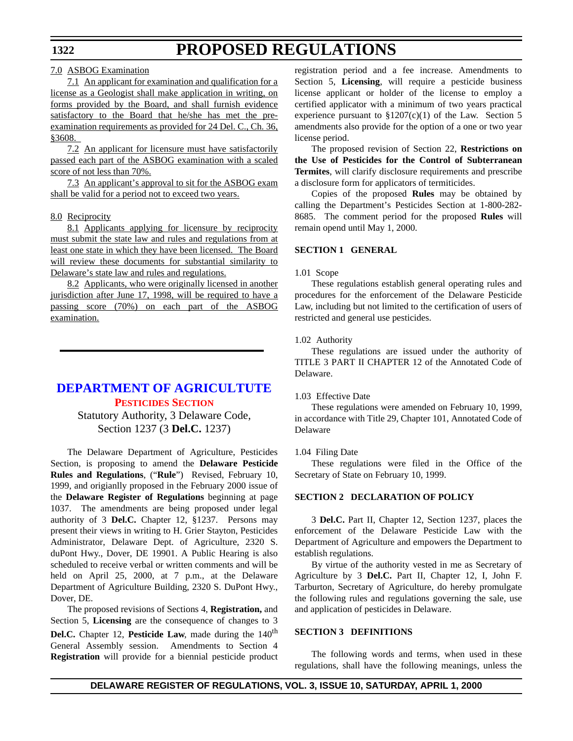### 7.0 ASBOG Examination

7.1 An applicant for examination and qualification for a license as a Geologist shall make application in writing, on forms provided by the Board, and shall furnish evidence satisfactory to the Board that he/she has met the preexamination requirements as provided for 24 Del. C., Ch. 36, §3608.

7.2 An applicant for licensure must have satisfactorily passed each part of the ASBOG examination with a scaled score of not less than 70%.

7.3 An applicant's approval to sit for the ASBOG exam shall be valid for a period not to exceed two years.

#### 8.0 Reciprocity

8.1 Applicants applying for licensure by reciprocity must submit the state law and rules and regulations from at least one state in which they have been licensed. The Board will review these documents for substantial similarity to Delaware's state law and rules and regulations.

8.2 Applicants, who were originally licensed in another jurisdiction after June 17, 1998, will be required to have a passing score (70%) on each part of the ASBOG examination.

## **[DEPARTMENT OF AGRICULTUTE](http://www.state.de.us/deptagri/pest/pest.htm) [PESTICIDES SECTION](#page-3-0)**

Statutory Authority, 3 Delaware Code, Section 1237 (3 **Del.C.** 1237)

The Delaware Department of Agriculture, Pesticides Section, is proposing to amend the **Delaware Pesticide Rules and Regulations**, ("**Rule**") Revised, February 10, 1999, and origianlly proposed in the February 2000 issue of the **Delaware Register of Regulations** beginning at page 1037. The amendments are being proposed under legal authority of 3 **Del.C.** Chapter 12, §1237. Persons may present their views in writing to H. Grier Stayton, Pesticides Administrator, Delaware Dept. of Agriculture, 2320 S. duPont Hwy., Dover, DE 19901. A Public Hearing is also scheduled to receive verbal or written comments and will be held on April 25, 2000, at 7 p.m., at the Delaware Department of Agriculture Building, 2320 S. DuPont Hwy., Dover, DE.

The proposed revisions of Sections 4, **Registration,** and Section 5, **Licensing** are the consequence of changes to 3 **Del.C.** Chapter 12, **Pesticide Law**, made during the 140<sup>th</sup> General Assembly session. Amendments to Section 4 **Registration** will provide for a biennial pesticide product registration period and a fee increase. Amendments to Section 5, **Licensing**, will require a pesticide business license applicant or holder of the license to employ a certified applicator with a minimum of two years practical experience pursuant to  $$1207(c)(1)$  of the Law. Section 5 amendments also provide for the option of a one or two year license period.

The proposed revision of Section 22, **Restrictions on the Use of Pesticides for the Control of Subterranean Termites**, will clarify disclosure requirements and prescribe a disclosure form for applicators of termiticides.

Copies of the proposed **Rules** may be obtained by calling the Department's Pesticides Section at 1-800-282- 8685. The comment period for the proposed **Rules** will remain opend until May 1, 2000.

#### **SECTION 1 GENERAL**

#### 1.01 Scope

These regulations establish general operating rules and procedures for the enforcement of the Delaware Pesticide Law, including but not limited to the certification of users of restricted and general use pesticides.

#### 1.02 Authority

These regulations are issued under the authority of TITLE 3 PART II CHAPTER 12 of the Annotated Code of Delaware.

### 1.03 Effective Date

These regulations were amended on February 10, 1999, in accordance with Title 29, Chapter 101, Annotated Code of Delaware

#### 1.04 Filing Date

These regulations were filed in the Office of the Secretary of State on February 10, 1999.

#### **SECTION 2 DECLARATION OF POLICY**

3 **Del.C.** Part II, Chapter 12, Section 1237, places the enforcement of the Delaware Pesticide Law with the Department of Agriculture and empowers the Department to establish regulations.

By virtue of the authority vested in me as Secretary of Agriculture by 3 **Del.C.** Part II, Chapter 12, I, John F. Tarburton, Secretary of Agriculture, do hereby promulgate the following rules and regulations governing the sale, use and application of pesticides in Delaware.

#### **SECTION 3 DEFINITIONS**

The following words and terms, when used in these regulations, shall have the following meanings, unless the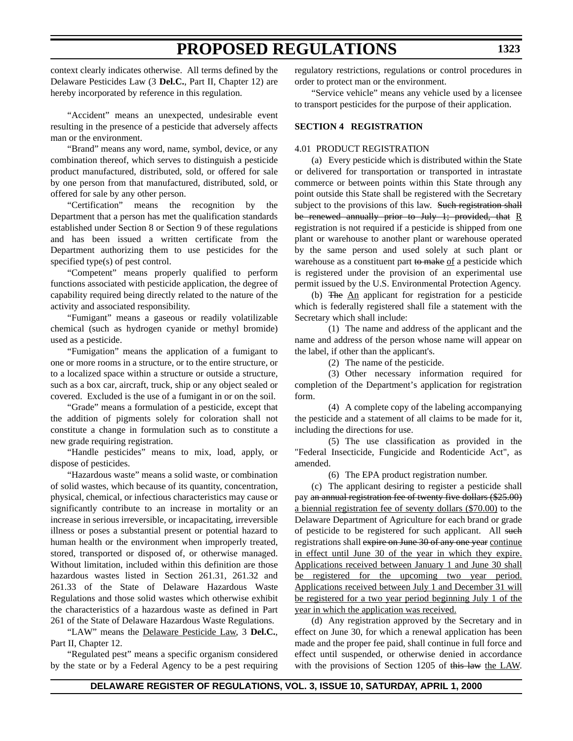context clearly indicates otherwise. All terms defined by the Delaware Pesticides Law (3 **Del.C.**, Part II, Chapter 12) are hereby incorporated by reference in this regulation.

"Accident" means an unexpected, undesirable event resulting in the presence of a pesticide that adversely affects man or the environment.

"Brand" means any word, name, symbol, device, or any combination thereof, which serves to distinguish a pesticide product manufactured, distributed, sold, or offered for sale by one person from that manufactured, distributed, sold, or offered for sale by any other person.

"Certification" means the recognition by the Department that a person has met the qualification standards established under Section 8 or Section 9 of these regulations and has been issued a written certificate from the Department authorizing them to use pesticides for the specified type(s) of pest control.

"Competent" means properly qualified to perform functions associated with pesticide application, the degree of capability required being directly related to the nature of the activity and associated responsibility.

"Fumigant" means a gaseous or readily volatilizable chemical (such as hydrogen cyanide or methyl bromide) used as a pesticide.

"Fumigation" means the application of a fumigant to one or more rooms in a structure, or to the entire structure, or to a localized space within a structure or outside a structure, such as a box car, aircraft, truck, ship or any object sealed or covered. Excluded is the use of a fumigant in or on the soil.

"Grade" means a formulation of a pesticide, except that the addition of pigments solely for coloration shall not constitute a change in formulation such as to constitute a new grade requiring registration.

"Handle pesticides" means to mix, load, apply, or dispose of pesticides.

"Hazardous waste" means a solid waste, or combination of solid wastes, which because of its quantity, concentration, physical, chemical, or infectious characteristics may cause or significantly contribute to an increase in mortality or an increase in serious irreversible, or incapacitating, irreversible illness or poses a substantial present or potential hazard to human health or the environment when improperly treated, stored, transported or disposed of, or otherwise managed. Without limitation, included within this definition are those hazardous wastes listed in Section 261.31, 261.32 and 261.33 of the State of Delaware Hazardous Waste Regulations and those solid wastes which otherwise exhibit the characteristics of a hazardous waste as defined in Part 261 of the State of Delaware Hazardous Waste Regulations.

"LAW" means the Delaware Pesticide Law, 3 **Del.C.**, Part II, Chapter 12.

"Regulated pest" means a specific organism considered by the state or by a Federal Agency to be a pest requiring regulatory restrictions, regulations or control procedures in order to protect man or the environment.

"Service vehicle" means any vehicle used by a licensee to transport pesticides for the purpose of their application.

#### **SECTION 4 REGISTRATION**

#### 4.01 PRODUCT REGISTRATION

(a) Every pesticide which is distributed within the State or delivered for transportation or transported in intrastate commerce or between points within this State through any point outside this State shall be registered with the Secretary subject to the provisions of this law. Such registration shall be renewed annually prior to July 1; provided, that R registration is not required if a pesticide is shipped from one plant or warehouse to another plant or warehouse operated by the same person and used solely at such plant or warehouse as a constituent part to make of a pesticide which is registered under the provision of an experimental use permit issued by the U.S. Environmental Protection Agency.

(b) The An applicant for registration for a pesticide which is federally registered shall file a statement with the Secretary which shall include:

(1) The name and address of the applicant and the name and address of the person whose name will appear on the label, if other than the applicant's.

(2) The name of the pesticide.

(3) Other necessary information required for completion of the Department's application for registration form.

(4) A complete copy of the labeling accompanying the pesticide and a statement of all claims to be made for it, including the directions for use.

(5) The use classification as provided in the "Federal Insecticide, Fungicide and Rodenticide Act", as amended.

(6) The EPA product registration number.

(c) The applicant desiring to register a pesticide shall pay an annual registration fee of twenty five dollars (\$25.00) a biennial registration fee of seventy dollars (\$70.00) to the Delaware Department of Agriculture for each brand or grade of pesticide to be registered for such applicant. All such registrations shall expire on June 30 of any one year continue in effect until June 30 of the year in which they expire. Applications received between January 1 and June 30 shall be registered for the upcoming two year period. Applications received between July 1 and December 31 will be registered for a two year period beginning July 1 of the year in which the application was received.

(d) Any registration approved by the Secretary and in effect on June 30, for which a renewal application has been made and the proper fee paid, shall continue in full force and effect until suspended, or otherwise denied in accordance with the provisions of Section 1205 of this law the LAW.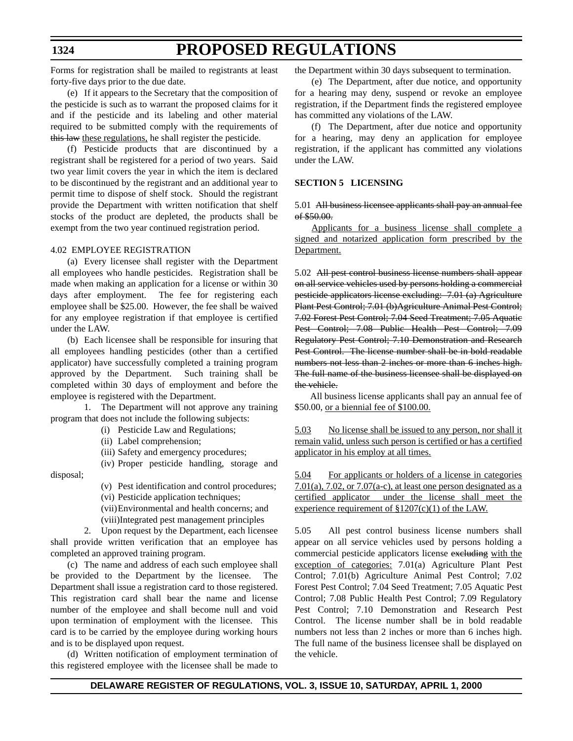Forms for registration shall be mailed to registrants at least forty-five days prior to the due date.

(e) If it appears to the Secretary that the composition of the pesticide is such as to warrant the proposed claims for it and if the pesticide and its labeling and other material required to be submitted comply with the requirements of this law these regulations, he shall register the pesticide.

(f) Pesticide products that are discontinued by a registrant shall be registered for a period of two years. Said two year limit covers the year in which the item is declared to be discontinued by the registrant and an additional year to permit time to dispose of shelf stock. Should the registrant provide the Department with written notification that shelf stocks of the product are depleted, the products shall be exempt from the two year continued registration period.

#### 4.02 EMPLOYEE REGISTRATION

(a) Every licensee shall register with the Department all employees who handle pesticides. Registration shall be made when making an application for a license or within 30 days after employment. The fee for registering each employee shall be \$25.00. However, the fee shall be waived for any employee registration if that employee is certified under the LAW.

(b) Each licensee shall be responsible for insuring that all employees handling pesticides (other than a certified applicator) have successfully completed a training program approved by the Department. Such training shall be completed within 30 days of employment and before the employee is registered with the Department.

1. The Department will not approve any training program that does not include the following subjects:

(i) Pesticide Law and Regulations;

(ii) Label comprehension;

(iii) Safety and emergency procedures;

(iv) Proper pesticide handling, storage and disposal;

(v) Pest identification and control procedures;

(vi) Pesticide application techniques;

(vii)Environmental and health concerns; and

(viii)Integrated pest management principles

2. Upon request by the Department, each licensee shall provide written verification that an employee has completed an approved training program.

(c) The name and address of each such employee shall be provided to the Department by the licensee. The Department shall issue a registration card to those registered. This registration card shall bear the name and license number of the employee and shall become null and void upon termination of employment with the licensee. This card is to be carried by the employee during working hours and is to be displayed upon request.

(d) Written notification of employment termination of this registered employee with the licensee shall be made to the Department within 30 days subsequent to termination.

(e) The Department, after due notice, and opportunity for a hearing may deny, suspend or revoke an employee registration, if the Department finds the registered employee has committed any violations of the LAW.

(f) The Department, after due notice and opportunity for a hearing, may deny an application for employee registration, if the applicant has committed any violations under the LAW.

#### **SECTION 5 LICENSING**

5.01 All business licensee applicants shall pay an annual fee of \$50.00.

Applicants for a business license shall complete a signed and notarized application form prescribed by the Department.

5.02 All pest control business license numbers shall appear on all service vehicles used by persons holding a commercial pesticide applicators license excluding: 7.01 (a) Agriculture Plant Pest Control; 7.01 (b)Agriculture Animal Pest Control; 7.02 Forest Pest Control; 7.04 Seed Treatment; 7.05 Aquatic Pest Control; 7.08 Public Health Pest Control; 7.09 Regulatory Pest Control; 7.10 Demonstration and Research Pest Control. The license number shall be in bold readable numbers not less than 2 inches or more than 6 inches high. The full name of the business licensee shall be displayed on the vehicle.

 All business license applicants shall pay an annual fee of \$50.00, or a biennial fee of \$100.00.

5.03 No license shall be issued to any person, nor shall it remain valid, unless such person is certified or has a certified applicator in his employ at all times.

5.04 For applicants or holders of a license in categories 7.01(a), 7.02, or 7.07(a-c), at least one person designated as a certified applicator under the license shall meet the experience requirement of §1207(c)(1) of the LAW.

5.05 All pest control business license numbers shall appear on all service vehicles used by persons holding a commercial pesticide applicators license excluding with the exception of categories: 7.01(a) Agriculture Plant Pest Control; 7.01(b) Agriculture Animal Pest Control; 7.02 Forest Pest Control; 7.04 Seed Treatment; 7.05 Aquatic Pest Control; 7.08 Public Health Pest Control; 7.09 Regulatory Pest Control; 7.10 Demonstration and Research Pest Control. The license number shall be in bold readable numbers not less than 2 inches or more than 6 inches high. The full name of the business licensee shall be displayed on the vehicle.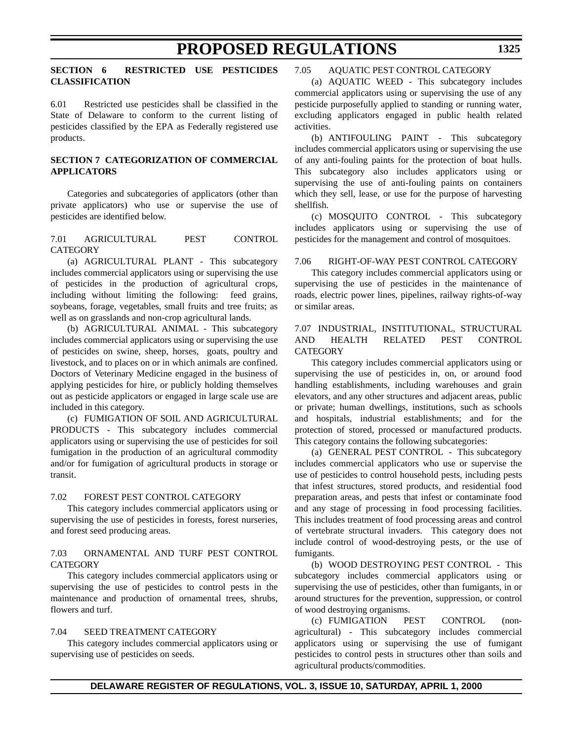### **SECTION 6 RESTRICTED USE PESTICIDES CLASSIFICATION**

6.01 Restricted use pesticides shall be classified in the State of Delaware to conform to the current listing of pesticides classified by the EPA as Federally registered use products.

### **SECTION 7 CATEGORIZATION OF COMMERCIAL APPLICATORS**

Categories and subcategories of applicators (other than private applicators) who use or supervise the use of pesticides are identified below.

#### 7.01 AGRICULTURAL PEST CONTROL **CATEGORY**

(a) AGRICULTURAL PLANT - This subcategory includes commercial applicators using or supervising the use of pesticides in the production of agricultural crops, including without limiting the following: feed grains, soybeans, forage, vegetables, small fruits and tree fruits; as well as on grasslands and non-crop agricultural lands.

(b) AGRICULTURAL ANIMAL - This subcategory includes commercial applicators using or supervising the use of pesticides on swine, sheep, horses, goats, poultry and livestock, and to places on or in which animals are confined. Doctors of Veterinary Medicine engaged in the business of applying pesticides for hire, or publicly holding themselves out as pesticide applicators or engaged in large scale use are included in this category.

(c) FUMIGATION OF SOIL AND AGRICULTURAL PRODUCTS - This subcategory includes commercial applicators using or supervising the use of pesticides for soil fumigation in the production of an agricultural commodity and/or for fumigation of agricultural products in storage or transit.

#### 7.02 FOREST PEST CONTROL CATEGORY

This category includes commercial applicators using or supervising the use of pesticides in forests, forest nurseries, and forest seed producing areas.

#### 7.03 ORNAMENTAL AND TURF PEST CONTROL **CATEGORY**

This category includes commercial applicators using or supervising the use of pesticides to control pests in the maintenance and production of ornamental trees, shrubs, flowers and turf.

### 7.04 SEED TREATMENT CATEGORY

This category includes commercial applicators using or supervising use of pesticides on seeds.

## 7.05 AQUATIC PEST CONTROL CATEGORY

(a) AQUATIC WEED - This subcategory includes commercial applicators using or supervising the use of any pesticide purposefully applied to standing or running water, excluding applicators engaged in public health related activities.

(b) ANTIFOULING PAINT - This subcategory includes commercial applicators using or supervising the use of any anti-fouling paints for the protection of boat hulls. This subcategory also includes applicators using or supervising the use of anti-fouling paints on containers which they sell, lease, or use for the purpose of harvesting shellfish.

(c) MOSQUITO CONTROL - This subcategory includes applicators using or supervising the use of pesticides for the management and control of mosquitoes.

#### 7.06 RIGHT-OF-WAY PEST CONTROL CATEGORY

This category includes commercial applicators using or supervising the use of pesticides in the maintenance of roads, electric power lines, pipelines, railway rights-of-way or similar areas.

## 7.07 INDUSTRIAL, INSTITUTIONAL, STRUCTURAL AND HEALTH RELATED PEST CONTROL **CATEGORY**

This category includes commercial applicators using or supervising the use of pesticides in, on, or around food handling establishments, including warehouses and grain elevators, and any other structures and adjacent areas, public or private; human dwellings, institutions, such as schools and hospitals, industrial establishments; and for the protection of stored, processed or manufactured products. This category contains the following subcategories:

(a) GENERAL PEST CONTROL - This subcategory includes commercial applicators who use or supervise the use of pesticides to control household pests, including pests that infest structures, stored products, and residential food preparation areas, and pests that infest or contaminate food and any stage of processing in food processing facilities. This includes treatment of food processing areas and control of vertebrate structural invaders. This category does not include control of wood-destroying pests, or the use of fumigants.

(b) WOOD DESTROYING PEST CONTROL - This subcategory includes commercial applicators using or supervising the use of pesticides, other than fumigants, in or around structures for the prevention, suppression, or control of wood destroying organisms.

(c) FUMIGATION PEST CONTROL (nonagricultural) - This subcategory includes commercial applicators using or supervising the use of fumigant pesticides to control pests in structures other than soils and agricultural products/commodities.

## **DELAWARE REGISTER OF REGULATIONS, VOL. 3, ISSUE 10, SATURDAY, APRIL 1, 2000**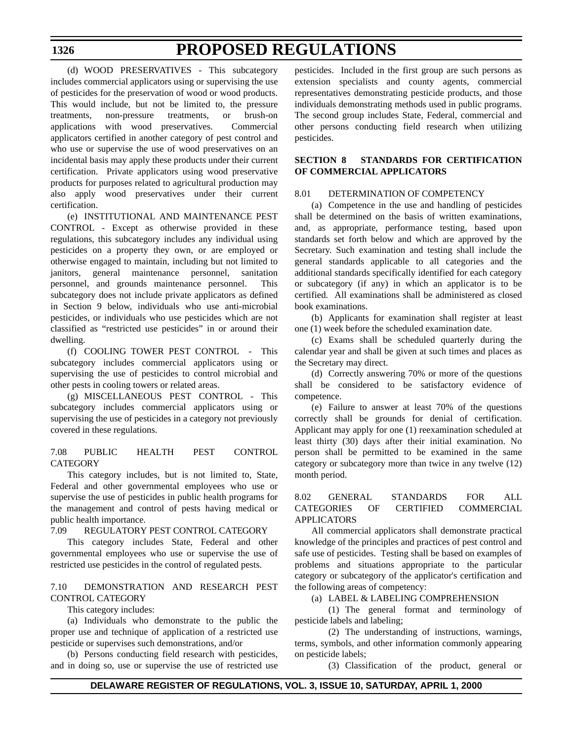(d) WOOD PRESERVATIVES - This subcategory includes commercial applicators using or supervising the use of pesticides for the preservation of wood or wood products. This would include, but not be limited to, the pressure treatments, non-pressure treatments, or brush-on applications with wood preservatives. Commercial applicators certified in another category of pest control and who use or supervise the use of wood preservatives on an incidental basis may apply these products under their current certification. Private applicators using wood preservative products for purposes related to agricultural production may also apply wood preservatives under their current certification.

(e) INSTITUTIONAL AND MAINTENANCE PEST CONTROL - Except as otherwise provided in these regulations, this subcategory includes any individual using pesticides on a property they own, or are employed or otherwise engaged to maintain, including but not limited to janitors, general maintenance personnel, sanitation personnel, and grounds maintenance personnel. This subcategory does not include private applicators as defined in Section 9 below, individuals who use anti-microbial pesticides, or individuals who use pesticides which are not classified as "restricted use pesticides" in or around their dwelling.

(f) COOLING TOWER PEST CONTROL - This subcategory includes commercial applicators using or supervising the use of pesticides to control microbial and other pests in cooling towers or related areas.

(g) MISCELLANEOUS PEST CONTROL - This subcategory includes commercial applicators using or supervising the use of pesticides in a category not previously covered in these regulations.

#### 7.08 PUBLIC HEALTH PEST CONTROL **CATEGORY**

This category includes, but is not limited to, State, Federal and other governmental employees who use or supervise the use of pesticides in public health programs for the management and control of pests having medical or public health importance.

## 7.09 REGULATORY PEST CONTROL CATEGORY

This category includes State, Federal and other governmental employees who use or supervise the use of restricted use pesticides in the control of regulated pests.

## 7.10 DEMONSTRATION AND RESEARCH PEST CONTROL CATEGORY

This category includes:

(a) Individuals who demonstrate to the public the proper use and technique of application of a restricted use pesticide or supervises such demonstrations, and/or

(b) Persons conducting field research with pesticides, and in doing so, use or supervise the use of restricted use pesticides. Included in the first group are such persons as extension specialists and county agents, commercial representatives demonstrating pesticide products, and those individuals demonstrating methods used in public programs. The second group includes State, Federal, commercial and other persons conducting field research when utilizing pesticides.

## **SECTION 8 STANDARDS FOR CERTIFICATION OF COMMERCIAL APPLICATORS**

#### 8.01 DETERMINATION OF COMPETENCY

(a) Competence in the use and handling of pesticides shall be determined on the basis of written examinations, and, as appropriate, performance testing, based upon standards set forth below and which are approved by the Secretary. Such examination and testing shall include the general standards applicable to all categories and the additional standards specifically identified for each category or subcategory (if any) in which an applicator is to be certified. All examinations shall be administered as closed book examinations.

(b) Applicants for examination shall register at least one (1) week before the scheduled examination date.

(c) Exams shall be scheduled quarterly during the calendar year and shall be given at such times and places as the Secretary may direct.

(d) Correctly answering 70% or more of the questions shall be considered to be satisfactory evidence of competence.

(e) Failure to answer at least 70% of the questions correctly shall be grounds for denial of certification. Applicant may apply for one (1) reexamination scheduled at least thirty (30) days after their initial examination. No person shall be permitted to be examined in the same category or subcategory more than twice in any twelve (12) month period.

### 8.02 GENERAL STANDARDS FOR ALL CATEGORIES OF CERTIFIED COMMERCIAL APPLICATORS

All commercial applicators shall demonstrate practical knowledge of the principles and practices of pest control and safe use of pesticides. Testing shall be based on examples of problems and situations appropriate to the particular category or subcategory of the applicator's certification and the following areas of competency:

(a) LABEL & LABELING COMPREHENSION

(1) The general format and terminology of pesticide labels and labeling;

(2) The understanding of instructions, warnings, terms, symbols, and other information commonly appearing on pesticide labels;

(3) Classification of the product, general or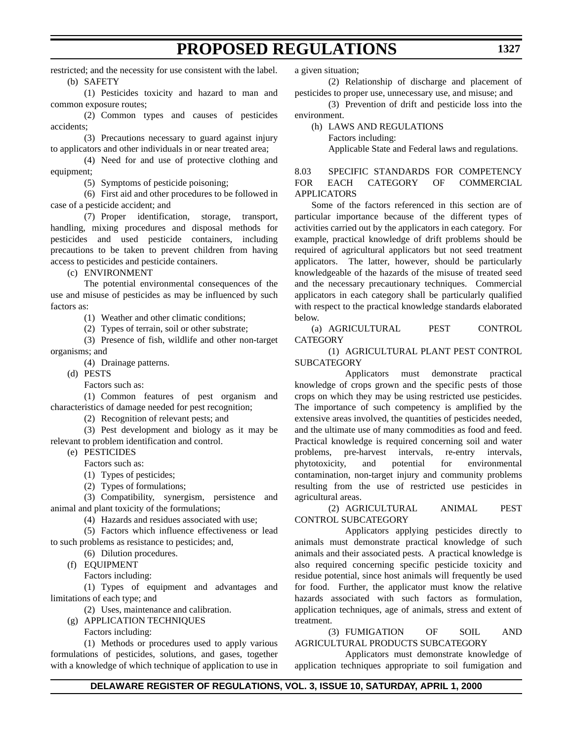restricted; and the necessity for use consistent with the label. (b) SAFETY

(1) Pesticides toxicity and hazard to man and common exposure routes;

(2) Common types and causes of pesticides accidents;

(3) Precautions necessary to guard against injury to applicators and other individuals in or near treated area;

(4) Need for and use of protective clothing and equipment;

(5) Symptoms of pesticide poisoning;

(6) First aid and other procedures to be followed in case of a pesticide accident; and

(7) Proper identification, storage, transport, handling, mixing procedures and disposal methods for pesticides and used pesticide containers, including precautions to be taken to prevent children from having access to pesticides and pesticide containers.

(c) ENVIRONMENT

The potential environmental consequences of the use and misuse of pesticides as may be influenced by such factors as:

(1) Weather and other climatic conditions;

(2) Types of terrain, soil or other substrate;

(3) Presence of fish, wildlife and other non-target organisms; and

(4) Drainage patterns.

(d) PESTS

Factors such as:

(1) Common features of pest organism and characteristics of damage needed for pest recognition;

(2) Recognition of relevant pests; and

(3) Pest development and biology as it may be relevant to problem identification and control.

(e) PESTICIDES

Factors such as:

(1) Types of pesticides;

(2) Types of formulations;

(3) Compatibility, synergism, persistence and animal and plant toxicity of the formulations;

(4) Hazards and residues associated with use;

(5) Factors which influence effectiveness or lead to such problems as resistance to pesticides; and,

(6) Dilution procedures.

(f) EQUIPMENT

Factors including:

(1) Types of equipment and advantages and limitations of each type; and

(2) Uses, maintenance and calibration.

(g) APPLICATION TECHNIQUES

Factors including:

(1) Methods or procedures used to apply various formulations of pesticides, solutions, and gases, together with a knowledge of which technique of application to use in

a given situation;

(2) Relationship of discharge and placement of pesticides to proper use, unnecessary use, and misuse; and

(3) Prevention of drift and pesticide loss into the environment.

(h) LAWS AND REGULATIONS Factors including: Applicable State and Federal laws and regulations.

8.03 SPECIFIC STANDARDS FOR COMPETENCY FOR EACH CATEGORY OF COMMERCIAL APPLICATORS

Some of the factors referenced in this section are of particular importance because of the different types of activities carried out by the applicators in each category. For example, practical knowledge of drift problems should be required of agricultural applicators but not seed treatment applicators. The latter, however, should be particularly knowledgeable of the hazards of the misuse of treated seed and the necessary precautionary techniques. Commercial applicators in each category shall be particularly qualified with respect to the practical knowledge standards elaborated below.

(a) AGRICULTURAL PEST CONTROL **CATEGORY** 

(1) AGRICULTURAL PLANT PEST CONTROL **SUBCATEGORY** 

Applicators must demonstrate practical knowledge of crops grown and the specific pests of those crops on which they may be using restricted use pesticides. The importance of such competency is amplified by the extensive areas involved, the quantities of pesticides needed, and the ultimate use of many commodities as food and feed. Practical knowledge is required concerning soil and water problems, pre-harvest intervals, re-entry intervals, phytotoxicity, and potential for environmental contamination, non-target injury and community problems resulting from the use of restricted use pesticides in agricultural areas.

(2) AGRICULTURAL ANIMAL PEST CONTROL SUBCATEGORY

Applicators applying pesticides directly to animals must demonstrate practical knowledge of such animals and their associated pests. A practical knowledge is also required concerning specific pesticide toxicity and residue potential, since host animals will frequently be used for food. Further, the applicator must know the relative hazards associated with such factors as formulation, application techniques, age of animals, stress and extent of treatment.

(3) FUMIGATION OF SOIL AND AGRICULTURAL PRODUCTS SUBCATEGORY

Applicators must demonstrate knowledge of application techniques appropriate to soil fumigation and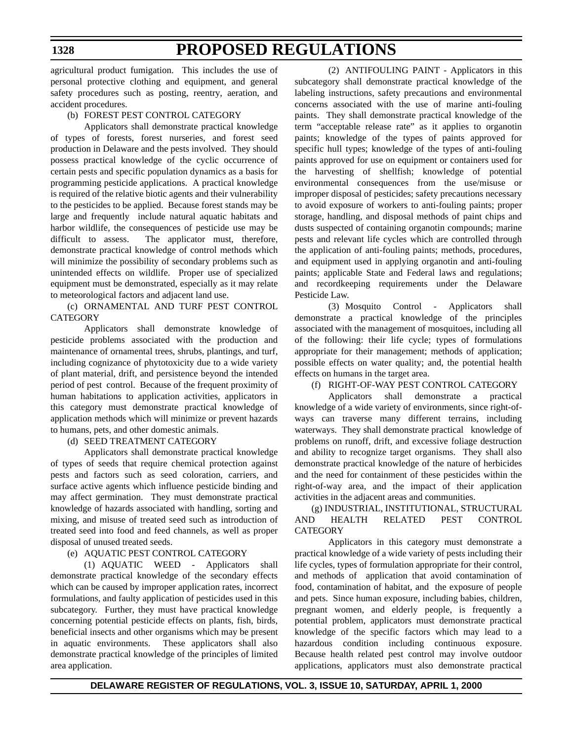**1328**

## **PROPOSED REGULATIONS**

agricultural product fumigation. This includes the use of personal protective clothing and equipment, and general safety procedures such as posting, reentry, aeration, and accident procedures.

### (b) FOREST PEST CONTROL CATEGORY

Applicators shall demonstrate practical knowledge of types of forests, forest nurseries, and forest seed production in Delaware and the pests involved. They should possess practical knowledge of the cyclic occurrence of certain pests and specific population dynamics as a basis for programming pesticide applications. A practical knowledge is required of the relative biotic agents and their vulnerability to the pesticides to be applied. Because forest stands may be large and frequently include natural aquatic habitats and harbor wildlife, the consequences of pesticide use may be difficult to assess. The applicator must, therefore, demonstrate practical knowledge of control methods which will minimize the possibility of secondary problems such as unintended effects on wildlife. Proper use of specialized equipment must be demonstrated, especially as it may relate to meteorological factors and adjacent land use.

#### (c) ORNAMENTAL AND TURF PEST CONTROL **CATEGORY**

Applicators shall demonstrate knowledge of pesticide problems associated with the production and maintenance of ornamental trees, shrubs, plantings, and turf, including cognizance of phytotoxicity due to a wide variety of plant material, drift, and persistence beyond the intended period of pest control. Because of the frequent proximity of human habitations to application activities, applicators in this category must demonstrate practical knowledge of application methods which will minimize or prevent hazards to humans, pets, and other domestic animals.

### (d) SEED TREATMENT CATEGORY

Applicators shall demonstrate practical knowledge of types of seeds that require chemical protection against pests and factors such as seed coloration, carriers, and surface active agents which influence pesticide binding and may affect germination. They must demonstrate practical knowledge of hazards associated with handling, sorting and mixing, and misuse of treated seed such as introduction of treated seed into food and feed channels, as well as proper disposal of unused treated seeds.

### (e) AQUATIC PEST CONTROL CATEGORY

(1) AQUATIC WEED - Applicators shall demonstrate practical knowledge of the secondary effects which can be caused by improper application rates, incorrect formulations, and faulty application of pesticides used in this subcategory. Further, they must have practical knowledge concerning potential pesticide effects on plants, fish, birds, beneficial insects and other organisms which may be present in aquatic environments. These applicators shall also demonstrate practical knowledge of the principles of limited area application.

(2) ANTIFOULING PAINT - Applicators in this subcategory shall demonstrate practical knowledge of the labeling instructions, safety precautions and environmental concerns associated with the use of marine anti-fouling paints. They shall demonstrate practical knowledge of the term "acceptable release rate" as it applies to organotin paints; knowledge of the types of paints approved for specific hull types; knowledge of the types of anti-fouling paints approved for use on equipment or containers used for the harvesting of shellfish; knowledge of potential environmental consequences from the use/misuse or improper disposal of pesticides; safety precautions necessary to avoid exposure of workers to anti-fouling paints; proper storage, handling, and disposal methods of paint chips and dusts suspected of containing organotin compounds; marine pests and relevant life cycles which are controlled through the application of anti-fouling paints; methods, procedures, and equipment used in applying organotin and anti-fouling paints; applicable State and Federal laws and regulations; and recordkeeping requirements under the Delaware Pesticide Law.

(3) Mosquito Control - Applicators shall demonstrate a practical knowledge of the principles associated with the management of mosquitoes, including all of the following: their life cycle; types of formulations appropriate for their management; methods of application; possible effects on water quality; and, the potential health effects on humans in the target area.

### (f) RIGHT-OF-WAY PEST CONTROL CATEGORY

Applicators shall demonstrate a practical knowledge of a wide variety of environments, since right-ofways can traverse many different terrains, including waterways. They shall demonstrate practical knowledge of problems on runoff, drift, and excessive foliage destruction and ability to recognize target organisms. They shall also demonstrate practical knowledge of the nature of herbicides and the need for containment of these pesticides within the right-of-way area, and the impact of their application activities in the adjacent areas and communities.

### (g) INDUSTRIAL, INSTITUTIONAL, STRUCTURAL AND HEALTH RELATED PEST CONTROL **CATEGORY**

Applicators in this category must demonstrate a practical knowledge of a wide variety of pests including their life cycles, types of formulation appropriate for their control, and methods of application that avoid contamination of food, contamination of habitat, and the exposure of people and pets. Since human exposure, including babies, children, pregnant women, and elderly people, is frequently a potential problem, applicators must demonstrate practical knowledge of the specific factors which may lead to a hazardous condition including continuous exposure. Because health related pest control may involve outdoor applications, applicators must also demonstrate practical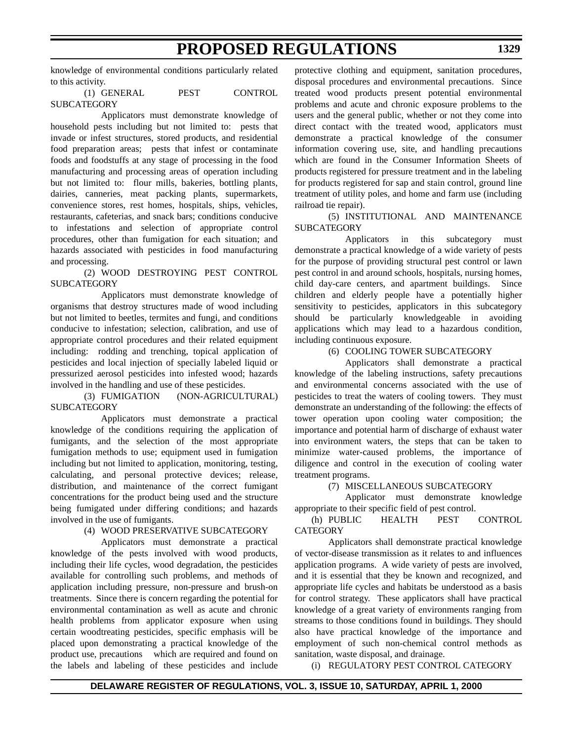knowledge of environmental conditions particularly related to this activity.

(1) GENERAL PEST CONTROL **SUBCATEGORY** 

Applicators must demonstrate knowledge of household pests including but not limited to: pests that invade or infest structures, stored products, and residential food preparation areas; pests that infest or contaminate foods and foodstuffs at any stage of processing in the food manufacturing and processing areas of operation including but not limited to: flour mills, bakeries, bottling plants, dairies, canneries, meat packing plants, supermarkets, convenience stores, rest homes, hospitals, ships, vehicles, restaurants, cafeterias, and snack bars; conditions conducive to infestations and selection of appropriate control procedures, other than fumigation for each situation; and hazards associated with pesticides in food manufacturing and processing.

## (2) WOOD DESTROYING PEST CONTROL **SUBCATEGORY**

Applicators must demonstrate knowledge of organisms that destroy structures made of wood including but not limited to beetles, termites and fungi, and conditions conducive to infestation; selection, calibration, and use of appropriate control procedures and their related equipment including: rodding and trenching, topical application of pesticides and local injection of specially labeled liquid or pressurized aerosol pesticides into infested wood; hazards involved in the handling and use of these pesticides.

(3) FUMIGATION (NON-AGRICULTURAL) **SUBCATEGORY** 

Applicators must demonstrate a practical knowledge of the conditions requiring the application of fumigants, and the selection of the most appropriate fumigation methods to use; equipment used in fumigation including but not limited to application, monitoring, testing, calculating, and personal protective devices; release, distribution, and maintenance of the correct fumigant concentrations for the product being used and the structure being fumigated under differing conditions; and hazards involved in the use of fumigants.

## (4) WOOD PRESERVATIVE SUBCATEGORY

Applicators must demonstrate a practical knowledge of the pests involved with wood products, including their life cycles, wood degradation, the pesticides available for controlling such problems, and methods of application including pressure, non-pressure and brush-on treatments. Since there is concern regarding the potential for environmental contamination as well as acute and chronic health problems from applicator exposure when using certain woodtreating pesticides, specific emphasis will be placed upon demonstrating a practical knowledge of the product use, precautions which are required and found on the labels and labeling of these pesticides and include

protective clothing and equipment, sanitation procedures, disposal procedures and environmental precautions. Since treated wood products present potential environmental problems and acute and chronic exposure problems to the users and the general public, whether or not they come into direct contact with the treated wood, applicators must demonstrate a practical knowledge of the consumer information covering use, site, and handling precautions which are found in the Consumer Information Sheets of products registered for pressure treatment and in the labeling for products registered for sap and stain control, ground line treatment of utility poles, and home and farm use (including railroad tie repair).

### (5) INSTITUTIONAL AND MAINTENANCE **SUBCATEGORY**

Applicators in this subcategory must demonstrate a practical knowledge of a wide variety of pests for the purpose of providing structural pest control or lawn pest control in and around schools, hospitals, nursing homes, child day-care centers, and apartment buildings. Since children and elderly people have a potentially higher sensitivity to pesticides, applicators in this subcategory should be particularly knowledgeable in avoiding applications which may lead to a hazardous condition, including continuous exposure.

## (6) COOLING TOWER SUBCATEGORY

Applicators shall demonstrate a practical knowledge of the labeling instructions, safety precautions and environmental concerns associated with the use of pesticides to treat the waters of cooling towers. They must demonstrate an understanding of the following: the effects of tower operation upon cooling water composition; the importance and potential harm of discharge of exhaust water into environment waters, the steps that can be taken to minimize water-caused problems, the importance of diligence and control in the execution of cooling water treatment programs.

### (7) MISCELLANEOUS SUBCATEGORY

Applicator must demonstrate knowledge appropriate to their specific field of pest control.

(h) PUBLIC HEALTH PEST CONTROL **CATEGORY** 

Applicators shall demonstrate practical knowledge of vector-disease transmission as it relates to and influences application programs. A wide variety of pests are involved, and it is essential that they be known and recognized, and appropriate life cycles and habitats be understood as a basis for control strategy. These applicators shall have practical knowledge of a great variety of environments ranging from streams to those conditions found in buildings. They should also have practical knowledge of the importance and employment of such non-chemical control methods as sanitation, waste disposal, and drainage.

(i) REGULATORY PEST CONTROL CATEGORY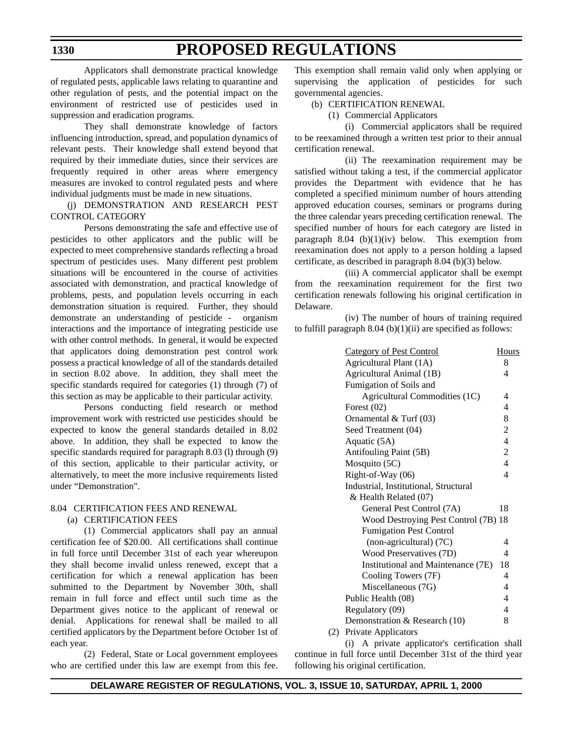### **1330**

## **PROPOSED REGULATIONS**

Applicators shall demonstrate practical knowledge of regulated pests, applicable laws relating to quarantine and other regulation of pests, and the potential impact on the environment of restricted use of pesticides used in suppression and eradication programs.

They shall demonstrate knowledge of factors influencing introduction, spread, and population dynamics of relevant pests. Their knowledge shall extend beyond that required by their immediate duties, since their services are frequently required in other areas where emergency measures are invoked to control regulated pests and where individual judgments must be made in new situations.

(j) DEMONSTRATION AND RESEARCH PEST CONTROL CATEGORY

Persons demonstrating the safe and effective use of pesticides to other applicators and the public will be expected to meet comprehensive standards reflecting a broad spectrum of pesticides uses. Many different pest problem situations will be encountered in the course of activities associated with demonstration, and practical knowledge of problems, pests, and population levels occurring in each demonstration situation is required. Further, they should demonstrate an understanding of pesticide - organism interactions and the importance of integrating pesticide use with other control methods. In general, it would be expected that applicators doing demonstration pest control work possess a practical knowledge of all of the standards detailed in section 8.02 above. In addition, they shall meet the specific standards required for categories (1) through (7) of this section as may be applicable to their particular activity.

Persons conducting field research or method improvement work with restricted use pesticides should be expected to know the general standards detailed in 8.02 above. In addition, they shall be expected to know the specific standards required for paragraph 8.03 (l) through (9) of this section, applicable to their particular activity, or alternatively, to meet the more inclusive requirements listed under "Demonstration".

## 8.04 CERTIFICATION FEES AND RENEWAL

(a) CERTIFICATION FEES

(1) Commercial applicators shall pay an annual certification fee of \$20.00. All certifications shall continue in full force until December 31st of each year whereupon they shall become invalid unless renewed, except that a certification for which a renewal application has been submitted to the Department by November 30th, shall remain in full force and effect until such time as the Department gives notice to the applicant of renewal or denial. Applications for renewal shall be mailed to all certified applicators by the Department before October 1st of each year.

(2) Federal, State or Local government employees who are certified under this law are exempt from this fee. This exemption shall remain valid only when applying or supervising the application of pesticides for such governmental agencies.

(b) CERTIFICATION RENEWAL

(1) Commercial Applicators

(i) Commercial applicators shall be required to be reexamined through a written test prior to their annual certification renewal.

(ii) The reexamination requirement may be satisfied without taking a test, if the commercial applicator provides the Department with evidence that he has completed a specified minimum number of hours attending approved education courses, seminars or programs during the three calendar years preceding certification renewal. The specified number of hours for each category are listed in paragraph  $8.04$  (b)(1)(iv) below. This exemption from reexamination does not apply to a person holding a lapsed certificate, as described in paragraph 8.04 (b)(3) below.

(iii) A commercial applicator shall be exempt from the reexamination requirement for the first two certification renewals following his original certification in Delaware.

(iv) The number of hours of training required to fulfill paragraph  $8.04$  (b)(1)(ii) are specified as follows:

| <b>Category of Pest Control</b>       | <b>Hours</b>   |
|---------------------------------------|----------------|
| Agricultural Plant (1A)               | 8              |
| Agricultural Animal (1B)              | 4              |
| Fumigation of Soils and               |                |
| Agricultural Commodities (1C)         | $\overline{4}$ |
| Forest $(02)$                         | 4              |
| Ornamental & Turf (03)                | 8              |
| Seed Treatment (04)                   | 2              |
| Aquatic (5A)                          | 4              |
| Antifouling Paint (5B)                | $\overline{c}$ |
| Mosquito (5C)                         | $\overline{4}$ |
| Right-of-Way (06)                     | $\overline{4}$ |
| Industrial, Institutional, Structural |                |
| & Health Related (07)                 |                |
| General Pest Control (7A)             | 18             |
| Wood Destroying Pest Control (7B) 18  |                |
| <b>Fumigation Pest Control</b>        |                |
| (non-agricultural) (7C)               | 4              |
| Wood Preservatives (7D)               | 4              |
| Institutional and Maintenance (7E)    | 18             |
| Cooling Towers (7F)                   | 4              |
| Miscellaneous (7G)                    | 4              |
| Public Health (08)                    | 4              |
| Regulatory (09)                       | 4              |
| Demonstration & Research (10)         | 8              |
| D <sub>ri</sub> to to Aniliootone     |                |

(2) Private Applicators

(i) A private applicator's certification shall continue in full force until December 31st of the third year following his original certification.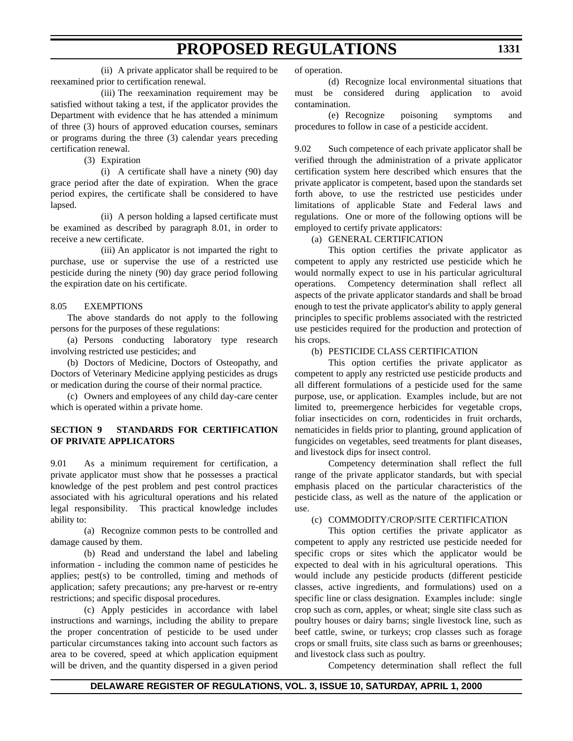(ii) A private applicator shall be required to be reexamined prior to certification renewal.

(iii) The reexamination requirement may be satisfied without taking a test, if the applicator provides the Department with evidence that he has attended a minimum of three (3) hours of approved education courses, seminars or programs during the three (3) calendar years preceding certification renewal.

(3) Expiration

(i) A certificate shall have a ninety (90) day grace period after the date of expiration. When the grace period expires, the certificate shall be considered to have lapsed.

(ii) A person holding a lapsed certificate must be examined as described by paragraph 8.01, in order to receive a new certificate.

(iii) An applicator is not imparted the right to purchase, use or supervise the use of a restricted use pesticide during the ninety (90) day grace period following the expiration date on his certificate.

#### 8.05 EXEMPTIONS

The above standards do not apply to the following persons for the purposes of these regulations:

(a) Persons conducting laboratory type research involving restricted use pesticides; and

(b) Doctors of Medicine, Doctors of Osteopathy, and Doctors of Veterinary Medicine applying pesticides as drugs or medication during the course of their normal practice.

(c) Owners and employees of any child day-care center which is operated within a private home.

## **SECTION 9 STANDARDS FOR CERTIFICATION OF PRIVATE APPLICATORS**

9.01 As a minimum requirement for certification, a private applicator must show that he possesses a practical knowledge of the pest problem and pest control practices associated with his agricultural operations and his related legal responsibility. This practical knowledge includes ability to:

(a) Recognize common pests to be controlled and damage caused by them.

(b) Read and understand the label and labeling information - including the common name of pesticides he applies; pest(s) to be controlled, timing and methods of application; safety precautions; any pre-harvest or re-entry restrictions; and specific disposal procedures.

(c) Apply pesticides in accordance with label instructions and warnings, including the ability to prepare the proper concentration of pesticide to be used under particular circumstances taking into account such factors as area to be covered, speed at which application equipment will be driven, and the quantity dispersed in a given period

of operation.

(d) Recognize local environmental situations that must be considered during application to avoid contamination.

(e) Recognize poisoning symptoms and procedures to follow in case of a pesticide accident.

9.02 Such competence of each private applicator shall be verified through the administration of a private applicator certification system here described which ensures that the private applicator is competent, based upon the standards set forth above, to use the restricted use pesticides under limitations of applicable State and Federal laws and regulations. One or more of the following options will be employed to certify private applicators:

#### (a) GENERAL CERTIFICATION

This option certifies the private applicator as competent to apply any restricted use pesticide which he would normally expect to use in his particular agricultural operations. Competency determination shall reflect all aspects of the private applicator standards and shall be broad enough to test the private applicator's ability to apply general principles to specific problems associated with the restricted use pesticides required for the production and protection of his crops.

#### (b) PESTICIDE CLASS CERTIFICATION

This option certifies the private applicator as competent to apply any restricted use pesticide products and all different formulations of a pesticide used for the same purpose, use, or application. Examples include, but are not limited to, preemergence herbicides for vegetable crops, foliar insecticides on corn, rodenticides in fruit orchards, nematicides in fields prior to planting, ground application of fungicides on vegetables, seed treatments for plant diseases, and livestock dips for insect control.

Competency determination shall reflect the full range of the private applicator standards, but with special emphasis placed on the particular characteristics of the pesticide class, as well as the nature of the application or use.

## (c) COMMODITY/CROP/SITE CERTIFICATION

This option certifies the private applicator as competent to apply any restricted use pesticide needed for specific crops or sites which the applicator would be expected to deal with in his agricultural operations. This would include any pesticide products (different pesticide classes, active ingredients, and formulations) used on a specific line or class designation. Examples include: single crop such as corn, apples, or wheat; single site class such as poultry houses or dairy barns; single livestock line, such as beef cattle, swine, or turkeys; crop classes such as forage crops or small fruits, site class such as barns or greenhouses; and livestock class such as poultry.

Competency determination shall reflect the full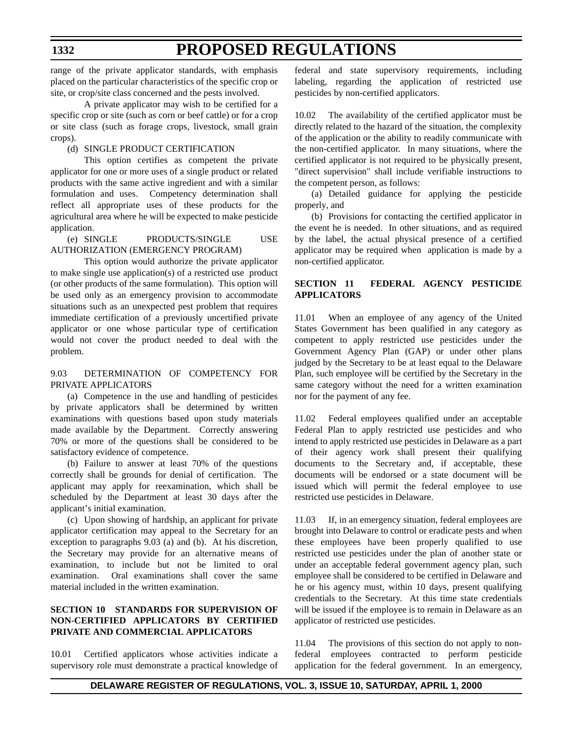range of the private applicator standards, with emphasis placed on the particular characteristics of the specific crop or site, or crop/site class concerned and the pests involved.

A private applicator may wish to be certified for a specific crop or site (such as corn or beef cattle) or for a crop or site class (such as forage crops, livestock, small grain crops).

### (d) SINGLE PRODUCT CERTIFICATION

This option certifies as competent the private applicator for one or more uses of a single product or related products with the same active ingredient and with a similar formulation and uses. Competency determination shall reflect all appropriate uses of these products for the agricultural area where he will be expected to make pesticide application.

(e) SINGLE PRODUCTS/SINGLE USE AUTHORIZATION (EMERGENCY PROGRAM)

This option would authorize the private applicator to make single use application(s) of a restricted use product (or other products of the same formulation). This option will be used only as an emergency provision to accommodate situations such as an unexpected pest problem that requires immediate certification of a previously uncertified private applicator or one whose particular type of certification would not cover the product needed to deal with the problem.

### 9.03 DETERMINATION OF COMPETENCY FOR PRIVATE APPLICATORS

(a) Competence in the use and handling of pesticides by private applicators shall be determined by written examinations with questions based upon study materials made available by the Department. Correctly answering 70% or more of the questions shall be considered to be satisfactory evidence of competence.

(b) Failure to answer at least 70% of the questions correctly shall be grounds for denial of certification. The applicant may apply for reexamination, which shall be scheduled by the Department at least 30 days after the applicant's initial examination.

(c) Upon showing of hardship, an applicant for private applicator certification may appeal to the Secretary for an exception to paragraphs 9.03 (a) and (b). At his discretion, the Secretary may provide for an alternative means of examination, to include but not be limited to oral examination. Oral examinations shall cover the same material included in the written examination.

### **SECTION 10 STANDARDS FOR SUPERVISION OF NON-CERTIFIED APPLICATORS BY CERTIFIED PRIVATE AND COMMERCIAL APPLICATORS**

10.01 Certified applicators whose activities indicate a supervisory role must demonstrate a practical knowledge of

federal and state supervisory requirements, including labeling, regarding the application of restricted use pesticides by non-certified applicators.

10.02 The availability of the certified applicator must be directly related to the hazard of the situation, the complexity of the application or the ability to readily communicate with the non-certified applicator. In many situations, where the certified applicator is not required to be physically present, "direct supervision" shall include verifiable instructions to the competent person, as follows:

(a) Detailed guidance for applying the pesticide properly, and

(b) Provisions for contacting the certified applicator in the event he is needed. In other situations, and as required by the label, the actual physical presence of a certified applicator may be required when application is made by a non-certified applicator.

## **SECTION 11 FEDERAL AGENCY PESTICIDE APPLICATORS**

11.01 When an employee of any agency of the United States Government has been qualified in any category as competent to apply restricted use pesticides under the Government Agency Plan (GAP) or under other plans judged by the Secretary to be at least equal to the Delaware Plan, such employee will be certified by the Secretary in the same category without the need for a written examination nor for the payment of any fee.

11.02 Federal employees qualified under an acceptable Federal Plan to apply restricted use pesticides and who intend to apply restricted use pesticides in Delaware as a part of their agency work shall present their qualifying documents to the Secretary and, if acceptable, these documents will be endorsed or a state document will be issued which will permit the federal employee to use restricted use pesticides in Delaware.

11.03 If, in an emergency situation, federal employees are brought into Delaware to control or eradicate pests and when these employees have been properly qualified to use restricted use pesticides under the plan of another state or under an acceptable federal government agency plan, such employee shall be considered to be certified in Delaware and he or his agency must, within 10 days, present qualifying credentials to the Secretary. At this time state credentials will be issued if the employee is to remain in Delaware as an applicator of restricted use pesticides.

11.04 The provisions of this section do not apply to nonfederal employees contracted to perform pesticide application for the federal government. In an emergency,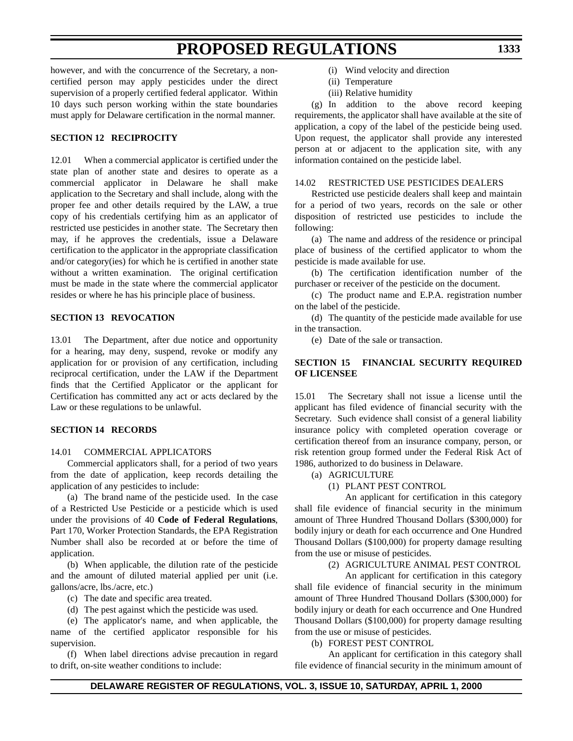however, and with the concurrence of the Secretary, a noncertified person may apply pesticides under the direct supervision of a properly certified federal applicator. Within 10 days such person working within the state boundaries must apply for Delaware certification in the normal manner.

### **SECTION 12 RECIPROCITY**

12.01 When a commercial applicator is certified under the state plan of another state and desires to operate as a commercial applicator in Delaware he shall make application to the Secretary and shall include, along with the proper fee and other details required by the LAW, a true copy of his credentials certifying him as an applicator of restricted use pesticides in another state. The Secretary then may, if he approves the credentials, issue a Delaware certification to the applicator in the appropriate classification and/or category(ies) for which he is certified in another state without a written examination. The original certification must be made in the state where the commercial applicator resides or where he has his principle place of business.

#### **SECTION 13 REVOCATION**

13.01 The Department, after due notice and opportunity for a hearing, may deny, suspend, revoke or modify any application for or provision of any certification, including reciprocal certification, under the LAW if the Department finds that the Certified Applicator or the applicant for Certification has committed any act or acts declared by the Law or these regulations to be unlawful.

#### **SECTION 14 RECORDS**

#### 14.01 COMMERCIAL APPLICATORS

Commercial applicators shall, for a period of two years from the date of application, keep records detailing the application of any pesticides to include:

(a) The brand name of the pesticide used. In the case of a Restricted Use Pesticide or a pesticide which is used under the provisions of 40 **Code of Federal Regulations**, Part 170, Worker Protection Standards, the EPA Registration Number shall also be recorded at or before the time of application.

(b) When applicable, the dilution rate of the pesticide and the amount of diluted material applied per unit (i.e. gallons/acre, lbs./acre, etc.)

(c) The date and specific area treated.

(d) The pest against which the pesticide was used.

(e) The applicator's name, and when applicable, the name of the certified applicator responsible for his supervision.

(f) When label directions advise precaution in regard to drift, on-site weather conditions to include:

- (i) Wind velocity and direction
- (ii) Temperature
- (iii) Relative humidity

(g) In addition to the above record keeping requirements, the applicator shall have available at the site of application, a copy of the label of the pesticide being used. Upon request, the applicator shall provide any interested person at or adjacent to the application site, with any information contained on the pesticide label.

#### 14.02 RESTRICTED USE PESTICIDES DEALERS

Restricted use pesticide dealers shall keep and maintain for a period of two years, records on the sale or other disposition of restricted use pesticides to include the following:

(a) The name and address of the residence or principal place of business of the certified applicator to whom the pesticide is made available for use.

(b) The certification identification number of the purchaser or receiver of the pesticide on the document.

(c) The product name and E.P.A. registration number on the label of the pesticide.

(d) The quantity of the pesticide made available for use in the transaction.

(e) Date of the sale or transaction.

### **SECTION 15 FINANCIAL SECURITY REQUIRED OF LICENSEE**

15.01 The Secretary shall not issue a license until the applicant has filed evidence of financial security with the Secretary. Such evidence shall consist of a general liability insurance policy with completed operation coverage or certification thereof from an insurance company, person, or risk retention group formed under the Federal Risk Act of 1986, authorized to do business in Delaware.

- (a) AGRICULTURE
	- (1) PLANT PEST CONTROL

An applicant for certification in this category shall file evidence of financial security in the minimum amount of Three Hundred Thousand Dollars (\$300,000) for bodily injury or death for each occurrence and One Hundred Thousand Dollars (\$100,000) for property damage resulting from the use or misuse of pesticides.

(2) AGRICULTURE ANIMAL PEST CONTROL

An applicant for certification in this category shall file evidence of financial security in the minimum amount of Three Hundred Thousand Dollars (\$300,000) for bodily injury or death for each occurrence and One Hundred Thousand Dollars (\$100,000) for property damage resulting from the use or misuse of pesticides.

(b) FOREST PEST CONTROL

An applicant for certification in this category shall file evidence of financial security in the minimum amount of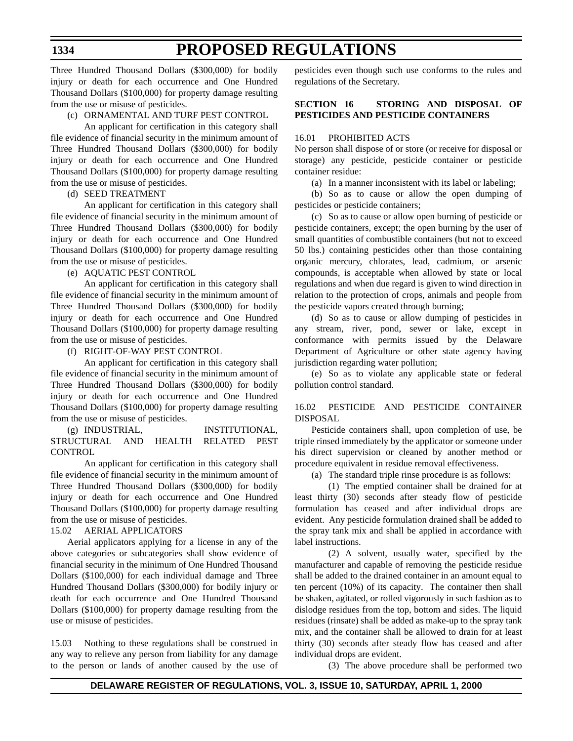Three Hundred Thousand Dollars (\$300,000) for bodily injury or death for each occurrence and One Hundred Thousand Dollars (\$100,000) for property damage resulting from the use or misuse of pesticides.

(c) ORNAMENTAL AND TURF PEST CONTROL

An applicant for certification in this category shall file evidence of financial security in the minimum amount of Three Hundred Thousand Dollars (\$300,000) for bodily injury or death for each occurrence and One Hundred Thousand Dollars (\$100,000) for property damage resulting from the use or misuse of pesticides.

(d) SEED TREATMENT

An applicant for certification in this category shall file evidence of financial security in the minimum amount of Three Hundred Thousand Dollars (\$300,000) for bodily injury or death for each occurrence and One Hundred Thousand Dollars (\$100,000) for property damage resulting from the use or misuse of pesticides.

(e) AQUATIC PEST CONTROL

An applicant for certification in this category shall file evidence of financial security in the minimum amount of Three Hundred Thousand Dollars (\$300,000) for bodily injury or death for each occurrence and One Hundred Thousand Dollars (\$100,000) for property damage resulting from the use or misuse of pesticides.

(f) RIGHT-OF-WAY PEST CONTROL

An applicant for certification in this category shall file evidence of financial security in the minimum amount of Three Hundred Thousand Dollars (\$300,000) for bodily injury or death for each occurrence and One Hundred Thousand Dollars (\$100,000) for property damage resulting from the use or misuse of pesticides.

(g) INDUSTRIAL, INSTITUTIONAL, STRUCTURAL AND HEALTH RELATED PEST **CONTROL** 

An applicant for certification in this category shall file evidence of financial security in the minimum amount of Three Hundred Thousand Dollars (\$300,000) for bodily injury or death for each occurrence and One Hundred Thousand Dollars (\$100,000) for property damage resulting from the use or misuse of pesticides.

#### 15.02 AERIAL APPLICATORS

Aerial applicators applying for a license in any of the above categories or subcategories shall show evidence of financial security in the minimum of One Hundred Thousand Dollars (\$100,000) for each individual damage and Three Hundred Thousand Dollars (\$300,000) for bodily injury or death for each occurrence and One Hundred Thousand Dollars (\$100,000) for property damage resulting from the use or misuse of pesticides.

15.03 Nothing to these regulations shall be construed in any way to relieve any person from liability for any damage to the person or lands of another caused by the use of pesticides even though such use conforms to the rules and regulations of the Secretary.

## **SECTION 16 STORING AND DISPOSAL OF PESTICIDES AND PESTICIDE CONTAINERS**

#### 16.01 PROHIBITED ACTS

No person shall dispose of or store (or receive for disposal or storage) any pesticide, pesticide container or pesticide container residue:

(a) In a manner inconsistent with its label or labeling;

(b) So as to cause or allow the open dumping of pesticides or pesticide containers;

(c) So as to cause or allow open burning of pesticide or pesticide containers, except; the open burning by the user of small quantities of combustible containers (but not to exceed 50 lbs.) containing pesticides other than those containing organic mercury, chlorates, lead, cadmium, or arsenic compounds, is acceptable when allowed by state or local regulations and when due regard is given to wind direction in relation to the protection of crops, animals and people from the pesticide vapors created through burning;

(d) So as to cause or allow dumping of pesticides in any stream, river, pond, sewer or lake, except in conformance with permits issued by the Delaware Department of Agriculture or other state agency having jurisdiction regarding water pollution;

(e) So as to violate any applicable state or federal pollution control standard.

### 16.02 PESTICIDE AND PESTICIDE CONTAINER DISPOSAL

Pesticide containers shall, upon completion of use, be triple rinsed immediately by the applicator or someone under his direct supervision or cleaned by another method or procedure equivalent in residue removal effectiveness.

(a) The standard triple rinse procedure is as follows:

(1) The emptied container shall be drained for at least thirty (30) seconds after steady flow of pesticide formulation has ceased and after individual drops are evident. Any pesticide formulation drained shall be added to the spray tank mix and shall be applied in accordance with label instructions.

(2) A solvent, usually water, specified by the manufacturer and capable of removing the pesticide residue shall be added to the drained container in an amount equal to ten percent (10%) of its capacity. The container then shall be shaken, agitated, or rolled vigorously in such fashion as to dislodge residues from the top, bottom and sides. The liquid residues (rinsate) shall be added as make-up to the spray tank mix, and the container shall be allowed to drain for at least thirty (30) seconds after steady flow has ceased and after individual drops are evident.

(3) The above procedure shall be performed two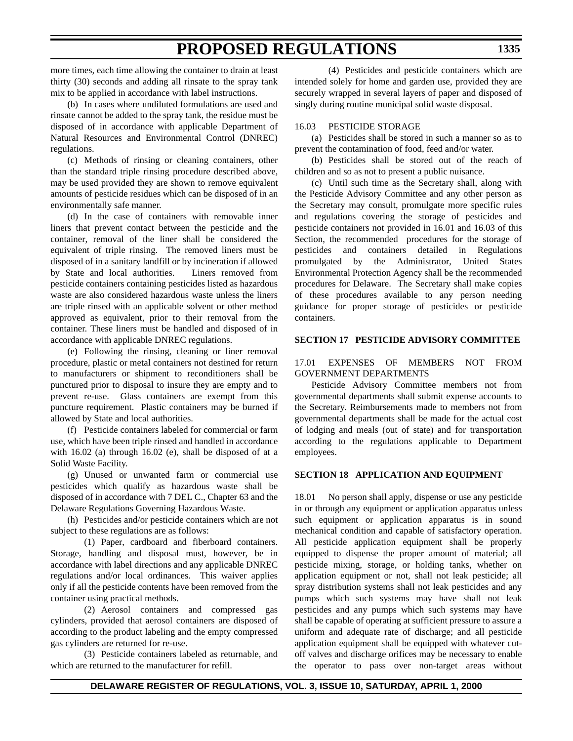more times, each time allowing the container to drain at least thirty (30) seconds and adding all rinsate to the spray tank mix to be applied in accordance with label instructions.

(b) In cases where undiluted formulations are used and rinsate cannot be added to the spray tank, the residue must be disposed of in accordance with applicable Department of Natural Resources and Environmental Control (DNREC) regulations.

(c) Methods of rinsing or cleaning containers, other than the standard triple rinsing procedure described above, may be used provided they are shown to remove equivalent amounts of pesticide residues which can be disposed of in an environmentally safe manner.

(d) In the case of containers with removable inner liners that prevent contact between the pesticide and the container, removal of the liner shall be considered the equivalent of triple rinsing. The removed liners must be disposed of in a sanitary landfill or by incineration if allowed by State and local authorities. Liners removed from pesticide containers containing pesticides listed as hazardous waste are also considered hazardous waste unless the liners are triple rinsed with an applicable solvent or other method approved as equivalent, prior to their removal from the container. These liners must be handled and disposed of in accordance with applicable DNREC regulations.

(e) Following the rinsing, cleaning or liner removal procedure, plastic or metal containers not destined for return to manufacturers or shipment to reconditioners shall be punctured prior to disposal to insure they are empty and to prevent re-use. Glass containers are exempt from this puncture requirement. Plastic containers may be burned if allowed by State and local authorities.

(f) Pesticide containers labeled for commercial or farm use, which have been triple rinsed and handled in accordance with 16.02 (a) through 16.02 (e), shall be disposed of at a Solid Waste Facility.

(g) Unused or unwanted farm or commercial use pesticides which qualify as hazardous waste shall be disposed of in accordance with 7 DEL C., Chapter 63 and the Delaware Regulations Governing Hazardous Waste.

(h) Pesticides and/or pesticide containers which are not subject to these regulations are as follows:

(1) Paper, cardboard and fiberboard containers. Storage, handling and disposal must, however, be in accordance with label directions and any applicable DNREC regulations and/or local ordinances. This waiver applies only if all the pesticide contents have been removed from the container using practical methods.

(2) Aerosol containers and compressed gas cylinders, provided that aerosol containers are disposed of according to the product labeling and the empty compressed gas cylinders are returned for re-use.

(3) Pesticide containers labeled as returnable, and which are returned to the manufacturer for refill.

(4) Pesticides and pesticide containers which are intended solely for home and garden use, provided they are securely wrapped in several layers of paper and disposed of singly during routine municipal solid waste disposal.

#### 16.03 PESTICIDE STORAGE

(a) Pesticides shall be stored in such a manner so as to prevent the contamination of food, feed and/or water.

(b) Pesticides shall be stored out of the reach of children and so as not to present a public nuisance.

(c) Until such time as the Secretary shall, along with the Pesticide Advisory Committee and any other person as the Secretary may consult, promulgate more specific rules and regulations covering the storage of pesticides and pesticide containers not provided in 16.01 and 16.03 of this Section, the recommended procedures for the storage of pesticides and containers detailed in Regulations promulgated by the Administrator, United States Environmental Protection Agency shall be the recommended procedures for Delaware. The Secretary shall make copies of these procedures available to any person needing guidance for proper storage of pesticides or pesticide containers.

### **SECTION 17 PESTICIDE ADVISORY COMMITTEE**

### 17.01 EXPENSES OF MEMBERS NOT FROM GOVERNMENT DEPARTMENTS

Pesticide Advisory Committee members not from governmental departments shall submit expense accounts to the Secretary. Reimbursements made to members not from governmental departments shall be made for the actual cost of lodging and meals (out of state) and for transportation according to the regulations applicable to Department employees.

## **SECTION 18 APPLICATION AND EQUIPMENT**

18.01 No person shall apply, dispense or use any pesticide in or through any equipment or application apparatus unless such equipment or application apparatus is in sound mechanical condition and capable of satisfactory operation. All pesticide application equipment shall be properly equipped to dispense the proper amount of material; all pesticide mixing, storage, or holding tanks, whether on application equipment or not, shall not leak pesticide; all spray distribution systems shall not leak pesticides and any pumps which such systems may have shall not leak pesticides and any pumps which such systems may have shall be capable of operating at sufficient pressure to assure a uniform and adequate rate of discharge; and all pesticide application equipment shall be equipped with whatever cutoff valves and discharge orifices may be necessary to enable the operator to pass over non-target areas without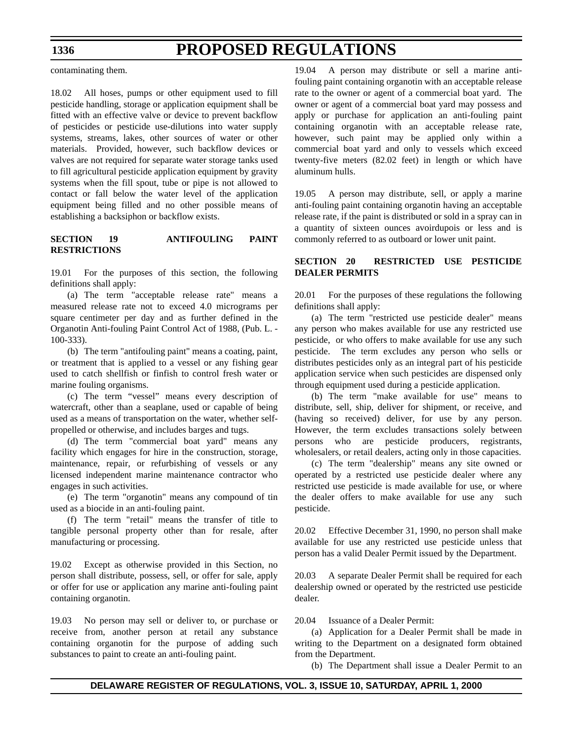## **1336**

# **PROPOSED REGULATIONS**

contaminating them.

18.02 All hoses, pumps or other equipment used to fill pesticide handling, storage or application equipment shall be fitted with an effective valve or device to prevent backflow of pesticides or pesticide use-dilutions into water supply systems, streams, lakes, other sources of water or other materials. Provided, however, such backflow devices or valves are not required for separate water storage tanks used to fill agricultural pesticide application equipment by gravity systems when the fill spout, tube or pipe is not allowed to contact or fall below the water level of the application equipment being filled and no other possible means of establishing a backsiphon or backflow exists.

## **SECTION 19 ANTIFOULING PAINT RESTRICTIONS**

19.01 For the purposes of this section, the following definitions shall apply:

(a) The term "acceptable release rate" means a measured release rate not to exceed 4.0 micrograms per square centimeter per day and as further defined in the Organotin Anti-fouling Paint Control Act of 1988, (Pub. L. - 100-333).

(b) The term "antifouling paint" means a coating, paint, or treatment that is applied to a vessel or any fishing gear used to catch shellfish or finfish to control fresh water or marine fouling organisms.

(c) The term "vessel" means every description of watercraft, other than a seaplane, used or capable of being used as a means of transportation on the water, whether selfpropelled or otherwise, and includes barges and tugs.

(d) The term "commercial boat yard" means any facility which engages for hire in the construction, storage, maintenance, repair, or refurbishing of vessels or any licensed independent marine maintenance contractor who engages in such activities.

(e) The term "organotin" means any compound of tin used as a biocide in an anti-fouling paint.

(f) The term "retail" means the transfer of title to tangible personal property other than for resale, after manufacturing or processing.

19.02 Except as otherwise provided in this Section, no person shall distribute, possess, sell, or offer for sale, apply or offer for use or application any marine anti-fouling paint containing organotin.

19.03 No person may sell or deliver to, or purchase or receive from, another person at retail any substance containing organotin for the purpose of adding such substances to paint to create an anti-fouling paint.

19.04 A person may distribute or sell a marine antifouling paint containing organotin with an acceptable release rate to the owner or agent of a commercial boat yard. The owner or agent of a commercial boat yard may possess and apply or purchase for application an anti-fouling paint containing organotin with an acceptable release rate, however, such paint may be applied only within a commercial boat yard and only to vessels which exceed twenty-five meters (82.02 feet) in length or which have aluminum hulls.

19.05 A person may distribute, sell, or apply a marine anti-fouling paint containing organotin having an acceptable release rate, if the paint is distributed or sold in a spray can in a quantity of sixteen ounces avoirdupois or less and is commonly referred to as outboard or lower unit paint.

## **SECTION 20 RESTRICTED USE PESTICIDE DEALER PERMITS**

20.01 For the purposes of these regulations the following definitions shall apply:

(a) The term "restricted use pesticide dealer" means any person who makes available for use any restricted use pesticide, or who offers to make available for use any such pesticide. The term excludes any person who sells or distributes pesticides only as an integral part of his pesticide application service when such pesticides are dispensed only through equipment used during a pesticide application.

(b) The term "make available for use" means to distribute, sell, ship, deliver for shipment, or receive, and (having so received) deliver, for use by any person. However, the term excludes transactions solely between persons who are pesticide producers, registrants, wholesalers, or retail dealers, acting only in those capacities.

(c) The term "dealership" means any site owned or operated by a restricted use pesticide dealer where any restricted use pesticide is made available for use, or where the dealer offers to make available for use any such pesticide.

20.02 Effective December 31, 1990, no person shall make available for use any restricted use pesticide unless that person has a valid Dealer Permit issued by the Department.

20.03 A separate Dealer Permit shall be required for each dealership owned or operated by the restricted use pesticide dealer.

20.04 Issuance of a Dealer Permit:

(a) Application for a Dealer Permit shall be made in writing to the Department on a designated form obtained from the Department.

(b) The Department shall issue a Dealer Permit to an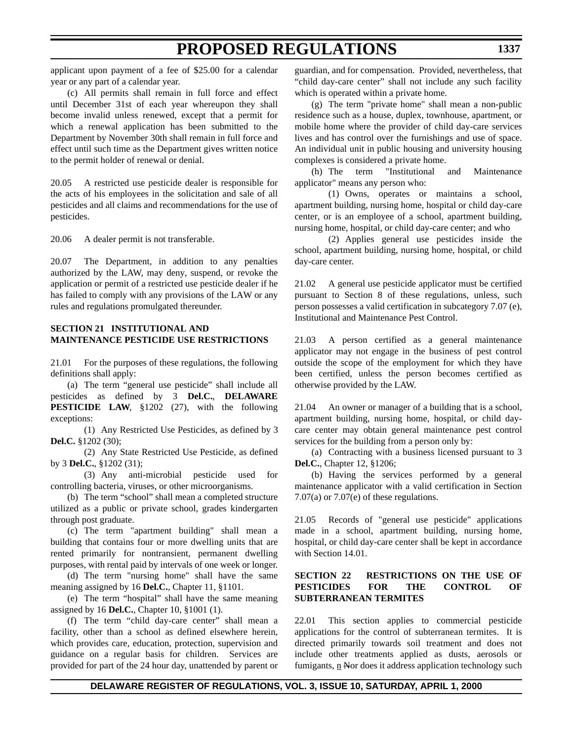applicant upon payment of a fee of \$25.00 for a calendar year or any part of a calendar year.

(c) All permits shall remain in full force and effect until December 31st of each year whereupon they shall become invalid unless renewed, except that a permit for which a renewal application has been submitted to the Department by November 30th shall remain in full force and effect until such time as the Department gives written notice to the permit holder of renewal or denial.

20.05 A restricted use pesticide dealer is responsible for the acts of his employees in the solicitation and sale of all pesticides and all claims and recommendations for the use of pesticides.

20.06 A dealer permit is not transferable.

20.07 The Department, in addition to any penalties authorized by the LAW, may deny, suspend, or revoke the application or permit of a restricted use pesticide dealer if he has failed to comply with any provisions of the LAW or any rules and regulations promulgated thereunder.

## **SECTION 21 INSTITUTIONAL AND MAINTENANCE PESTICIDE USE RESTRICTIONS**

21.01 For the purposes of these regulations, the following definitions shall apply:

(a) The term "general use pesticide" shall include all pesticides as defined by 3 **Del.C.**, **DELAWARE PESTICIDE LAW**, §1202 (27), with the following exceptions:

(1) Any Restricted Use Pesticides, as defined by 3 **Del.C.** §1202 (30);

(2) Any State Restricted Use Pesticide, as defined by 3 **Del.C.**, §1202 (31);

(3) Any anti-microbial pesticide used for controlling bacteria, viruses, or other microorganisms.

(b) The term "school" shall mean a completed structure utilized as a public or private school, grades kindergarten through post graduate.

(c) The term "apartment building" shall mean a building that contains four or more dwelling units that are rented primarily for nontransient, permanent dwelling purposes, with rental paid by intervals of one week or longer.

(d) The term "nursing home" shall have the same meaning assigned by 16 **Del.C.**, Chapter 11, §1101.

(e) The term "hospital" shall have the same meaning assigned by 16 **Del.C.**, Chapter 10, §1001 (1).

(f) The term "child day-care center" shall mean a facility, other than a school as defined elsewhere herein, which provides care, education, protection, supervision and guidance on a regular basis for children. Services are provided for part of the 24 hour day, unattended by parent or

guardian, and for compensation. Provided, nevertheless, that "child day-care center" shall not include any such facility which is operated within a private home.

(g) The term "private home" shall mean a non-public residence such as a house, duplex, townhouse, apartment, or mobile home where the provider of child day-care services lives and has control over the furnishings and use of space. An individual unit in public housing and university housing complexes is considered a private home.

(h) The term "Institutional and Maintenance applicator" means any person who:

(1) Owns, operates or maintains a school, apartment building, nursing home, hospital or child day-care center, or is an employee of a school, apartment building, nursing home, hospital, or child day-care center; and who

(2) Applies general use pesticides inside the school, apartment building, nursing home, hospital, or child day-care center.

21.02 A general use pesticide applicator must be certified pursuant to Section 8 of these regulations, unless, such person possesses a valid certification in subcategory 7.07 (e), Institutional and Maintenance Pest Control.

21.03 A person certified as a general maintenance applicator may not engage in the business of pest control outside the scope of the employment for which they have been certified, unless the person becomes certified as otherwise provided by the LAW.

21.04 An owner or manager of a building that is a school, apartment building, nursing home, hospital, or child daycare center may obtain general maintenance pest control services for the building from a person only by:

(a) Contracting with a business licensed pursuant to 3 **Del.C.**, Chapter 12, §1206;

(b) Having the services performed by a general maintenance applicator with a valid certification in Section 7.07(a) or 7.07(e) of these regulations.

21.05 Records of "general use pesticide" applications made in a school, apartment building, nursing home, hospital, or child day-care center shall be kept in accordance with Section 14.01.

## **SECTION 22 RESTRICTIONS ON THE USE OF PESTICIDES FOR THE CONTROL OF SUBTERRANEAN TERMITES**

22.01 This section applies to commercial pesticide applications for the control of subterranean termites. It is directed primarily towards soil treatment and does not include other treatments applied as dusts, aerosols or fumigants,  $\underline{n}$  Nor does it address application technology such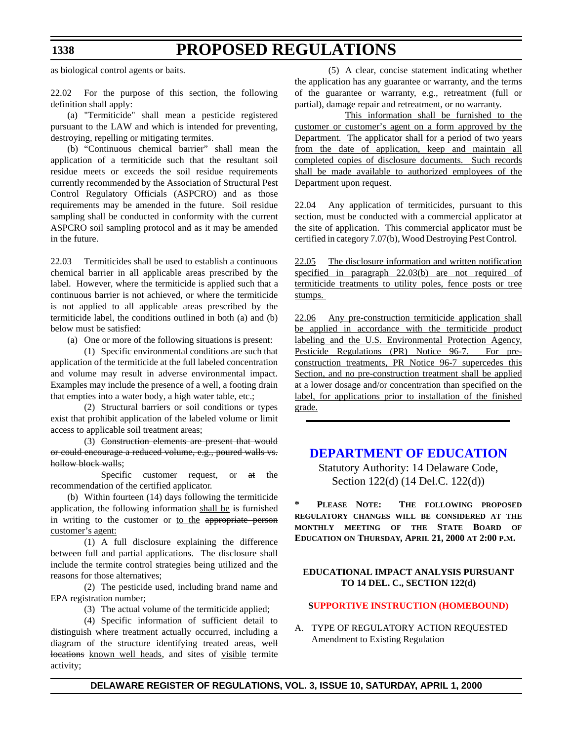as biological control agents or baits.

22.02 For the purpose of this section, the following definition shall apply:

(a) "Termiticide" shall mean a pesticide registered pursuant to the LAW and which is intended for preventing, destroying, repelling or mitigating termites.

(b) "Continuous chemical barrier" shall mean the application of a termiticide such that the resultant soil residue meets or exceeds the soil residue requirements currently recommended by the Association of Structural Pest Control Regulatory Officials (ASPCRO) and as those requirements may be amended in the future. Soil residue sampling shall be conducted in conformity with the current ASPCRO soil sampling protocol and as it may be amended in the future.

22.03 Termiticides shall be used to establish a continuous chemical barrier in all applicable areas prescribed by the label. However, where the termiticide is applied such that a continuous barrier is not achieved, or where the termiticide is not applied to all applicable areas prescribed by the termiticide label, the conditions outlined in both (a) and (b) below must be satisfied:

(a) One or more of the following situations is present:

(1) Specific environmental conditions are such that application of the termiticide at the full labeled concentration and volume may result in adverse environmental impact. Examples may include the presence of a well, a footing drain that empties into a water body, a high water table, etc.;

(2) Structural barriers or soil conditions or types exist that prohibit application of the labeled volume or limit access to applicable soil treatment areas;

(3) Construction elements are present that would or could encourage a reduced volume, e.g., poured walls vs. hollow block walls;

Specific customer request, or at the recommendation of the certified applicator.

(b) Within fourteen (14) days following the termiticide application, the following information shall be is furnished in writing to the customer or to the appropriate person customer's agent:

(1) A full disclosure explaining the difference between full and partial applications. The disclosure shall include the termite control strategies being utilized and the reasons for those alternatives;

(2) The pesticide used, including brand name and EPA registration number;

(3) The actual volume of the termiticide applied;

(4) Specific information of sufficient detail to distinguish where treatment actually occurred, including a diagram of the structure identifying treated areas, well locations known well heads, and sites of visible termite activity;

(5) A clear, concise statement indicating whether the application has any guarantee or warranty, and the terms of the guarantee or warranty, e.g., retreatment (full or partial), damage repair and retreatment, or no warranty.

This information shall be furnished to the customer or customer's agent on a form approved by the Department. The applicator shall for a period of two years from the date of application, keep and maintain all completed copies of disclosure documents. Such records shall be made available to authorized employees of the Department upon request.

22.04 Any application of termiticides, pursuant to this section, must be conducted with a commercial applicator at the site of application. This commercial applicator must be certified in category 7.07(b), Wood Destroying Pest Control.

22.05 The disclosure information and written notification specified in paragraph 22.03(b) are not required of termiticide treatments to utility poles, fence posts or tree stumps.

22.06 Any pre-construction termiticide application shall be applied in accordance with the termiticide product labeling and the U.S. Environmental Protection Agency, Pesticide Regulations (PR) Notice 96-7. For preconstruction treatments, PR Notice 96-7 supercedes this Section, and no pre-construction treatment shall be applied at a lower dosage and/or concentration than specified on the label, for applications prior to installation of the finished grade.

## **[DEPARTMENT OF EDUCATION](http://www.doe.state.de.us/)**

Statutory Authority: 14 Delaware Code, Section 122(d) (14 Del.C. 122(d))

**\* PLEASE NOTE: THE FOLLOWING PROPOSED REGULATORY CHANGES WILL BE CONSIDERED AT THE MONTHLY MEETING OF THE STATE BOARD OF EDUCATION ON THURSDAY, APRIL 21, 2000 AT 2:00 P.M.**

## **EDUCATIONAL IMPACT ANALYSIS PURSUANT TO 14 DEL. C., SECTION 122(d)**

#### **[SUPPORTIVE INSTRUCTION \(HOMEBOUND\)](#page-3-0)**

A. TYPE OF REGULATORY ACTION REQUESTED Amendment to Existing Regulation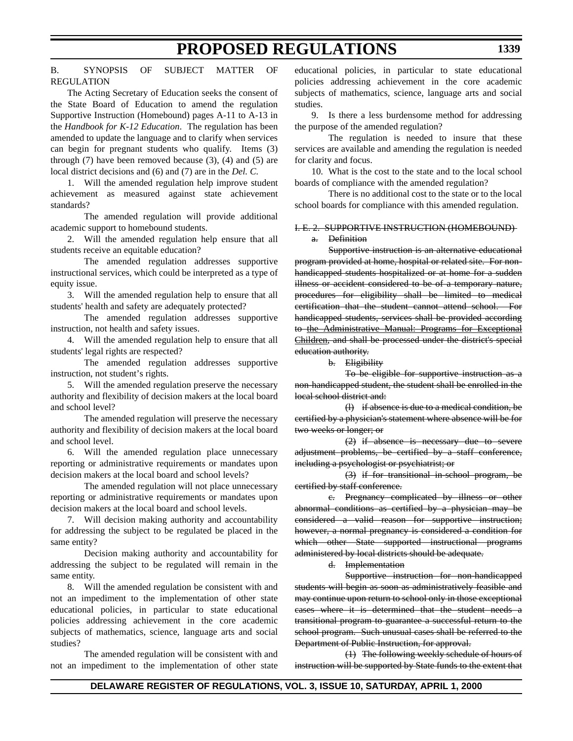## B. SYNOPSIS OF SUBJECT MATTER OF REGULATION

The Acting Secretary of Education seeks the consent of the State Board of Education to amend the regulation Supportive Instruction (Homebound) pages A-11 to A-13 in the *Handbook for K-12 Education*. The regulation has been amended to update the language and to clarify when services can begin for pregnant students who qualify. Items (3) through  $(7)$  have been removed because  $(3)$ ,  $(4)$  and  $(5)$  are local district decisions and (6) and (7) are in the *Del. C.*

1. Will the amended regulation help improve student achievement as measured against state achievement standards?

The amended regulation will provide additional academic support to homebound students.

2. Will the amended regulation help ensure that all students receive an equitable education?

The amended regulation addresses supportive instructional services, which could be interpreted as a type of equity issue.

3. Will the amended regulation help to ensure that all students' health and safety are adequately protected?

The amended regulation addresses supportive instruction, not health and safety issues.

4. Will the amended regulation help to ensure that all students' legal rights are respected?

The amended regulation addresses supportive instruction, not student's rights.

5. Will the amended regulation preserve the necessary authority and flexibility of decision makers at the local board and school level?

The amended regulation will preserve the necessary authority and flexibility of decision makers at the local board and school level.

6. Will the amended regulation place unnecessary reporting or administrative requirements or mandates upon decision makers at the local board and school levels?

The amended regulation will not place unnecessary reporting or administrative requirements or mandates upon decision makers at the local board and school levels.

7. Will decision making authority and accountability for addressing the subject to be regulated be placed in the same entity?

Decision making authority and accountability for addressing the subject to be regulated will remain in the same entity.

8. Will the amended regulation be consistent with and not an impediment to the implementation of other state educational policies, in particular to state educational policies addressing achievement in the core academic subjects of mathematics, science, language arts and social studies?

The amended regulation will be consistent with and not an impediment to the implementation of other state educational policies, in particular to state educational policies addressing achievement in the core academic subjects of mathematics, science, language arts and social studies.

9. Is there a less burdensome method for addressing the purpose of the amended regulation?

The regulation is needed to insure that these services are available and amending the regulation is needed for clarity and focus.

10. What is the cost to the state and to the local school boards of compliance with the amended regulation?

There is no additional cost to the state or to the local school boards for compliance with this amended regulation.

#### I. E. 2. SUPPORTIVE INSTRUCTION (HOMEBOUND)

#### a. Definition

Supportive instruction is an alternative educational program provided at home, hospital or related site. For nonhandicapped students hospitalized or at home for a sudden illness or accident considered to be of a temporary nature, procedures for eligibility shall be limited to medical certification that the student cannot attend school. For handicapped students, services shall be provided according to the Administrative Manual: Programs for Exceptional Children, and shall be processed under the district's special education authority.

b. Eligibility

To be eligible for supportive instruction as a non-handicapped student, the student shall be enrolled in the local school district and:

(l) if absence is due to a medical condition, be certified by a physician's statement where absence will be for two weeks or longer; or

(2) if absence is necessary due to severe adjustment problems, be certified by a staff conference, including a psychologist or psychiatrist; or

(3) if for transitional in-school program, be certified by staff conference.

c. Pregnancy complicated by illness or other abnormal conditions as certified by a physician may be considered a valid reason for supportive instruction; however, a normal pregnancy is considered a condition for which other State supported instructional programs administered by local districts should be adequate.

d. Implementation

Supportive instruction for non-handicapped students will begin as soon as administratively feasible and may continue upon return to school only in those exceptional cases where it is determined that the student needs a transitional program to guarantee a successful return to the school program. Such unusual cases shall be referred to the Department of Public Instruction, for approval.

(1) The following weekly schedule of hours of instruction will be supported by State funds to the extent that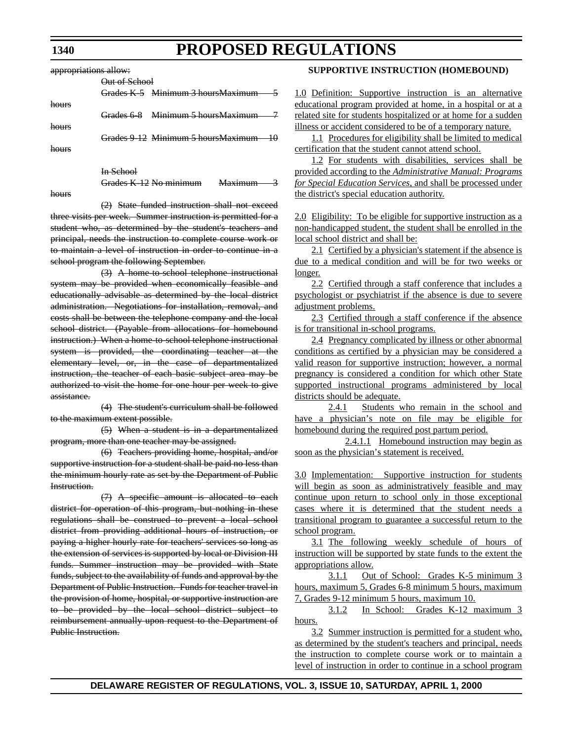appropriations allow:

|                  | <del>Out of School</del> |                                    |  |
|------------------|--------------------------|------------------------------------|--|
|                  |                          | Grades K-5 Minimum 3 hoursMaximum  |  |
| $h$ $\alpha$ ura |                          |                                    |  |
|                  |                          | Grades 6-8 Minimum 5 hours Maximum |  |
| <b>hours</b>     |                          |                                    |  |
|                  |                          | Grades 9-12 Minimum 5 hoursMaximum |  |
| $h$ $\Omega$     |                          |                                    |  |
|                  |                          |                                    |  |
|                  | In $\mathsf{C}$ choo     |                                    |  |

Grades K-12 No minimum Maximum 3

hours

(2) State funded instruction shall not exceed three visits per week. Summer instruction is permitted for a student who, as determined by the student's teachers and principal, needs the instruction to complete course work or to maintain a level of instruction in order to continue in a school program the following September.

(3) A home-to-school telephone instructional system may be provided when economically feasible and educationally advisable as determined by the local district administration. Negotiations for installation, removal, and costs shall be between the telephone company and the local school district. (Payable from allocations for homebound instruction.) When a home-to-school telephone instructional system is provided, the coordinating teacher at the elementary level, or, in the case of departmentalized instruction, the teacher of each basic subject area may be authorized to visit the home for one hour per week to give assistance.

(4) The student's curriculum shall be followed to the maximum extent possible.

(5) When a student is in a departmentalized program, more than one teacher may be assigned.

(6) Teachers providing home, hospital, and/or supportive instruction for a student shall be paid no less than the minimum hourly rate as set by the Department of Public Instruction.

(7) A specific amount is allocated to each district for operation of this program, but nothing in these regulations shall be construed to prevent a local school district from providing additional hours of instruction, or paying a higher hourly rate for teachers' services so long as the extension of services is supported by local or Division III funds. Summer instruction may be provided with State funds, subject to the availability of funds and approval by the Department of Public Instruction. Funds for teacher travel in the provision of home, hospital, or supportive instruction are to be provided by the local school district subject to reimbursement annually upon request to the Department of Public Instruction.

### **SUPPORTIVE INSTRUCTION (HOMEBOUND)**

1.0 Definition: Supportive instruction is an alternative educational program provided at home, in a hospital or at a related site for students hospitalized or at home for a sudden illness or accident considered to be of a temporary nature.

1.1 Procedures for eligibility shall be limited to medical certification that the student cannot attend school.

1.2 For students with disabilities, services shall be provided according to the *Administrative Manual: Programs for Special Education Services*, and shall be processed under the district's special education authority.

2.0 Eligibility: To be eligible for supportive instruction as a non-handicapped student, the student shall be enrolled in the local school district and shall be:

2.1 Certified by a physician's statement if the absence is due to a medical condition and will be for two weeks or longer.

2.2 Certified through a staff conference that includes a psychologist or psychiatrist if the absence is due to severe adjustment problems.

2.3 Certified through a staff conference if the absence is for transitional in-school programs.

2.4 Pregnancy complicated by illness or other abnormal conditions as certified by a physician may be considered a valid reason for supportive instruction; however, a normal pregnancy is considered a condition for which other State supported instructional programs administered by local districts should be adequate.

2.4.1 Students who remain in the school and have a physician's note on file may be eligible for homebound during the required post partum period.

2.4.1.1 Homebound instruction may begin as soon as the physician's statement is received.

3.0 Implementation: Supportive instruction for students will begin as soon as administratively feasible and may continue upon return to school only in those exceptional cases where it is determined that the student needs a transitional program to guarantee a successful return to the school program.

3.1 The following weekly schedule of hours of instruction will be supported by state funds to the extent the appropriations allow.

3.1.1 Out of School: Grades K-5 minimum 3 hours, maximum 5, Grades 6-8 minimum 5 hours, maximum 7, Grades 9-12 minimum 5 hours, maximum 10.

3.1.2 In School: Grades K-12 maximum 3 hours.

3.2 Summer instruction is permitted for a student who, as determined by the student's teachers and principal, needs the instruction to complete course work or to maintain a level of instruction in order to continue in a school program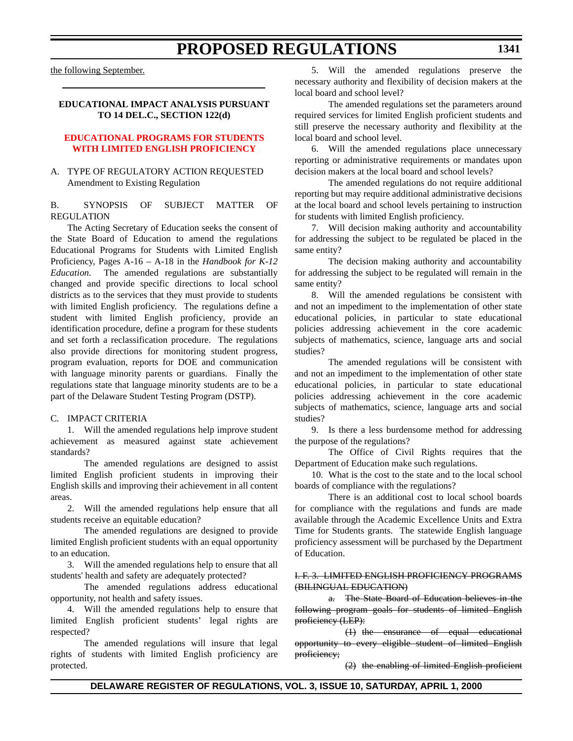the following September.

### **EDUCATIONAL IMPACT ANALYSIS PURSUANT TO 14 DEL.C., SECTION 122(d)**

#### **[EDUCATIONAL PROGRAMS FOR STUDENTS](#page-3-0) WITH LIMITED ENGLISH PROFICIENCY**

## A. TYPE OF REGULATORY ACTION REQUESTED Amendment to Existing Regulation

### B. SYNOPSIS OF SUBJECT MATTER OF REGULATION

The Acting Secretary of Education seeks the consent of the State Board of Education to amend the regulations Educational Programs for Students with Limited English Proficiency, Pages A-16 – A-18 in the *Handbook for K-12 Education*. The amended regulations are substantially changed and provide specific directions to local school districts as to the services that they must provide to students with limited English proficiency. The regulations define a student with limited English proficiency, provide an identification procedure, define a program for these students and set forth a reclassification procedure. The regulations also provide directions for monitoring student progress, program evaluation, reports for DOE and communication with language minority parents or guardians. Finally the regulations state that language minority students are to be a part of the Delaware Student Testing Program (DSTP).

### C. IMPACT CRITERIA

1. Will the amended regulations help improve student achievement as measured against state achievement standards?

The amended regulations are designed to assist limited English proficient students in improving their English skills and improving their achievement in all content areas.

2. Will the amended regulations help ensure that all students receive an equitable education?

The amended regulations are designed to provide limited English proficient students with an equal opportunity to an education.

3. Will the amended regulations help to ensure that all students' health and safety are adequately protected?

The amended regulations address educational opportunity, not health and safety issues.

4. Will the amended regulations help to ensure that limited English proficient students' legal rights are respected?

The amended regulations will insure that legal rights of students with limited English proficiency are protected.

5. Will the amended regulations preserve the necessary authority and flexibility of decision makers at the local board and school level?

The amended regulations set the parameters around required services for limited English proficient students and still preserve the necessary authority and flexibility at the local board and school level.

6. Will the amended regulations place unnecessary reporting or administrative requirements or mandates upon decision makers at the local board and school levels?

The amended regulations do not require additional reporting but may require additional administrative decisions at the local board and school levels pertaining to instruction for students with limited English proficiency.

7. Will decision making authority and accountability for addressing the subject to be regulated be placed in the same entity?

The decision making authority and accountability for addressing the subject to be regulated will remain in the same entity?

8. Will the amended regulations be consistent with and not an impediment to the implementation of other state educational policies, in particular to state educational policies addressing achievement in the core academic subjects of mathematics, science, language arts and social studies?

The amended regulations will be consistent with and not an impediment to the implementation of other state educational policies, in particular to state educational policies addressing achievement in the core academic subjects of mathematics, science, language arts and social studies?

9. Is there a less burdensome method for addressing the purpose of the regulations?

The Office of Civil Rights requires that the Department of Education make such regulations.

10. What is the cost to the state and to the local school boards of compliance with the regulations?

There is an additional cost to local school boards for compliance with the regulations and funds are made available through the Academic Excellence Units and Extra Time for Students grants. The statewide English language proficiency assessment will be purchased by the Department of Education.

#### I. F. 3. LIMITED ENGLISH PROFICIENCY PROGRAMS (BILINGUAL EDUCATION)

a. The State Board of Education believes in the following program goals for students of limited English proficiency (LEP):

(1) the ensurance of equal educational opportunity to every eligible student of limited English proficiency;

(2) the enabling of limited English proficient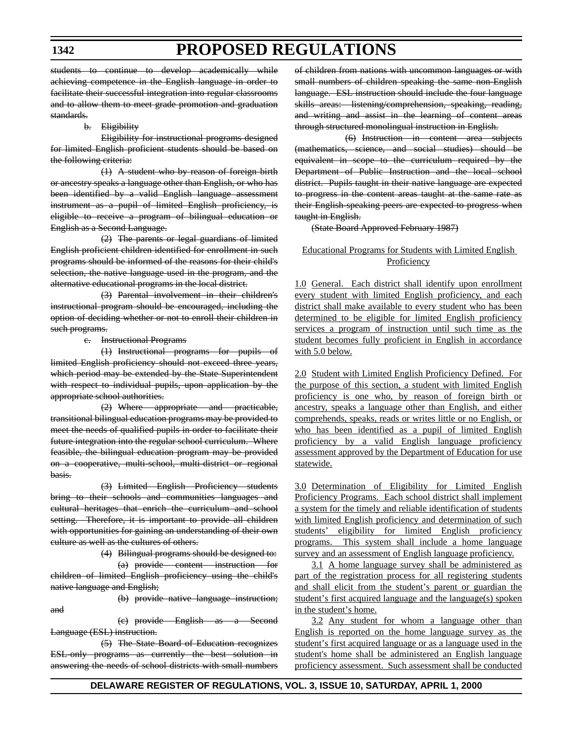students to continue to develop academically while achieving competence in the English language in order to facilitate their successful integration into regular classrooms and to allow them to meet grade promotion and graduation standards.

#### b. Eligibility

Eligibility for instructional programs designed for limited English proficient students should be based on the following criteria:

(1) A student who by reason of foreign birth or ancestry speaks a language other than English, or who has been identified by a valid English language assessment instrument as a pupil of limited English proficiency, is eligible to receive a program of bilingual education or English as a Second Language.

(2) The parents or legal guardians of limited English proficient children identified for enrollment in such programs should be informed of the reasons for their child's selection, the native language used in the program, and the alternative educational programs in the local district.

(3) Parental involvement in their children's instructional program should be encouraged, including the option of deciding whether or not to enroll their children in such programs.

c. Instructional Programs

(1) Instructional programs for pupils of limited English proficiency should not exceed three years, which period may be extended by the State Superintendent with respect to individual pupils, upon application by the appropriate school authorities.

(2) Where appropriate and practicable, transitional bilingual education programs may be provided to meet the needs of qualified pupils in order to facilitate their future integration into the regular school curriculum. Where feasible, the bilingual education program may be provided on a cooperative, multi-school, multi-district or regional basis.

(3) Limited English Proficiency students bring to their schools and communities languages and cultural heritages that enrich the curriculum and school setting. Therefore, it is important to provide all children with opportunities for gaining an understanding of their own culture as well as the cultures of others.

(4) Bilingual programs should be designed to:

(a) provide content instruction for children of limited English proficiency using the child's native language and English;

(b) provide native language instruction; and

(c) provide English as a Second Language (ESL) instruction.

(5) The State Board of Education recognizes ESL-only programs as currently the best solution in answering the needs of school districts with small numbers of children from nations with uncommon languages or with small numbers of children speaking the same non-English language. ESL instruction should include the four language skills areas: listening/comprehension, speaking, reading, and writing and assist in the learning of content areas through structured monolingual instruction in English.

(6) Instruction in content area subjects (mathematics, science, and social studies) should be equivalent in scope to the curriculum required by the Department of Public Instruction and the local school district. Pupils taught in their native language are expected to progress in the content areas taught at the same rate as their English-speaking peers are expected to progress when taught in English.

(State Board Approved February 1987)

## Educational Programs for Students with Limited English Proficiency

1.0 General. Each district shall identify upon enrollment every student with limited English proficiency, and each district shall make available to every student who has been determined to be eligible for limited English proficiency services a program of instruction until such time as the student becomes fully proficient in English in accordance with 5.0 below.

2.0 Student with Limited English Proficiency Defined. For the purpose of this section, a student with limited English proficiency is one who, by reason of foreign birth or ancestry, speaks a language other than English, and either comprehends, speaks, reads or writes little or no English, or who has been identified as a pupil of limited English proficiency by a valid English language proficiency assessment approved by the Department of Education for use statewide.

3.0 Determination of Eligibility for Limited English Proficiency Programs. Each school district shall implement a system for the timely and reliable identification of students with limited English proficiency and determination of such students' eligibility for limited English proficiency programs. This system shall include a home language survey and an assessment of English language proficiency.

3.1 A home language survey shall be administered as part of the registration process for all registering students and shall elicit from the student's parent or guardian the student's first acquired language and the language(s) spoken in the student's home.

3.2 Any student for whom a language other than English is reported on the home language survey as the student's first acquired language or as a language used in the student's home shall be administered an English language proficiency assessment. Such assessment shall be conducted

### **DELAWARE REGISTER OF REGULATIONS, VOL. 3, ISSUE 10, SATURDAY, APRIL 1, 2000**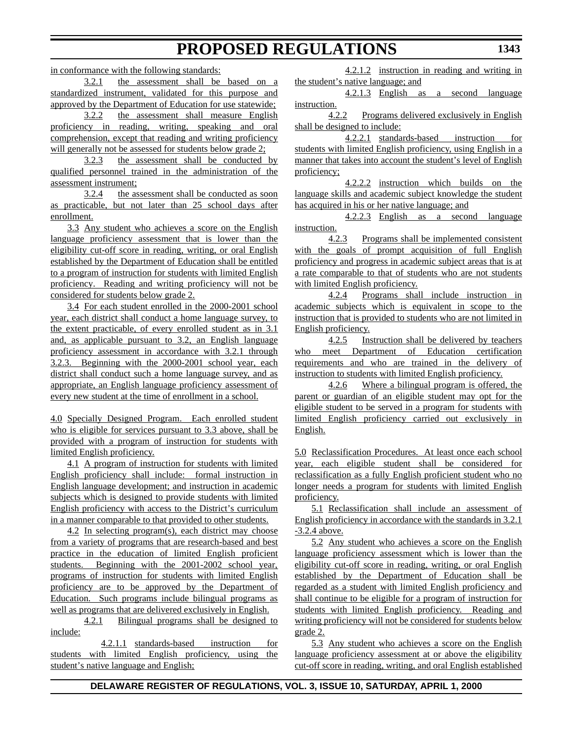in conformance with the following standards:

3.2.1 the assessment shall be based on a standardized instrument, validated for this purpose and approved by the Department of Education for use statewide;

3.2.2 the assessment shall measure English proficiency in reading, writing, speaking and oral comprehension, except that reading and writing proficiency will generally not be assessed for students below grade 2;

3.2.3 the assessment shall be conducted by qualified personnel trained in the administration of the assessment instrument;

3.2.4 the assessment shall be conducted as soon as practicable, but not later than 25 school days after enrollment.

3.3 Any student who achieves a score on the English language proficiency assessment that is lower than the eligibility cut-off score in reading, writing, or oral English established by the Department of Education shall be entitled to a program of instruction for students with limited English proficiency. Reading and writing proficiency will not be considered for students below grade 2.

3.4 For each student enrolled in the 2000-2001 school year, each district shall conduct a home language survey, to the extent practicable, of every enrolled student as in 3.1 and, as applicable pursuant to 3.2, an English language proficiency assessment in accordance with 3.2.1 through 3.2.3. Beginning with the 2000-2001 school year, each district shall conduct such a home language survey, and as appropriate, an English language proficiency assessment of every new student at the time of enrollment in a school.

4.0 Specially Designed Program. Each enrolled student who is eligible for services pursuant to 3.3 above, shall be provided with a program of instruction for students with limited English proficiency.

4.1 A program of instruction for students with limited English proficiency shall include: formal instruction in English language development; and instruction in academic subjects which is designed to provide students with limited English proficiency with access to the District's curriculum in a manner comparable to that provided to other students.

4.2 In selecting program(s), each district may choose from a variety of programs that are research-based and best practice in the education of limited English proficient students. Beginning with the 2001-2002 school year, programs of instruction for students with limited English proficiency are to be approved by the Department of Education. Such programs include bilingual programs as well as programs that are delivered exclusively in English.

4.2.1 Bilingual programs shall be designed to include:

4.2.1.1 standards-based instruction for students with limited English proficiency, using the student's native language and English;

4.2.1.2 instruction in reading and writing in the student's native language; and

4.2.1.3 English as a second language instruction.

4.2.2 Programs delivered exclusively in English shall be designed to include:

4.2.2.1 standards-based instruction for students with limited English proficiency, using English in a manner that takes into account the student's level of English proficiency;

4.2.2.2 instruction which builds on the language skills and academic subject knowledge the student has acquired in his or her native language; and

4.2.2.3 English as a second language instruction.

4.2.3 Programs shall be implemented consistent with the goals of prompt acquisition of full English proficiency and progress in academic subject areas that is at a rate comparable to that of students who are not students with limited English proficiency.

4.2.4 Programs shall include instruction in academic subjects which is equivalent in scope to the instruction that is provided to students who are not limited in English proficiency.

4.2.5 Instruction shall be delivered by teachers who meet Department of Education certification requirements and who are trained in the delivery of instruction to students with limited English proficiency.

4.2.6 Where a bilingual program is offered, the parent or guardian of an eligible student may opt for the eligible student to be served in a program for students with limited English proficiency carried out exclusively in English.

5.0 Reclassification Procedures. At least once each school year, each eligible student shall be considered for reclassification as a fully English proficient student who no longer needs a program for students with limited English proficiency.

5.1 Reclassification shall include an assessment of English proficiency in accordance with the standards in 3.2.1 -3.2.4 above.

5.2 Any student who achieves a score on the English language proficiency assessment which is lower than the eligibility cut-off score in reading, writing, or oral English established by the Department of Education shall be regarded as a student with limited English proficiency and shall continue to be eligible for a program of instruction for students with limited English proficiency. Reading and writing proficiency will not be considered for students below grade 2.

5.3 Any student who achieves a score on the English language proficiency assessment at or above the eligibility cut-off score in reading, writing, and oral English established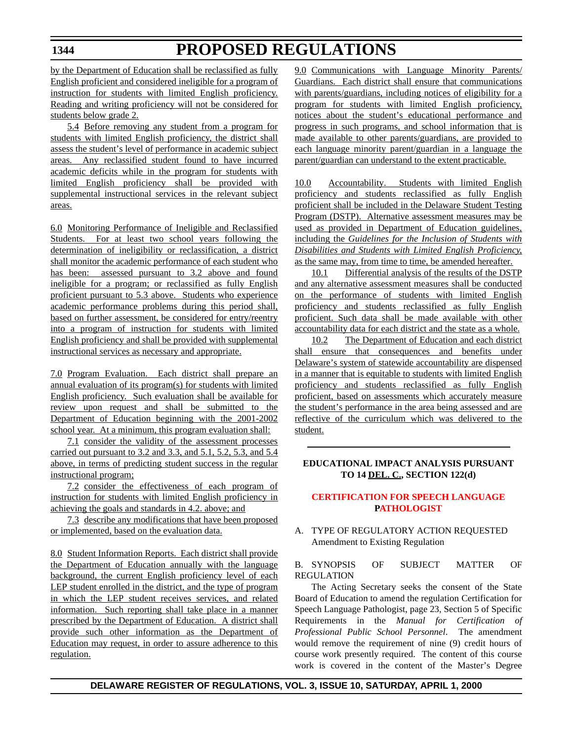## **1344**

## **PROPOSED REGULATIONS**

by the Department of Education shall be reclassified as fully English proficient and considered ineligible for a program of instruction for students with limited English proficiency. Reading and writing proficiency will not be considered for students below grade 2.

5.4 Before removing any student from a program for students with limited English proficiency, the district shall assess the student's level of performance in academic subject areas. Any reclassified student found to have incurred academic deficits while in the program for students with limited English proficiency shall be provided with supplemental instructional services in the relevant subject areas.

6.0 Monitoring Performance of Ineligible and Reclassified Students. For at least two school years following the determination of ineligibility or reclassification, a district shall monitor the academic performance of each student who has been: assessed pursuant to 3.2 above and found ineligible for a program; or reclassified as fully English proficient pursuant to 5.3 above. Students who experience academic performance problems during this period shall, based on further assessment, be considered for entry/reentry into a program of instruction for students with limited English proficiency and shall be provided with supplemental instructional services as necessary and appropriate.

7.0 Program Evaluation. Each district shall prepare an annual evaluation of its program(s) for students with limited English proficiency. Such evaluation shall be available for review upon request and shall be submitted to the Department of Education beginning with the 2001-2002 school year. At a minimum, this program evaluation shall:

7.1 consider the validity of the assessment processes carried out pursuant to 3.2 and 3.3, and 5.1, 5.2, 5.3, and 5.4 above, in terms of predicting student success in the regular instructional program;

7.2 consider the effectiveness of each program of instruction for students with limited English proficiency in achieving the goals and standards in 4.2. above; and

7.3 describe any modifications that have been proposed or implemented, based on the evaluation data.

8.0 Student Information Reports. Each district shall provide the Department of Education annually with the language background, the current English proficiency level of each LEP student enrolled in the district, and the type of program in which the LEP student receives services, and related information. Such reporting shall take place in a manner prescribed by the Department of Education. A district shall provide such other information as the Department of Education may request, in order to assure adherence to this regulation.

9.0 Communications with Language Minority Parents/ Guardians. Each district shall ensure that communications with parents/guardians, including notices of eligibility for a program for students with limited English proficiency, notices about the student's educational performance and progress in such programs, and school information that is made available to other parents/guardians, are provided to each language minority parent/guardian in a language the parent/guardian can understand to the extent practicable.

10.0 Accountability. Students with limited English proficiency and students reclassified as fully English proficient shall be included in the Delaware Student Testing Program (DSTP). Alternative assessment measures may be used as provided in Department of Education guidelines, including the *Guidelines for the Inclusion of Students with Disabilities and Students with Limited English Proficiency*, as the same may, from time to time, be amended hereafter.

10.1 Differential analysis of the results of the DSTP and any alternative assessment measures shall be conducted on the performance of students with limited English proficiency and students reclassified as fully English proficient. Such data shall be made available with other accountability data for each district and the state as a whole.

10.2 The Department of Education and each district shall ensure that consequences and benefits under Delaware's system of statewide accountability are dispensed in a manner that is equitable to students with limited English proficiency and students reclassified as fully English proficient, based on assessments which accurately measure the student's performance in the area being assessed and are reflective of the curriculum which was delivered to the student.

## **EDUCATIONAL IMPACT ANALYSIS PURSUANT TO 14 DEL. C., SECTION 122(d)**

## **[CERTIFICATION FOR SPEECH LANGUAGE](#page-3-0) PATHOLOGIST**

## A. TYPE OF REGULATORY ACTION REQUESTED Amendment to Existing Regulation

### B. SYNOPSIS OF SUBJECT MATTER OF REGULATION

The Acting Secretary seeks the consent of the State Board of Education to amend the regulation Certification for Speech Language Pathologist, page 23, Section 5 of Specific Requirements in the *Manual for Certification of Professional Public School Personnel*. The amendment would remove the requirement of nine (9) credit hours of course work presently required. The content of this course work is covered in the content of the Master's Degree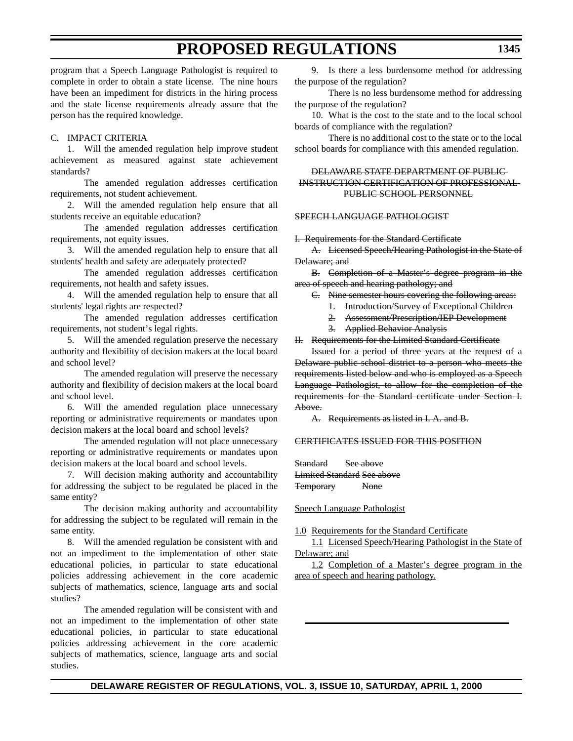program that a Speech Language Pathologist is required to complete in order to obtain a state license. The nine hours have been an impediment for districts in the hiring process and the state license requirements already assure that the person has the required knowledge.

#### C. IMPACT CRITERIA

1. Will the amended regulation help improve student achievement as measured against state achievement standards?

The amended regulation addresses certification requirements, not student achievement.

2. Will the amended regulation help ensure that all students receive an equitable education?

The amended regulation addresses certification requirements, not equity issues.

3. Will the amended regulation help to ensure that all students' health and safety are adequately protected?

The amended regulation addresses certification requirements, not health and safety issues.

4. Will the amended regulation help to ensure that all students' legal rights are respected?

The amended regulation addresses certification requirements, not student's legal rights.

5. Will the amended regulation preserve the necessary authority and flexibility of decision makers at the local board and school level?

The amended regulation will preserve the necessary authority and flexibility of decision makers at the local board and school level.

6. Will the amended regulation place unnecessary reporting or administrative requirements or mandates upon decision makers at the local board and school levels?

The amended regulation will not place unnecessary reporting or administrative requirements or mandates upon decision makers at the local board and school levels.

7. Will decision making authority and accountability for addressing the subject to be regulated be placed in the same entity?

The decision making authority and accountability for addressing the subject to be regulated will remain in the same entity.

8. Will the amended regulation be consistent with and not an impediment to the implementation of other state educational policies, in particular to state educational policies addressing achievement in the core academic subjects of mathematics, science, language arts and social studies?

The amended regulation will be consistent with and not an impediment to the implementation of other state educational policies, in particular to state educational policies addressing achievement in the core academic subjects of mathematics, science, language arts and social studies.

9. Is there a less burdensome method for addressing the purpose of the regulation?

There is no less burdensome method for addressing the purpose of the regulation?

10. What is the cost to the state and to the local school boards of compliance with the regulation?

There is no additional cost to the state or to the local school boards for compliance with this amended regulation.

#### DELAWARE STATE DEPARTMENT OF PUBLIC INSTRUCTION CERTIFICATION OF PROFESSIONAL PUBLIC SCHOOL PERSONNEL

### SPEECH LANGUAGE PATHOLOGIST

I. Requirements for the Standard Certificate

A. Licensed Speech/Hearing Pathologist in the State of Delaware; and

B. Completion of a Master's degree program in the area of speech and hearing pathology; and

C. Nine semester hours covering the following areas:

- 1. Introduction/Survey of Exceptional Children
- 2. Assessment/Prescription/IEP Development
- 3. Applied Behavior Analysis

II. Requirements for the Limited Standard Certificate

Issued for a period of three years at the request of a Delaware public school district to a person who meets the requirements listed below and who is employed as a Speech Language Pathologist, to allow for the completion of the requirements for the Standard certificate under Section I. Above.

A. Requirements as listed in I. A. and B.

CERTIFICATES ISSUED FOR THIS POSITION

Standard See above Limited Standard See above Temporary None

Speech Language Pathologist

1.0 Requirements for the Standard Certificate

1.1 Licensed Speech/Hearing Pathologist in the State of Delaware; and

1.2 Completion of a Master's degree program in the area of speech and hearing pathology.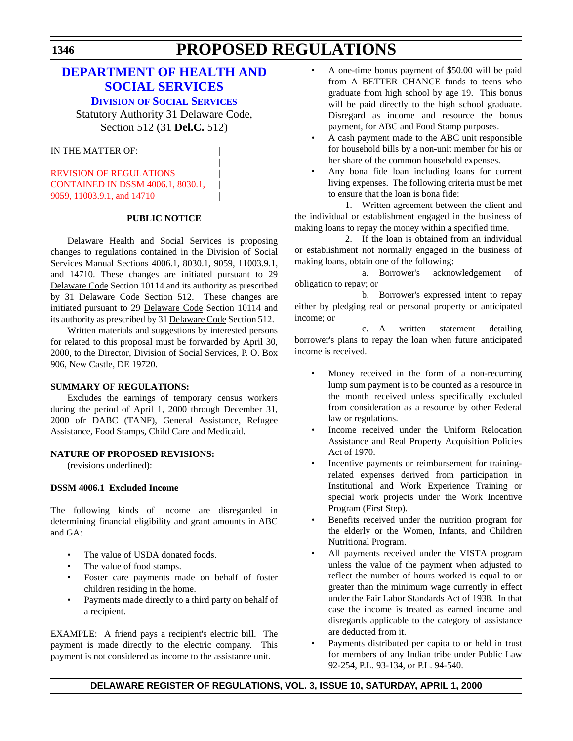## **[DEPARTMENT OF HEALTH AND](http://www.state.de.us/dhss/irm/dhss.htm) SOCIAL SERVICES DIVISION OF SOCIAL SERVICES**

Statutory Authority 31 Delaware Code, Section 512 (31 **Del.C.** 512)

|

IN THE MATTER OF:

REVISION OF REGULATIONS [CONTAINED IN DSSM 4006.1, 8030.1,](#page-3-0) 9059, 11003.9.1, and 14710 |

## **PUBLIC NOTICE**

Delaware Health and Social Services is proposing changes to regulations contained in the Division of Social Services Manual Sections 4006.1, 8030.1, 9059, 11003.9.1, and 14710. These changes are initiated pursuant to 29 Delaware Code Section 10114 and its authority as prescribed by 31 Delaware Code Section 512. These changes are initiated pursuant to 29 Delaware Code Section 10114 and its authority as prescribed by 31 Delaware Code Section 512.

Written materials and suggestions by interested persons for related to this proposal must be forwarded by April 30, 2000, to the Director, Division of Social Services, P. O. Box 906, New Castle, DE 19720.

## **SUMMARY OF REGULATIONS:**

Excludes the earnings of temporary census workers during the period of April 1, 2000 through December 31, 2000 ofr DABC (TANF), General Assistance, Refugee Assistance, Food Stamps, Child Care and Medicaid.

### **NATURE OF PROPOSED REVISIONS:**

(revisions underlined):

## **DSSM 4006.1 Excluded Income**

The following kinds of income are disregarded in determining financial eligibility and grant amounts in ABC and GA:

- The value of USDA donated foods.
- The value of food stamps.
- Foster care payments made on behalf of foster children residing in the home.
- Payments made directly to a third party on behalf of a recipient.

EXAMPLE: A friend pays a recipient's electric bill. The payment is made directly to the electric company. This payment is not considered as income to the assistance unit.

- A one-time bonus payment of \$50.00 will be paid from A BETTER CHANCE funds to teens who graduate from high school by age 19. This bonus will be paid directly to the high school graduate. Disregard as income and resource the bonus payment, for ABC and Food Stamp purposes.
- A cash payment made to the ABC unit responsible for household bills by a non-unit member for his or her share of the common household expenses.
- Any bona fide loan including loans for current living expenses. The following criteria must be met to ensure that the loan is bona fide:

1. Written agreement between the client and the individual or establishment engaged in the business of making loans to repay the money within a specified time.

2. If the loan is obtained from an individual or establishment not normally engaged in the business of making loans, obtain one of the following:

a. Borrower's acknowledgement of obligation to repay; or

b. Borrower's expressed intent to repay either by pledging real or personal property or anticipated income; or

c. A written statement detailing borrower's plans to repay the loan when future anticipated income is received.

- Money received in the form of a non-recurring lump sum payment is to be counted as a resource in the month received unless specifically excluded from consideration as a resource by other Federal law or regulations.
- Income received under the Uniform Relocation Assistance and Real Property Acquisition Policies Act of 1970.
- Incentive payments or reimbursement for trainingrelated expenses derived from participation in Institutional and Work Experience Training or special work projects under the Work Incentive Program (First Step).
- Benefits received under the nutrition program for the elderly or the Women, Infants, and Children Nutritional Program.
- All payments received under the VISTA program unless the value of the payment when adjusted to reflect the number of hours worked is equal to or greater than the minimum wage currently in effect under the Fair Labor Standards Act of 1938. In that case the income is treated as earned income and disregards applicable to the category of assistance are deducted from it.
- Payments distributed per capita to or held in trust for members of any Indian tribe under Public Law 92-254, P.L. 93-134, or P.L. 94-540.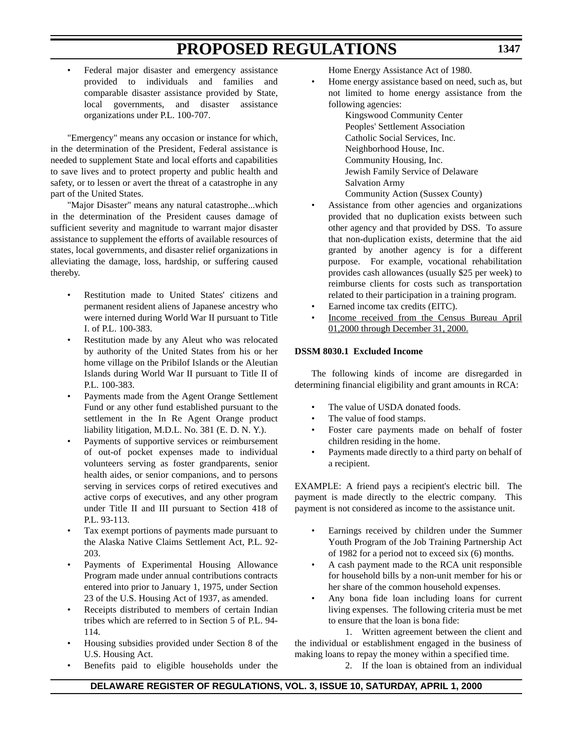• Federal major disaster and emergency assistance provided to individuals and families and comparable disaster assistance provided by State, local governments, and disaster assistance organizations under P.L. 100-707.

"Emergency" means any occasion or instance for which, in the determination of the President, Federal assistance is needed to supplement State and local efforts and capabilities to save lives and to protect property and public health and safety, or to lessen or avert the threat of a catastrophe in any part of the United States.

"Major Disaster" means any natural catastrophe...which in the determination of the President causes damage of sufficient severity and magnitude to warrant major disaster assistance to supplement the efforts of available resources of states, local governments, and disaster relief organizations in alleviating the damage, loss, hardship, or suffering caused thereby.

- Restitution made to United States' citizens and permanent resident aliens of Japanese ancestry who were interned during World War II pursuant to Title I. of P.L. 100-383.
- Restitution made by any Aleut who was relocated by authority of the United States from his or her home village on the Pribilof Islands or the Aleutian Islands during World War II pursuant to Title II of P.L. 100-383.
- Payments made from the Agent Orange Settlement Fund or any other fund established pursuant to the settlement in the In Re Agent Orange product liability litigation, M.D.L. No. 381 (E. D. N. Y.).
- Payments of supportive services or reimbursement of out-of pocket expenses made to individual volunteers serving as foster grandparents, senior health aides, or senior companions, and to persons serving in services corps of retired executives and active corps of executives, and any other program under Title II and III pursuant to Section 418 of P.L. 93-113.
- Tax exempt portions of payments made pursuant to the Alaska Native Claims Settlement Act, P.L. 92- 203.
- Payments of Experimental Housing Allowance Program made under annual contributions contracts entered into prior to January 1, 1975, under Section 23 of the U.S. Housing Act of 1937, as amended.
- Receipts distributed to members of certain Indian tribes which are referred to in Section 5 of P.L. 94- 114.
- Housing subsidies provided under Section 8 of the U.S. Housing Act.
- Benefits paid to eligible households under the

Home Energy Assistance Act of 1980.

• Home energy assistance based on need, such as, but not limited to home energy assistance from the following agencies:

> Kingswood Community Center Peoples' Settlement Association Catholic Social Services, Inc. Neighborhood House, Inc. Community Housing, Inc. Jewish Family Service of Delaware Salvation Army

- Community Action (Sussex County)
- Assistance from other agencies and organizations provided that no duplication exists between such other agency and that provided by DSS. To assure that non-duplication exists, determine that the aid granted by another agency is for a different purpose. For example, vocational rehabilitation provides cash allowances (usually \$25 per week) to reimburse clients for costs such as transportation related to their participation in a training program.
- Earned income tax credits (EITC).
- Income received from the Census Bureau April 01,2000 through December 31, 2000.

### **DSSM 8030.1 Excluded Income**

The following kinds of income are disregarded in determining financial eligibility and grant amounts in RCA:

- The value of USDA donated foods.
- The value of food stamps.
- Foster care payments made on behalf of foster children residing in the home.
- Payments made directly to a third party on behalf of a recipient.

EXAMPLE: A friend pays a recipient's electric bill. The payment is made directly to the electric company. This payment is not considered as income to the assistance unit.

- Earnings received by children under the Summer Youth Program of the Job Training Partnership Act of 1982 for a period not to exceed six (6) months.
- A cash payment made to the RCA unit responsible for household bills by a non-unit member for his or her share of the common household expenses.
- Any bona fide loan including loans for current living expenses. The following criteria must be met to ensure that the loan is bona fide:

1. Written agreement between the client and the individual or establishment engaged in the business of making loans to repay the money within a specified time.

2. If the loan is obtained from an individual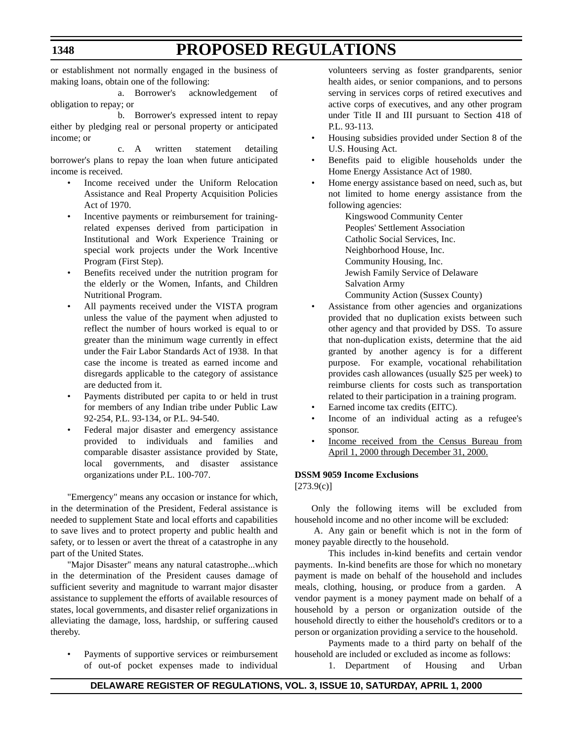or establishment not normally engaged in the business of making loans, obtain one of the following:

a. Borrower's acknowledgement of obligation to repay; or

b. Borrower's expressed intent to repay either by pledging real or personal property or anticipated income; or

c. A written statement detailing borrower's plans to repay the loan when future anticipated income is received.

- Income received under the Uniform Relocation Assistance and Real Property Acquisition Policies Act of 1970.
- Incentive payments or reimbursement for trainingrelated expenses derived from participation in Institutional and Work Experience Training or special work projects under the Work Incentive Program (First Step).
- Benefits received under the nutrition program for the elderly or the Women, Infants, and Children Nutritional Program.
- All payments received under the VISTA program unless the value of the payment when adjusted to reflect the number of hours worked is equal to or greater than the minimum wage currently in effect under the Fair Labor Standards Act of 1938. In that case the income is treated as earned income and disregards applicable to the category of assistance are deducted from it.
- Payments distributed per capita to or held in trust for members of any Indian tribe under Public Law 92-254, P.L. 93-134, or P.L. 94-540.
- Federal major disaster and emergency assistance provided to individuals and families and comparable disaster assistance provided by State, local governments, and disaster assistance organizations under P.L. 100-707.

"Emergency" means any occasion or instance for which, in the determination of the President, Federal assistance is needed to supplement State and local efforts and capabilities to save lives and to protect property and public health and safety, or to lessen or avert the threat of a catastrophe in any part of the United States.

"Major Disaster" means any natural catastrophe...which in the determination of the President causes damage of sufficient severity and magnitude to warrant major disaster assistance to supplement the efforts of available resources of states, local governments, and disaster relief organizations in alleviating the damage, loss, hardship, or suffering caused thereby.

Payments of supportive services or reimbursement of out-of pocket expenses made to individual

volunteers serving as foster grandparents, senior health aides, or senior companions, and to persons serving in services corps of retired executives and active corps of executives, and any other program under Title II and III pursuant to Section 418 of P.L. 93-113.

- Housing subsidies provided under Section 8 of the U.S. Housing Act.
- Benefits paid to eligible households under the Home Energy Assistance Act of 1980.
- Home energy assistance based on need, such as, but not limited to home energy assistance from the following agencies:

Kingswood Community Center Peoples' Settlement Association Catholic Social Services, Inc. Neighborhood House, Inc. Community Housing, Inc. Jewish Family Service of Delaware Salvation Army

Community Action (Sussex County)

- Assistance from other agencies and organizations provided that no duplication exists between such other agency and that provided by DSS. To assure that non-duplication exists, determine that the aid granted by another agency is for a different purpose. For example, vocational rehabilitation provides cash allowances (usually \$25 per week) to reimburse clients for costs such as transportation related to their participation in a training program.
- Earned income tax credits (EITC).
- Income of an individual acting as a refugee's sponsor.
- Income received from the Census Bureau from April 1, 2000 through December 31, 2000.

### **DSSM 9059 Income Exclusions**

 $[273.9(c)]$ 

Only the following items will be excluded from household income and no other income will be excluded:

 A. Any gain or benefit which is not in the form of money payable directly to the household.

This includes in-kind benefits and certain vendor payments. In-kind benefits are those for which no monetary payment is made on behalf of the household and includes meals, clothing, housing, or produce from a garden. A vendor payment is a money payment made on behalf of a household by a person or organization outside of the household directly to either the household's creditors or to a person or organization providing a service to the household.

Payments made to a third party on behalf of the household are included or excluded as income as follows:

1. Department of Housing and Urban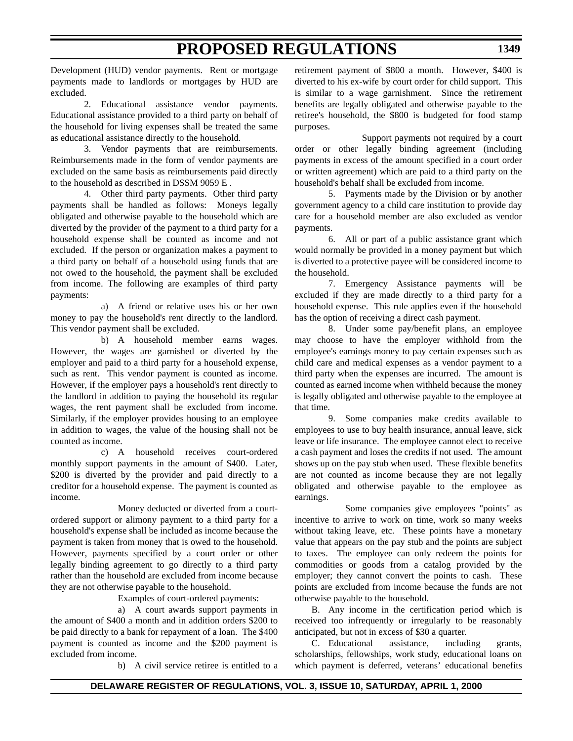Development (HUD) vendor payments. Rent or mortgage payments made to landlords or mortgages by HUD are excluded.

2. Educational assistance vendor payments. Educational assistance provided to a third party on behalf of the household for living expenses shall be treated the same as educational assistance directly to the household.

3. Vendor payments that are reimbursements. Reimbursements made in the form of vendor payments are excluded on the same basis as reimbursements paid directly to the household as described in DSSM 9059 E .

4. Other third party payments. Other third party payments shall be handled as follows: Moneys legally obligated and otherwise payable to the household which are diverted by the provider of the payment to a third party for a household expense shall be counted as income and not excluded. If the person or organization makes a payment to a third party on behalf of a household using funds that are not owed to the household, the payment shall be excluded from income. The following are examples of third party payments:

a) A friend or relative uses his or her own money to pay the household's rent directly to the landlord. This vendor payment shall be excluded.

b) A household member earns wages. However, the wages are garnished or diverted by the employer and paid to a third party for a household expense, such as rent. This vendor payment is counted as income. However, if the employer pays a household's rent directly to the landlord in addition to paying the household its regular wages, the rent payment shall be excluded from income. Similarly, if the employer provides housing to an employee in addition to wages, the value of the housing shall not be counted as income.

c) A household receives court-ordered monthly support payments in the amount of \$400. Later, \$200 is diverted by the provider and paid directly to a creditor for a household expense. The payment is counted as income.

Money deducted or diverted from a courtordered support or alimony payment to a third party for a household's expense shall be included as income because the payment is taken from money that is owed to the household. However, payments specified by a court order or other legally binding agreement to go directly to a third party rather than the household are excluded from income because they are not otherwise payable to the household.

Examples of court-ordered payments:

a) A court awards support payments in the amount of \$400 a month and in addition orders \$200 to be paid directly to a bank for repayment of a loan. The \$400 payment is counted as income and the \$200 payment is excluded from income.

b) A civil service retiree is entitled to a

retirement payment of \$800 a month. However, \$400 is diverted to his ex-wife by court order for child support. This is similar to a wage garnishment. Since the retirement benefits are legally obligated and otherwise payable to the retiree's household, the \$800 is budgeted for food stamp purposes.

Support payments not required by a court order or other legally binding agreement (including payments in excess of the amount specified in a court order or written agreement) which are paid to a third party on the household's behalf shall be excluded from income.

5. Payments made by the Division or by another government agency to a child care institution to provide day care for a household member are also excluded as vendor payments.

6. All or part of a public assistance grant which would normally be provided in a money payment but which is diverted to a protective payee will be considered income to the household.

7. Emergency Assistance payments will be excluded if they are made directly to a third party for a household expense. This rule applies even if the household has the option of receiving a direct cash payment.

8. Under some pay/benefit plans, an employee may choose to have the employer withhold from the employee's earnings money to pay certain expenses such as child care and medical expenses as a vendor payment to a third party when the expenses are incurred. The amount is counted as earned income when withheld because the money is legally obligated and otherwise payable to the employee at that time.

9. Some companies make credits available to employees to use to buy health insurance, annual leave, sick leave or life insurance. The employee cannot elect to receive a cash payment and loses the credits if not used. The amount shows up on the pay stub when used. These flexible benefits are not counted as income because they are not legally obligated and otherwise payable to the employee as earnings.

Some companies give employees "points" as incentive to arrive to work on time, work so many weeks without taking leave, etc. These points have a monetary value that appears on the pay stub and the points are subject to taxes. The employee can only redeem the points for commodities or goods from a catalog provided by the employer; they cannot convert the points to cash. These points are excluded from income because the funds are not otherwise payable to the household.

B. Any income in the certification period which is received too infrequently or irregularly to be reasonably anticipated, but not in excess of \$30 a quarter.

C. Educational assistance, including grants, scholarships, fellowships, work study, educational loans on which payment is deferred, veterans' educational benefits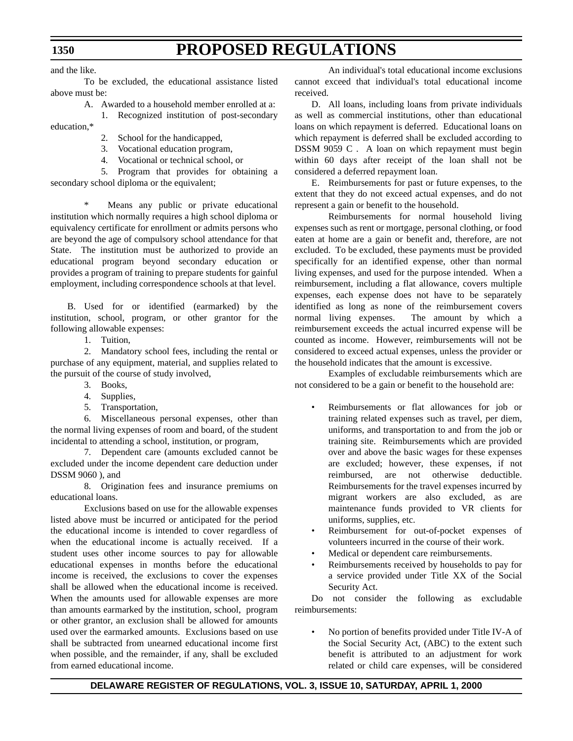and the like.

To be excluded, the educational assistance listed above must be:

A. Awarded to a household member enrolled at a:

1. Recognized institution of post-secondary education,\*

2. School for the handicapped,

3. Vocational education program,

4. Vocational or technical school, or

5. Program that provides for obtaining a secondary school diploma or the equivalent;

\* Means any public or private educational institution which normally requires a high school diploma or equivalency certificate for enrollment or admits persons who are beyond the age of compulsory school attendance for that State. The institution must be authorized to provide an educational program beyond secondary education or provides a program of training to prepare students for gainful employment, including correspondence schools at that level.

B. Used for or identified (earmarked) by the institution, school, program, or other grantor for the following allowable expenses:

1. Tuition,

2. Mandatory school fees, including the rental or purchase of any equipment, material, and supplies related to the pursuit of the course of study involved,

- 3. Books,
- 4. Supplies,
- 5. Transportation,

6. Miscellaneous personal expenses, other than the normal living expenses of room and board, of the student incidental to attending a school, institution, or program,

7. Dependent care (amounts excluded cannot be excluded under the income dependent care deduction under DSSM 9060 ), and

8. Origination fees and insurance premiums on educational loans.

Exclusions based on use for the allowable expenses listed above must be incurred or anticipated for the period the educational income is intended to cover regardless of when the educational income is actually received. If a student uses other income sources to pay for allowable educational expenses in months before the educational income is received, the exclusions to cover the expenses shall be allowed when the educational income is received. When the amounts used for allowable expenses are more than amounts earmarked by the institution, school, program or other grantor, an exclusion shall be allowed for amounts used over the earmarked amounts. Exclusions based on use shall be subtracted from unearned educational income first when possible, and the remainder, if any, shall be excluded from earned educational income.

An individual's total educational income exclusions cannot exceed that individual's total educational income received.

D. All loans, including loans from private individuals as well as commercial institutions, other than educational loans on which repayment is deferred. Educational loans on which repayment is deferred shall be excluded according to DSSM 9059 C . A loan on which repayment must begin within 60 days after receipt of the loan shall not be considered a deferred repayment loan.

E. Reimbursements for past or future expenses, to the extent that they do not exceed actual expenses, and do not represent a gain or benefit to the household.

Reimbursements for normal household living expenses such as rent or mortgage, personal clothing, or food eaten at home are a gain or benefit and, therefore, are not excluded. To be excluded, these payments must be provided specifically for an identified expense, other than normal living expenses, and used for the purpose intended. When a reimbursement, including a flat allowance, covers multiple expenses, each expense does not have to be separately identified as long as none of the reimbursement covers normal living expenses. The amount by which a reimbursement exceeds the actual incurred expense will be counted as income. However, reimbursements will not be considered to exceed actual expenses, unless the provider or the household indicates that the amount is excessive.

Examples of excludable reimbursements which are not considered to be a gain or benefit to the household are:

- Reimbursements or flat allowances for job or training related expenses such as travel, per diem, uniforms, and transportation to and from the job or training site. Reimbursements which are provided over and above the basic wages for these expenses are excluded; however, these expenses, if not reimbursed, are not otherwise deductible. Reimbursements for the travel expenses incurred by migrant workers are also excluded, as are maintenance funds provided to VR clients for uniforms, supplies, etc.
- Reimbursement for out-of-pocket expenses of volunteers incurred in the course of their work.
- Medical or dependent care reimbursements.
- Reimbursements received by households to pay for a service provided under Title XX of the Social Security Act.

Do not consider the following as excludable reimbursements:

• No portion of benefits provided under Title IV-A of the Social Security Act, (ABC) to the extent such benefit is attributed to an adjustment for work related or child care expenses, will be considered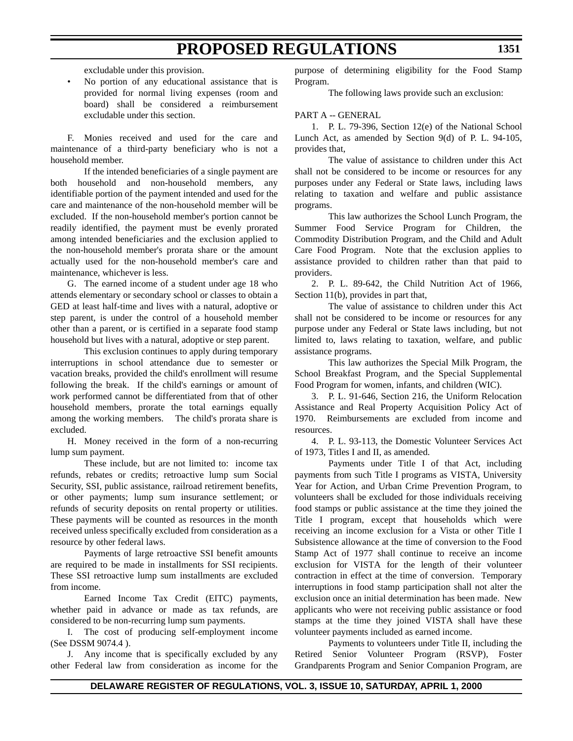excludable under this provision.

• No portion of any educational assistance that is provided for normal living expenses (room and board) shall be considered a reimbursement excludable under this section.

F. Monies received and used for the care and maintenance of a third-party beneficiary who is not a household member.

If the intended beneficiaries of a single payment are both household and non-household members, any identifiable portion of the payment intended and used for the care and maintenance of the non-household member will be excluded. If the non-household member's portion cannot be readily identified, the payment must be evenly prorated among intended beneficiaries and the exclusion applied to the non-household member's prorata share or the amount actually used for the non-household member's care and maintenance, whichever is less.

G. The earned income of a student under age 18 who attends elementary or secondary school or classes to obtain a GED at least half-time and lives with a natural, adoptive or step parent, is under the control of a household member other than a parent, or is certified in a separate food stamp household but lives with a natural, adoptive or step parent.

This exclusion continues to apply during temporary interruptions in school attendance due to semester or vacation breaks, provided the child's enrollment will resume following the break. If the child's earnings or amount of work performed cannot be differentiated from that of other household members, prorate the total earnings equally among the working members. The child's prorata share is excluded.

H. Money received in the form of a non-recurring lump sum payment.

These include, but are not limited to: income tax refunds, rebates or credits; retroactive lump sum Social Security, SSI, public assistance, railroad retirement benefits, or other payments; lump sum insurance settlement; or refunds of security deposits on rental property or utilities. These payments will be counted as resources in the month received unless specifically excluded from consideration as a resource by other federal laws.

Payments of large retroactive SSI benefit amounts are required to be made in installments for SSI recipients. These SSI retroactive lump sum installments are excluded from income.

Earned Income Tax Credit (EITC) payments, whether paid in advance or made as tax refunds, are considered to be non-recurring lump sum payments.

I. The cost of producing self-employment income (See DSSM 9074.4 ).

J. Any income that is specifically excluded by any other Federal law from consideration as income for the purpose of determining eligibility for the Food Stamp Program.

The following laws provide such an exclusion:

### PART A -- GENERAL

1. P. L. 79-396, Section 12(e) of the National School Lunch Act, as amended by Section 9(d) of P. L. 94-105, provides that,

The value of assistance to children under this Act shall not be considered to be income or resources for any purposes under any Federal or State laws, including laws relating to taxation and welfare and public assistance programs.

This law authorizes the School Lunch Program, the Summer Food Service Program for Children, the Commodity Distribution Program, and the Child and Adult Care Food Program. Note that the exclusion applies to assistance provided to children rather than that paid to providers.

2. P. L. 89-642, the Child Nutrition Act of 1966, Section 11(b), provides in part that,

The value of assistance to children under this Act shall not be considered to be income or resources for any purpose under any Federal or State laws including, but not limited to, laws relating to taxation, welfare, and public assistance programs.

This law authorizes the Special Milk Program, the School Breakfast Program, and the Special Supplemental Food Program for women, infants, and children (WIC).

3. P. L. 91-646, Section 216, the Uniform Relocation Assistance and Real Property Acquisition Policy Act of 1970. Reimbursements are excluded from income and resources.

4. P. L. 93-113, the Domestic Volunteer Services Act of 1973, Titles I and II, as amended.

Payments under Title I of that Act, including payments from such Title I programs as VISTA, University Year for Action, and Urban Crime Prevention Program, to volunteers shall be excluded for those individuals receiving food stamps or public assistance at the time they joined the Title I program, except that households which were receiving an income exclusion for a Vista or other Title I Subsistence allowance at the time of conversion to the Food Stamp Act of 1977 shall continue to receive an income exclusion for VISTA for the length of their volunteer contraction in effect at the time of conversion. Temporary interruptions in food stamp participation shall not alter the exclusion once an initial determination has been made. New applicants who were not receiving public assistance or food stamps at the time they joined VISTA shall have these volunteer payments included as earned income.

Payments to volunteers under Title II, including the Retired Senior Volunteer Program (RSVP), Foster Grandparents Program and Senior Companion Program, are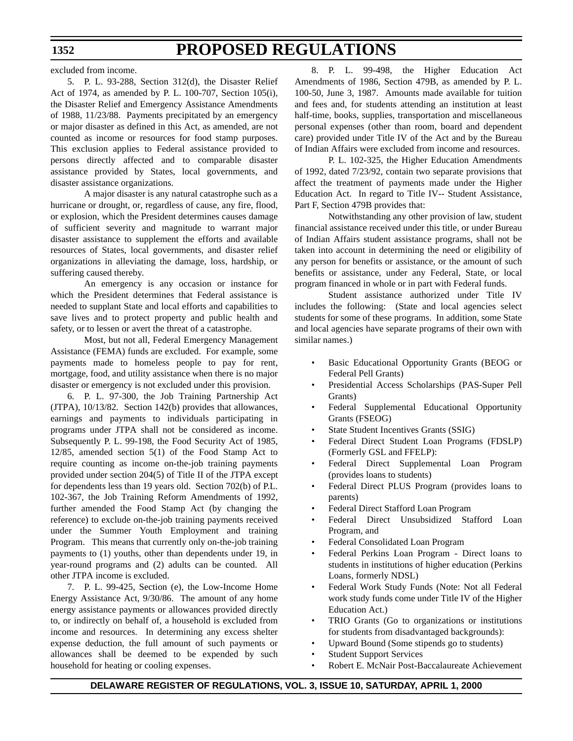excluded from income.

5. P. L. 93-288, Section 312(d), the Disaster Relief Act of 1974, as amended by P. L. 100-707, Section 105(i), the Disaster Relief and Emergency Assistance Amendments of 1988, 11/23/88. Payments precipitated by an emergency or major disaster as defined in this Act, as amended, are not counted as income or resources for food stamp purposes. This exclusion applies to Federal assistance provided to persons directly affected and to comparable disaster assistance provided by States, local governments, and disaster assistance organizations.

A major disaster is any natural catastrophe such as a hurricane or drought, or, regardless of cause, any fire, flood, or explosion, which the President determines causes damage of sufficient severity and magnitude to warrant major disaster assistance to supplement the efforts and available resources of States, local governments, and disaster relief organizations in alleviating the damage, loss, hardship, or suffering caused thereby.

An emergency is any occasion or instance for which the President determines that Federal assistance is needed to supplant State and local efforts and capabilities to save lives and to protect property and public health and safety, or to lessen or avert the threat of a catastrophe.

Most, but not all, Federal Emergency Management Assistance (FEMA) funds are excluded. For example, some payments made to homeless people to pay for rent, mortgage, food, and utility assistance when there is no major disaster or emergency is not excluded under this provision.

6. P. L. 97-300, the Job Training Partnership Act (JTPA), 10/13/82. Section 142(b) provides that allowances, earnings and payments to individuals participating in programs under JTPA shall not be considered as income. Subsequently P. L. 99-198, the Food Security Act of 1985, 12/85, amended section 5(1) of the Food Stamp Act to require counting as income on-the-job training payments provided under section 204(5) of Title II of the JTPA except for dependents less than 19 years old. Section 702(b) of P.L. 102-367, the Job Training Reform Amendments of 1992, further amended the Food Stamp Act (by changing the reference) to exclude on-the-job training payments received under the Summer Youth Employment and training Program. This means that currently only on-the-job training payments to (1) youths, other than dependents under 19, in year-round programs and (2) adults can be counted. All other JTPA income is excluded.

7. P. L. 99-425, Section (e), the Low-Income Home Energy Assistance Act, 9/30/86. The amount of any home energy assistance payments or allowances provided directly to, or indirectly on behalf of, a household is excluded from income and resources. In determining any excess shelter expense deduction, the full amount of such payments or allowances shall be deemed to be expended by such household for heating or cooling expenses.

8. P. L. 99-498, the Higher Education Act Amendments of 1986, Section 479B, as amended by P. L. 100-50, June 3, 1987. Amounts made available for tuition and fees and, for students attending an institution at least half-time, books, supplies, transportation and miscellaneous personal expenses (other than room, board and dependent care) provided under Title IV of the Act and by the Bureau of Indian Affairs were excluded from income and resources.

P. L. 102-325, the Higher Education Amendments of 1992, dated 7/23/92, contain two separate provisions that affect the treatment of payments made under the Higher Education Act. In regard to Title IV-- Student Assistance, Part F, Section 479B provides that:

Notwithstanding any other provision of law, student financial assistance received under this title, or under Bureau of Indian Affairs student assistance programs, shall not be taken into account in determining the need or eligibility of any person for benefits or assistance, or the amount of such benefits or assistance, under any Federal, State, or local program financed in whole or in part with Federal funds.

Student assistance authorized under Title IV includes the following: (State and local agencies select students for some of these programs. In addition, some State and local agencies have separate programs of their own with similar names.)

- Basic Educational Opportunity Grants (BEOG or Federal Pell Grants)
- Presidential Access Scholarships (PAS-Super Pell Grants)
- Federal Supplemental Educational Opportunity Grants (FSEOG)
- State Student Incentives Grants (SSIG)
- Federal Direct Student Loan Programs (FDSLP) (Formerly GSL and FFELP):
- Federal Direct Supplemental Loan Program (provides loans to students)
- Federal Direct PLUS Program (provides loans to parents)
- Federal Direct Stafford Loan Program
- Federal Direct Unsubsidized Stafford Loan Program, and
- Federal Consolidated Loan Program
- Federal Perkins Loan Program Direct loans to students in institutions of higher education (Perkins Loans, formerly NDSL)
- Federal Work Study Funds (Note: Not all Federal work study funds come under Title IV of the Higher Education Act.)
- TRIO Grants (Go to organizations or institutions for students from disadvantaged backgrounds):
- Upward Bound (Some stipends go to students)
- **Student Support Services**
- Robert E. McNair Post-Baccalaureate Achievement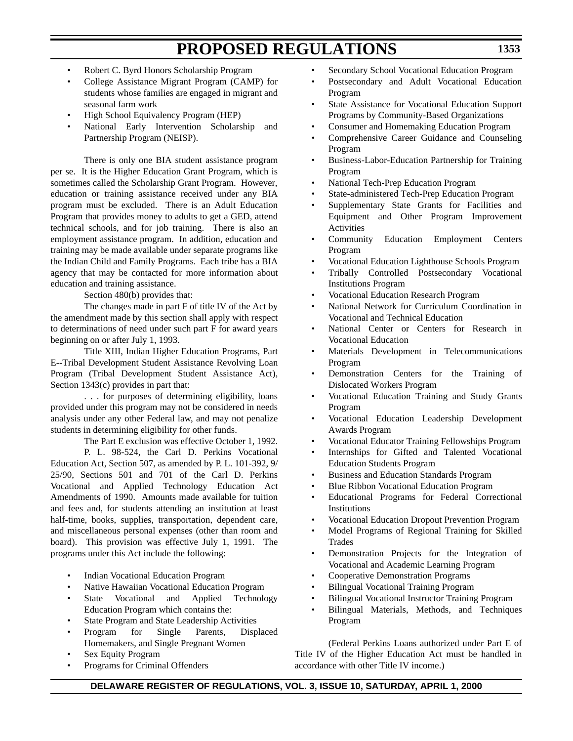- Robert C. Byrd Honors Scholarship Program
- College Assistance Migrant Program (CAMP) for students whose families are engaged in migrant and seasonal farm work
- High School Equivalency Program (HEP)
- National Early Intervention Scholarship and Partnership Program (NEISP).

There is only one BIA student assistance program per se. It is the Higher Education Grant Program, which is sometimes called the Scholarship Grant Program. However, education or training assistance received under any BIA program must be excluded. There is an Adult Education Program that provides money to adults to get a GED, attend technical schools, and for job training. There is also an employment assistance program. In addition, education and training may be made available under separate programs like the Indian Child and Family Programs. Each tribe has a BIA agency that may be contacted for more information about education and training assistance.

Section 480(b) provides that:

The changes made in part F of title IV of the Act by the amendment made by this section shall apply with respect to determinations of need under such part F for award years beginning on or after July 1, 1993.

Title XIII, Indian Higher Education Programs, Part E--Tribal Development Student Assistance Revolving Loan Program (Tribal Development Student Assistance Act), Section 1343(c) provides in part that:

. . . for purposes of determining eligibility, loans provided under this program may not be considered in needs analysis under any other Federal law, and may not penalize students in determining eligibility for other funds.

The Part E exclusion was effective October 1, 1992.

P. L. 98-524, the Carl D. Perkins Vocational Education Act, Section 507, as amended by P. L. 101-392, 9/ 25/90, Sections 501 and 701 of the Carl D. Perkins Vocational and Applied Technology Education Act Amendments of 1990. Amounts made available for tuition and fees and, for students attending an institution at least half-time, books, supplies, transportation, dependent care, and miscellaneous personal expenses (other than room and board). This provision was effective July 1, 1991. The programs under this Act include the following:

- Indian Vocational Education Program
- Native Hawaiian Vocational Education Program
- State Vocational and Applied Technology Education Program which contains the:
- State Program and State Leadership Activities
- Program for Single Parents, Displaced Homemakers, and Single Pregnant Women
- Sex Equity Program
- Programs for Criminal Offenders
- Secondary School Vocational Education Program
- Postsecondary and Adult Vocational Education Program
- State Assistance for Vocational Education Support Programs by Community-Based Organizations
- Consumer and Homemaking Education Program
- Comprehensive Career Guidance and Counseling Program
- Business-Labor-Education Partnership for Training Program
- National Tech-Prep Education Program
- State-administered Tech-Prep Education Program
- Supplementary State Grants for Facilities and Equipment and Other Program Improvement Activities
- Community Education Employment Centers Program
- Vocational Education Lighthouse Schools Program
- Tribally Controlled Postsecondary Vocational Institutions Program
- Vocational Education Research Program
- National Network for Curriculum Coordination in Vocational and Technical Education
- National Center or Centers for Research in Vocational Education
- Materials Development in Telecommunications Program
- Demonstration Centers for the Training of Dislocated Workers Program
- Vocational Education Training and Study Grants Program
- Vocational Education Leadership Development Awards Program
- Vocational Educator Training Fellowships Program
- Internships for Gifted and Talented Vocational Education Students Program
- Business and Education Standards Program
- Blue Ribbon Vocational Education Program
- Educational Programs for Federal Correctional Institutions
- Vocational Education Dropout Prevention Program
- Model Programs of Regional Training for Skilled Trades
- Demonstration Projects for the Integration of Vocational and Academic Learning Program
- Cooperative Demonstration Programs
- Bilingual Vocational Training Program
- Bilingual Vocational Instructor Training Program
- Bilingual Materials, Methods, and Techniques Program

(Federal Perkins Loans authorized under Part E of Title IV of the Higher Education Act must be handled in accordance with other Title IV income.)

# **DELAWARE REGISTER OF REGULATIONS, VOL. 3, ISSUE 10, SATURDAY, APRIL 1, 2000**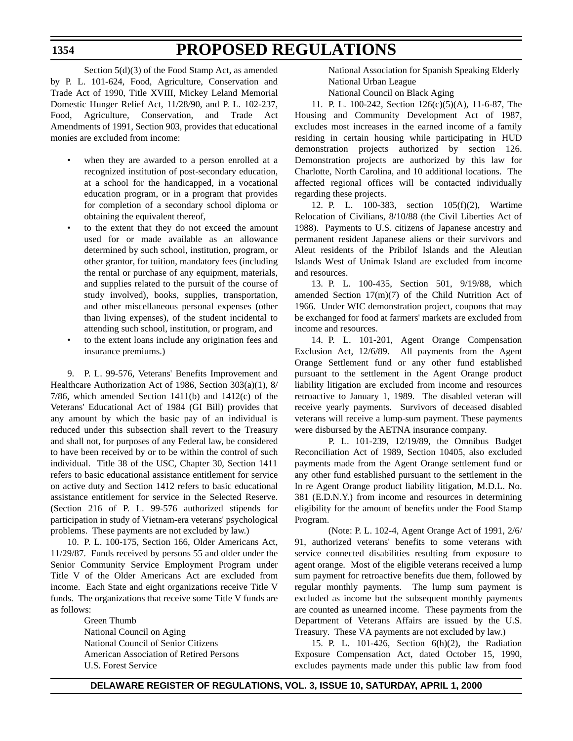Section 5(d)(3) of the Food Stamp Act, as amended by P. L. 101-624, Food, Agriculture, Conservation and Trade Act of 1990, Title XVIII, Mickey Leland Memorial Domestic Hunger Relief Act, 11/28/90, and P. L. 102-237, Food, Agriculture, Conservation, and Trade Act Amendments of 1991, Section 903, provides that educational monies are excluded from income:

- when they are awarded to a person enrolled at a recognized institution of post-secondary education, at a school for the handicapped, in a vocational education program, or in a program that provides for completion of a secondary school diploma or obtaining the equivalent thereof,
- to the extent that they do not exceed the amount used for or made available as an allowance determined by such school, institution, program, or other grantor, for tuition, mandatory fees (including the rental or purchase of any equipment, materials, and supplies related to the pursuit of the course of study involved), books, supplies, transportation, and other miscellaneous personal expenses (other than living expenses), of the student incidental to attending such school, institution, or program, and
- to the extent loans include any origination fees and insurance premiums.)

9. P. L. 99-576, Veterans' Benefits Improvement and Healthcare Authorization Act of 1986, Section 303(a)(1), 8/ 7/86, which amended Section  $1411(b)$  and  $1412(c)$  of the Veterans' Educational Act of 1984 (GI Bill) provides that any amount by which the basic pay of an individual is reduced under this subsection shall revert to the Treasury and shall not, for purposes of any Federal law, be considered to have been received by or to be within the control of such individual. Title 38 of the USC, Chapter 30, Section 1411 refers to basic educational assistance entitlement for service on active duty and Section 1412 refers to basic educational assistance entitlement for service in the Selected Reserve. (Section 216 of P. L. 99-576 authorized stipends for participation in study of Vietnam-era veterans' psychological problems. These payments are not excluded by law.)

10. P. L. 100-175, Section 166, Older Americans Act, 11/29/87. Funds received by persons 55 and older under the Senior Community Service Employment Program under Title V of the Older Americans Act are excluded from income. Each State and eight organizations receive Title V funds. The organizations that receive some Title V funds are as follows:

> Green Thumb National Council on Aging National Council of Senior Citizens American Association of Retired Persons U.S. Forest Service

National Association for Spanish Speaking Elderly National Urban League

National Council on Black Aging

11. P. L. 100-242, Section 126(c)(5)(A), 11-6-87, The Housing and Community Development Act of 1987, excludes most increases in the earned income of a family residing in certain housing while participating in HUD demonstration projects authorized by section 126. Demonstration projects are authorized by this law for Charlotte, North Carolina, and 10 additional locations. The affected regional offices will be contacted individually regarding these projects.

12. P. L. 100-383, section 105(f)(2), Wartime Relocation of Civilians, 8/10/88 (the Civil Liberties Act of 1988). Payments to U.S. citizens of Japanese ancestry and permanent resident Japanese aliens or their survivors and Aleut residents of the Pribilof Islands and the Aleutian Islands West of Unimak Island are excluded from income and resources.

13. P. L. 100-435, Section 501, 9/19/88, which amended Section 17(m)(7) of the Child Nutrition Act of 1966. Under WIC demonstration project, coupons that may be exchanged for food at farmers' markets are excluded from income and resources.

14. P. L. 101-201, Agent Orange Compensation Exclusion Act, 12/6/89. All payments from the Agent Orange Settlement fund or any other fund established pursuant to the settlement in the Agent Orange product liability litigation are excluded from income and resources retroactive to January 1, 1989. The disabled veteran will receive yearly payments. Survivors of deceased disabled veterans will receive a lump-sum payment. These payments were disbursed by the AETNA insurance company.

P. L. 101-239, 12/19/89, the Omnibus Budget Reconciliation Act of 1989, Section 10405, also excluded payments made from the Agent Orange settlement fund or any other fund established pursuant to the settlement in the In re Agent Orange product liability litigation, M.D.L. No. 381 (E.D.N.Y.) from income and resources in determining eligibility for the amount of benefits under the Food Stamp Program.

(Note: P. L. 102-4, Agent Orange Act of 1991, 2/6/ 91, authorized veterans' benefits to some veterans with service connected disabilities resulting from exposure to agent orange. Most of the eligible veterans received a lump sum payment for retroactive benefits due them, followed by regular monthly payments. The lump sum payment is excluded as income but the subsequent monthly payments are counted as unearned income. These payments from the Department of Veterans Affairs are issued by the U.S. Treasury. These VA payments are not excluded by law.)

15. P. L. 101-426, Section 6(h)(2), the Radiation Exposure Compensation Act, dated October 15, 1990, excludes payments made under this public law from food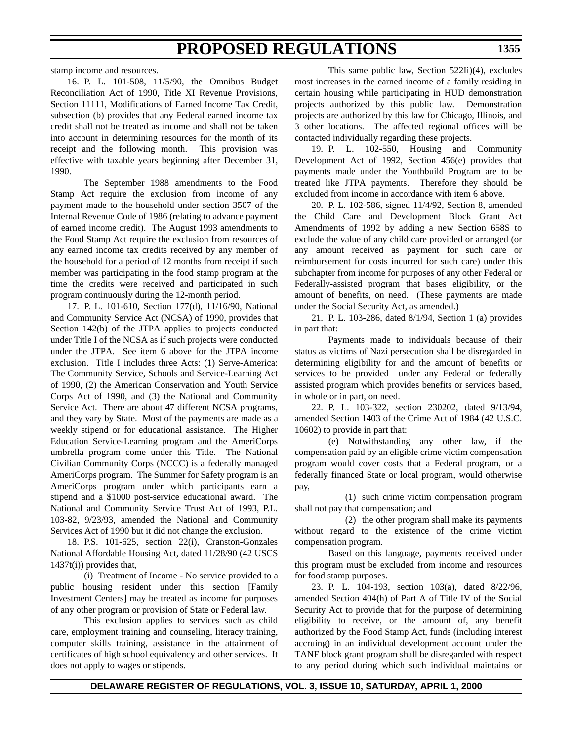stamp income and resources.

16. P. L. 101-508, 11/5/90, the Omnibus Budget Reconciliation Act of 1990, Title XI Revenue Provisions, Section 11111, Modifications of Earned Income Tax Credit, subsection (b) provides that any Federal earned income tax credit shall not be treated as income and shall not be taken into account in determining resources for the month of its receipt and the following month. This provision was effective with taxable years beginning after December 31, 1990.

The September 1988 amendments to the Food Stamp Act require the exclusion from income of any payment made to the household under section 3507 of the Internal Revenue Code of 1986 (relating to advance payment of earned income credit). The August 1993 amendments to the Food Stamp Act require the exclusion from resources of any earned income tax credits received by any member of the household for a period of 12 months from receipt if such member was participating in the food stamp program at the time the credits were received and participated in such program continuously during the 12-month period.

17. P. L. 101-610, Section 177(d), 11/16/90, National and Community Service Act (NCSA) of 1990, provides that Section 142(b) of the JTPA applies to projects conducted under Title I of the NCSA as if such projects were conducted under the JTPA. See item 6 above for the JTPA income exclusion. Title I includes three Acts: (1) Serve-America: The Community Service, Schools and Service-Learning Act of 1990, (2) the American Conservation and Youth Service Corps Act of 1990, and (3) the National and Community Service Act. There are about 47 different NCSA programs, and they vary by State. Most of the payments are made as a weekly stipend or for educational assistance. The Higher Education Service-Learning program and the AmeriCorps umbrella program come under this Title. The National Civilian Community Corps (NCCC) is a federally managed AmeriCorps program. The Summer for Safety program is an AmeriCorps program under which participants earn a stipend and a \$1000 post-service educational award. The National and Community Service Trust Act of 1993, P.L. 103-82, 9/23/93, amended the National and Community Services Act of 1990 but it did not change the exclusion.

18. P.S. 101-625, section 22(i), Cranston-Gonzales National Affordable Housing Act, dated 11/28/90 (42 USCS 1437t(i)) provides that,

(i) Treatment of Income - No service provided to a public housing resident under this section [Family Investment Centers] may be treated as income for purposes of any other program or provision of State or Federal law.

This exclusion applies to services such as child care, employment training and counseling, literacy training, computer skills training, assistance in the attainment of certificates of high school equivalency and other services. It does not apply to wages or stipends.

This same public law, Section 522Ii)(4), excludes most increases in the earned income of a family residing in certain housing while participating in HUD demonstration projects authorized by this public law. Demonstration projects are authorized by this law for Chicago, Illinois, and 3 other locations. The affected regional offices will be contacted individually regarding these projects.

19. P. L. 102-550, Housing and Community Development Act of 1992, Section 456(e) provides that payments made under the Youthbuild Program are to be treated like JTPA payments. Therefore they should be excluded from income in accordance with item 6 above.

20. P. L. 102-586, signed 11/4/92, Section 8, amended the Child Care and Development Block Grant Act Amendments of 1992 by adding a new Section 658S to exclude the value of any child care provided or arranged (or any amount received as payment for such care or reimbursement for costs incurred for such care) under this subchapter from income for purposes of any other Federal or Federally-assisted program that bases eligibility, or the amount of benefits, on need. (These payments are made under the Social Security Act, as amended.)

21. P. L. 103-286, dated 8/1/94, Section 1 (a) provides in part that:

Payments made to individuals because of their status as victims of Nazi persecution shall be disregarded in determining eligibility for and the amount of benefits or services to be provided under any Federal or federally assisted program which provides benefits or services based, in whole or in part, on need.

22. P. L. 103-322, section 230202, dated 9/13/94, amended Section 1403 of the Crime Act of 1984 (42 U.S.C. 10602) to provide in part that:

(e) Notwithstanding any other law, if the compensation paid by an eligible crime victim compensation program would cover costs that a Federal program, or a federally financed State or local program, would otherwise pay,

(1) such crime victim compensation program shall not pay that compensation; and

(2) the other program shall make its payments without regard to the existence of the crime victim compensation program.

Based on this language, payments received under this program must be excluded from income and resources for food stamp purposes.

23. P. L. 104-193, section 103(a), dated 8/22/96, amended Section 404(h) of Part A of Title IV of the Social Security Act to provide that for the purpose of determining eligibility to receive, or the amount of, any benefit authorized by the Food Stamp Act, funds (including interest accruing) in an individual development account under the TANF block grant program shall be disregarded with respect to any period during which such individual maintains or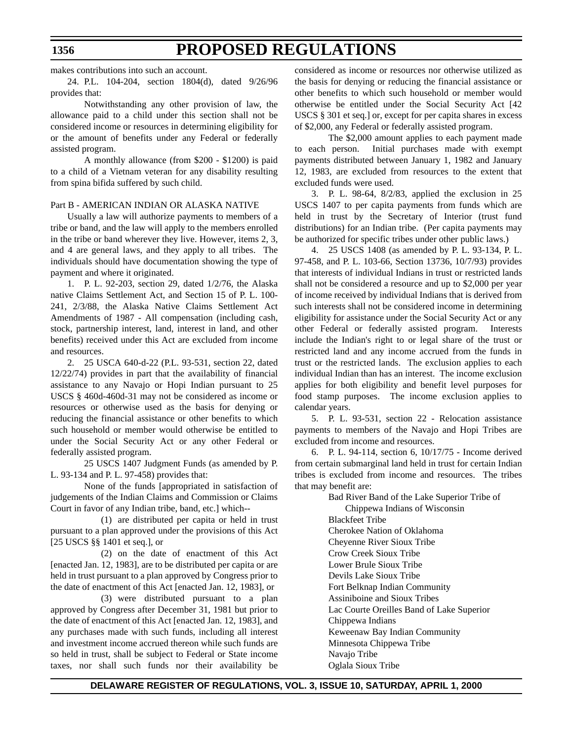makes contributions into such an account.

24. P.L. 104-204, section 1804(d), dated 9/26/96 provides that:

Notwithstanding any other provision of law, the allowance paid to a child under this section shall not be considered income or resources in determining eligibility for or the amount of benefits under any Federal or federally assisted program.

A monthly allowance (from \$200 - \$1200) is paid to a child of a Vietnam veteran for any disability resulting from spina bifida suffered by such child.

#### Part B - AMERICAN INDIAN OR ALASKA NATIVE

Usually a law will authorize payments to members of a tribe or band, and the law will apply to the members enrolled in the tribe or band wherever they live. However, items 2, 3, and 4 are general laws, and they apply to all tribes. The individuals should have documentation showing the type of payment and where it originated.

1. P. L. 92-203, section 29, dated 1/2/76, the Alaska native Claims Settlement Act, and Section 15 of P. L. 100- 241, 2/3/88, the Alaska Native Claims Settlement Act Amendments of 1987 - All compensation (including cash, stock, partnership interest, land, interest in land, and other benefits) received under this Act are excluded from income and resources.

2. 25 USCA 640-d-22 (P.L. 93-531, section 22, dated 12/22/74) provides in part that the availability of financial assistance to any Navajo or Hopi Indian pursuant to 25 USCS § 460d-460d-31 may not be considered as income or resources or otherwise used as the basis for denying or reducing the financial assistance or other benefits to which such household or member would otherwise be entitled to under the Social Security Act or any other Federal or federally assisted program.

25 USCS 1407 Judgment Funds (as amended by P. L. 93-134 and P. L. 97-458) provides that:

None of the funds [appropriated in satisfaction of judgements of the Indian Claims and Commission or Claims Court in favor of any Indian tribe, band, etc.] which--

(1) are distributed per capita or held in trust pursuant to a plan approved under the provisions of this Act [25 USCS §§ 1401 et seq.], or

(2) on the date of enactment of this Act [enacted Jan. 12, 1983], are to be distributed per capita or are held in trust pursuant to a plan approved by Congress prior to the date of enactment of this Act [enacted Jan. 12, 1983], or

(3) were distributed pursuant to a plan approved by Congress after December 31, 1981 but prior to the date of enactment of this Act [enacted Jan. 12, 1983], and any purchases made with such funds, including all interest and investment income accrued thereon while such funds are so held in trust, shall be subject to Federal or State income taxes, nor shall such funds nor their availability be considered as income or resources nor otherwise utilized as the basis for denying or reducing the financial assistance or other benefits to which such household or member would otherwise be entitled under the Social Security Act [42 USCS § 301 et seq.] or, except for per capita shares in excess of \$2,000, any Federal or federally assisted program.

The \$2,000 amount applies to each payment made to each person. Initial purchases made with exempt payments distributed between January 1, 1982 and January 12, 1983, are excluded from resources to the extent that excluded funds were used.

3. P. L. 98-64, 8/2/83, applied the exclusion in 25 USCS 1407 to per capita payments from funds which are held in trust by the Secretary of Interior (trust fund distributions) for an Indian tribe. (Per capita payments may be authorized for specific tribes under other public laws.)

4. 25 USCS 1408 (as amended by P. L. 93-134, P. L. 97-458, and P. L. 103-66, Section 13736, 10/7/93) provides that interests of individual Indians in trust or restricted lands shall not be considered a resource and up to \$2,000 per year of income received by individual Indians that is derived from such interests shall not be considered income in determining eligibility for assistance under the Social Security Act or any other Federal or federally assisted program. Interests include the Indian's right to or legal share of the trust or restricted land and any income accrued from the funds in trust or the restricted lands. The exclusion applies to each individual Indian than has an interest. The income exclusion applies for both eligibility and benefit level purposes for food stamp purposes. The income exclusion applies to calendar years.

5. P. L. 93-531, section 22 - Relocation assistance payments to members of the Navajo and Hopi Tribes are excluded from income and resources.

6. P. L. 94-114, section 6, 10/17/75 - Income derived from certain submarginal land held in trust for certain Indian tribes is excluded from income and resources. The tribes that may benefit are:

> Bad River Band of the Lake Superior Tribe of Chippewa Indians of Wisconsin Blackfeet Tribe Cherokee Nation of Oklahoma Cheyenne River Sioux Tribe Crow Creek Sioux Tribe Lower Brule Sioux Tribe Devils Lake Sioux Tribe Fort Belknap Indian Community Assiniboine and Sioux Tribes Lac Courte Oreilles Band of Lake Superior Chippewa Indians Keweenaw Bay Indian Community Minnesota Chippewa Tribe Navajo Tribe Oglala Sioux Tribe

# **DELAWARE REGISTER OF REGULATIONS, VOL. 3, ISSUE 10, SATURDAY, APRIL 1, 2000**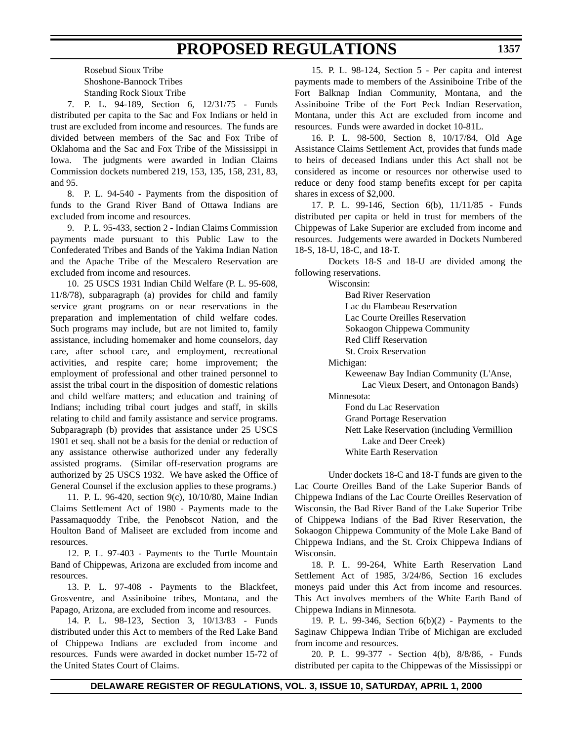Rosebud Sioux Tribe Shoshone-Bannock Tribes Standing Rock Sioux Tribe

7. P. L. 94-189, Section 6, 12/31/75 - Funds distributed per capita to the Sac and Fox Indians or held in trust are excluded from income and resources. The funds are divided between members of the Sac and Fox Tribe of Oklahoma and the Sac and Fox Tribe of the Mississippi in Iowa. The judgments were awarded in Indian Claims Commission dockets numbered 219, 153, 135, 158, 231, 83, and 95.

8. P. L. 94-540 - Payments from the disposition of funds to the Grand River Band of Ottawa Indians are excluded from income and resources.

9. P. L. 95-433, section 2 - Indian Claims Commission payments made pursuant to this Public Law to the Confederated Tribes and Bands of the Yakima Indian Nation and the Apache Tribe of the Mescalero Reservation are excluded from income and resources.

10. 25 USCS 1931 Indian Child Welfare (P. L. 95-608, 11/8/78), subparagraph (a) provides for child and family service grant programs on or near reservations in the preparation and implementation of child welfare codes. Such programs may include, but are not limited to, family assistance, including homemaker and home counselors, day care, after school care, and employment, recreational activities, and respite care; home improvement; the employment of professional and other trained personnel to assist the tribal court in the disposition of domestic relations and child welfare matters; and education and training of Indians; including tribal court judges and staff, in skills relating to child and family assistance and service programs. Subparagraph (b) provides that assistance under 25 USCS 1901 et seq. shall not be a basis for the denial or reduction of any assistance otherwise authorized under any federally assisted programs. (Similar off-reservation programs are authorized by 25 USCS 1932. We have asked the Office of General Counsel if the exclusion applies to these programs.)

11. P. L. 96-420, section 9(c), 10/10/80, Maine Indian Claims Settlement Act of 1980 - Payments made to the Passamaquoddy Tribe, the Penobscot Nation, and the Houlton Band of Maliseet are excluded from income and resources.

12. P. L. 97-403 - Payments to the Turtle Mountain Band of Chippewas, Arizona are excluded from income and resources.

13. P. L. 97-408 - Payments to the Blackfeet, Grosventre, and Assiniboine tribes, Montana, and the Papago, Arizona, are excluded from income and resources.

14. P. L. 98-123, Section 3, 10/13/83 - Funds distributed under this Act to members of the Red Lake Band of Chippewa Indians are excluded from income and resources. Funds were awarded in docket number 15-72 of the United States Court of Claims.

15. P. L. 98-124, Section 5 - Per capita and interest payments made to members of the Assiniboine Tribe of the Fort Balknap Indian Community, Montana, and the Assiniboine Tribe of the Fort Peck Indian Reservation, Montana, under this Act are excluded from income and resources. Funds were awarded in docket 10-81L.

16. P. L. 98-500, Section 8, 10/17/84, Old Age Assistance Claims Settlement Act, provides that funds made to heirs of deceased Indians under this Act shall not be considered as income or resources nor otherwise used to reduce or deny food stamp benefits except for per capita shares in excess of \$2,000.

17. P. L. 99-146, Section 6(b), 11/11/85 - Funds distributed per capita or held in trust for members of the Chippewas of Lake Superior are excluded from income and resources. Judgements were awarded in Dockets Numbered 18-S, 18-U, 18-C, and 18-T.

Dockets 18-S and 18-U are divided among the following reservations.

Wisconsin:

Bad River Reservation Lac du Flambeau Reservation Lac Courte Oreilles Reservation Sokaogon Chippewa Community Red Cliff Reservation St. Croix Reservation Michigan: Keweenaw Bay Indian Community (L'Anse, Lac Vieux Desert, and Ontonagon Bands) Minnesota: Fond du Lac Reservation Grand Portage Reservation Nett Lake Reservation (including Vermillion Lake and Deer Creek) White Earth Reservation

Under dockets 18-C and 18-T funds are given to the Lac Courte Oreilles Band of the Lake Superior Bands of Chippewa Indians of the Lac Courte Oreilles Reservation of Wisconsin, the Bad River Band of the Lake Superior Tribe of Chippewa Indians of the Bad River Reservation, the Sokaogon Chippewa Community of the Mole Lake Band of Chippewa Indians, and the St. Croix Chippewa Indians of Wisconsin.

18. P. L. 99-264, White Earth Reservation Land Settlement Act of 1985, 3/24/86, Section 16 excludes moneys paid under this Act from income and resources. This Act involves members of the White Earth Band of Chippewa Indians in Minnesota.

19. P. L. 99-346, Section 6(b)(2) - Payments to the Saginaw Chippewa Indian Tribe of Michigan are excluded from income and resources.

20. P. L. 99-377 - Section 4(b), 8/8/86, - Funds distributed per capita to the Chippewas of the Mississippi or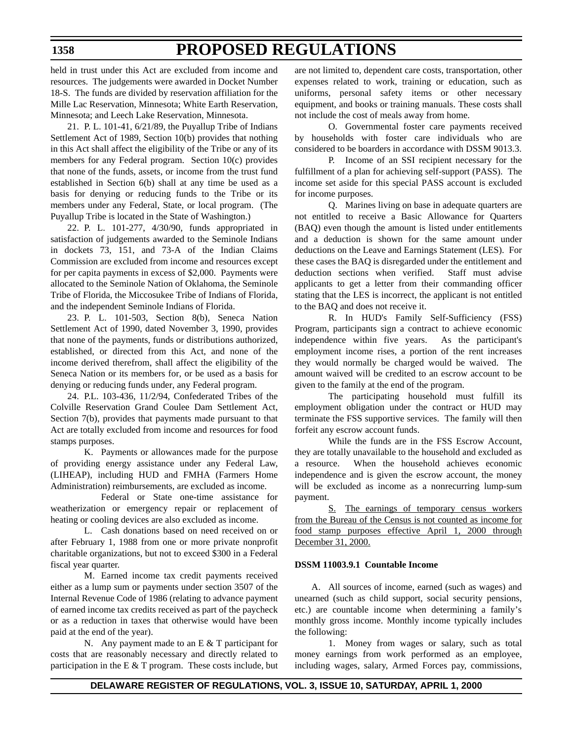held in trust under this Act are excluded from income and resources. The judgements were awarded in Docket Number 18-S. The funds are divided by reservation affiliation for the Mille Lac Reservation, Minnesota; White Earth Reservation, Minnesota; and Leech Lake Reservation, Minnesota.

21. P. L. 101-41, 6/21/89, the Puyallup Tribe of Indians Settlement Act of 1989, Section 10(b) provides that nothing in this Act shall affect the eligibility of the Tribe or any of its members for any Federal program. Section 10(c) provides that none of the funds, assets, or income from the trust fund established in Section 6(b) shall at any time be used as a basis for denying or reducing funds to the Tribe or its members under any Federal, State, or local program. (The Puyallup Tribe is located in the State of Washington.)

22. P. L. 101-277, 4/30/90, funds appropriated in satisfaction of judgements awarded to the Seminole Indians in dockets 73, 151, and 73-A of the Indian Claims Commission are excluded from income and resources except for per capita payments in excess of \$2,000. Payments were allocated to the Seminole Nation of Oklahoma, the Seminole Tribe of Florida, the Miccosukee Tribe of Indians of Florida, and the independent Seminole Indians of Florida.

23. P. L. 101-503, Section 8(b), Seneca Nation Settlement Act of 1990, dated November 3, 1990, provides that none of the payments, funds or distributions authorized, established, or directed from this Act, and none of the income derived therefrom, shall affect the eligibility of the Seneca Nation or its members for, or be used as a basis for denying or reducing funds under, any Federal program.

24. P.L. 103-436, 11/2/94, Confederated Tribes of the Colville Reservation Grand Coulee Dam Settlement Act, Section 7(b), provides that payments made pursuant to that Act are totally excluded from income and resources for food stamps purposes.

K. Payments or allowances made for the purpose of providing energy assistance under any Federal Law, (LIHEAP), including HUD and FMHA (Farmers Home Administration) reimbursements, are excluded as income.

Federal or State one-time assistance for weatherization or emergency repair or replacement of heating or cooling devices are also excluded as income.

L. Cash donations based on need received on or after February 1, 1988 from one or more private nonprofit charitable organizations, but not to exceed \$300 in a Federal fiscal year quarter.

M. Earned income tax credit payments received either as a lump sum or payments under section 3507 of the Internal Revenue Code of 1986 (relating to advance payment of earned income tax credits received as part of the paycheck or as a reduction in taxes that otherwise would have been paid at the end of the year).

N. Any payment made to an E & T participant for costs that are reasonably necessary and directly related to participation in the E  $&$  T program. These costs include, but are not limited to, dependent care costs, transportation, other expenses related to work, training or education, such as uniforms, personal safety items or other necessary equipment, and books or training manuals. These costs shall not include the cost of meals away from home.

O. Governmental foster care payments received by households with foster care individuals who are considered to be boarders in accordance with DSSM 9013.3.

P. Income of an SSI recipient necessary for the fulfillment of a plan for achieving self-support (PASS). The income set aside for this special PASS account is excluded for income purposes.

Q. Marines living on base in adequate quarters are not entitled to receive a Basic Allowance for Quarters (BAQ) even though the amount is listed under entitlements and a deduction is shown for the same amount under deductions on the Leave and Earnings Statement (LES). For these cases the BAQ is disregarded under the entitlement and deduction sections when verified. Staff must advise applicants to get a letter from their commanding officer stating that the LES is incorrect, the applicant is not entitled to the BAQ and does not receive it.

R. In HUD's Family Self-Sufficiency (FSS) Program, participants sign a contract to achieve economic independence within five years. As the participant's employment income rises, a portion of the rent increases they would normally be charged would be waived. The amount waived will be credited to an escrow account to be given to the family at the end of the program.

The participating household must fulfill its employment obligation under the contract or HUD may terminate the FSS supportive services. The family will then forfeit any escrow account funds.

While the funds are in the FSS Escrow Account, they are totally unavailable to the household and excluded as a resource. When the household achieves economic independence and is given the escrow account, the money will be excluded as income as a nonrecurring lump-sum payment.

S. The earnings of temporary census workers from the Bureau of the Census is not counted as income for food stamp purposes effective April 1, 2000 through December 31, 2000.

## **DSSM 11003.9.1 Countable Income**

A. All sources of income, earned (such as wages) and unearned (such as child support, social security pensions, etc.) are countable income when determining a family's monthly gross income. Monthly income typically includes the following:

1. Money from wages or salary, such as total money earnings from work performed as an employee, including wages, salary, Armed Forces pay, commissions,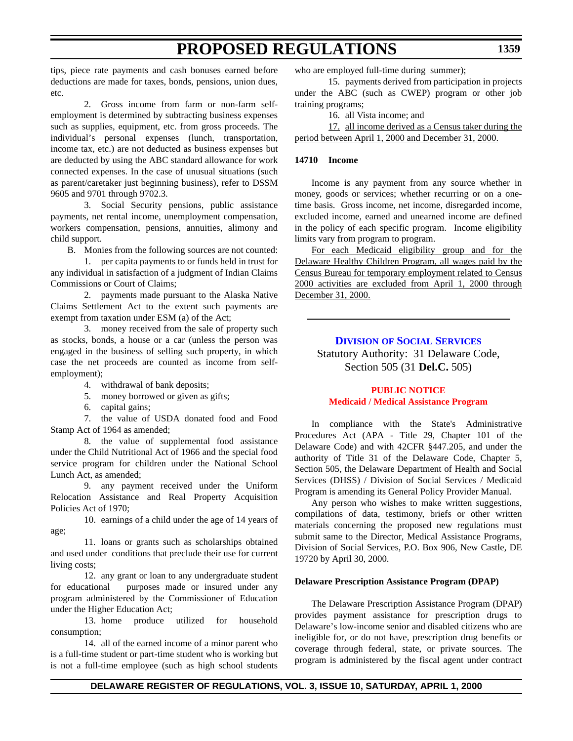tips, piece rate payments and cash bonuses earned before deductions are made for taxes, bonds, pensions, union dues, etc.

2. Gross income from farm or non-farm selfemployment is determined by subtracting business expenses such as supplies, equipment, etc. from gross proceeds. The individual's personal expenses (lunch, transportation, income tax, etc.) are not deducted as business expenses but are deducted by using the ABC standard allowance for work connected expenses. In the case of unusual situations (such as parent/caretaker just beginning business), refer to DSSM 9605 and 9701 through 9702.3.

3. Social Security pensions, public assistance payments, net rental income, unemployment compensation, workers compensation, pensions, annuities, alimony and child support.

B. Monies from the following sources are not counted:

1. per capita payments to or funds held in trust for any individual in satisfaction of a judgment of Indian Claims Commissions or Court of Claims;

2. payments made pursuant to the Alaska Native Claims Settlement Act to the extent such payments are exempt from taxation under ESM (a) of the Act;

3. money received from the sale of property such as stocks, bonds, a house or a car (unless the person was engaged in the business of selling such property, in which case the net proceeds are counted as income from selfemployment);

4. withdrawal of bank deposits;

5. money borrowed or given as gifts;

6. capital gains;

7. the value of USDA donated food and Food Stamp Act of 1964 as amended;

8. the value of supplemental food assistance under the Child Nutritional Act of 1966 and the special food service program for children under the National School Lunch Act, as amended;

9. any payment received under the Uniform Relocation Assistance and Real Property Acquisition Policies Act of 1970;

10. earnings of a child under the age of 14 years of age;

11. loans or grants such as scholarships obtained and used under conditions that preclude their use for current living costs;

12. any grant or loan to any undergraduate student for educational purposes made or insured under any program administered by the Commissioner of Education under the Higher Education Act;

13. home produce utilized for household consumption;

14. all of the earned income of a minor parent who is a full-time student or part-time student who is working but is not a full-time employee (such as high school students

who are employed full-time during summer);

15. payments derived from participation in projects under the ABC (such as CWEP) program or other job training programs;

16. all Vista income; and

17. all income derived as a Census taker during the period between April 1, 2000 and December 31, 2000.

#### **14710 Income**

Income is any payment from any source whether in money, goods or services; whether recurring or on a onetime basis. Gross income, net income, disregarded income, excluded income, earned and unearned income are defined in the policy of each specific program. Income eligibility limits vary from program to program.

For each Medicaid eligibility group and for the Delaware Healthy Children Program, all wages paid by the Census Bureau for temporary employment related to Census 2000 activities are excluded from April 1, 2000 through December 31, 2000.

## **DIVISION [OF SOCIAL SERVICES](http://www.state.de.us/dhss/irm/dhss.htm)**

Statutory Authority: 31 Delaware Code, Section 505 (31 **Del.C.** 505)

### **PUBLIC NOTICE [Medicaid / Medical Assistance Program](#page-3-0)**

In compliance with the State's Administrative Procedures Act (APA - Title 29, Chapter 101 of the Delaware Code) and with 42CFR §447.205, and under the authority of Title 31 of the Delaware Code, Chapter 5, Section 505, the Delaware Department of Health and Social Services (DHSS) / Division of Social Services / Medicaid Program is amending its General Policy Provider Manual.

Any person who wishes to make written suggestions, compilations of data, testimony, briefs or other written materials concerning the proposed new regulations must submit same to the Director, Medical Assistance Programs, Division of Social Services, P.O. Box 906, New Castle, DE 19720 by April 30, 2000.

### **Delaware Prescription Assistance Program (DPAP)**

The Delaware Prescription Assistance Program (DPAP) provides payment assistance for prescription drugs to Delaware's low-income senior and disabled citizens who are ineligible for, or do not have, prescription drug benefits or coverage through federal, state, or private sources. The program is administered by the fiscal agent under contract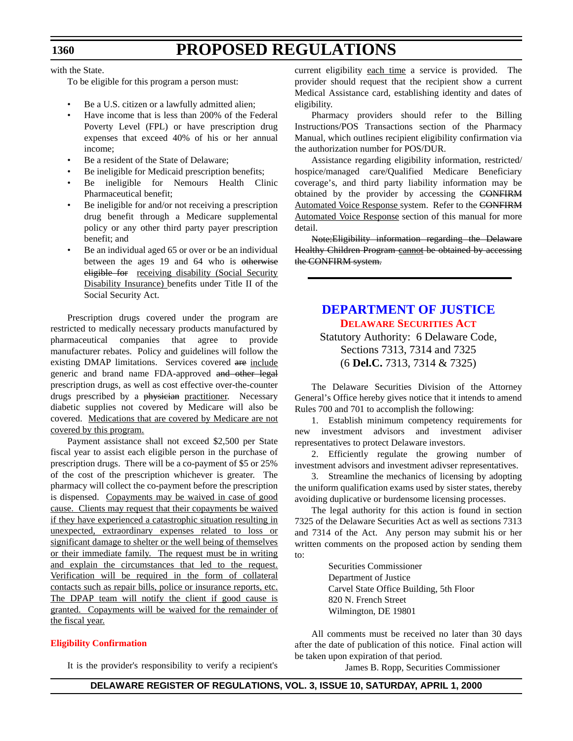**1360**

with the State.

To be eligible for this program a person must:

- Be a U.S. citizen or a lawfully admitted alien;
- Have income that is less than 200% of the Federal Poverty Level (FPL) or have prescription drug expenses that exceed 40% of his or her annual income;
- Be a resident of the State of Delaware;
- Be ineligible for Medicaid prescription benefits;
- Be ineligible for Nemours Health Clinic Pharmaceutical benefit;
- Be ineligible for and/or not receiving a prescription drug benefit through a Medicare supplemental policy or any other third party payer prescription benefit; and
- Be an individual aged 65 or over or be an individual between the ages 19 and 64 who is otherwise eligible for receiving disability (Social Security Disability Insurance) benefits under Title II of the Social Security Act.

Prescription drugs covered under the program are restricted to medically necessary products manufactured by pharmaceutical companies that agree to provide manufacturer rebates. Policy and guidelines will follow the existing DMAP limitations. Services covered are include generic and brand name FDA-approved and other legal prescription drugs, as well as cost effective over-the-counter drugs prescribed by a physician practitioner. Necessary diabetic supplies not covered by Medicare will also be covered. Medications that are covered by Medicare are not covered by this program.

Payment assistance shall not exceed \$2,500 per State fiscal year to assist each eligible person in the purchase of prescription drugs. There will be a co-payment of \$5 or 25% of the cost of the prescription whichever is greater. The pharmacy will collect the co-payment before the prescription is dispensed. Copayments may be waived in case of good cause. Clients may request that their copayments be waived if they have experienced a catastrophic situation resulting in unexpected, extraordinary expenses related to loss or significant damage to shelter or the well being of themselves or their immediate family. The request must be in writing and explain the circumstances that led to the request. Verification will be required in the form of collateral contacts such as repair bills, police or insurance reports, etc. The DPAP team will notify the client if good cause is granted. Copayments will be waived for the remainder of the fiscal year.

## **[Eligibility Confirmation](#page-3-0)**

It is the provider's responsibility to verify a recipient's

current eligibility each time a service is provided. The provider should request that the recipient show a current Medical Assistance card, establishing identity and dates of eligibility.

Pharmacy providers should refer to the Billing Instructions/POS Transactions section of the Pharmacy Manual, which outlines recipient eligibility confirmation via the authorization number for POS/DUR.

Assistance regarding eligibility information, restricted/ hospice/managed care/Qualified Medicare Beneficiary coverage's, and third party liability information may be obtained by the provider by accessing the CONFIRM Automated Voice Response system. Refer to the CONFIRM Automated Voice Response section of this manual for more detail.

Note:Eligibility information regarding the Delaware Healthy Children Program cannot be obtained by accessing the CONFIRM system.

# **[DEPARTMENT OF JUSTICE](http://www.state.de.us/attgen/index.htm) [DELAWARE SECURITIES ACT](#page-3-0)**

Statutory Authority: 6 Delaware Code, Sections 7313, 7314 and 7325 (6 **Del.C.** 7313, 7314 & 7325)

The Delaware Securities Division of the Attorney General's Office hereby gives notice that it intends to amend Rules 700 and 701 to accomplish the following:

1. Establish minimum competency requirements for new investment advisors and investment adiviser representatives to protect Delaware investors.

2. Efficiently regulate the growing number of investment advisors and investment adivser representatives.

3. Streamline the mechanics of licensing by adopting the uniform qualification exams used by sister states, thereby avoiding duplicative or burdensome licensing processes.

The legal authority for this action is found in section 7325 of the Delaware Securities Act as well as sections 7313 and 7314 of the Act. Any person may submit his or her written comments on the proposed action by sending them to:

> Securities Commissioner Department of Justice Carvel State Office Building, 5th Floor 820 N. French Street Wilmington, DE 19801

All comments must be received no later than 30 days after the date of publication of this notice. Final action will be taken upon expiration of that period.

James B. Ropp, Securities Commissioner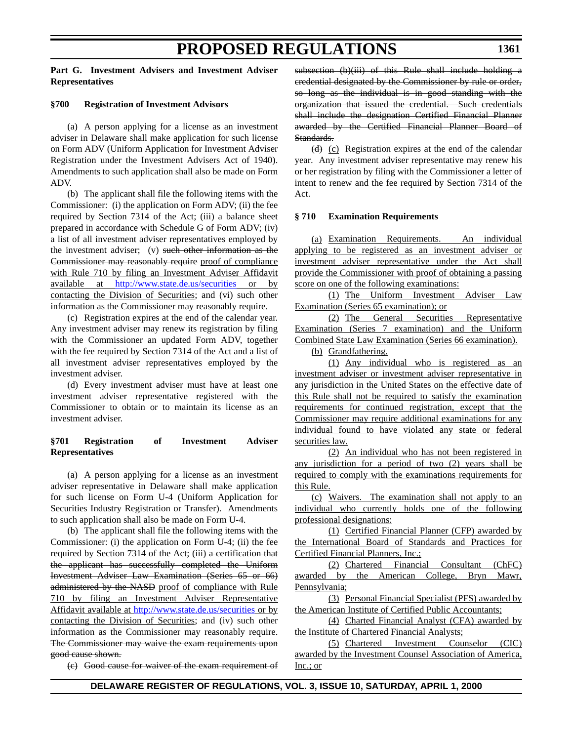### **Part G. Investment Advisers and Investment Adviser Representatives**

#### **§700 Registration of Investment Advisors**

(a) A person applying for a license as an investment adviser in Delaware shall make application for such license on Form ADV (Uniform Application for Investment Adviser Registration under the Investment Advisers Act of 1940). Amendments to such application shall also be made on Form ADV.

(b) The applicant shall file the following items with the Commissioner: (i) the application on Form ADV; (ii) the fee required by Section 7314 of the Act; (iii) a balance sheet prepared in accordance with Schedule G of Form ADV; (iv) a list of all investment adviser representatives employed by the investment adviser; (v) such other information as the Commissioner may reasonably require proof of compliance with Rule 710 by filing an Investment Adviser Affidavit available at http://www.state.de.us/securities or by contacting the Division of Securities; and (vi) such other information as the Commissioner may reasonably require.

(c) Registration expires at the end of the calendar year. Any investment adviser may renew its registration by filing with the Commissioner an updated Form ADV, together with the fee required by Section 7314 of the Act and a list of all investment adviser representatives employed by the investment adviser.

(d) Every investment adviser must have at least one investment adviser representative registered with the Commissioner to obtain or to maintain its license as an investment adviser.

#### **§701 Registration of Investment Adviser Representatives**

(a) A person applying for a license as an investment adviser representative in Delaware shall make application for such license on Form U-4 (Uniform Application for Securities Industry Registration or Transfer). Amendments to such application shall also be made on Form U-4.

(b) The applicant shall file the following items with the Commissioner: (i) the application on Form U-4; (ii) the fee required by Section 7314 of the Act; (iii) a certification that the applicant has successfully completed the Uniform Investment Adviser Law Examination (Series 65 or 66) administered by the NASD proof of compliance with Rule 710 by filing an Investment Adviser Representative Affidavit available at http://www.state.de.us/securities or by contacting the Division of Securities; and (iv) such other information as the Commissioner may reasonably require. The Commissioner may waive the exam requirements upon good cause shown.

(c) Good cause for waiver of the exam requirement of

subsection (b)(iii) of this Rule shall include holding a credential designated by the Commissioner by rule or order, so long as the individual is in good standing with the organization that issued the credential. Such credentials shall include the designation Certified Financial Planner awarded by the Certified Financial Planner Board of Standards.

(d) (c) Registration expires at the end of the calendar year. Any investment adviser representative may renew his or her registration by filing with the Commissioner a letter of intent to renew and the fee required by Section 7314 of the Act.

#### **§ 710 Examination Requirements**

(a) Examination Requirements. An individual applying to be registered as an investment adviser or investment adviser representative under the Act shall provide the Commissioner with proof of obtaining a passing score on one of the following examinations:

(1) The Uniform Investment Adviser Law Examination (Series 65 examination); or

(2) The General Securities Representative Examination (Series 7 examination) and the Uniform Combined State Law Examination (Series 66 examination).

(b) Grandfathering.

(1) Any individual who is registered as an investment adviser or investment adviser representative in any jurisdiction in the United States on the effective date of this Rule shall not be required to satisfy the examination requirements for continued registration, except that the Commissioner may require additional examinations for any individual found to have violated any state or federal securities law.

(2) An individual who has not been registered in any jurisdiction for a period of two (2) years shall be required to comply with the examinations requirements for this Rule.

(c) Waivers. The examination shall not apply to an individual who currently holds one of the following professional designations:

(1) Certified Financial Planner (CFP) awarded by the International Board of Standards and Practices for Certified Financial Planners, Inc.;

(2) Chartered Financial Consultant (ChFC) awarded by the American College, Bryn Mawr, Pennsylvania;

(3) Personal Financial Specialist (PFS) awarded by the American Institute of Certified Public Accountants;

(4) Charted Financial Analyst (CFA) awarded by the Institute of Chartered Financial Analysts;

(5) Chartered Investment Counselor (CIC) awarded by the Investment Counsel Association of America, Inc.; or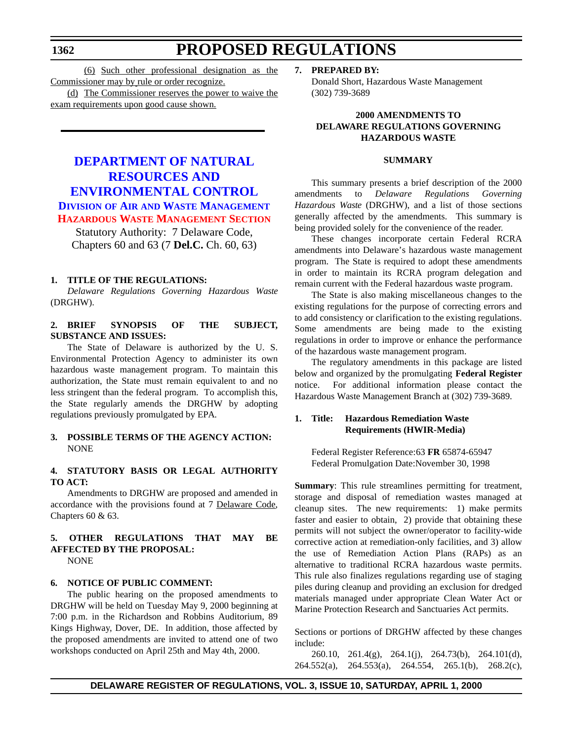(6) Such other professional designation as the Commissioner may by rule or order recognize.

(d) The Commissioner reserves the power to waive the exam requirements upon good cause shown.

# **DEPARTMENT OF NATURAL RESOURCES AND [ENVIRONMENTAL CONTROL](http://www.dnrec.state.de.us/aandw.htm)**

# **DIVISION OF AIR AND WASTE MANAGEMENT [HAZARDOUS WASTE MANAGEMENT SECTION](#page-3-0)**

Statutory Authority: 7 Delaware Code, Chapters 60 and 63 (7 **Del.C.** Ch. 60, 63)

### **1. TITLE OF THE REGULATIONS:**

*Delaware Regulations Governing Hazardous Waste* (DRGHW).

### **2. BRIEF SYNOPSIS OF THE SUBJECT, SUBSTANCE AND ISSUES:**

The State of Delaware is authorized by the U. S. Environmental Protection Agency to administer its own hazardous waste management program. To maintain this authorization, the State must remain equivalent to and no less stringent than the federal program. To accomplish this, the State regularly amends the DRGHW by adopting regulations previously promulgated by EPA.

### **3. POSSIBLE TERMS OF THE AGENCY ACTION:** NONE

## **4. STATUTORY BASIS OR LEGAL AUTHORITY TO ACT:**

Amendments to DRGHW are proposed and amended in accordance with the provisions found at 7 Delaware Code, Chapters 60 & 63.

#### **5. OTHER REGULATIONS THAT MAY BE AFFECTED BY THE PROPOSAL:** NONE

## **6. NOTICE OF PUBLIC COMMENT:**

The public hearing on the proposed amendments to DRGHW will be held on Tuesday May 9, 2000 beginning at 7:00 p.m. in the Richardson and Robbins Auditorium, 89 Kings Highway, Dover, DE. In addition, those affected by the proposed amendments are invited to attend one of two workshops conducted on April 25th and May 4th, 2000.

#### **7. PREPARED BY:**

Donald Short, Hazardous Waste Management (302) 739-3689

### **2000 AMENDMENTS TO DELAWARE REGULATIONS GOVERNING HAZARDOUS WASTE**

#### **SUMMARY**

This summary presents a brief description of the 2000 amendments to *Delaware Regulations Governing Hazardous Waste* (DRGHW), and a list of those sections generally affected by the amendments. This summary is being provided solely for the convenience of the reader.

These changes incorporate certain Federal RCRA amendments into Delaware's hazardous waste management program. The State is required to adopt these amendments in order to maintain its RCRA program delegation and remain current with the Federal hazardous waste program.

The State is also making miscellaneous changes to the existing regulations for the purpose of correcting errors and to add consistency or clarification to the existing regulations. Some amendments are being made to the existing regulations in order to improve or enhance the performance of the hazardous waste management program.

The regulatory amendments in this package are listed below and organized by the promulgating **Federal Register** notice. For additional information please contact the Hazardous Waste Management Branch at (302) 739-3689.

# **1. Title: Hazardous Remediation Waste Requirements (HWIR-Media)**

Federal Register Reference:63 **FR** 65874-65947 Federal Promulgation Date:November 30, 1998

**Summary**: This rule streamlines permitting for treatment, storage and disposal of remediation wastes managed at cleanup sites. The new requirements: 1) make permits faster and easier to obtain, 2) provide that obtaining these permits will not subject the owner/operator to facility-wide corrective action at remediation-only facilities, and 3) allow the use of Remediation Action Plans (RAPs) as an alternative to traditional RCRA hazardous waste permits. This rule also finalizes regulations regarding use of staging piles during cleanup and providing an exclusion for dredged materials managed under appropriate Clean Water Act or Marine Protection Research and Sanctuaries Act permits.

Sections or portions of DRGHW affected by these changes include:

260.10, 261.4(g), 264.1(j), 264.73(b), 264.101(d), 264.552(a), 264.553(a), 264.554, 265.1(b), 268.2(c),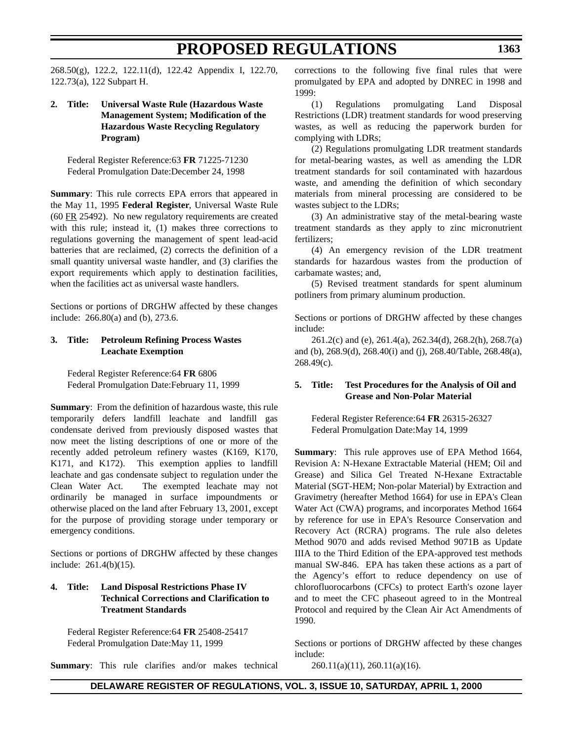268.50(g), 122.2, 122.11(d), 122.42 Appendix I, 122.70, 122.73(a), 122 Subpart H.

# **2. Title: Universal Waste Rule (Hazardous Waste Management System; Modification of the Hazardous Waste Recycling Regulatory Program)**

Federal Register Reference:63 **FR** 71225-71230 Federal Promulgation Date:December 24, 1998

**Summary**: This rule corrects EPA errors that appeared in the May 11, 1995 **Federal Register**, Universal Waste Rule (60 FR 25492). No new regulatory requirements are created with this rule; instead it, (1) makes three corrections to regulations governing the management of spent lead-acid batteries that are reclaimed, (2) corrects the definition of a small quantity universal waste handler, and (3) clarifies the export requirements which apply to destination facilities, when the facilities act as universal waste handlers.

Sections or portions of DRGHW affected by these changes include: 266.80(a) and (b), 273.6.

### **3. Title: Petroleum Refining Process Wastes Leachate Exemption**

Federal Register Reference:64 **FR** 6806 Federal Promulgation Date:February 11, 1999

**Summary**: From the definition of hazardous waste, this rule temporarily defers landfill leachate and landfill gas condensate derived from previously disposed wastes that now meet the listing descriptions of one or more of the recently added petroleum refinery wastes (K169, K170, K171, and K172). This exemption applies to landfill leachate and gas condensate subject to regulation under the Clean Water Act. The exempted leachate may not ordinarily be managed in surface impoundments or otherwise placed on the land after February 13, 2001, except for the purpose of providing storage under temporary or emergency conditions.

Sections or portions of DRGHW affected by these changes include: 261.4(b)(15).

## **4. Title: Land Disposal Restrictions Phase IV Technical Corrections and Clarification to Treatment Standards**

Federal Register Reference:64 **FR** 25408-25417 Federal Promulgation Date:May 11, 1999

**Summary**: This rule clarifies and/or makes technical

corrections to the following five final rules that were promulgated by EPA and adopted by DNREC in 1998 and 1999:

(1) Regulations promulgating Land Disposal Restrictions (LDR) treatment standards for wood preserving wastes, as well as reducing the paperwork burden for complying with LDRs;

(2) Regulations promulgating LDR treatment standards for metal-bearing wastes, as well as amending the LDR treatment standards for soil contaminated with hazardous waste, and amending the definition of which secondary materials from mineral processing are considered to be wastes subject to the LDRs;

(3) An administrative stay of the metal-bearing waste treatment standards as they apply to zinc micronutrient fertilizers;

(4) An emergency revision of the LDR treatment standards for hazardous wastes from the production of carbamate wastes; and,

(5) Revised treatment standards for spent aluminum potliners from primary aluminum production.

Sections or portions of DRGHW affected by these changes include:

261.2(c) and (e), 261.4(a), 262.34(d), 268.2(h), 268.7(a) and (b), 268.9(d), 268.40(i) and (j), 268.40/Table, 268.48(a), 268.49(c).

## **5. Title: Test Procedures for the Analysis of Oil and Grease and Non-Polar Material**

Federal Register Reference:64 **FR** 26315-26327 Federal Promulgation Date:May 14, 1999

**Summary**: This rule approves use of EPA Method 1664, Revision A: N-Hexane Extractable Material (HEM; Oil and Grease) and Silica Gel Treated N-Hexane Extractable Material (SGT-HEM; Non-polar Material) by Extraction and Gravimetry (hereafter Method 1664) for use in EPA's Clean Water Act (CWA) programs, and incorporates Method 1664 by reference for use in EPA's Resource Conservation and Recovery Act (RCRA) programs. The rule also deletes Method 9070 and adds revised Method 9071B as Update IIIA to the Third Edition of the EPA-approved test methods manual SW-846. EPA has taken these actions as a part of the Agency's effort to reduce dependency on use of chlorofluorocarbons (CFCs) to protect Earth's ozone layer and to meet the CFC phaseout agreed to in the Montreal Protocol and required by the Clean Air Act Amendments of 1990.

Sections or portions of DRGHW affected by these changes include:

260.11(a)(11), 260.11(a)(16).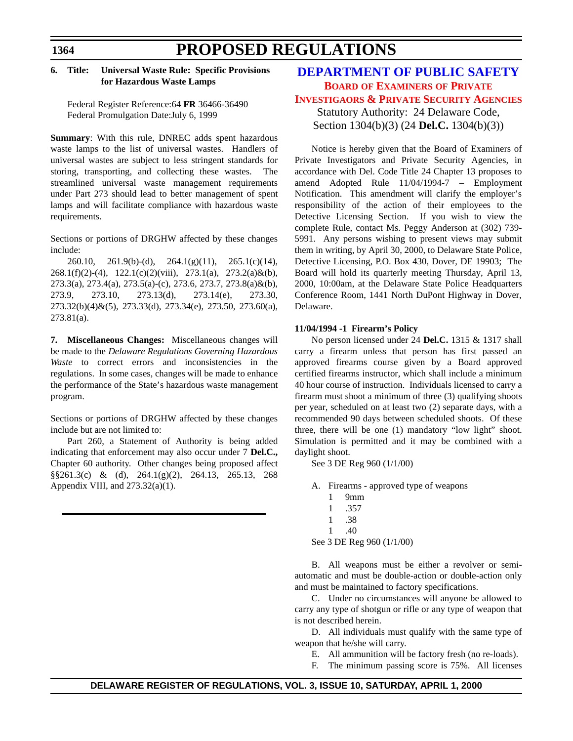# **6. Title: Universal Waste Rule: Specific Provisions for Hazardous Waste Lamps**

Federal Register Reference:64 **FR** 36466-36490 Federal Promulgation Date:July 6, 1999

**Summary**: With this rule, DNREC adds spent hazardous waste lamps to the list of universal wastes. Handlers of universal wastes are subject to less stringent standards for storing, transporting, and collecting these wastes. The streamlined universal waste management requirements under Part 273 should lead to better management of spent lamps and will facilitate compliance with hazardous waste requirements.

Sections or portions of DRGHW affected by these changes include:

260.10, 261.9(b)-(d), 264.1(g)(11), 265.1(c)(14), 268.1(f)(2)-(4), 122.1(c)(2)(viii), 273.1(a), 273.2(a)&(b), 273.3(a), 273.4(a), 273.5(a)-(c), 273.6, 273.7, 273.8(a)&(b), 273.9, 273.10, 273.13(d), 273.14(e), 273.30, 273.32(b)(4)&(5), 273.33(d), 273.34(e), 273.50, 273.60(a), 273.81(a).

**7. Miscellaneous Changes:** Miscellaneous changes will be made to the *Delaware Regulations Governing Hazardous Waste* to correct errors and inconsistencies in the regulations. In some cases, changes will be made to enhance the performance of the State's hazardous waste management program.

Sections or portions of DRGHW affected by these changes include but are not limited to:

Part 260, a Statement of Authority is being added indicating that enforcement may also occur under 7 **Del.C.,** Chapter 60 authority. Other changes being proposed affect §§261.3(c) & (d), 264.1(g)(2), 264.13, 265.13, 268 Appendix VIII, and  $273.32(a)(1)$ .

# **[DEPARTMENT OF PUBLIC SAFETY](http://www.state.de.us/pubsafe/index.htm) BOARD OF EXAMINERS OF PRIVATE [INVESTIGAORS & PRIVATE SECURITY AGENCIES](#page-3-0)** Statutory Authority: 24 Delaware Code, Section 1304(b)(3) (24 **Del.C.** 1304(b)(3))

Notice is hereby given that the Board of Examiners of Private Investigators and Private Security Agencies, in accordance with Del. Code Title 24 Chapter 13 proposes to amend Adopted Rule 11/04/1994-7 – Employment Notification. This amendment will clarify the employer's responsibility of the action of their employees to the Detective Licensing Section. If you wish to view the complete Rule, contact Ms. Peggy Anderson at (302) 739- 5991. Any persons wishing to present views may submit them in writing, by April 30, 2000, to Delaware State Police, Detective Licensing, P.O. Box 430, Dover, DE 19903; The Board will hold its quarterly meeting Thursday, April 13, 2000, 10:00am, at the Delaware State Police Headquarters Conference Room, 1441 North DuPont Highway in Dover, Delaware.

## **11/04/1994 -1 Firearm's Policy**

No person licensed under 24 **Del.C.** 1315 & 1317 shall carry a firearm unless that person has first passed an approved firearms course given by a Board approved certified firearms instructor, which shall include a minimum 40 hour course of instruction. Individuals licensed to carry a firearm must shoot a minimum of three (3) qualifying shoots per year, scheduled on at least two (2) separate days, with a recommended 90 days between scheduled shoots. Of these three, there will be one (1) mandatory "low light" shoot. Simulation is permitted and it may be combined with a daylight shoot.

See 3 DE Reg 960 (1/1/00)

- A. Firearms approved type of weapons
	- 1 9mm
	- 1 .357
	- 1 .38
	- 1 .40

See 3 DE Reg 960 (1/1/00)

B. All weapons must be either a revolver or semiautomatic and must be double-action or double-action only and must be maintained to factory specifications.

C. Under no circumstances will anyone be allowed to carry any type of shotgun or rifle or any type of weapon that is not described herein.

D. All individuals must qualify with the same type of weapon that he/she will carry.

E. All ammunition will be factory fresh (no re-loads).

F. The minimum passing score is 75%. All licenses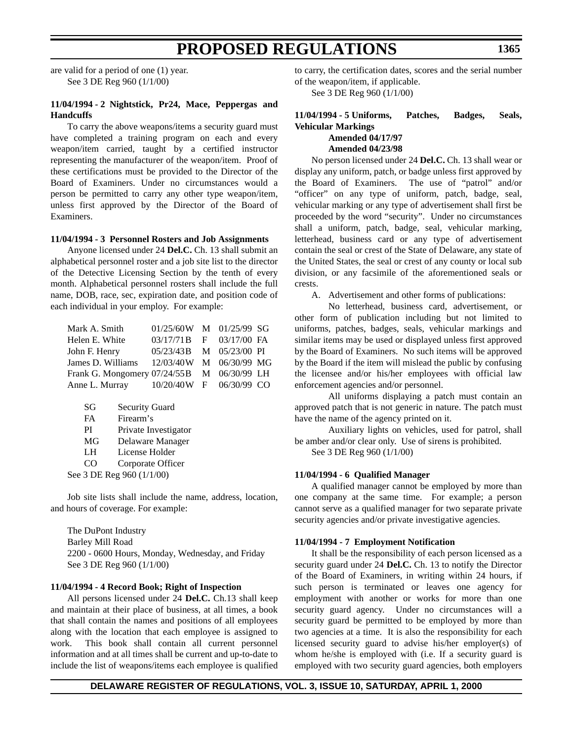are valid for a period of one (1) year. See 3 DE Reg 960 (1/1/00)

### **11/04/1994 - 2 Nightstick, Pr24, Mace, Peppergas and Handcuffs**

To carry the above weapons/items a security guard must have completed a training program on each and every weapon/item carried, taught by a certified instructor representing the manufacturer of the weapon/item. Proof of these certifications must be provided to the Director of the Board of Examiners. Under no circumstances would a person be permitted to carry any other type weapon/item, unless first approved by the Director of the Board of Examiners.

#### **11/04/1994 - 3 Personnel Rosters and Job Assignments**

Anyone licensed under 24 **Del.C.** Ch. 13 shall submit an alphabetical personnel roster and a job site list to the director of the Detective Licensing Section by the tenth of every month. Alphabetical personnel rosters shall include the full name, DOB, race, sec, expiration date, and position code of each individual in your employ. For example:

| Mark A. Smith                | 01/25/60W M 01/25/99 SG |   |                   |  |
|------------------------------|-------------------------|---|-------------------|--|
| Helen E. White               | 03/17/71B               |   | $F = 03/17/00$ FA |  |
| John F. Henry                | 05/23/43 B              |   | $M$ 05/23/00 PI   |  |
| James D. Williams            | 12/03/40W               | M | 06/30/99 MG       |  |
| Frank G. Mongomery 07/24/55B |                         |   | M 06/30/99 LH     |  |
| Anne L. Murray               | 10/20/40W               |   | F 06/30/99 CO     |  |
|                              |                         |   |                   |  |
| <b>Security Guard</b><br>SG  |                         |   |                   |  |

| FA                        | Firearm's            |  |
|---------------------------|----------------------|--|
| PI                        | Private Investigator |  |
| MG                        | Delaware Manager     |  |
| LH.                       | License Holder       |  |
| CO                        | Corporate Officer    |  |
| See 3 DE Reg 960 (1/1/00) |                      |  |

Job site lists shall include the name, address, location, and hours of coverage. For example:

The DuPont Industry Barley Mill Road 2200 - 0600 Hours, Monday, Wednesday, and Friday See 3 DE Reg 960 (1/1/00)

#### **11/04/1994 - 4 Record Book; Right of Inspection**

All persons licensed under 24 **Del.C.** Ch.13 shall keep and maintain at their place of business, at all times, a book that shall contain the names and positions of all employees along with the location that each employee is assigned to work. This book shall contain all current personnel information and at all times shall be current and up-to-date to include the list of weapons/items each employee is qualified to carry, the certification dates, scores and the serial number of the weapon/item, if applicable.

See 3 DE Reg 960 (1/1/00)

# **11/04/1994 - 5 Uniforms, Patches, Badges, Seals, Vehicular Markings**

#### **Amended 04/17/97 Amended 04/23/98**

No person licensed under 24 **Del.C.** Ch. 13 shall wear or display any uniform, patch, or badge unless first approved by the Board of Examiners. The use of "patrol" and/or "officer" on any type of uniform, patch, badge, seal, vehicular marking or any type of advertisement shall first be proceeded by the word "security". Under no circumstances shall a uniform, patch, badge, seal, vehicular marking, letterhead, business card or any type of advertisement contain the seal or crest of the State of Delaware, any state of the United States, the seal or crest of any county or local sub division, or any facsimile of the aforementioned seals or crests.

A. Advertisement and other forms of publications:

No letterhead, business card, advertisement, or other form of publication including but not limited to uniforms, patches, badges, seals, vehicular markings and similar items may be used or displayed unless first approved by the Board of Examiners. No such items will be approved by the Board if the item will mislead the public by confusing the licensee and/or his/her employees with official law enforcement agencies and/or personnel.

All uniforms displaying a patch must contain an approved patch that is not generic in nature. The patch must have the name of the agency printed on it.

Auxiliary lights on vehicles, used for patrol, shall be amber and/or clear only. Use of sirens is prohibited.

See 3 DE Reg 960 (1/1/00)

#### **11/04/1994 - 6 Qualified Manager**

A qualified manager cannot be employed by more than one company at the same time. For example; a person cannot serve as a qualified manager for two separate private security agencies and/or private investigative agencies.

#### **11/04/1994 - 7 Employment Notification**

It shall be the responsibility of each person licensed as a security guard under 24 **Del.C.** Ch. 13 to notify the Director of the Board of Examiners, in writing within 24 hours, if such person is terminated or leaves one agency for employment with another or works for more than one security guard agency. Under no circumstances will a security guard be permitted to be employed by more than two agencies at a time. It is also the responsibility for each licensed security guard to advise his/her employer(s) of whom he/she is employed with (i.e. If a security guard is employed with two security guard agencies, both employers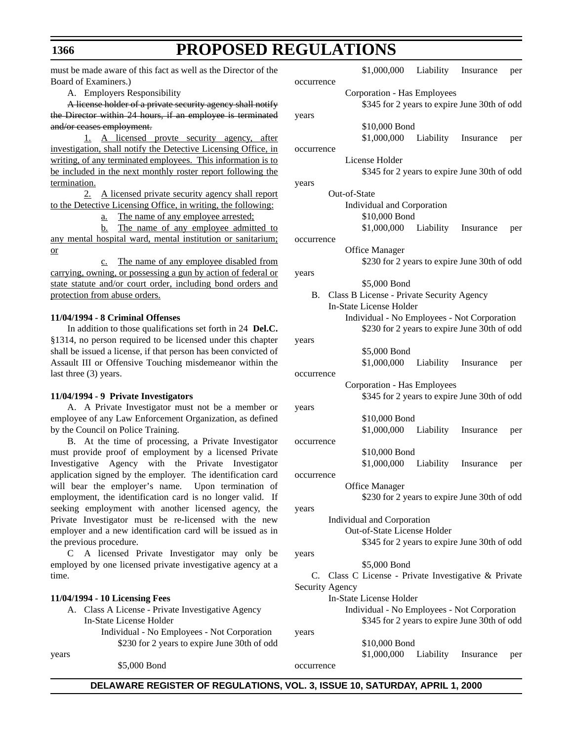must be made aware of this fact as well as the Director of the Board of Examiners.)

A. Employers Responsibility

A license holder of a private security agency shall notify the Director within 24 hours, if an employee is terminated and/or ceases employment.

1. A licensed provte security agency, after investigation, shall notify the Detective Licensing Office, in writing, of any terminated employees. This information is to be included in the next monthly roster report following the termination.

2. A licensed private security agency shall report to the Detective Licensing Office, in writing, the following:

a. The name of any employee arrested;

b. The name of any employee admitted to any mental hospital ward, mental institution or sanitarium; or

c. The name of any employee disabled from carrying, owning, or possessing a gun by action of federal or state statute and/or court order, including bond orders and protection from abuse orders.

### **11/04/1994 - 8 Criminal Offenses**

In addition to those qualifications set forth in 24 **Del.C.** §1314, no person required to be licensed under this chapter shall be issued a license, if that person has been convicted of Assault III or Offensive Touching misdemeanor within the last three (3) years.

### **11/04/1994 - 9 Private Investigators**

A. A Private Investigator must not be a member or employee of any Law Enforcement Organization, as defined by the Council on Police Training.

B. At the time of processing, a Private Investigator must provide proof of employment by a licensed Private Investigative Agency with the Private Investigator application signed by the employer. The identification card will bear the employer's name. Upon termination of employment, the identification card is no longer valid. If seeking employment with another licensed agency, the Private Investigator must be re-licensed with the new employer and a new identification card will be issued as in the previous procedure.

C A licensed Private Investigator may only be employed by one licensed private investigative agency at a time.

#### **11/04/1994 - 10 Licensing Fees**

A. Class A License - Private Investigative Agency In-State License Holder

\$5,000 Bond

Individual - No Employees - Not Corporation \$230 for 2 years to expire June 30th of odd

years

years \$5,000 Bond Security Agency In-State License Holder Individual - No Employees - Not Corporation \$345 for 2 years to expire June 30th of odd years \$10,000 Bond

\$1,000,000 Liability Insurance per

occurrence

### **DELAWARE REGISTER OF REGULATIONS, VOL. 3, ISSUE 10, SATURDAY, APRIL 1, 2000**

\$1,000,000 Liability Insurance per occurrence Corporation - Has Employees \$345 for 2 years to expire June 30th of odd years \$10,000 Bond \$1,000,000 Liability Insurance per occurrence License Holder \$345 for 2 years to expire June 30th of odd years Out-of-State Individual and Corporation \$10,000 Bond \$1,000,000 Liability Insurance per occurrence Office Manager \$230 for 2 years to expire June 30th of odd years \$5,000 Bond B. Class B License - Private Security Agency In-State License Holder Individual - No Employees - Not Corporation \$230 for 2 years to expire June 30th of odd years \$5,000 Bond \$1,000,000 Liability Insurance per occurrence Corporation - Has Employees \$345 for 2 years to expire June 30th of odd years \$10,000 Bond \$1,000,000 Liability Insurance per occurrence \$10,000 Bond \$1,000,000 Liability Insurance per occurrence Office Manager \$230 for 2 years to expire June 30th of odd years Individual and Corporation Out-of-State License Holder \$345 for 2 years to expire June 30th of odd C. Class C License - Private Investigative & Private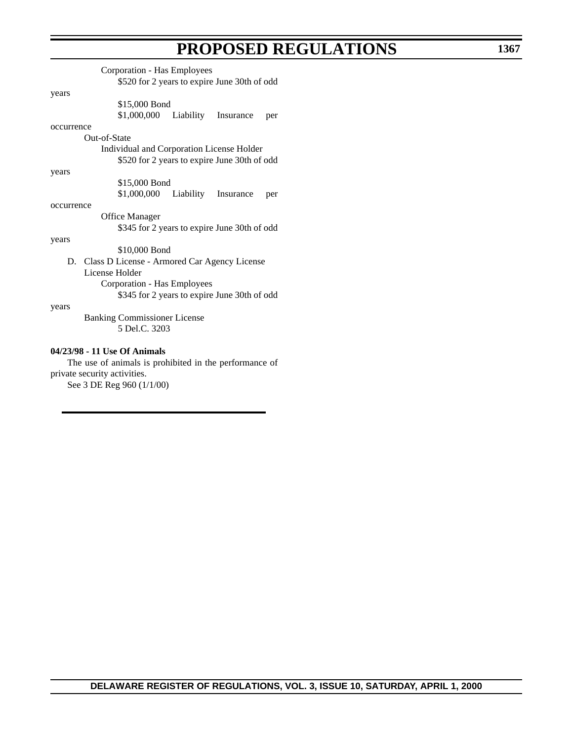|            | Corporation - Has Employees<br>\$520 for 2 years to expire June 30th of odd |
|------------|-----------------------------------------------------------------------------|
| years      |                                                                             |
|            | \$15,000 Bond                                                               |
|            | \$1,000,000 Liability Insurance<br>per                                      |
| occurrence |                                                                             |
|            | Out-of-State                                                                |
|            | Individual and Corporation License Holder                                   |
|            | \$520 for 2 years to expire June 30th of odd                                |
| years      |                                                                             |
|            | \$15,000 Bond                                                               |
|            | \$1,000,000<br>Liability Insurance<br>per                                   |
| occurrence |                                                                             |
|            | <b>Office Manager</b>                                                       |
|            | \$345 for 2 years to expire June 30th of odd                                |
| years      |                                                                             |
|            | \$10,000 Bond                                                               |
|            | D. Class D License - Armored Car Agency License                             |
|            | License Holder                                                              |
|            | Corporation - Has Employees                                                 |
|            | \$345 for 2 years to expire June 30th of odd                                |
| years      |                                                                             |
|            | <b>Banking Commissioner License</b>                                         |
|            | 5 Del.C. 3203                                                               |
|            | 04/23/98 - 11 Use Of Animals                                                |
|            | The use of animals is prohibited in the performance of                      |
|            | private security activities.                                                |

See 3 DE Reg 960 (1/1/00)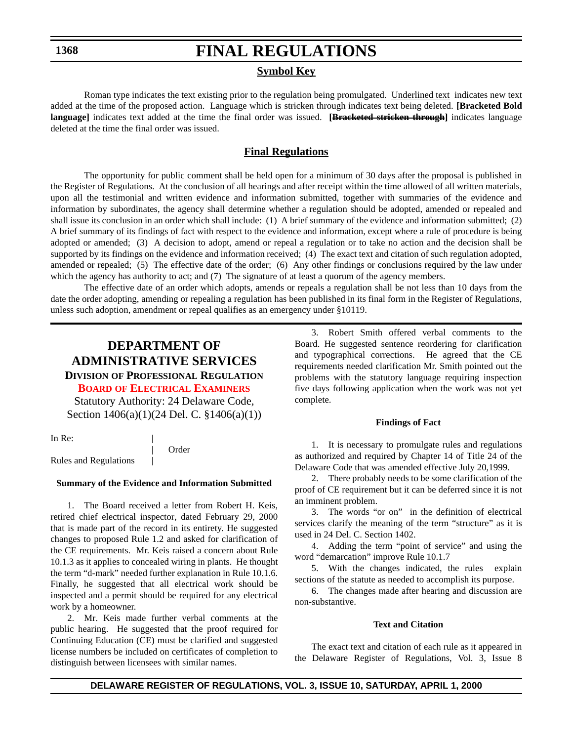### **1368**

# **FINAL REGULATIONS**

### **Symbol Key**

Roman type indicates the text existing prior to the regulation being promulgated. Underlined text indicates new text added at the time of the proposed action. Language which is stricken through indicates text being deleted. **[Bracketed Bold language]** indicates text added at the time the final order was issued. **[Bracketed stricken through]** indicates language deleted at the time the final order was issued.

# **Final Regulations**

The opportunity for public comment shall be held open for a minimum of 30 days after the proposal is published in the Register of Regulations. At the conclusion of all hearings and after receipt within the time allowed of all written materials, upon all the testimonial and written evidence and information submitted, together with summaries of the evidence and information by subordinates, the agency shall determine whether a regulation should be adopted, amended or repealed and shall issue its conclusion in an order which shall include: (1) A brief summary of the evidence and information submitted; (2) A brief summary of its findings of fact with respect to the evidence and information, except where a rule of procedure is being adopted or amended; (3) A decision to adopt, amend or repeal a regulation or to take no action and the decision shall be supported by its findings on the evidence and information received; (4) The exact text and citation of such regulation adopted, amended or repealed; (5) The effective date of the order; (6) Any other findings or conclusions required by the law under which the agency has authority to act; and (7) The signature of at least a quorum of the agency members.

The effective date of an order which adopts, amends or repeals a regulation shall be not less than 10 days from the date the order adopting, amending or repealing a regulation has been published in its final form in the Register of Regulations, unless such adoption, amendment or repeal qualifies as an emergency under §10119.

# **DEPARTMENT OF ADMINISTRATIVE SERVICES DIVISION OF PROFESSIONAL REGULATION BOARD [OF ELECTRICAL EXAMINERS](#page-3-0)**

Statutory Authority: 24 Delaware Code, Section 1406(a)(1)(24 Del. C. §1406(a)(1))

In Re:

| Order

Rules and Regulations |

#### **Summary of the Evidence and Information Submitted**

1. The Board received a letter from Robert H. Keis, retired chief electrical inspector, dated February 29, 2000 that is made part of the record in its entirety. He suggested changes to proposed Rule 1.2 and asked for clarification of the CE requirements. Mr. Keis raised a concern about Rule 10.1.3 as it applies to concealed wiring in plants. He thought the term "d-mark" needed further explanation in Rule 10.1.6. Finally, he suggested that all electrical work should be inspected and a permit should be required for any electrical work by a homeowner.

2. Mr. Keis made further verbal comments at the public hearing. He suggested that the proof required for Continuing Education (CE) must be clarified and suggested license numbers be included on certificates of completion to distinguish between licensees with similar names.

3. Robert Smith offered verbal comments to the Board. He suggested sentence reordering for clarification and typographical corrections. He agreed that the CE requirements needed clarification Mr. Smith pointed out the problems with the statutory language requiring inspection five days following application when the work was not yet complete.

#### **Findings of Fact**

1. It is necessary to promulgate rules and regulations as authorized and required by Chapter 14 of Title 24 of the Delaware Code that was amended effective July 20,1999.

2. There probably needs to be some clarification of the proof of CE requirement but it can be deferred since it is not an imminent problem.

3. The words "or on" in the definition of electrical services clarify the meaning of the term "structure" as it is used in 24 Del. C. Section 1402.

4. Adding the term "point of service" and using the word "demarcation" improve Rule 10.1.7

5. With the changes indicated, the rules explain sections of the statute as needed to accomplish its purpose.

6. The changes made after hearing and discussion are non-substantive.

#### **Text and Citation**

The exact text and citation of each rule as it appeared in the Delaware Register of Regulations, Vol. 3, Issue 8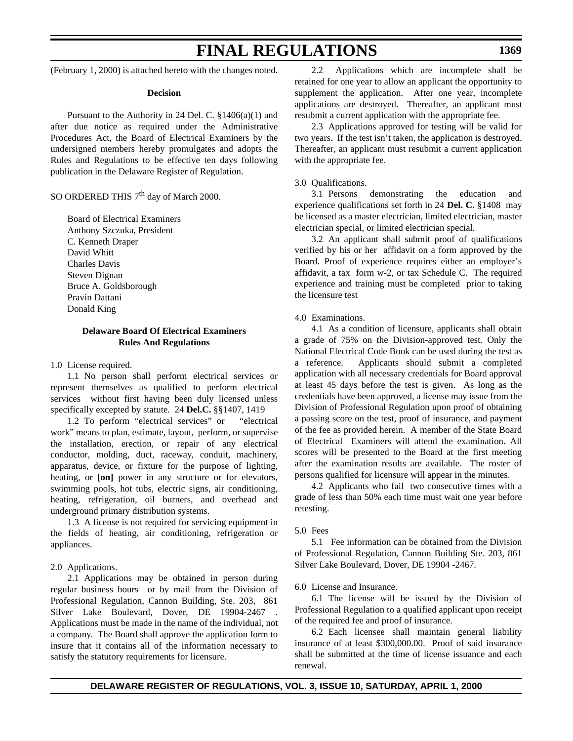(February 1, 2000) is attached hereto with the changes noted.

#### **Decision**

Pursuant to the Authority in 24 Del. C. §1406(a)(1) and after due notice as required under the Administrative Procedures Act, the Board of Electrical Examiners by the undersigned members hereby promulgates and adopts the Rules and Regulations to be effective ten days following publication in the Delaware Register of Regulation.

SO ORDERED THIS 7<sup>th</sup> day of March 2000.

Board of Electrical Examiners Anthony Szczuka, President C. Kenneth Draper David Whitt Charles Davis Steven Dignan Bruce A. Goldsborough Pravin Dattani Donald King

#### **Delaware Board Of Electrical Examiners Rules And Regulations**

1.0 License required.

1.1 No person shall perform electrical services or represent themselves as qualified to perform electrical services without first having been duly licensed unless specifically excepted by statute. 24 **Del.C.** §§1407, 1419

1.2 To perform "electrical services" or "electrical work" means to plan, estimate, layout, perform, or supervise the installation, erection, or repair of any electrical conductor, molding, duct, raceway, conduit, machinery, apparatus, device, or fixture for the purpose of lighting, heating, or **[on]** power in any structure or for elevators, swimming pools, hot tubs, electric signs, air conditioning, heating, refrigeration, oil burners, and overhead and underground primary distribution systems.

1.3 A license is not required for servicing equipment in the fields of heating, air conditioning, refrigeration or appliances.

#### 2.0 Applications.

2.1 Applications may be obtained in person during regular business hours or by mail from the Division of Professional Regulation, Cannon Building, Ste. 203, 861 Silver Lake Boulevard, Dover, DE 19904-2467 Applications must be made in the name of the individual, not a company. The Board shall approve the application form to insure that it contains all of the information necessary to satisfy the statutory requirements for licensure.

2.2 Applications which are incomplete shall be retained for one year to allow an applicant the opportunity to supplement the application. After one year, incomplete applications are destroyed.Thereafter, an applicant must resubmit a current application with the appropriate fee.

2.3 Applications approved for testing will be valid for two years. If the test isn't taken, the application is destroyed. Thereafter, an applicant must resubmit a current application with the appropriate fee.

#### 3.0 Qualifications.

3.1 Persons demonstrating the education and experience qualifications set forth in 24 **Del. C.** §1408 may be licensed as a master electrician, limited electrician, master electrician special, or limited electrician special.

3.2 An applicant shall submit proof of qualifications verified by his or her affidavit on a form approved by the Board. Proof of experience requires either an employer's affidavit, a tax form w-2, or tax Schedule C. The required experience and training must be completed prior to taking the licensure test

#### 4.0 Examinations.

4.1 As a condition of licensure, applicants shall obtain a grade of 75% on the Division-approved test. Only the National Electrical Code Book can be used during the test as a reference. Applicants should submit a completed application with all necessary credentials for Board approval at least 45 days before the test is given. As long as the credentials have been approved, a license may issue from the Division of Professional Regulation upon proof of obtaining a passing score on the test, proof of insurance, and payment of the fee as provided herein. A member of the State Board of Electrical Examiners will attend the examination. All scores will be presented to the Board at the first meeting after the examination results are available. The roster of persons qualified for licensure will appear in the minutes.

4.2 Applicants who fail two consecutive times with a grade of less than 50% each time must wait one year before retesting.

#### 5.0 Fees

5.1 Fee information can be obtained from the Division of Professional Regulation, Cannon Building Ste. 203, 861 Silver Lake Boulevard, Dover, DE 19904 -2467.

#### 6.0 License and Insurance.

6.1 The license will be issued by the Division of Professional Regulation to a qualified applicant upon receipt of the required fee and proof of insurance.

6.2 Each licensee shall maintain general liability insurance of at least \$300,000.00. Proof of said insurance shall be submitted at the time of license issuance and each renewal.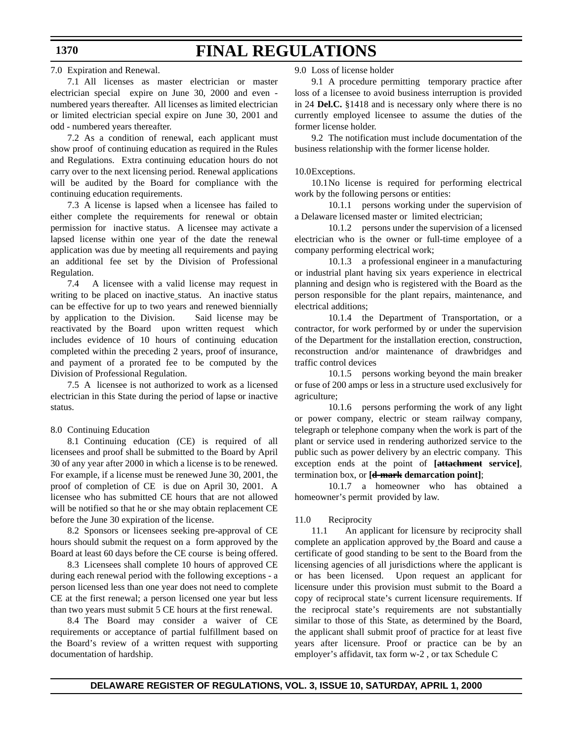7.0 Expiration and Renewal.

7.1 All licenses as master electrician or master electrician special expire on June 30, 2000 and even numbered years thereafter. All licenses as limited electrician or limited electrician special expire on June 30, 2001 and odd - numbered years thereafter.

7.2 As a condition of renewal, each applicant must show proof of continuing education as required in the Rules and Regulations. Extra continuing education hours do not carry over to the next licensing period. Renewal applications will be audited by the Board for compliance with the continuing education requirements.

7.3 A license is lapsed when a licensee has failed to either complete the requirements for renewal or obtain permission for inactive status. A licensee may activate a lapsed license within one year of the date the renewal application was due by meeting all requirements and paying an additional fee set by the Division of Professional Regulation.

7.4 A licensee with a valid license may request in writing to be placed on inactive status. An inactive status can be effective for up to two years and renewed biennially by application to the Division. Said license may be reactivated by the Board upon written request which includes evidence of 10 hours of continuing education completed within the preceding 2 years, proof of insurance, and payment of a prorated fee to be computed by the Division of Professional Regulation.

7.5 A licensee is not authorized to work as a licensed electrician in this State during the period of lapse or inactive status.

8.0 Continuing Education

8.1 Continuing education (CE) is required of all licensees and proof shall be submitted to the Board by April 30 of any year after 2000 in which a license is to be renewed. For example, if a license must be renewed June 30, 2001, the proof of completion of CE is due on April 30, 2001. A licensee who has submitted CE hours that are not allowed will be notified so that he or she may obtain replacement CE before the June 30 expiration of the license.

8.2 Sponsors or licensees seeking pre-approval of CE hours should submit the request on a form approved by the Board at least 60 days before the CE course is being offered.

8.3 Licensees shall complete 10 hours of approved CE during each renewal period with the following exceptions - a person licensed less than one year does not need to complete CE at the first renewal; a person licensed one year but less than two years must submit 5 CE hours at the first renewal.

8.4 The Board may consider a waiver of CE requirements or acceptance of partial fulfillment based on the Board's review of a written request with supporting documentation of hardship.

9.0 Loss of license holder

9.1 A procedure permitting temporary practice after loss of a licensee to avoid business interruption is provided in 24 **Del.C.** §1418 and is necessary only where there is no currently employed licensee to assume the duties of the former license holder.

9.2 The notification must include documentation of the business relationship with the former license holder.

#### 10.0Exceptions.

10.1No license is required for performing electrical work by the following persons or entities:

10.1.1 persons working under the supervision of a Delaware licensed master or limited electrician;

10.1.2 persons under the supervision of a licensed electrician who is the owner or full-time employee of a company performing electrical work;

10.1.3 a professional engineer in a manufacturing or industrial plant having six years experience in electrical planning and design who is registered with the Board as the person responsible for the plant repairs, maintenance, and electrical additions;

10.1.4 the Department of Transportation, or a contractor, for work performed by or under the supervision of the Department for the installation erection, construction, reconstruction and/or maintenance of drawbridges and traffic control devices

10.1.5 persons working beyond the main breaker or fuse of 200 amps or less in a structure used exclusively for agriculture;

10.1.6 persons performing the work of any light or power company, electric or steam railway company, telegraph or telephone company when the work is part of the plant or service used in rendering authorized service to the public such as power delivery by an electric company. This exception ends at the point of **[attachment service]**, termination box, or **[d-mark demarcation point]**;

10.1.7 a homeowner who has obtained a homeowner's permit provided by law.

#### 11.0 Reciprocity

11.1 An applicant for licensure by reciprocity shall complete an application approved by the Board and cause a certificate of good standing to be sent to the Board from the licensing agencies of all jurisdictions where the applicant is or has been licensed. Upon request an applicant for licensure under this provision must submit to the Board a copy of reciprocal state's current licensure requirements. If the reciprocal state's requirements are not substantially similar to those of this State, as determined by the Board, the applicant shall submit proof of practice for at least five years after licensure. Proof or practice can be by an employer's affidavit, tax form w-2 , or tax Schedule C

## **DELAWARE REGISTER OF REGULATIONS, VOL. 3, ISSUE 10, SATURDAY, APRIL 1, 2000**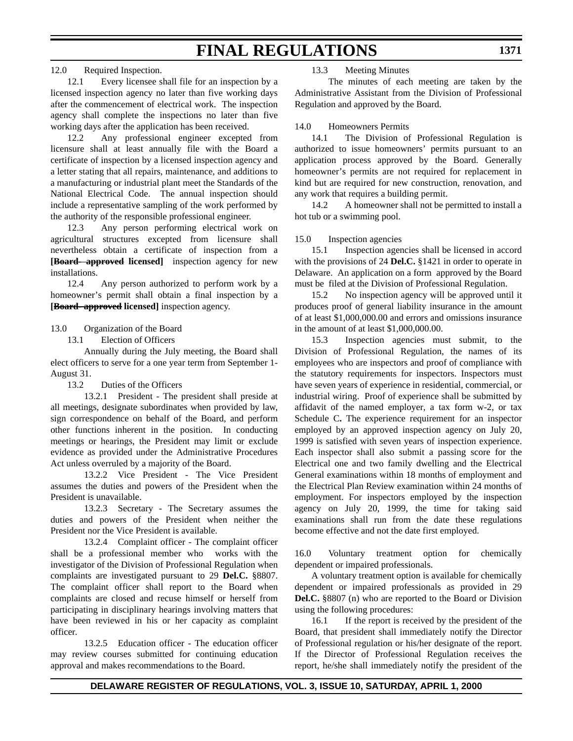12.0 Required Inspection.

12.1 Every licensee shall file for an inspection by a licensed inspection agency no later than five working days after the commencement of electrical work. The inspection agency shall complete the inspections no later than five working days after the application has been received.

12.2 Any professional engineer excepted from licensure shall at least annually file with the Board a certificate of inspection by a licensed inspection agency and a letter stating that all repairs, maintenance, and additions to a manufacturing or industrial plant meet the Standards of the National Electrical Code. The annual inspection should include a representative sampling of the work performed by the authority of the responsible professional engineer.

12.3 Any person performing electrical work on agricultural structures excepted from licensure shall nevertheless obtain a certificate of inspection from a **[Board- approved licensed]** inspection agency for new installations.

12.4 Any person authorized to perform work by a homeowner's permit shall obtain a final inspection by a **[Board- approved licensed]** inspection agency.

### 13.0 Organization of the Board

13.1 Election of Officers

Annually during the July meeting, the Board shall elect officers to serve for a one year term from September 1- August 31.

13.2 Duties of the Officers

13.2.1 President - The president shall preside at all meetings, designate subordinates when provided by law, sign correspondence on behalf of the Board, and perform other functions inherent in the position. In conducting meetings or hearings, the President may limit or exclude evidence as provided under the Administrative Procedures Act unless overruled by a majority of the Board.

13.2.2 Vice President - The Vice President assumes the duties and powers of the President when the President is unavailable.

13.2.3 Secretary - The Secretary assumes the duties and powers of the President when neither the President nor the Vice President is available.

13.2.4 Complaint officer - The complaint officer shall be a professional member who works with the investigator of the Division of Professional Regulation when complaints are investigated pursuant to 29 **Del.C.** §8807. The complaint officer shall report to the Board when complaints are closed and recuse himself or herself from participating in disciplinary hearings involving matters that have been reviewed in his or her capacity as complaint officer.

13.2.5 Education officer - The education officer may review courses submitted for continuing education approval and makes recommendations to the Board.

### 13.3 Meeting Minutes

The minutes of each meeting are taken by the Administrative Assistant from the Division of Professional Regulation and approved by the Board.

#### 14.0 Homeowners Permits

14.1 The Division of Professional Regulation is authorized to issue homeowners' permits pursuant to an application process approved by the Board. Generally homeowner's permits are not required for replacement in kind but are required for new construction, renovation, and any work that requires a building permit.

14.2 A homeowner shall not be permitted to install a hot tub or a swimming pool.

### 15.0 Inspection agencies

15.1 Inspection agencies shall be licensed in accord with the provisions of 24 **Del.C.** §1421 in order to operate in Delaware. An application on a form approved by the Board must be filed at the Division of Professional Regulation.

15.2 No inspection agency will be approved until it produces proof of general liability insurance in the amount of at least \$1,000,000.00 and errors and omissions insurance in the amount of at least \$1,000,000.00.

15.3 Inspection agencies must submit, to the Division of Professional Regulation, the names of its employees who are inspectors and proof of compliance with the statutory requirements for inspectors. Inspectors must have seven years of experience in residential, commercial, or industrial wiring. Proof of experience shall be submitted by affidavit of the named employer, a tax form w-2, or tax Schedule C**.** The experience requirement for an inspector employed by an approved inspection agency on July 20, 1999 is satisfied with seven years of inspection experience. Each inspector shall also submit a passing score for the Electrical one and two family dwelling and the Electrical General examinations within 18 months of employment and the Electrical Plan Review examination within 24 months of employment. For inspectors employed by the inspection agency on July 20, 1999, the time for taking said examinations shall run from the date these regulations become effective and not the date first employed.

16.0 Voluntary treatment option for chemically dependent or impaired professionals.

A voluntary treatment option is available for chemically dependent or impaired professionals as provided in 29 **Del.C.** §8807 (n) who are reported to the Board or Division using the following procedures:

16.1 If the report is received by the president of the Board, that president shall immediately notify the Director of Professional regulation or his/her designate of the report. If the Director of Professional Regulation receives the report, he/she shall immediately notify the president of the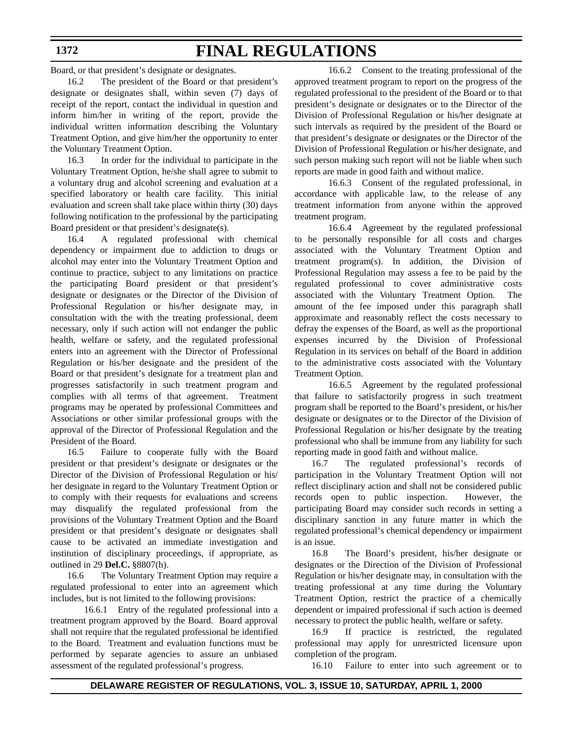### **1372**

# **FINAL REGULATIONS**

Board, or that president's designate or designates.

16.2 The president of the Board or that president's designate or designates shall, within seven (7) days of receipt of the report, contact the individual in question and inform him/her in writing of the report, provide the individual written information describing the Voluntary Treatment Option, and give him/her the opportunity to enter the Voluntary Treatment Option.

16.3 In order for the individual to participate in the Voluntary Treatment Option, he/she shall agree to submit to a voluntary drug and alcohol screening and evaluation at a specified laboratory or health care facility. This initial evaluation and screen shall take place within thirty (30) days following notification to the professional by the participating Board president or that president's designate(s).

16.4 A regulated professional with chemical dependency or impairment due to addiction to drugs or alcohol may enter into the Voluntary Treatment Option and continue to practice, subject to any limitations on practice the participating Board president or that president's designate or designates or the Director of the Division of Professional Regulation or his/her designate may, in consultation with the with the treating professional, deem necessary, only if such action will not endanger the public health, welfare or safety, and the regulated professional enters into an agreement with the Director of Professional Regulation or his/her designate and the president of the Board or that president's designate for a treatment plan and progresses satisfactorily in such treatment program and complies with all terms of that agreement. Treatment programs may be operated by professional Committees and Associations or other similar professional groups with the approval of the Director of Professional Regulation and the President of the Board.

16.5 Failure to cooperate fully with the Board president or that president's designate or designates or the Director of the Division of Professional Regulation or his/ her designate in regard to the Voluntary Treatment Option or to comply with their requests for evaluations and screens may disqualify the regulated professional from the provisions of the Voluntary Treatment Option and the Board president or that president's designate or designates shall cause to be activated an immediate investigation and institution of disciplinary proceedings, if appropriate, as outlined in 29 **Del.C.** §8807(h).

16.6 The Voluntary Treatment Option may require a regulated professional to enter into an agreement which includes, but is not limited to the following provisions:

16.6.1 Entry of the regulated professional into a treatment program approved by the Board. Board approval shall not require that the regulated professional be identified to the Board. Treatment and evaluation functions must be performed by separate agencies to assure an unbiased assessment of the regulated professional's progress.

16.6.2 Consent to the treating professional of the approved treatment program to report on the progress of the regulated professional to the president of the Board or to that president's designate or designates or to the Director of the Division of Professional Regulation or his/her designate at such intervals as required by the president of the Board or that president's designate or designates or the Director of the Division of Professional Regulation or his/her designate, and such person making such report will not be liable when such reports are made in good faith and without malice.

16.6.3 Consent of the regulated professional, in accordance with applicable law, to the release of any treatment information from anyone within the approved treatment program.

16.6.4 Agreement by the regulated professional to be personally responsible for all costs and charges associated with the Voluntary Treatment Option and treatment program(s). In addition, the Division of Professional Regulation may assess a fee to be paid by the regulated professional to cover administrative costs associated with the Voluntary Treatment Option. The amount of the fee imposed under this paragraph shall approximate and reasonably reflect the costs necessary to defray the expenses of the Board, as well as the proportional expenses incurred by the Division of Professional Regulation in its services on behalf of the Board in addition to the administrative costs associated with the Voluntary Treatment Option.

16.6.5 Agreement by the regulated professional that failure to satisfactorily progress in such treatment program shall be reported to the Board's president, or his/her designate or designates or to the Director of the Division of Professional Regulation or his/her designate by the treating professional who shall be immune from any liability for such reporting made in good faith and without malice.

16.7 The regulated professional's records of participation in the Voluntary Treatment Option will not reflect disciplinary action and shall not be considered public records open to public inspection. However, the participating Board may consider such records in setting a disciplinary sanction in any future matter in which the regulated professional's chemical dependency or impairment is an issue.

16.8 The Board's president, his/her designate or designates or the Direction of the Division of Professional Regulation or his/her designate may, in consultation with the treating professional at any time during the Voluntary Treatment Option, restrict the practice of a chemically dependent or impaired professional if such action is deemed necessary to protect the public health, welfare or safety.

16.9 If practice is restricted, the regulated professional may apply for unrestricted licensure upon completion of the program.

16.10 Failure to enter into such agreement or to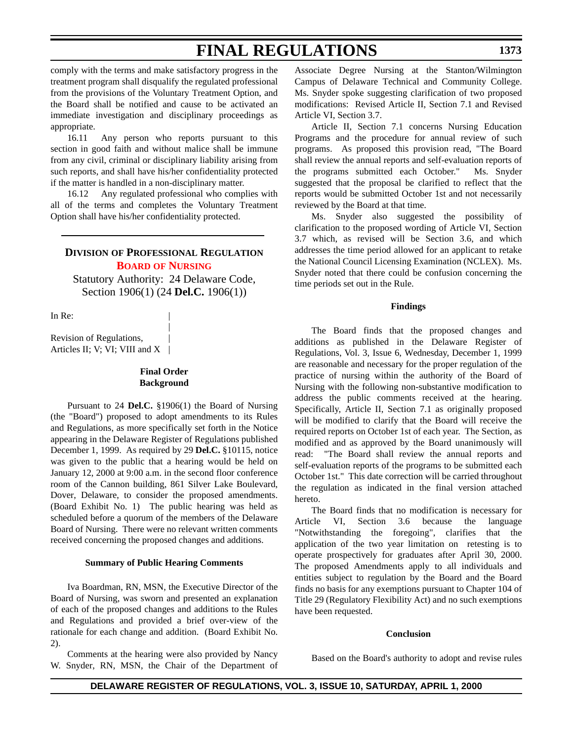comply with the terms and make satisfactory progress in the treatment program shall disqualify the regulated professional from the provisions of the Voluntary Treatment Option, and the Board shall be notified and cause to be activated an immediate investigation and disciplinary proceedings as appropriate.

16.11 Any person who reports pursuant to this section in good faith and without malice shall be immune from any civil, criminal or disciplinary liability arising from such reports, and shall have his/her confidentiality protected if the matter is handled in a non-disciplinary matter.

16.12 Any regulated professional who complies with all of the terms and completes the Voluntary Treatment Option shall have his/her confidentiality protected.

# **DIVISION OF PROFESSIONAL REGULATION BOARD [OF NURSING](#page-3-0)**

Statutory Authority: 24 Delaware Code, Section 1906(1) (24 **Del.C.** 1906(1))

|

In Re:

Revision of Regulations, | Articles II; V; VI; VIII and  $X$  |

### **Final Order Background**

Pursuant to 24 **Del.C.** §1906(1) the Board of Nursing (the "Board") proposed to adopt amendments to its Rules and Regulations, as more specifically set forth in the Notice appearing in the Delaware Register of Regulations published December 1, 1999. As required by 29 **Del.C.** §10115, notice was given to the public that a hearing would be held on January 12, 2000 at 9:00 a.m. in the second floor conference room of the Cannon building, 861 Silver Lake Boulevard, Dover, Delaware, to consider the proposed amendments. (Board Exhibit No. 1) The public hearing was held as scheduled before a quorum of the members of the Delaware Board of Nursing. There were no relevant written comments received concerning the proposed changes and additions.

#### **Summary of Public Hearing Comments**

Iva Boardman, RN, MSN, the Executive Director of the Board of Nursing, was sworn and presented an explanation of each of the proposed changes and additions to the Rules and Regulations and provided a brief over-view of the rationale for each change and addition. (Board Exhibit No. 2).

Comments at the hearing were also provided by Nancy W. Snyder, RN, MSN, the Chair of the Department of Associate Degree Nursing at the Stanton/Wilmington Campus of Delaware Technical and Community College. Ms. Snyder spoke suggesting clarification of two proposed modifications: Revised Article II, Section 7.1 and Revised Article VI, Section 3.7.

Article II, Section 7.1 concerns Nursing Education Programs and the procedure for annual review of such programs. As proposed this provision read, "The Board shall review the annual reports and self-evaluation reports of the programs submitted each October." Ms. Snyder suggested that the proposal be clarified to reflect that the reports would be submitted October 1st and not necessarily reviewed by the Board at that time.

Ms. Snyder also suggested the possibility of clarification to the proposed wording of Article VI, Section 3.7 which, as revised will be Section 3.6, and which addresses the time period allowed for an applicant to retake the National Council Licensing Examination (NCLEX). Ms. Snyder noted that there could be confusion concerning the time periods set out in the Rule.

#### **Findings**

The Board finds that the proposed changes and additions as published in the Delaware Register of Regulations, Vol. 3, Issue 6, Wednesday, December 1, 1999 are reasonable and necessary for the proper regulation of the practice of nursing within the authority of the Board of Nursing with the following non-substantive modification to address the public comments received at the hearing. Specifically, Article II, Section 7.1 as originally proposed will be modified to clarify that the Board will receive the required reports on October 1st of each year. The Section, as modified and as approved by the Board unanimously will read: "The Board shall review the annual reports and self-evaluation reports of the programs to be submitted each October 1st." This date correction will be carried throughout the regulation as indicated in the final version attached hereto.

The Board finds that no modification is necessary for Article VI, Section 3.6 because the language "Notwithstanding the foregoing", clarifies that the application of the two year limitation on retesting is to operate prospectively for graduates after April 30, 2000. The proposed Amendments apply to all individuals and entities subject to regulation by the Board and the Board finds no basis for any exemptions pursuant to Chapter 104 of Title 29 (Regulatory Flexibility Act) and no such exemptions have been requested.

#### **Conclusion**

Based on the Board's authority to adopt and revise rules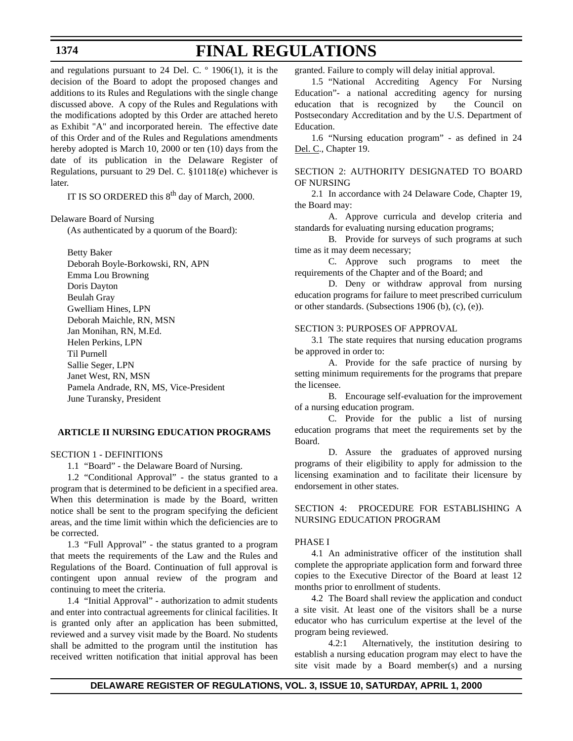# **1374**

# **FINAL REGULATIONS**

and regulations pursuant to 24 Del. C. º 1906(1), it is the decision of the Board to adopt the proposed changes and additions to its Rules and Regulations with the single change discussed above. A copy of the Rules and Regulations with the modifications adopted by this Order are attached hereto as Exhibit "A" and incorporated herein. The effective date of this Order and of the Rules and Regulations amendments hereby adopted is March 10, 2000 or ten (10) days from the date of its publication in the Delaware Register of Regulations, pursuant to 29 Del. C. §10118(e) whichever is later.

IT IS SO ORDERED this  $8<sup>th</sup>$  day of March, 2000.

Delaware Board of Nursing

(As authenticated by a quorum of the Board):

Betty Baker Deborah Boyle-Borkowski, RN, APN Emma Lou Browning Doris Dayton Beulah Gray Gwelliam Hines, LPN Deborah Maichle, RN, MSN Jan Monihan, RN, M.Ed. Helen Perkins, LPN Til Purnell Sallie Seger, LPN Janet West, RN, MSN Pamela Andrade, RN, MS, Vice-President June Turansky, President

### **ARTICLE II NURSING EDUCATION PROGRAMS**

SECTION 1 - DEFINITIONS

1.1 "Board" - the Delaware Board of Nursing.

1.2 "Conditional Approval" - the status granted to a program that is determined to be deficient in a specified area. When this determination is made by the Board, written notice shall be sent to the program specifying the deficient areas, and the time limit within which the deficiencies are to be corrected.

1.3 "Full Approval" - the status granted to a program that meets the requirements of the Law and the Rules and Regulations of the Board. Continuation of full approval is contingent upon annual review of the program and continuing to meet the criteria.

1.4 "Initial Approval" - authorization to admit students and enter into contractual agreements for clinical facilities. It is granted only after an application has been submitted, reviewed and a survey visit made by the Board. No students shall be admitted to the program until the institution has received written notification that initial approval has been

granted. Failure to comply will delay initial approval.

1.5 "National Accrediting Agency For Nursing Education"- a national accrediting agency for nursing education that is recognized by the Council on Postsecondary Accreditation and by the U.S. Department of Education.

1.6 "Nursing education program" - as defined in 24 Del. C., Chapter 19.

### SECTION 2: AUTHORITY DESIGNATED TO BOARD OF NURSING

2.1 In accordance with 24 Delaware Code, Chapter 19, the Board may:

A. Approve curricula and develop criteria and standards for evaluating nursing education programs;

B. Provide for surveys of such programs at such time as it may deem necessary;

C. Approve such programs to meet the requirements of the Chapter and of the Board; and

D. Deny or withdraw approval from nursing education programs for failure to meet prescribed curriculum or other standards. (Subsections 1906 (b), (c), (e)).

#### SECTION 3: PURPOSES OF APPROVAL

3.1 The state requires that nursing education programs be approved in order to:

A. Provide for the safe practice of nursing by setting minimum requirements for the programs that prepare the licensee.

B. Encourage self-evaluation for the improvement of a nursing education program.

C. Provide for the public a list of nursing education programs that meet the requirements set by the Board.

D. Assure the graduates of approved nursing programs of their eligibility to apply for admission to the licensing examination and to facilitate their licensure by endorsement in other states.

SECTION 4: PROCEDURE FOR ESTABLISHING A NURSING EDUCATION PROGRAM

#### PHASE I

4.1 An administrative officer of the institution shall complete the appropriate application form and forward three copies to the Executive Director of the Board at least 12 months prior to enrollment of students.

4.2 The Board shall review the application and conduct a site visit. At least one of the visitors shall be a nurse educator who has curriculum expertise at the level of the program being reviewed.

4.2:1 Alternatively, the institution desiring to establish a nursing education program may elect to have the site visit made by a Board member(s) and a nursing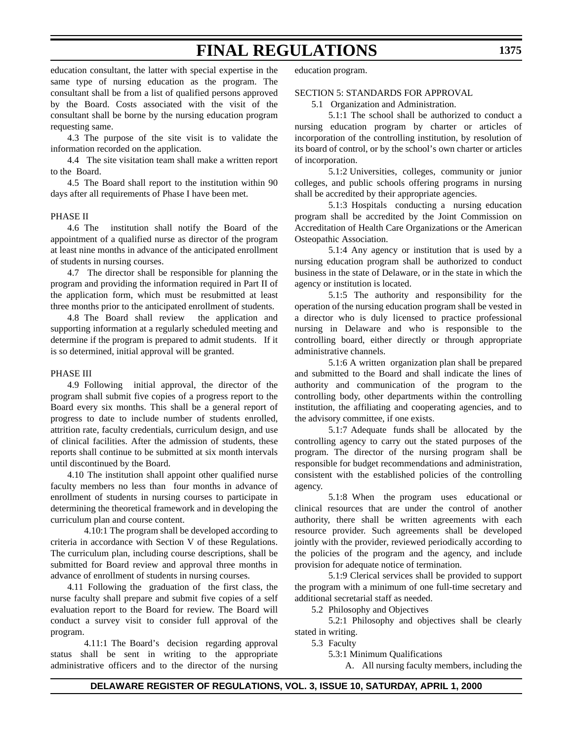education consultant, the latter with special expertise in the same type of nursing education as the program. The consultant shall be from a list of qualified persons approved by the Board. Costs associated with the visit of the consultant shall be borne by the nursing education program requesting same.

4.3 The purpose of the site visit is to validate the information recorded on the application.

4.4 The site visitation team shall make a written report to the Board.

4.5 The Board shall report to the institution within 90 days after all requirements of Phase I have been met.

#### PHASE II

4.6 The institution shall notify the Board of the appointment of a qualified nurse as director of the program at least nine months in advance of the anticipated enrollment of students in nursing courses.

4.7 The director shall be responsible for planning the program and providing the information required in Part II of the application form, which must be resubmitted at least three months prior to the anticipated enrollment of students.

4.8 The Board shall review the application and supporting information at a regularly scheduled meeting and determine if the program is prepared to admit students. If it is so determined, initial approval will be granted.

#### PHASE III

4.9 Following initial approval, the director of the program shall submit five copies of a progress report to the Board every six months. This shall be a general report of progress to date to include number of students enrolled, attrition rate, faculty credentials, curriculum design, and use of clinical facilities. After the admission of students, these reports shall continue to be submitted at six month intervals until discontinued by the Board.

4.10 The institution shall appoint other qualified nurse faculty members no less than four months in advance of enrollment of students in nursing courses to participate in determining the theoretical framework and in developing the curriculum plan and course content.

4.10:1 The program shall be developed according to criteria in accordance with Section V of these Regulations. The curriculum plan, including course descriptions, shall be submitted for Board review and approval three months in advance of enrollment of students in nursing courses.

4.11 Following the graduation of the first class, the nurse faculty shall prepare and submit five copies of a self evaluation report to the Board for review. The Board will conduct a survey visit to consider full approval of the program.

4.11:1 The Board's decision regarding approval status shall be sent in writing to the appropriate administrative officers and to the director of the nursing education program.

#### SECTION 5: STANDARDS FOR APPROVAL

5.1 Organization and Administration.

5.1:1 The school shall be authorized to conduct a nursing education program by charter or articles of incorporation of the controlling institution, by resolution of its board of control, or by the school's own charter or articles of incorporation.

5.1:2 Universities, colleges, community or junior colleges, and public schools offering programs in nursing shall be accredited by their appropriate agencies.

5.1:3 Hospitals conducting a nursing education program shall be accredited by the Joint Commission on Accreditation of Health Care Organizations or the American Osteopathic Association.

5.1:4 Any agency or institution that is used by a nursing education program shall be authorized to conduct business in the state of Delaware, or in the state in which the agency or institution is located.

5.1:5 The authority and responsibility for the operation of the nursing education program shall be vested in a director who is duly licensed to practice professional nursing in Delaware and who is responsible to the controlling board, either directly or through appropriate administrative channels.

5.1:6 A written organization plan shall be prepared and submitted to the Board and shall indicate the lines of authority and communication of the program to the controlling body, other departments within the controlling institution, the affiliating and cooperating agencies, and to the advisory committee, if one exists.

5.1:7 Adequate funds shall be allocated by the controlling agency to carry out the stated purposes of the program. The director of the nursing program shall be responsible for budget recommendations and administration, consistent with the established policies of the controlling agency.

5.1:8 When the program uses educational or clinical resources that are under the control of another authority, there shall be written agreements with each resource provider. Such agreements shall be developed jointly with the provider, reviewed periodically according to the policies of the program and the agency, and include provision for adequate notice of termination.

5.1:9 Clerical services shall be provided to support the program with a minimum of one full-time secretary and additional secretarial staff as needed.

5.2 Philosophy and Objectives

5.2:1 Philosophy and objectives shall be clearly stated in writing.

5.3 Faculty

5.3:1 Minimum Qualifications

A. All nursing faculty members, including the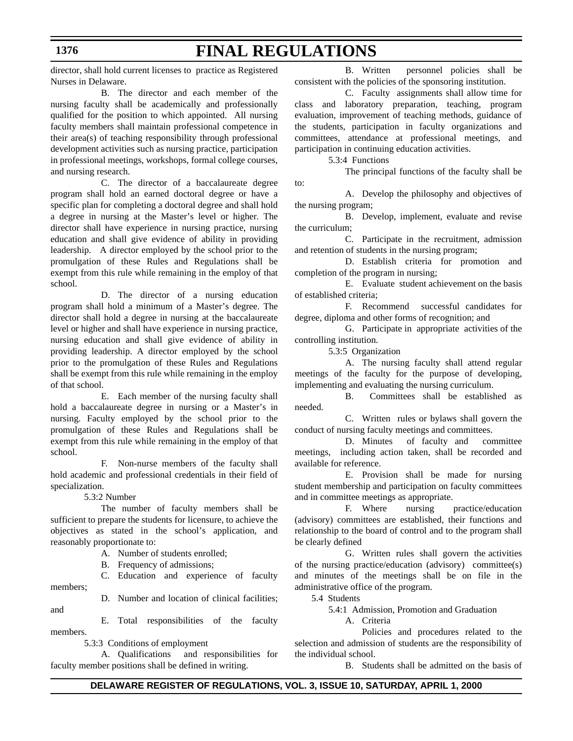director, shall hold current licenses to practice as Registered Nurses in Delaware.

# B. The director and each member of the nursing faculty shall be academically and professionally qualified for the position to which appointed. All nursing faculty members shall maintain professional competence in their area(s) of teaching responsibility through professional development activities such as nursing practice, participation in professional meetings, workshops, formal college courses, and nursing research.

C. The director of a baccalaureate degree program shall hold an earned doctoral degree or have a specific plan for completing a doctoral degree and shall hold a degree in nursing at the Master's level or higher. The director shall have experience in nursing practice, nursing education and shall give evidence of ability in providing leadership. A director employed by the school prior to the promulgation of these Rules and Regulations shall be exempt from this rule while remaining in the employ of that school.

D. The director of a nursing education program shall hold a minimum of a Master's degree. The director shall hold a degree in nursing at the baccalaureate level or higher and shall have experience in nursing practice, nursing education and shall give evidence of ability in providing leadership. A director employed by the school prior to the promulgation of these Rules and Regulations shall be exempt from this rule while remaining in the employ of that school.

E. Each member of the nursing faculty shall hold a baccalaureate degree in nursing or a Master's in nursing. Faculty employed by the school prior to the promulgation of these Rules and Regulations shall be exempt from this rule while remaining in the employ of that school.

F. Non-nurse members of the faculty shall hold academic and professional credentials in their field of specialization.

#### 5.3:2 Number

The number of faculty members shall be sufficient to prepare the students for licensure, to achieve the objectives as stated in the school's application, and reasonably proportionate to:

A. Number of students enrolled;

B. Frequency of admissions;

C. Education and experience of faculty D. Number and location of clinical facilities;

and

members;

E. Total responsibilities of the faculty members.

5.3:3 Conditions of employment

A. Qualifications and responsibilities for faculty member positions shall be defined in writing.

B. Written personnel policies shall be consistent with the policies of the sponsoring institution.

C. Faculty assignments shall allow time for class and laboratory preparation, teaching, program evaluation, improvement of teaching methods, guidance of the students, participation in faculty organizations and committees, attendance at professional meetings, and participation in continuing education activities.

5.3:4 Functions

The principal functions of the faculty shall be to:

A. Develop the philosophy and objectives of the nursing program;

B. Develop, implement, evaluate and revise the curriculum;

C. Participate in the recruitment, admission and retention of students in the nursing program;

D. Establish criteria for promotion and completion of the program in nursing;

E. Evaluate student achievement on the basis of established criteria;

F. Recommend successful candidates for degree, diploma and other forms of recognition; and

G. Participate in appropriate activities of the controlling institution.

5.3:5 Organization

A. The nursing faculty shall attend regular meetings of the faculty for the purpose of developing, implementing and evaluating the nursing curriculum.

B. Committees shall be established as needed.

C. Written rules or bylaws shall govern the conduct of nursing faculty meetings and committees.

D. Minutes of faculty and committee meetings, including action taken, shall be recorded and available for reference.

E. Provision shall be made for nursing student membership and participation on faculty committees and in committee meetings as appropriate.

F. Where nursing practice/education (advisory) committees are established, their functions and relationship to the board of control and to the program shall be clearly defined

G. Written rules shall govern the activities of the nursing practice/education (advisory) committee(s) and minutes of the meetings shall be on file in the administrative office of the program.

5.4 Students

5.4:1 Admission, Promotion and Graduation

A. Criteria

Policies and procedures related to the selection and admission of students are the responsibility of the individual school.

B. Students shall be admitted on the basis of

# **1376**

# **FINAL REGULATIONS**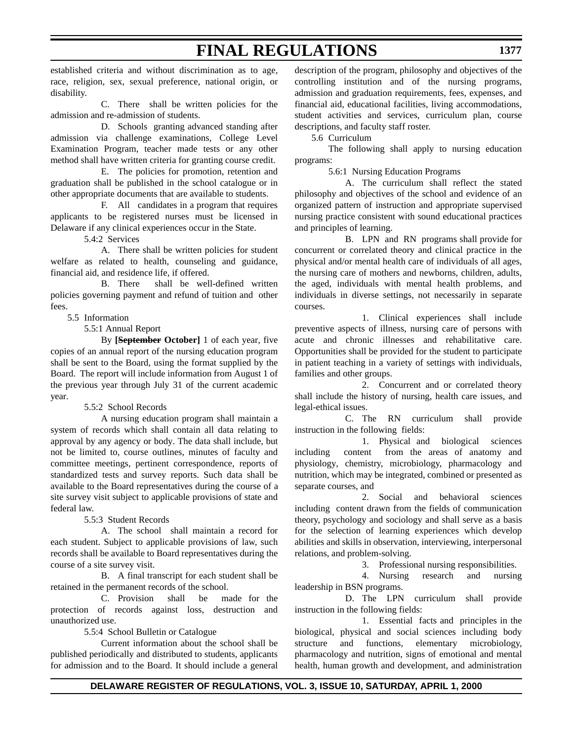established criteria and without discrimination as to age, race, religion, sex, sexual preference, national origin, or disability.

C. There shall be written policies for the admission and re-admission of students.

D. Schools granting advanced standing after admission via challenge examinations, College Level Examination Program, teacher made tests or any other method shall have written criteria for granting course credit.

E. The policies for promotion, retention and graduation shall be published in the school catalogue or in other appropriate documents that are available to students.

F. All candidates in a program that requires applicants to be registered nurses must be licensed in Delaware if any clinical experiences occur in the State.

5.4:2 Services

A. There shall be written policies for student welfare as related to health, counseling and guidance, financial aid, and residence life, if offered.

B. There shall be well-defined written policies governing payment and refund of tuition and other fees.

5.5 Information

5.5:1 Annual Report

By **[September October]** 1 of each year, five copies of an annual report of the nursing education program shall be sent to the Board, using the format supplied by the Board. The report will include information from August 1 of the previous year through July 31 of the current academic year.

5.5:2 School Records

A nursing education program shall maintain a system of records which shall contain all data relating to approval by any agency or body. The data shall include, but not be limited to, course outlines, minutes of faculty and committee meetings, pertinent correspondence, reports of standardized tests and survey reports. Such data shall be available to the Board representatives during the course of a site survey visit subject to applicable provisions of state and federal law.

5.5:3 Student Records

A. The school shall maintain a record for each student. Subject to applicable provisions of law, such records shall be available to Board representatives during the course of a site survey visit.

B. A final transcript for each student shall be retained in the permanent records of the school.

C. Provision shall be made for the protection of records against loss, destruction and unauthorized use.

5.5:4 School Bulletin or Catalogue

Current information about the school shall be published periodically and distributed to students, applicants for admission and to the Board. It should include a general description of the program, philosophy and objectives of the controlling institution and of the nursing programs, admission and graduation requirements, fees, expenses, and financial aid, educational facilities, living accommodations, student activities and services, curriculum plan, course descriptions, and faculty staff roster.

5.6 Curriculum

The following shall apply to nursing education programs:

5.6:1 Nursing Education Programs

A. The curriculum shall reflect the stated philosophy and objectives of the school and evidence of an organized pattern of instruction and appropriate supervised nursing practice consistent with sound educational practices and principles of learning.

B. LPN and RN programs shall provide for concurrent or correlated theory and clinical practice in the physical and/or mental health care of individuals of all ages, the nursing care of mothers and newborns, children, adults, the aged, individuals with mental health problems, and individuals in diverse settings, not necessarily in separate courses.

1. Clinical experiences shall include preventive aspects of illness, nursing care of persons with acute and chronic illnesses and rehabilitative care. Opportunities shall be provided for the student to participate in patient teaching in a variety of settings with individuals, families and other groups.

2. Concurrent and or correlated theory shall include the history of nursing, health care issues, and legal-ethical issues.

C. The RN curriculum shall provide instruction in the following fields:

1. Physical and biological sciences including content from the areas of anatomy and physiology, chemistry, microbiology, pharmacology and nutrition, which may be integrated, combined or presented as separate courses, and

2. Social and behavioral sciences including content drawn from the fields of communication theory, psychology and sociology and shall serve as a basis for the selection of learning experiences which develop abilities and skills in observation, interviewing, interpersonal relations, and problem-solving.

3. Professional nursing responsibilities.

4. Nursing research and nursing leadership in BSN programs.

D. The LPN curriculum shall provide instruction in the following fields:

1. Essential facts and principles in the biological, physical and social sciences including body structure and functions, elementary microbiology, pharmacology and nutrition, signs of emotional and mental health, human growth and development, and administration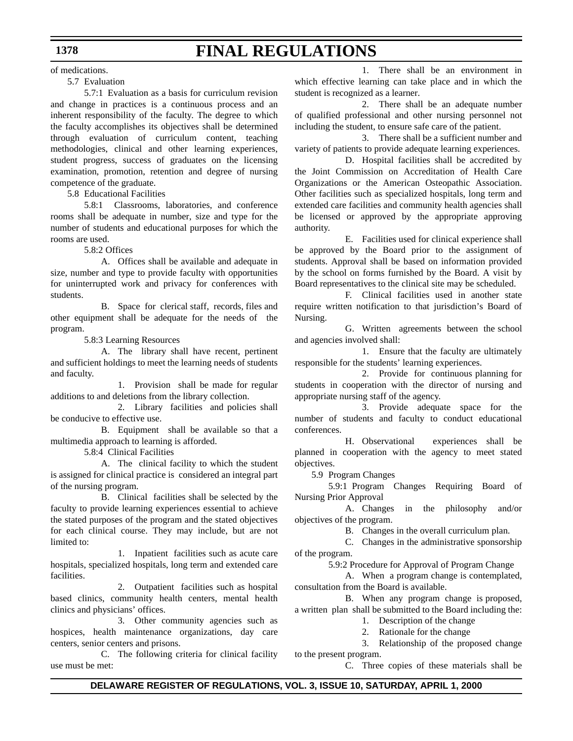of medications.

# 5.7 Evaluation

5.7:1 Evaluation as a basis for curriculum revision and change in practices is a continuous process and an inherent responsibility of the faculty. The degree to which the faculty accomplishes its objectives shall be determined through evaluation of curriculum content, teaching methodologies, clinical and other learning experiences, student progress, success of graduates on the licensing examination, promotion, retention and degree of nursing competence of the graduate.

5.8 Educational Facilities

5.8:1 Classrooms, laboratories, and conference rooms shall be adequate in number, size and type for the number of students and educational purposes for which the rooms are used.

5.8:2 Offices

 A. Offices shall be available and adequate in size, number and type to provide faculty with opportunities for uninterrupted work and privacy for conferences with students.

B. Space for clerical staff, records, files and other equipment shall be adequate for the needs of the program.

5.8:3 Learning Resources

A. The library shall have recent, pertinent and sufficient holdings to meet the learning needs of students and faculty.

1. Provision shall be made for regular additions to and deletions from the library collection.

2. Library facilities and policies shall be conducive to effective use.

B. Equipment shall be available so that a multimedia approach to learning is afforded.

5.8:4 Clinical Facilities

A. The clinical facility to which the student is assigned for clinical practice is considered an integral part of the nursing program.

B. Clinical facilities shall be selected by the faculty to provide learning experiences essential to achieve the stated purposes of the program and the stated objectives for each clinical course. They may include, but are not limited to:

1. Inpatient facilities such as acute care hospitals, specialized hospitals, long term and extended care facilities.

2. Outpatient facilities such as hospital based clinics, community health centers, mental health clinics and physicians' offices.

3. Other community agencies such as hospices, health maintenance organizations, day care centers, senior centers and prisons.

C. The following criteria for clinical facility use must be met:

1. There shall be an environment in which effective learning can take place and in which the student is recognized as a learner.

2. There shall be an adequate number of qualified professional and other nursing personnel not including the student, to ensure safe care of the patient.

3. There shall be a sufficient number and variety of patients to provide adequate learning experiences.

D. Hospital facilities shall be accredited by the Joint Commission on Accreditation of Health Care Organizations or the American Osteopathic Association. Other facilities such as specialized hospitals, long term and extended care facilities and community health agencies shall be licensed or approved by the appropriate approving authority.

E. Facilities used for clinical experience shall be approved by the Board prior to the assignment of students. Approval shall be based on information provided by the school on forms furnished by the Board. A visit by Board representatives to the clinical site may be scheduled.

F. Clinical facilities used in another state require written notification to that jurisdiction's Board of Nursing.

G. Written agreements between the school and agencies involved shall:

1. Ensure that the faculty are ultimately responsible for the students' learning experiences.

2. Provide for continuous planning for students in cooperation with the director of nursing and appropriate nursing staff of the agency.

3. Provide adequate space for the number of students and faculty to conduct educational conferences.

H. Observational experiences shall be planned in cooperation with the agency to meet stated objectives.

5.9 Program Changes

5.9:1 Program Changes Requiring Board of Nursing Prior Approval

A. Changes in the philosophy and/or objectives of the program.

B. Changes in the overall curriculum plan.

C. Changes in the administrative sponsorship of the program.

5.9:2 Procedure for Approval of Program Change

A. When a program change is contemplated, consultation from the Board is available.

B. When any program change is proposed, a written plan shall be submitted to the Board including the:

1. Description of the change

2. Rationale for the change

3. Relationship of the proposed change

to the present program. C. Three copies of these materials shall be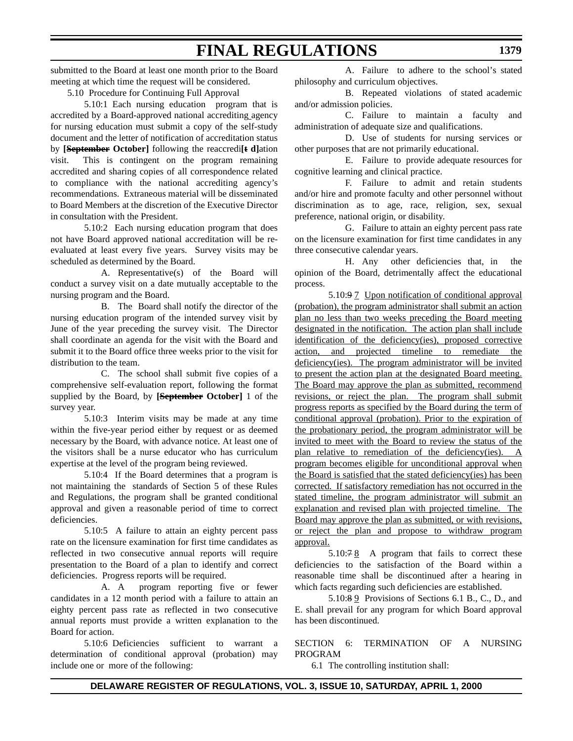submitted to the Board at least one month prior to the Board meeting at which time the request will be considered.

5.10 Procedure for Continuing Full Approval

5.10:1 Each nursing education program that is accredited by a Board-approved national accrediting agency for nursing education must submit a copy of the self-study document and the letter of notification of accreditation status by **[September October]** following the reaccredi**[t d]**ation visit. This is contingent on the program remaining accredited and sharing copies of all correspondence related to compliance with the national accrediting agency's recommendations. Extraneous material will be disseminated to Board Members at the discretion of the Executive Director in consultation with the President.

5.10:2 Each nursing education program that does not have Board approved national accreditation will be reevaluated at least every five years. Survey visits may be scheduled as determined by the Board.

A. Representative(s) of the Board will conduct a survey visit on a date mutually acceptable to the nursing program and the Board.

B. The Board shall notify the director of the nursing education program of the intended survey visit by June of the year preceding the survey visit. The Director shall coordinate an agenda for the visit with the Board and submit it to the Board office three weeks prior to the visit for distribution to the team.

C. The school shall submit five copies of a comprehensive self-evaluation report, following the format supplied by the Board, by **[September October]** 1 of the survey year.

5.10:3 Interim visits may be made at any time within the five-year period either by request or as deemed necessary by the Board, with advance notice. At least one of the visitors shall be a nurse educator who has curriculum expertise at the level of the program being reviewed.

5.10:4 If the Board determines that a program is not maintaining the standards of Section 5 of these Rules and Regulations, the program shall be granted conditional approval and given a reasonable period of time to correct deficiencies.

5.10:5 A failure to attain an eighty percent pass rate on the licensure examination for first time candidates as reflected in two consecutive annual reports will require presentation to the Board of a plan to identify and correct deficiencies. Progress reports will be required.

A. A program reporting five or fewer candidates in a 12 month period with a failure to attain an eighty percent pass rate as reflected in two consecutive annual reports must provide a written explanation to the Board for action.

5.10:6 Deficiencies sufficient to warrant a determination of conditional approval (probation) may include one or more of the following:

A. Failure to adhere to the school's stated philosophy and curriculum objectives.

B. Repeated violations of stated academic and/or admission policies.

C. Failure to maintain a faculty and administration of adequate size and qualifications.

D. Use of students for nursing services or other purposes that are not primarily educational.

E. Failure to provide adequate resources for cognitive learning and clinical practice.

F. Failure to admit and retain students and/or hire and promote faculty and other personnel without discrimination as to age, race, religion, sex, sexual preference, national origin, or disability.

G. Failure to attain an eighty percent pass rate on the licensure examination for first time candidates in any three consecutive calendar years.

H. Any other deficiencies that, in the opinion of the Board, detrimentally affect the educational process.

5.10:9 7 Upon notification of conditional approval (probation), the program administrator shall submit an action plan no less than two weeks preceding the Board meeting designated in the notification. The action plan shall include identification of the deficiency(ies), proposed corrective action, and projected timeline to remediate the deficiency(ies). The program administrator will be invited to present the action plan at the designated Board meeting. The Board may approve the plan as submitted, recommend revisions, or reject the plan. The program shall submit progress reports as specified by the Board during the term of conditional approval (probation). Prior to the expiration of the probationary period, the program administrator will be invited to meet with the Board to review the status of the plan relative to remediation of the deficiency(ies). A program becomes eligible for unconditional approval when the Board is satisfied that the stated deficiency(ies) has been corrected. If satisfactory remediation has not occurred in the stated timeline, the program administrator will submit an explanation and revised plan with projected timeline. The Board may approve the plan as submitted, or with revisions, or reject the plan and propose to withdraw program approval.

5.10:7 8 A program that fails to correct these deficiencies to the satisfaction of the Board within a reasonable time shall be discontinued after a hearing in which facts regarding such deficiencies are established.

5.10:8 9 Provisions of Sections 6.1 B., C., D., and E. shall prevail for any program for which Board approval has been discontinued.

SECTION 6: TERMINATION OF A NURSING PROGRAM

6.1 The controlling institution shall:

**DELAWARE REGISTER OF REGULATIONS, VOL. 3, ISSUE 10, SATURDAY, APRIL 1, 2000**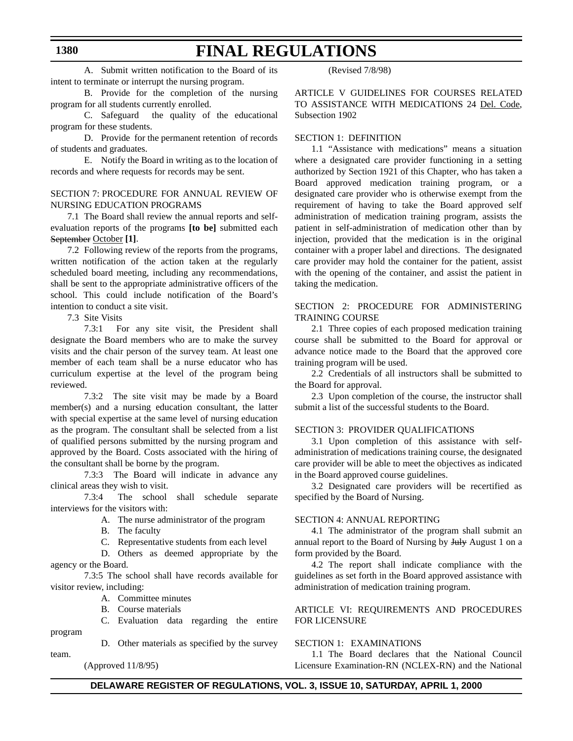A. Submit written notification to the Board of its intent to terminate or interrupt the nursing program.

B. Provide for the completion of the nursing program for all students currently enrolled.

C. Safeguard the quality of the educational program for these students.

D. Provide for the permanent retention of records of students and graduates.

E. Notify the Board in writing as to the location of records and where requests for records may be sent.

### SECTION 7: PROCEDURE FOR ANNUAL REVIEW OF NURSING EDUCATION PROGRAMS

7.1 The Board shall review the annual reports and selfevaluation reports of the programs **[to be]** submitted each September October **[1]**.

7.2 Following review of the reports from the programs, written notification of the action taken at the regularly scheduled board meeting, including any recommendations, shall be sent to the appropriate administrative officers of the school. This could include notification of the Board's intention to conduct a site visit.

7.3 Site Visits

7.3:1 For any site visit, the President shall designate the Board members who are to make the survey visits and the chair person of the survey team. At least one member of each team shall be a nurse educator who has curriculum expertise at the level of the program being reviewed.

7.3:2 The site visit may be made by a Board member(s) and a nursing education consultant, the latter with special expertise at the same level of nursing education as the program. The consultant shall be selected from a list of qualified persons submitted by the nursing program and approved by the Board. Costs associated with the hiring of the consultant shall be borne by the program.

7.3:3 The Board will indicate in advance any clinical areas they wish to visit.

7.3:4 The school shall schedule separate interviews for the visitors with:

A. The nurse administrator of the program

B. The faculty

C. Representative students from each level

D. Others as deemed appropriate by the agency or the Board.

7.3:5 The school shall have records available for visitor review, including:

A. Committee minutes

B. Course materials

C. Evaluation data regarding the entire

D. Other materials as specified by the survey

(Approved 11/8/95)

program

team.

(Revised 7/8/98)

ARTICLE V GUIDELINES FOR COURSES RELATED TO ASSISTANCE WITH MEDICATIONS 24 Del. Code, Subsection 1902

### SECTION 1: DEFINITION

1.1 "Assistance with medications" means a situation where a designated care provider functioning in a setting authorized by Section 1921 of this Chapter, who has taken a Board approved medication training program, or a designated care provider who is otherwise exempt from the requirement of having to take the Board approved self administration of medication training program, assists the patient in self-administration of medication other than by injection, provided that the medication is in the original container with a proper label and directions. The designated care provider may hold the container for the patient, assist with the opening of the container, and assist the patient in taking the medication.

### SECTION 2: PROCEDURE FOR ADMINISTERING TRAINING COURSE

2.1 Three copies of each proposed medication training course shall be submitted to the Board for approval or advance notice made to the Board that the approved core training program will be used.

2.2 Credentials of all instructors shall be submitted to the Board for approval.

2.3 Upon completion of the course, the instructor shall submit a list of the successful students to the Board.

# SECTION 3: PROVIDER QUALIFICATIONS

3.1 Upon completion of this assistance with selfadministration of medications training course, the designated care provider will be able to meet the objectives as indicated in the Board approved course guidelines.

3.2 Designated care providers will be recertified as specified by the Board of Nursing.

#### SECTION 4: ANNUAL REPORTING

4.1 The administrator of the program shall submit an annual report to the Board of Nursing by July August 1 on a form provided by the Board.

4.2 The report shall indicate compliance with the guidelines as set forth in the Board approved assistance with administration of medication training program.

## ARTICLE VI: REQUIREMENTS AND PROCEDURES FOR LICENSURE

### SECTION 1: EXAMINATIONS

1.1 The Board declares that the National Council Licensure Examination-RN (NCLEX-RN) and the National

### **DELAWARE REGISTER OF REGULATIONS, VOL. 3, ISSUE 10, SATURDAY, APRIL 1, 2000**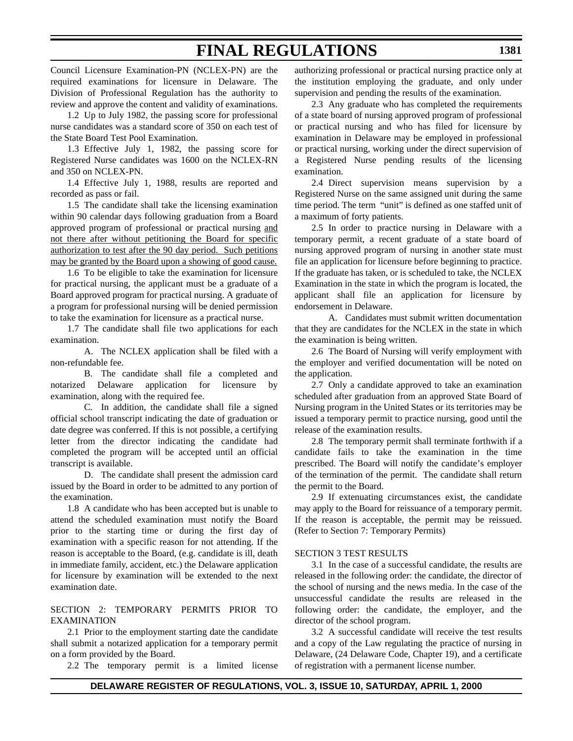Council Licensure Examination-PN (NCLEX-PN) are the required examinations for licensure in Delaware. The Division of Professional Regulation has the authority to review and approve the content and validity of examinations.

1.2 Up to July 1982, the passing score for professional nurse candidates was a standard score of 350 on each test of the State Board Test Pool Examination.

1.3 Effective July 1, 1982, the passing score for Registered Nurse candidates was 1600 on the NCLEX-RN and 350 on NCLEX-PN.

1.4 Effective July 1, 1988, results are reported and recorded as pass or fail.

1.5 The candidate shall take the licensing examination within 90 calendar days following graduation from a Board approved program of professional or practical nursing and not there after without petitioning the Board for specific authorization to test after the 90 day period. Such petitions may be granted by the Board upon a showing of good cause.

1.6 To be eligible to take the examination for licensure for practical nursing, the applicant must be a graduate of a Board approved program for practical nursing. A graduate of a program for professional nursing will be denied permission to take the examination for licensure as a practical nurse.

1.7 The candidate shall file two applications for each examination.

A. The NCLEX application shall be filed with a non-refundable fee.

B. The candidate shall file a completed and notarized Delaware application for licensure by examination, along with the required fee.

C. In addition, the candidate shall file a signed official school transcript indicating the date of graduation or date degree was conferred. If this is not possible, a certifying letter from the director indicating the candidate had completed the program will be accepted until an official transcript is available.

D. The candidate shall present the admission card issued by the Board in order to be admitted to any portion of the examination.

1.8 A candidate who has been accepted but is unable to attend the scheduled examination must notify the Board prior to the starting time or during the first day of examination with a specific reason for not attending. If the reason is acceptable to the Board, (e.g. candidate is ill, death in immediate family, accident, etc.) the Delaware application for licensure by examination will be extended to the next examination date.

## SECTION 2: TEMPORARY PERMITS PRIOR TO EXAMINATION

2.1 Prior to the employment starting date the candidate shall submit a notarized application for a temporary permit on a form provided by the Board.

2.2 The temporary permit is a limited license

authorizing professional or practical nursing practice only at the institution employing the graduate, and only under supervision and pending the results of the examination.

2.3 Any graduate who has completed the requirements of a state board of nursing approved program of professional or practical nursing and who has filed for licensure by examination in Delaware may be employed in professional or practical nursing, working under the direct supervision of a Registered Nurse pending results of the licensing examination.

2.4 Direct supervision means supervision by a Registered Nurse on the same assigned unit during the same time period. The term "unit" is defined as one staffed unit of a maximum of forty patients.

2.5 In order to practice nursing in Delaware with a temporary permit, a recent graduate of a state board of nursing approved program of nursing in another state must file an application for licensure before beginning to practice. If the graduate has taken, or is scheduled to take, the NCLEX Examination in the state in which the program is located, the applicant shall file an application for licensure by endorsement in Delaware.

A. Candidates must submit written documentation that they are candidates for the NCLEX in the state in which the examination is being written.

2.6 The Board of Nursing will verify employment with the employer and verified documentation will be noted on the application.

2.7 Only a candidate approved to take an examination scheduled after graduation from an approved State Board of Nursing program in the United States or its territories may be issued a temporary permit to practice nursing, good until the release of the examination results.

2.8 The temporary permit shall terminate forthwith if a candidate fails to take the examination in the time prescribed. The Board will notify the candidate's employer of the termination of the permit. The candidate shall return the permit to the Board.

2.9 If extenuating circumstances exist, the candidate may apply to the Board for reissuance of a temporary permit. If the reason is acceptable, the permit may be reissued. (Refer to Section 7: Temporary Permits)

#### SECTION 3 TEST RESULTS

3.1 In the case of a successful candidate, the results are released in the following order: the candidate, the director of the school of nursing and the news media. In the case of the unsuccessful candidate the results are released in the following order: the candidate, the employer, and the director of the school program.

3.2 A successful candidate will receive the test results and a copy of the Law regulating the practice of nursing in Delaware, (24 Delaware Code, Chapter 19), and a certificate of registration with a permanent license number.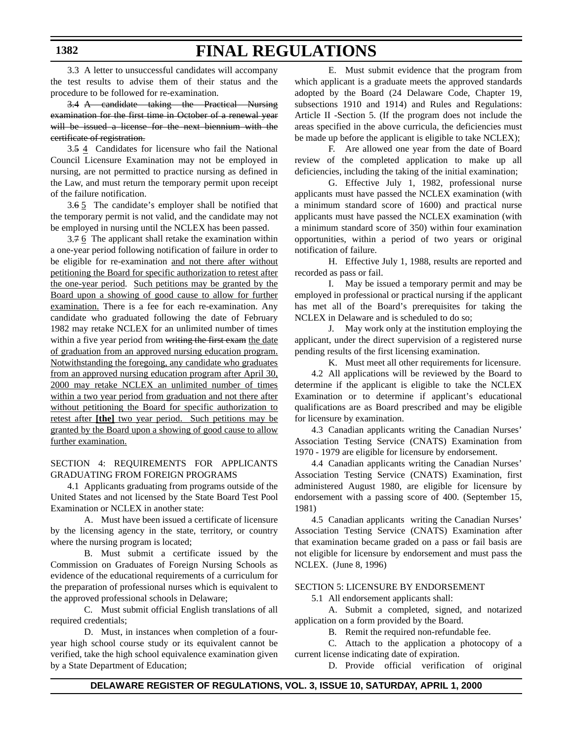3.3 A letter to unsuccessful candidates will accompany the test results to advise them of their status and the procedure to be followed for re-examination.

3.4 A candidate taking the Practical Nursing examination for the first time in October of a renewal year will be issued a license for the next biennium with the certificate of registration.

3.5 4 Candidates for licensure who fail the National Council Licensure Examination may not be employed in nursing, are not permitted to practice nursing as defined in the Law, and must return the temporary permit upon receipt of the failure notification.

3.6 5 The candidate's employer shall be notified that the temporary permit is not valid, and the candidate may not be employed in nursing until the NCLEX has been passed.

3.7 6 The applicant shall retake the examination within a one-year period following notification of failure in order to be eligible for re-examination and not there after without petitioning the Board for specific authorization to retest after the one-year period. Such petitions may be granted by the Board upon a showing of good cause to allow for further examination. There is a fee for each re-examination. Any candidate who graduated following the date of February 1982 may retake NCLEX for an unlimited number of times within a five year period from writing the first exam the date of graduation from an approved nursing education program. Notwithstanding the foregoing, any candidate who graduates from an approved nursing education program after April 30, 2000 may retake NCLEX an unlimited number of times within a two year period from graduation and not there after without petitioning the Board for specific authorization to retest after **[the]** two year period. Such petitions may be granted by the Board upon a showing of good cause to allow further examination.

SECTION 4: REQUIREMENTS FOR APPLICANTS GRADUATING FROM FOREIGN PROGRAMS

4.1 Applicants graduating from programs outside of the United States and not licensed by the State Board Test Pool Examination or NCLEX in another state:

A. Must have been issued a certificate of licensure by the licensing agency in the state, territory, or country where the nursing program is located;

B. Must submit a certificate issued by the Commission on Graduates of Foreign Nursing Schools as evidence of the educational requirements of a curriculum for the preparation of professional nurses which is equivalent to the approved professional schools in Delaware;

C. Must submit official English translations of all required credentials;

D. Must, in instances when completion of a fouryear high school course study or its equivalent cannot be verified, take the high school equivalence examination given by a State Department of Education;

E. Must submit evidence that the program from which applicant is a graduate meets the approved standards adopted by the Board (24 Delaware Code, Chapter 19, subsections 1910 and 1914) and Rules and Regulations: Article II -Section 5. (If the program does not include the areas specified in the above curricula, the deficiencies must be made up before the applicant is eligible to take NCLEX);

F. Are allowed one year from the date of Board review of the completed application to make up all deficiencies, including the taking of the initial examination;

G. Effective July 1, 1982, professional nurse applicants must have passed the NCLEX examination (with a minimum standard score of 1600) and practical nurse applicants must have passed the NCLEX examination (with a minimum standard score of 350) within four examination opportunities, within a period of two years or original notification of failure.

H. Effective July 1, 1988, results are reported and recorded as pass or fail.

I. May be issued a temporary permit and may be employed in professional or practical nursing if the applicant has met all of the Board's prerequisites for taking the NCLEX in Delaware and is scheduled to do so;

J. May work only at the institution employing the applicant, under the direct supervision of a registered nurse pending results of the first licensing examination.

K. Must meet all other requirements for licensure.

4.2 All applications will be reviewed by the Board to determine if the applicant is eligible to take the NCLEX Examination or to determine if applicant's educational qualifications are as Board prescribed and may be eligible for licensure by examination.

4.3 Canadian applicants writing the Canadian Nurses' Association Testing Service (CNATS) Examination from 1970 - 1979 are eligible for licensure by endorsement.

4.4 Canadian applicants writing the Canadian Nurses' Association Testing Service (CNATS) Examination, first administered August 1980, are eligible for licensure by endorsement with a passing score of 400. (September 15, 1981)

4.5 Canadian applicants writing the Canadian Nurses' Association Testing Service (CNATS) Examination after that examination became graded on a pass or fail basis are not eligible for licensure by endorsement and must pass the NCLEX. (June 8, 1996)

#### SECTION 5: LICENSURE BY ENDORSEMENT

5.1 All endorsement applicants shall:

A. Submit a completed, signed, and notarized application on a form provided by the Board.

B. Remit the required non-refundable fee.

C. Attach to the application a photocopy of a current license indicating date of expiration.

D. Provide official verification of original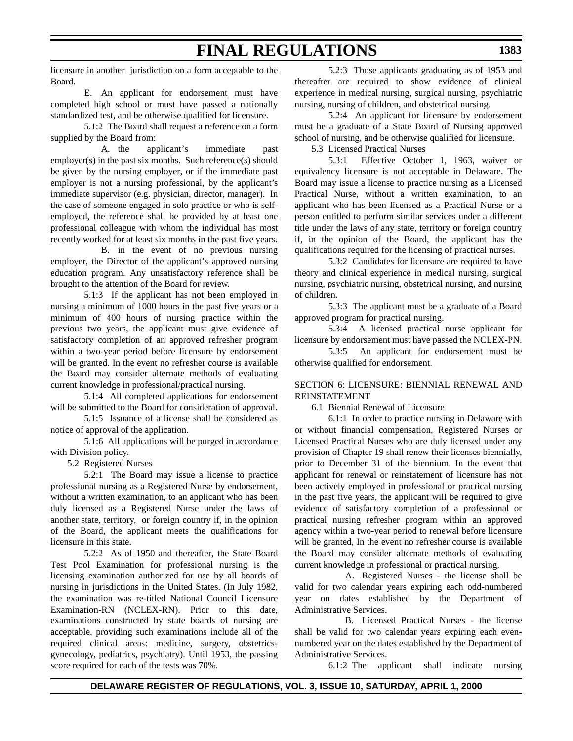licensure in another jurisdiction on a form acceptable to the Board.

E. An applicant for endorsement must have completed high school or must have passed a nationally standardized test, and be otherwise qualified for licensure.

5.1:2 The Board shall request a reference on a form supplied by the Board from:

 A. the applicant's immediate past employer(s) in the past six months. Such reference(s) should be given by the nursing employer, or if the immediate past employer is not a nursing professional, by the applicant's immediate supervisor (e.g. physician, director, manager). In the case of someone engaged in solo practice or who is selfemployed, the reference shall be provided by at least one professional colleague with whom the individual has most recently worked for at least six months in the past five years.

B. in the event of no previous nursing employer, the Director of the applicant's approved nursing education program. Any unsatisfactory reference shall be brought to the attention of the Board for review.

5.1:3 If the applicant has not been employed in nursing a minimum of 1000 hours in the past five years or a minimum of 400 hours of nursing practice within the previous two years, the applicant must give evidence of satisfactory completion of an approved refresher program within a two-year period before licensure by endorsement will be granted. In the event no refresher course is available the Board may consider alternate methods of evaluating current knowledge in professional/practical nursing.

5.1:4 All completed applications for endorsement will be submitted to the Board for consideration of approval.

5.1:5 Issuance of a license shall be considered as notice of approval of the application.

5.1:6 All applications will be purged in accordance with Division policy.

5.2 Registered Nurses

5.2:1 The Board may issue a license to practice professional nursing as a Registered Nurse by endorsement, without a written examination, to an applicant who has been duly licensed as a Registered Nurse under the laws of another state, territory, or foreign country if, in the opinion of the Board, the applicant meets the qualifications for licensure in this state.

5.2:2 As of 1950 and thereafter, the State Board Test Pool Examination for professional nursing is the licensing examination authorized for use by all boards of nursing in jurisdictions in the United States. (In July 1982, the examination was re-titled National Council Licensure Examination-RN (NCLEX-RN). Prior to this date, examinations constructed by state boards of nursing are acceptable, providing such examinations include all of the required clinical areas: medicine, surgery, obstetricsgynecology, pediatrics, psychiatry). Until 1953, the passing score required for each of the tests was 70%.

5.2:3 Those applicants graduating as of 1953 and thereafter are required to show evidence of clinical experience in medical nursing, surgical nursing, psychiatric nursing, nursing of children, and obstetrical nursing.

5.2:4 An applicant for licensure by endorsement must be a graduate of a State Board of Nursing approved school of nursing, and be otherwise qualified for licensure.

5.3 Licensed Practical Nurses

5.3:1 Effective October 1, 1963, waiver or equivalency licensure is not acceptable in Delaware. The Board may issue a license to practice nursing as a Licensed Practical Nurse, without a written examination, to an applicant who has been licensed as a Practical Nurse or a person entitled to perform similar services under a different title under the laws of any state, territory or foreign country if, in the opinion of the Board, the applicant has the qualifications required for the licensing of practical nurses.

5.3:2 Candidates for licensure are required to have theory and clinical experience in medical nursing, surgical nursing, psychiatric nursing, obstetrical nursing, and nursing of children.

5.3:3 The applicant must be a graduate of a Board approved program for practical nursing.

5.3:4 A licensed practical nurse applicant for licensure by endorsement must have passed the NCLEX-PN.

5.3:5 An applicant for endorsement must be otherwise qualified for endorsement.

## SECTION 6: LICENSURE: BIENNIAL RENEWAL AND REINSTATEMENT

6.1 Biennial Renewal of Licensure

6.1:1 In order to practice nursing in Delaware with or without financial compensation, Registered Nurses or Licensed Practical Nurses who are duly licensed under any provision of Chapter 19 shall renew their licenses biennially, prior to December 31 of the biennium. In the event that applicant for renewal or reinstatement of licensure has not been actively employed in professional or practical nursing in the past five years, the applicant will be required to give evidence of satisfactory completion of a professional or practical nursing refresher program within an approved agency within a two-year period to renewal before licensure will be granted, In the event no refresher course is available the Board may consider alternate methods of evaluating current knowledge in professional or practical nursing.

A. Registered Nurses - the license shall be valid for two calendar years expiring each odd-numbered year on dates established by the Department of Administrative Services.

B. Licensed Practical Nurses - the license shall be valid for two calendar years expiring each evennumbered year on the dates established by the Department of Administrative Services.

6.1:2 The applicant shall indicate nursing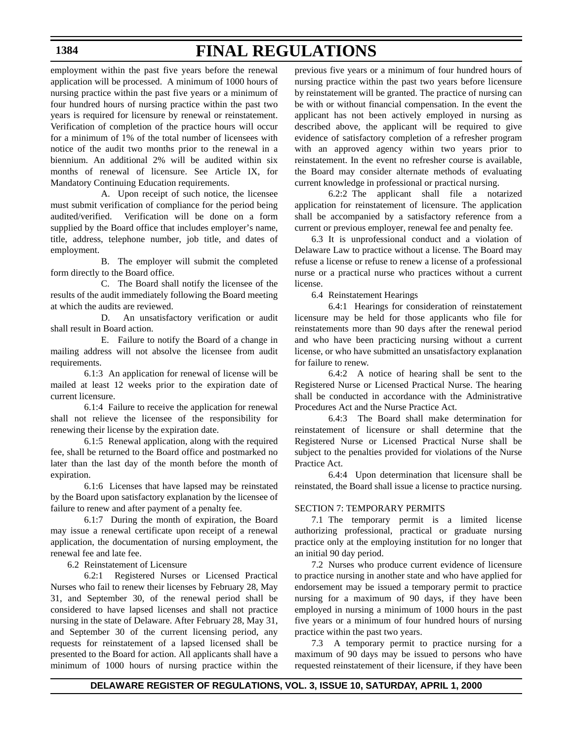### **1384**

# **FINAL REGULATIONS**

employment within the past five years before the renewal application will be processed. A minimum of 1000 hours of nursing practice within the past five years or a minimum of four hundred hours of nursing practice within the past two years is required for licensure by renewal or reinstatement. Verification of completion of the practice hours will occur for a minimum of 1% of the total number of licensees with notice of the audit two months prior to the renewal in a biennium. An additional 2% will be audited within six months of renewal of licensure. See Article IX, for Mandatory Continuing Education requirements.

A. Upon receipt of such notice, the licensee must submit verification of compliance for the period being audited/verified. Verification will be done on a form supplied by the Board office that includes employer's name, title, address, telephone number, job title, and dates of employment.

B. The employer will submit the completed form directly to the Board office.

C. The Board shall notify the licensee of the results of the audit immediately following the Board meeting at which the audits are reviewed.

D. An unsatisfactory verification or audit shall result in Board action.

E. Failure to notify the Board of a change in mailing address will not absolve the licensee from audit requirements.

6.1:3 An application for renewal of license will be mailed at least 12 weeks prior to the expiration date of current licensure.

6.1:4 Failure to receive the application for renewal shall not relieve the licensee of the responsibility for renewing their license by the expiration date.

6.1:5 Renewal application, along with the required fee, shall be returned to the Board office and postmarked no later than the last day of the month before the month of expiration.

6.1:6 Licenses that have lapsed may be reinstated by the Board upon satisfactory explanation by the licensee of failure to renew and after payment of a penalty fee.

6.1:7 During the month of expiration, the Board may issue a renewal certificate upon receipt of a renewal application, the documentation of nursing employment, the renewal fee and late fee.

6.2 Reinstatement of Licensure

6.2:1 Registered Nurses or Licensed Practical Nurses who fail to renew their licenses by February 28, May 31, and September 30, of the renewal period shall be considered to have lapsed licenses and shall not practice nursing in the state of Delaware. After February 28, May 31, and September 30 of the current licensing period, any requests for reinstatement of a lapsed licensed shall be presented to the Board for action. All applicants shall have a minimum of 1000 hours of nursing practice within the

previous five years or a minimum of four hundred hours of nursing practice within the past two years before licensure by reinstatement will be granted. The practice of nursing can be with or without financial compensation. In the event the applicant has not been actively employed in nursing as described above, the applicant will be required to give evidence of satisfactory completion of a refresher program with an approved agency within two years prior to reinstatement. In the event no refresher course is available, the Board may consider alternate methods of evaluating current knowledge in professional or practical nursing.

6.2:2 The applicant shall file a notarized application for reinstatement of licensure. The application shall be accompanied by a satisfactory reference from a current or previous employer, renewal fee and penalty fee.

6.3 It is unprofessional conduct and a violation of Delaware Law to practice without a license. The Board may refuse a license or refuse to renew a license of a professional nurse or a practical nurse who practices without a current license.

6.4 Reinstatement Hearings

6.4:1 Hearings for consideration of reinstatement licensure may be held for those applicants who file for reinstatements more than 90 days after the renewal period and who have been practicing nursing without a current license, or who have submitted an unsatisfactory explanation for failure to renew.

6.4:2 A notice of hearing shall be sent to the Registered Nurse or Licensed Practical Nurse. The hearing shall be conducted in accordance with the Administrative Procedures Act and the Nurse Practice Act.

6.4:3 The Board shall make determination for reinstatement of licensure or shall determine that the Registered Nurse or Licensed Practical Nurse shall be subject to the penalties provided for violations of the Nurse Practice Act.

6.4:4 Upon determination that licensure shall be reinstated, the Board shall issue a license to practice nursing.

## SECTION 7: TEMPORARY PERMITS

7.1 The temporary permit is a limited license authorizing professional, practical or graduate nursing practice only at the employing institution for no longer that an initial 90 day period.

7.2 Nurses who produce current evidence of licensure to practice nursing in another state and who have applied for endorsement may be issued a temporary permit to practice nursing for a maximum of 90 days, if they have been employed in nursing a minimum of 1000 hours in the past five years or a minimum of four hundred hours of nursing practice within the past two years.

7.3 A temporary permit to practice nursing for a maximum of 90 days may be issued to persons who have requested reinstatement of their licensure, if they have been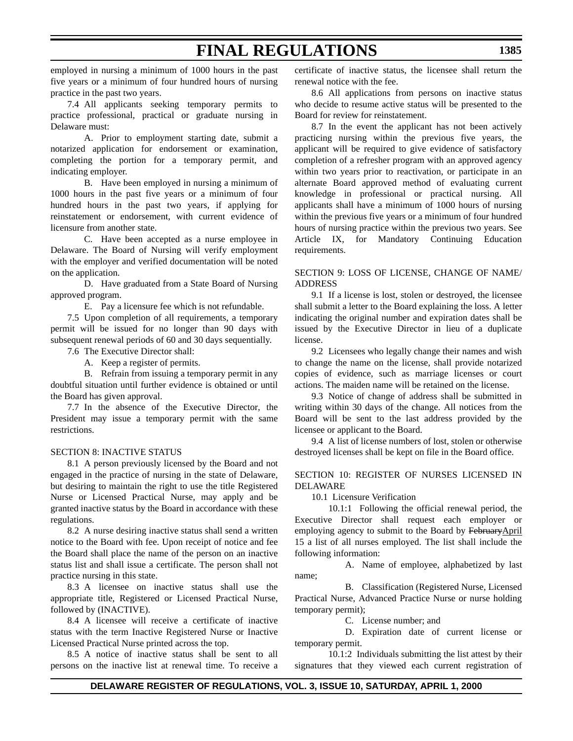employed in nursing a minimum of 1000 hours in the past five years or a minimum of four hundred hours of nursing practice in the past two years.

7.4 All applicants seeking temporary permits to practice professional, practical or graduate nursing in Delaware must:

A. Prior to employment starting date, submit a notarized application for endorsement or examination, completing the portion for a temporary permit, and indicating employer.

B. Have been employed in nursing a minimum of 1000 hours in the past five years or a minimum of four hundred hours in the past two years, if applying for reinstatement or endorsement, with current evidence of licensure from another state.

C. Have been accepted as a nurse employee in Delaware. The Board of Nursing will verify employment with the employer and verified documentation will be noted on the application.

D. Have graduated from a State Board of Nursing approved program.

E. Pay a licensure fee which is not refundable.

7.5 Upon completion of all requirements, a temporary permit will be issued for no longer than 90 days with subsequent renewal periods of 60 and 30 days sequentially.

7.6 The Executive Director shall:

A. Keep a register of permits.

B. Refrain from issuing a temporary permit in any doubtful situation until further evidence is obtained or until the Board has given approval.

7.7 In the absence of the Executive Director, the President may issue a temporary permit with the same restrictions.

#### SECTION 8: INACTIVE STATUS

8.1 A person previously licensed by the Board and not engaged in the practice of nursing in the state of Delaware, but desiring to maintain the right to use the title Registered Nurse or Licensed Practical Nurse, may apply and be granted inactive status by the Board in accordance with these regulations.

8.2 A nurse desiring inactive status shall send a written notice to the Board with fee. Upon receipt of notice and fee the Board shall place the name of the person on an inactive status list and shall issue a certificate. The person shall not practice nursing in this state.

8.3 A licensee on inactive status shall use the appropriate title, Registered or Licensed Practical Nurse, followed by (INACTIVE).

8.4 A licensee will receive a certificate of inactive status with the term Inactive Registered Nurse or Inactive Licensed Practical Nurse printed across the top.

8.5 A notice of inactive status shall be sent to all persons on the inactive list at renewal time. To receive a certificate of inactive status, the licensee shall return the renewal notice with the fee.

8.6 All applications from persons on inactive status who decide to resume active status will be presented to the Board for review for reinstatement.

8.7 In the event the applicant has not been actively practicing nursing within the previous five years, the applicant will be required to give evidence of satisfactory completion of a refresher program with an approved agency within two years prior to reactivation, or participate in an alternate Board approved method of evaluating current knowledge in professional or practical nursing. All applicants shall have a minimum of 1000 hours of nursing within the previous five years or a minimum of four hundred hours of nursing practice within the previous two years. See Article IX, for Mandatory Continuing Education requirements.

## SECTION 9: LOSS OF LICENSE, CHANGE OF NAME/ ADDRESS

9.1 If a license is lost, stolen or destroyed, the licensee shall submit a letter to the Board explaining the loss. A letter indicating the original number and expiration dates shall be issued by the Executive Director in lieu of a duplicate license.

9.2 Licensees who legally change their names and wish to change the name on the license, shall provide notarized copies of evidence, such as marriage licenses or court actions. The maiden name will be retained on the license.

9.3 Notice of change of address shall be submitted in writing within 30 days of the change. All notices from the Board will be sent to the last address provided by the licensee or applicant to the Board.

9.4 A list of license numbers of lost, stolen or otherwise destroyed licenses shall be kept on file in the Board office.

## SECTION 10: REGISTER OF NURSES LICENSED IN DELAWARE

10.1 Licensure Verification

10.1:1 Following the official renewal period, the Executive Director shall request each employer or employing agency to submit to the Board by FebruaryApril 15 a list of all nurses employed. The list shall include the following information:

A. Name of employee, alphabetized by last name;

B. Classification (Registered Nurse, Licensed Practical Nurse, Advanced Practice Nurse or nurse holding temporary permit);

C. License number; and

D. Expiration date of current license or temporary permit.

10.1:2 Individuals submitting the list attest by their signatures that they viewed each current registration of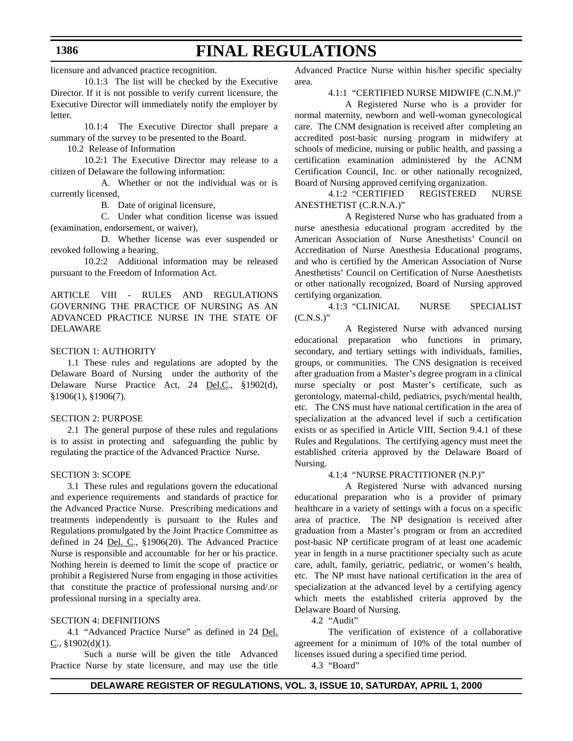licensure and advanced practice recognition.

10.1:3 The list will be checked by the Executive Director. If it is not possible to verify current licensure, the Executive Director will immediately notify the employer by letter.

10.1:4 The Executive Director shall prepare a summary of the survey to be presented to the Board.

10.2 Release of Information

10.2:1 The Executive Director may release to a citizen of Delaware the following information:

A. Whether or not the individual was or is currently licensed,

B. Date of original licensure,

C. Under what condition license was issued (examination, endorsement, or waiver),

D. Whether license was ever suspended or revoked following a hearing.

10.2:2 Additional information may be released pursuant to the Freedom of Information Act.

ARTICLE VIII - RULES AND REGULATIONS GOVERNING THE PRACTICE OF NURSING AS AN ADVANCED PRACTICE NURSE IN THE STATE OF DELAWARE

#### SECTION 1: AUTHORITY

1.1 These rules and regulations are adopted by the Delaware Board of Nursing under the authority of the Delaware Nurse Practice Act, 24 Del.C., §1902(d), §1906(1), §1906(7).

#### SECTION 2: PURPOSE

2.1 The general purpose of these rules and regulations is to assist in protecting and safeguarding the public by regulating the practice of the Advanced Practice Nurse.

#### SECTION 3: SCOPE

3.1 These rules and regulations govern the educational and experience requirements and standards of practice for the Advanced Practice Nurse. Prescribing medications and treatments independently is pursuant to the Rules and Regulations promulgated by the Joint Practice Committee as defined in 24 Del. C., §1906(20). The Advanced Practice Nurse is responsible and accountable for her or his practice. Nothing herein is deemed to limit the scope of practice or prohibit a Registered Nurse from engaging in those activities that constitute the practice of professional nursing and/.or professional nursing in a specialty area.

## SECTION 4: DEFINITIONS

4.1 "Advanced Practice Nurse" as defined in 24 Del. C.,  $$1902(d)(1)$ .

Such a nurse will be given the title Advanced Practice Nurse by state licensure, and may use the title

Advanced Practice Nurse within his/her specific specialty area.

# 4.1:1 "CERTIFIED NURSE MIDWIFE (C.N.M.)"

A Registered Nurse who is a provider for normal maternity, newborn and well-woman gynecological care. The CNM designation is received after completing an accredited post-basic nursing program in midwifery at schools of medicine, nursing or public health, and passing a certification examination administered by the ACNM Certification Council, Inc. or other nationally recognized, Board of Nursing approved certifying organization.

4.1:2 "CERTIFIED REGISTERED NURSE ANESTHETIST (C.R.N.A.)"

A Registered Nurse who has graduated from a nurse anesthesia educational program accredited by the American Association of Nurse Anesthetists' Council on Accreditation of Nurse Anesthesia Educational programs, and who is certified by the American Association of Nurse Anesthetists' Council on Certification of Nurse Anesthetists or other nationally recognized, Board of Nursing approved certifying organization.

4.1:3 "CLINICAL NURSE SPECIALIST  $(C.N.S.)"$ 

A Registered Nurse with advanced nursing educational preparation who functions in primary, secondary, and tertiary settings with individuals, families, groups, or communities. The CNS designation is received after graduation from a Master's degree program in a clinical nurse specialty or post Master's certificate, such as gerontology, maternal-child, pediatrics, psych/mental health, etc. The CNS must have national certification in the area of specialization at the advanced level if such a certification exists or as specified in Article VIII, Section 9.4.1 of these Rules and Regulations. The certifying agency must meet the established criteria approved by the Delaware Board of Nursing.

#### 4.1:4 "NURSE PRACTITIONER (N.P.)"

A Registered Nurse with advanced nursing educational preparation who is a provider of primary healthcare in a variety of settings with a focus on a specific area of practice. The NP designation is received after graduation from a Master's program or from an accredited post-basic NP certificate program of at least one academic year in length in a nurse practitioner specialty such as acute care, adult, family, geriatric, pediatric, or women's health, etc. The NP must have national certification in the area of specialization at the advanced level by a certifying agency which meets the established criteria approved by the Delaware Board of Nursing.

4.2 "Audit"

The verification of existence of a collaborative agreement for a minimum of 10% of the total number of licenses issued during a specified time period.

4.3 "Board"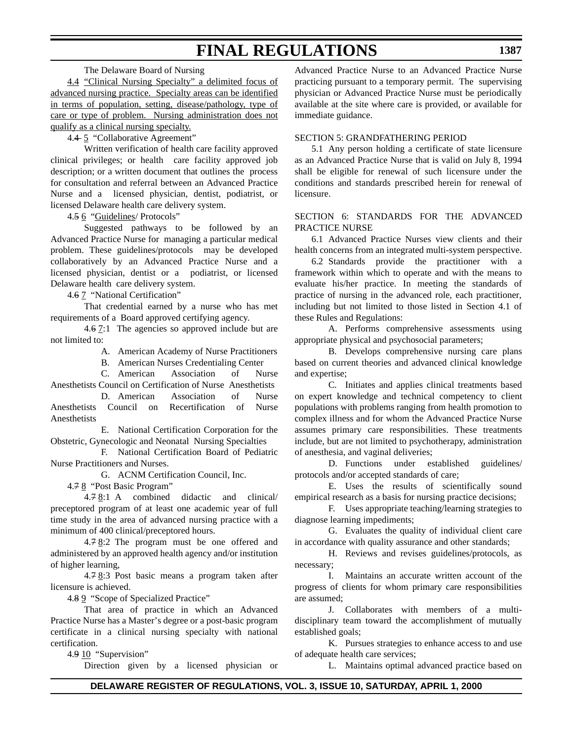The Delaware Board of Nursing

4.4 "Clinical Nursing Specialty" a delimited focus of advanced nursing practice. Specialty areas can be identified in terms of population, setting, disease/pathology, type of care or type of problem. Nursing administration does not qualify as a clinical nursing specialty.

4.4 5 "Collaborative Agreement"

Written verification of health care facility approved clinical privileges; or health care facility approved job description; or a written document that outlines the process for consultation and referral between an Advanced Practice Nurse and a licensed physician, dentist, podiatrist, or licensed Delaware health care delivery system.

4.5 6 "Guidelines/ Protocols"

Suggested pathways to be followed by an Advanced Practice Nurse for managing a particular medical problem. These guidelines/protocols may be developed collaboratively by an Advanced Practice Nurse and a licensed physician, dentist or a podiatrist, or licensed Delaware health care delivery system.

4.6 7 "National Certification"

That credential earned by a nurse who has met requirements of a Board approved certifying agency.

4.6  $\frac{7}{1}$ :1 The agencies so approved include but are not limited to:

A. American Academy of Nurse Practitioners

B. American Nurses Credentialing Center

C. American Association of Nurse Anesthetists Council on Certification of Nurse Anesthetists

D. American Association of Nurse Anesthetists Council on Recertification of Nurse Anesthetists

E. National Certification Corporation for the Obstetric, Gynecologic and Neonatal Nursing Specialties

F. National Certification Board of Pediatric Nurse Practitioners and Nurses.

G. ACNM Certification Council, Inc.

4.7 8 "Post Basic Program"

4.7 8:1 A combined didactic and clinical/ preceptored program of at least one academic year of full time study in the area of advanced nursing practice with a minimum of 400 clinical/preceptored hours.

4.7 8:2 The program must be one offered and administered by an approved health agency and/or institution of higher learning,

4.7 8:3 Post basic means a program taken after licensure is achieved.

4.8 9 "Scope of Specialized Practice"

That area of practice in which an Advanced Practice Nurse has a Master's degree or a post-basic program certificate in a clinical nursing specialty with national certification.

4.9 10 "Supervision"

Direction given by a licensed physician or

Advanced Practice Nurse to an Advanced Practice Nurse practicing pursuant to a temporary permit. The supervising physician or Advanced Practice Nurse must be periodically available at the site where care is provided, or available for immediate guidance.

# SECTION 5: GRANDFATHERING PERIOD

5.1 Any person holding a certificate of state licensure as an Advanced Practice Nurse that is valid on July 8, 1994 shall be eligible for renewal of such licensure under the conditions and standards prescribed herein for renewal of licensure.

# SECTION 6: STANDARDS FOR THE ADVANCED PRACTICE NURSE

6.1 Advanced Practice Nurses view clients and their health concerns from an integrated multi-system perspective.

6.2 Standards provide the practitioner with a framework within which to operate and with the means to evaluate his/her practice. In meeting the standards of practice of nursing in the advanced role, each practitioner, including but not limited to those listed in Section 4.1 of these Rules and Regulations:

A. Performs comprehensive assessments using appropriate physical and psychosocial parameters;

B. Develops comprehensive nursing care plans based on current theories and advanced clinical knowledge and expertise;

C. Initiates and applies clinical treatments based on expert knowledge and technical competency to client populations with problems ranging from health promotion to complex illness and for whom the Advanced Practice Nurse assumes primary care responsibilities. These treatments include, but are not limited to psychotherapy, administration of anesthesia, and vaginal deliveries;

D. Functions under established guidelines/ protocols and/or accepted standards of care;

E. Uses the results of scientifically sound empirical research as a basis for nursing practice decisions;

F. Uses appropriate teaching/learning strategies to diagnose learning impediments;

G. Evaluates the quality of individual client care in accordance with quality assurance and other standards;

H. Reviews and revises guidelines/protocols, as necessary;

I. Maintains an accurate written account of the progress of clients for whom primary care responsibilities are assumed;

J. Collaborates with members of a multidisciplinary team toward the accomplishment of mutually established goals;

K. Pursues strategies to enhance access to and use of adequate health care services;

L. Maintains optimal advanced practice based on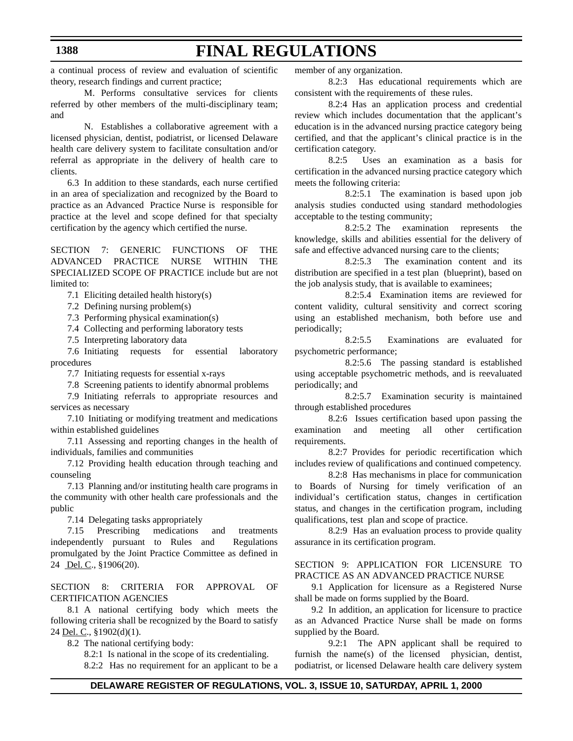## **1388**

# **FINAL REGULATIONS**

a continual process of review and evaluation of scientific theory, research findings and current practice;

M. Performs consultative services for clients referred by other members of the multi-disciplinary team; and

N. Establishes a collaborative agreement with a licensed physician, dentist, podiatrist, or licensed Delaware health care delivery system to facilitate consultation and/or referral as appropriate in the delivery of health care to clients.

6.3 In addition to these standards, each nurse certified in an area of specialization and recognized by the Board to practice as an Advanced Practice Nurse is responsible for practice at the level and scope defined for that specialty certification by the agency which certified the nurse.

SECTION 7: GENERIC FUNCTIONS OF THE ADVANCED PRACTICE NURSE WITHIN THE SPECIALIZED SCOPE OF PRACTICE include but are not limited to:

7.1 Eliciting detailed health history(s)

7.2 Defining nursing problem(s)

7.3 Performing physical examination(s)

7.4 Collecting and performing laboratory tests

7.5 Interpreting laboratory data

7.6 Initiating requests for essential laboratory procedures

7.7 Initiating requests for essential x-rays

7.8 Screening patients to identify abnormal problems

7.9 Initiating referrals to appropriate resources and services as necessary

7.10 Initiating or modifying treatment and medications within established guidelines

7.11 Assessing and reporting changes in the health of individuals, families and communities

7.12 Providing health education through teaching and counseling

7.13 Planning and/or instituting health care programs in the community with other health care professionals and the public

7.14 Delegating tasks appropriately

7.15 Prescribing medications and treatments independently pursuant to Rules and Regulations promulgated by the Joint Practice Committee as defined in 24 Del. C., §1906(20).

SECTION 8: CRITERIA FOR APPROVAL OF CERTIFICATION AGENCIES

8.1 A national certifying body which meets the following criteria shall be recognized by the Board to satisfy 24 Del. C., §1902(d)(1).

8.2 The national certifying body:

8.2:1 Is national in the scope of its credentialing.

8.2:2 Has no requirement for an applicant to be a

member of any organization.

8.2:3 Has educational requirements which are consistent with the requirements of these rules.

8.2:4 Has an application process and credential review which includes documentation that the applicant's education is in the advanced nursing practice category being certified, and that the applicant's clinical practice is in the certification category.

8.2:5 Uses an examination as a basis for certification in the advanced nursing practice category which meets the following criteria:

8.2:5.1 The examination is based upon job analysis studies conducted using standard methodologies acceptable to the testing community;

8.2:5.2 The examination represents the knowledge, skills and abilities essential for the delivery of safe and effective advanced nursing care to the clients;

8.2:5.3 The examination content and its distribution are specified in a test plan (blueprint), based on the job analysis study, that is available to examinees;

8.2:5.4 Examination items are reviewed for content validity, cultural sensitivity and correct scoring using an established mechanism, both before use and periodically;

8.2:5.5 Examinations are evaluated for psychometric performance;

8.2:5.6 The passing standard is established using acceptable psychometric methods, and is reevaluated periodically; and

8.2:5.7 Examination security is maintained through established procedures

8.2:6 Issues certification based upon passing the examination and meeting all other certification requirements.

8.2:7 Provides for periodic recertification which includes review of qualifications and continued competency.

8.2:8 Has mechanisms in place for communication to Boards of Nursing for timely verification of an individual's certification status, changes in certification status, and changes in the certification program, including qualifications, test plan and scope of practice.

8.2:9 Has an evaluation process to provide quality assurance in its certification program.

SECTION 9: APPLICATION FOR LICENSURE TO PRACTICE AS AN ADVANCED PRACTICE NURSE

9.1 Application for licensure as a Registered Nurse shall be made on forms supplied by the Board.

9.2 In addition, an application for licensure to practice as an Advanced Practice Nurse shall be made on forms supplied by the Board.

9.2:1 The APN applicant shall be required to furnish the name(s) of the licensed physician, dentist, podiatrist, or licensed Delaware health care delivery system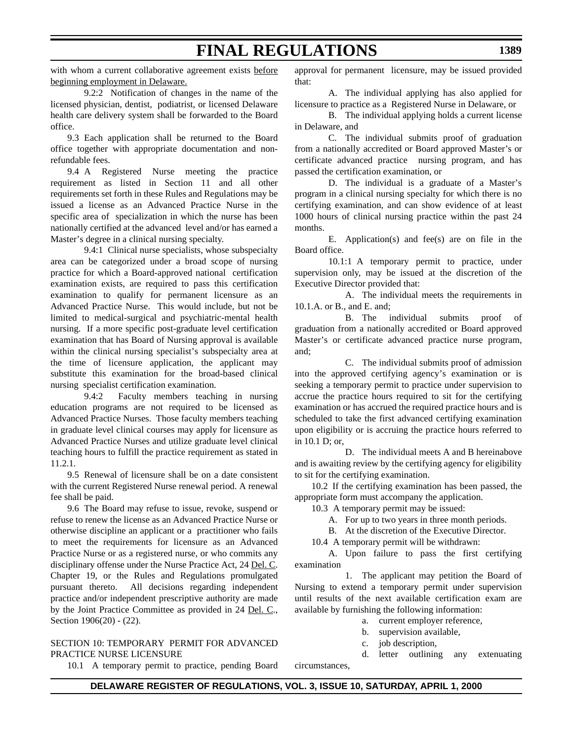with whom a current collaborative agreement exists before beginning employment in Delaware.

9.2:2 Notification of changes in the name of the licensed physician, dentist, podiatrist, or licensed Delaware health care delivery system shall be forwarded to the Board office.

9.3 Each application shall be returned to the Board office together with appropriate documentation and nonrefundable fees.

9.4 A Registered Nurse meeting the practice requirement as listed in Section 11 and all other requirements set forth in these Rules and Regulations may be issued a license as an Advanced Practice Nurse in the specific area of specialization in which the nurse has been nationally certified at the advanced level and/or has earned a Master's degree in a clinical nursing specialty.

9.4:1 Clinical nurse specialists, whose subspecialty area can be categorized under a broad scope of nursing practice for which a Board-approved national certification examination exists, are required to pass this certification examination to qualify for permanent licensure as an Advanced Practice Nurse. This would include, but not be limited to medical-surgical and psychiatric-mental health nursing. If a more specific post-graduate level certification examination that has Board of Nursing approval is available within the clinical nursing specialist's subspecialty area at the time of licensure application, the applicant may substitute this examination for the broad-based clinical nursing specialist certification examination.

9.4:2 Faculty members teaching in nursing education programs are not required to be licensed as Advanced Practice Nurses. Those faculty members teaching in graduate level clinical courses may apply for licensure as Advanced Practice Nurses and utilize graduate level clinical teaching hours to fulfill the practice requirement as stated in 11.2.1.

9.5 Renewal of licensure shall be on a date consistent with the current Registered Nurse renewal period. A renewal fee shall be paid.

9.6 The Board may refuse to issue, revoke, suspend or refuse to renew the license as an Advanced Practice Nurse or otherwise discipline an applicant or a practitioner who fails to meet the requirements for licensure as an Advanced Practice Nurse or as a registered nurse, or who commits any disciplinary offense under the Nurse Practice Act, 24 Del. C. Chapter 19, or the Rules and Regulations promulgated pursuant thereto. All decisions regarding independent practice and/or independent prescriptive authority are made by the Joint Practice Committee as provided in 24 Del. C., Section 1906(20) - (22).

# SECTION 10: TEMPORARY PERMIT FOR ADVANCED PRACTICE NURSE LICENSURE

10.1 A temporary permit to practice, pending Board

approval for permanent licensure, may be issued provided that:

A. The individual applying has also applied for licensure to practice as a Registered Nurse in Delaware, or

B. The individual applying holds a current license in Delaware, and

C. The individual submits proof of graduation from a nationally accredited or Board approved Master's or certificate advanced practice nursing program, and has passed the certification examination, or

D. The individual is a graduate of a Master's program in a clinical nursing specialty for which there is no certifying examination, and can show evidence of at least 1000 hours of clinical nursing practice within the past 24 months.

E. Application(s) and fee(s) are on file in the Board office.

10.1:1 A temporary permit to practice, under supervision only, may be issued at the discretion of the Executive Director provided that:

A. The individual meets the requirements in 10.1.A. or B., and E. and;

 B. The individual submits proof of graduation from a nationally accredited or Board approved Master's or certificate advanced practice nurse program, and;

C. The individual submits proof of admission into the approved certifying agency's examination or is seeking a temporary permit to practice under supervision to accrue the practice hours required to sit for the certifying examination or has accrued the required practice hours and is scheduled to take the first advanced certifying examination upon eligibility or is accruing the practice hours referred to in 10.1 D; or,

D. The individual meets A and B hereinabove and is awaiting review by the certifying agency for eligibility to sit for the certifying examination.

10.2 If the certifying examination has been passed, the appropriate form must accompany the application.

10.3 A temporary permit may be issued:

A. For up to two years in three month periods.

B. At the discretion of the Executive Director.

10.4 A temporary permit will be withdrawn:

A. Upon failure to pass the first certifying examination

1. The applicant may petition the Board of Nursing to extend a temporary permit under supervision until results of the next available certification exam are available by furnishing the following information:

a. current employer reference,

- b. supervision available,
- c. job description,

d. letter outlining any extenuating

circumstances,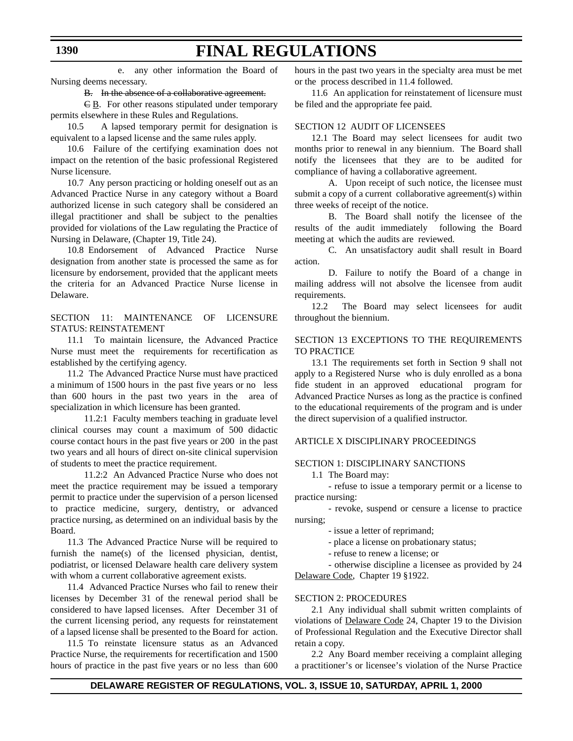e. any other information the Board of Nursing deems necessary.

# B. In the absence of a collaborative agreement.

 $E_{\text{B}}$ . For other reasons stipulated under temporary permits elsewhere in these Rules and Regulations.

10.5 A lapsed temporary permit for designation is equivalent to a lapsed license and the same rules apply.

10.6 Failure of the certifying examination does not impact on the retention of the basic professional Registered Nurse licensure.

10.7 Any person practicing or holding oneself out as an Advanced Practice Nurse in any category without a Board authorized license in such category shall be considered an illegal practitioner and shall be subject to the penalties provided for violations of the Law regulating the Practice of Nursing in Delaware, (Chapter 19, Title 24).

10.8 Endorsement of Advanced Practice Nurse designation from another state is processed the same as for licensure by endorsement, provided that the applicant meets the criteria for an Advanced Practice Nurse license in Delaware.

SECTION 11: MAINTENANCE OF LICENSURE STATUS: REINSTATEMENT

11.1 To maintain licensure, the Advanced Practice Nurse must meet the requirements for recertification as established by the certifying agency.

11.2 The Advanced Practice Nurse must have practiced a minimum of 1500 hours in the past five years or no less than 600 hours in the past two years in the area of specialization in which licensure has been granted.

11.2:1 Faculty members teaching in graduate level clinical courses may count a maximum of 500 didactic course contact hours in the past five years or 200 in the past two years and all hours of direct on-site clinical supervision of students to meet the practice requirement.

11.2:2 An Advanced Practice Nurse who does not meet the practice requirement may be issued a temporary permit to practice under the supervision of a person licensed to practice medicine, surgery, dentistry, or advanced practice nursing, as determined on an individual basis by the Board.

11.3 The Advanced Practice Nurse will be required to furnish the name(s) of the licensed physician, dentist, podiatrist, or licensed Delaware health care delivery system with whom a current collaborative agreement exists.

11.4 Advanced Practice Nurses who fail to renew their licenses by December 31 of the renewal period shall be considered to have lapsed licenses. After December 31 of the current licensing period, any requests for reinstatement of a lapsed license shall be presented to the Board for action.

11.5 To reinstate licensure status as an Advanced Practice Nurse, the requirements for recertification and 1500 hours of practice in the past five years or no less than 600 hours in the past two years in the specialty area must be met or the process described in 11.4 followed.

11.6 An application for reinstatement of licensure must be filed and the appropriate fee paid.

# SECTION 12 AUDIT OF LICENSEES

12.1 The Board may select licensees for audit two months prior to renewal in any biennium. The Board shall notify the licensees that they are to be audited for compliance of having a collaborative agreement.

A. Upon receipt of such notice, the licensee must submit a copy of a current collaborative agreement(s) within three weeks of receipt of the notice.

B. The Board shall notify the licensee of the results of the audit immediately following the Board meeting at which the audits are reviewed.

C. An unsatisfactory audit shall result in Board action.

D. Failure to notify the Board of a change in mailing address will not absolve the licensee from audit requirements.

12.2 The Board may select licensees for audit throughout the biennium.

# SECTION 13 EXCEPTIONS TO THE REQUIREMENTS TO PRACTICE

13.1 The requirements set forth in Section 9 shall not apply to a Registered Nurse who is duly enrolled as a bona fide student in an approved educational program for Advanced Practice Nurses as long as the practice is confined to the educational requirements of the program and is under the direct supervision of a qualified instructor.

#### ARTICLE X DISCIPLINARY PROCEEDINGS

### SECTION 1: DISCIPLINARY SANCTIONS

1.1 The Board may:

- refuse to issue a temporary permit or a license to practice nursing:

- revoke, suspend or censure a license to practice nursing;

- issue a letter of reprimand;

- place a license on probationary status;

- refuse to renew a license; or

- otherwise discipline a licensee as provided by 24 Delaware Code, Chapter 19 §1922.

#### SECTION 2: PROCEDURES

2.1 Any individual shall submit written complaints of violations of Delaware Code 24, Chapter 19 to the Division of Professional Regulation and the Executive Director shall retain a copy.

2.2 Any Board member receiving a complaint alleging a practitioner's or licensee's violation of the Nurse Practice

#### **1390**

# **FINAL REGULATIONS**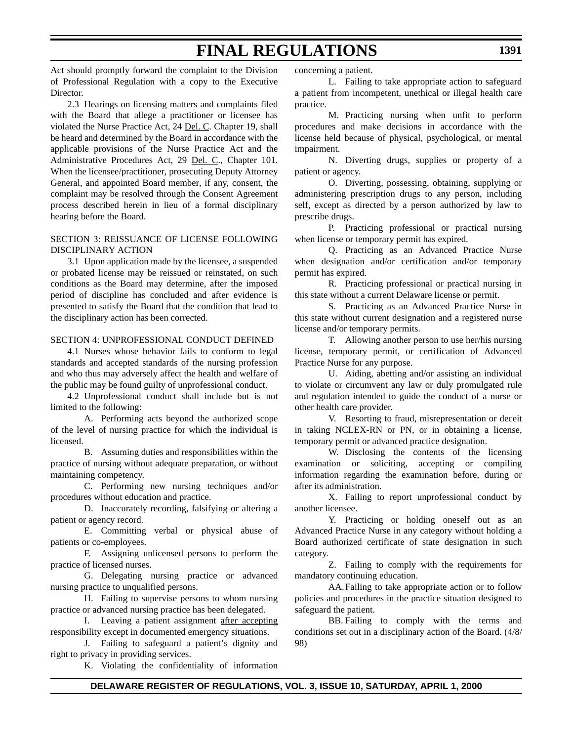Act should promptly forward the complaint to the Division of Professional Regulation with a copy to the Executive Director.

2.3 Hearings on licensing matters and complaints filed with the Board that allege a practitioner or licensee has violated the Nurse Practice Act, 24 Del. C. Chapter 19, shall be heard and determined by the Board in accordance with the applicable provisions of the Nurse Practice Act and the Administrative Procedures Act, 29 Del. C., Chapter 101. When the licensee/practitioner, prosecuting Deputy Attorney General, and appointed Board member, if any, consent, the complaint may be resolved through the Consent Agreement process described herein in lieu of a formal disciplinary hearing before the Board.

# SECTION 3: REISSUANCE OF LICENSE FOLLOWING DISCIPLINARY ACTION

3.1 Upon application made by the licensee, a suspended or probated license may be reissued or reinstated, on such conditions as the Board may determine, after the imposed period of discipline has concluded and after evidence is presented to satisfy the Board that the condition that lead to the disciplinary action has been corrected.

# SECTION 4: UNPROFESSIONAL CONDUCT DEFINED

4.1 Nurses whose behavior fails to conform to legal standards and accepted standards of the nursing profession and who thus may adversely affect the health and welfare of the public may be found guilty of unprofessional conduct.

4.2 Unprofessional conduct shall include but is not limited to the following:

A. Performing acts beyond the authorized scope of the level of nursing practice for which the individual is licensed.

B. Assuming duties and responsibilities within the practice of nursing without adequate preparation, or without maintaining competency.

C. Performing new nursing techniques and/or procedures without education and practice.

D. Inaccurately recording, falsifying or altering a patient or agency record.

E. Committing verbal or physical abuse of patients or co-employees.

F. Assigning unlicensed persons to perform the practice of licensed nurses.

G. Delegating nursing practice or advanced nursing practice to unqualified persons.

H. Failing to supervise persons to whom nursing practice or advanced nursing practice has been delegated.

I. Leaving a patient assignment after accepting responsibility except in documented emergency situations.

J. Failing to safeguard a patient's dignity and right to privacy in providing services.

K. Violating the confidentiality of information

concerning a patient.

L. Failing to take appropriate action to safeguard a patient from incompetent, unethical or illegal health care practice.

M. Practicing nursing when unfit to perform procedures and make decisions in accordance with the license held because of physical, psychological, or mental impairment.

N. Diverting drugs, supplies or property of a patient or agency.

O. Diverting, possessing, obtaining, supplying or administering prescription drugs to any person, including self, except as directed by a person authorized by law to prescribe drugs.

P. Practicing professional or practical nursing when license or temporary permit has expired.

Q. Practicing as an Advanced Practice Nurse when designation and/or certification and/or temporary permit has expired.

R. Practicing professional or practical nursing in this state without a current Delaware license or permit.

S. Practicing as an Advanced Practice Nurse in this state without current designation and a registered nurse license and/or temporary permits.

T. Allowing another person to use her/his nursing license, temporary permit, or certification of Advanced Practice Nurse for any purpose.

U. Aiding, abetting and/or assisting an individual to violate or circumvent any law or duly promulgated rule and regulation intended to guide the conduct of a nurse or other health care provider.

V. Resorting to fraud, misrepresentation or deceit in taking NCLEX-RN or PN, or in obtaining a license, temporary permit or advanced practice designation.

W. Disclosing the contents of the licensing examination or soliciting, accepting or compiling information regarding the examination before, during or after its administration.

X. Failing to report unprofessional conduct by another licensee.

Y. Practicing or holding oneself out as an Advanced Practice Nurse in any category without holding a Board authorized certificate of state designation in such category.

Z. Failing to comply with the requirements for mandatory continuing education.

AA.Failing to take appropriate action or to follow policies and procedures in the practice situation designed to safeguard the patient.

BB. Failing to comply with the terms and conditions set out in a disciplinary action of the Board. (4/8/ 98)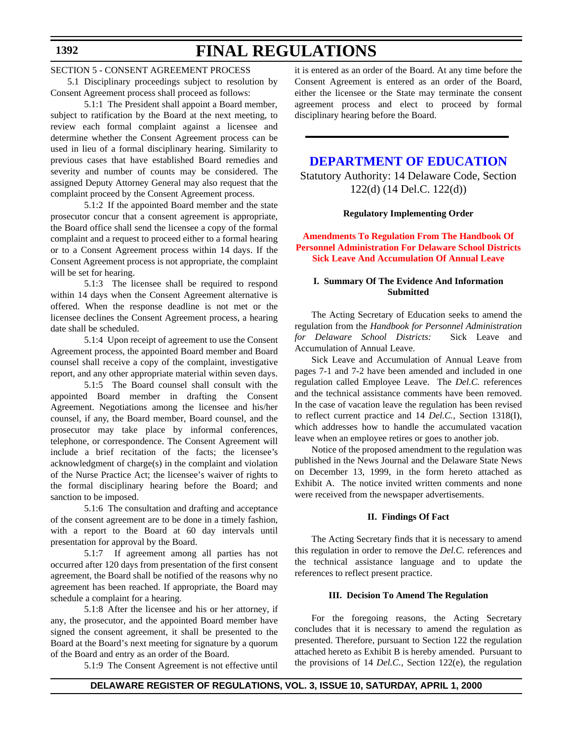# **1392**

# **FINAL REGULATIONS**

# SECTION 5 - CONSENT AGREEMENT PROCESS

5.1 Disciplinary proceedings subject to resolution by Consent Agreement process shall proceed as follows:

5.1:1 The President shall appoint a Board member, subject to ratification by the Board at the next meeting, to review each formal complaint against a licensee and determine whether the Consent Agreement process can be used in lieu of a formal disciplinary hearing. Similarity to previous cases that have established Board remedies and severity and number of counts may be considered. The assigned Deputy Attorney General may also request that the complaint proceed by the Consent Agreement process.

5.1:2 If the appointed Board member and the state prosecutor concur that a consent agreement is appropriate, the Board office shall send the licensee a copy of the formal complaint and a request to proceed either to a formal hearing or to a Consent Agreement process within 14 days. If the Consent Agreement process is not appropriate, the complaint will be set for hearing.

5.1:3 The licensee shall be required to respond within 14 days when the Consent Agreement alternative is offered. When the response deadline is not met or the licensee declines the Consent Agreement process, a hearing date shall be scheduled.

5.1:4 Upon receipt of agreement to use the Consent Agreement process, the appointed Board member and Board counsel shall receive a copy of the complaint, investigative report, and any other appropriate material within seven days.

5.1:5 The Board counsel shall consult with the appointed Board member in drafting the Consent Agreement. Negotiations among the licensee and his/her counsel, if any, the Board member, Board counsel, and the prosecutor may take place by informal conferences, telephone, or correspondence. The Consent Agreement will include a brief recitation of the facts; the licensee's acknowledgment of charge(s) in the complaint and violation of the Nurse Practice Act; the licensee's waiver of rights to the formal disciplinary hearing before the Board; and sanction to be imposed.

5.1:6 The consultation and drafting and acceptance of the consent agreement are to be done in a timely fashion, with a report to the Board at 60 day intervals until presentation for approval by the Board.

5.1:7 If agreement among all parties has not occurred after 120 days from presentation of the first consent agreement, the Board shall be notified of the reasons why no agreement has been reached. If appropriate, the Board may schedule a complaint for a hearing.

5.1:8 After the licensee and his or her attorney, if any, the prosecutor, and the appointed Board member have signed the consent agreement, it shall be presented to the Board at the Board's next meeting for signature by a quorum of the Board and entry as an order of the Board.

5.1:9 The Consent Agreement is not effective until

it is entered as an order of the Board. At any time before the Consent Agreement is entered as an order of the Board, either the licensee or the State may terminate the consent agreement process and elect to proceed by formal disciplinary hearing before the Board.

# **[DEPARTMENT OF EDUCATION](http://www.doe.state.de.us/)**

Statutory Authority: 14 Delaware Code, Section 122(d) (14 Del.C. 122(d))

**Regulatory Implementing Order**

**Amendments To Regulation From The Handbook Of [Personnel Administration For Delaware School Districts](#page-3-0) Sick Leave And Accumulation Of Annual Leave**

# **I. Summary Of The Evidence And Information Submitted**

The Acting Secretary of Education seeks to amend the regulation from the *Handbook for Personnel Administration for Delaware School Districts:* Sick Leave and Accumulation of Annual Leave.

Sick Leave and Accumulation of Annual Leave from pages 7-1 and 7-2 have been amended and included in one regulation called Employee Leave. The *Del.C.* references and the technical assistance comments have been removed. In the case of vacation leave the regulation has been revised to reflect current practice and 14 *Del.C.*, Section 1318(I), which addresses how to handle the accumulated vacation leave when an employee retires or goes to another job.

Notice of the proposed amendment to the regulation was published in the News Journal and the Delaware State News on December 13, 1999, in the form hereto attached as Exhibit A. The notice invited written comments and none were received from the newspaper advertisements.

# **II. Findings Of Fact**

The Acting Secretary finds that it is necessary to amend this regulation in order to remove the *Del.C*. references and the technical assistance language and to update the references to reflect present practice.

#### **III. Decision To Amend The Regulation**

For the foregoing reasons, the Acting Secretary concludes that it is necessary to amend the regulation as presented. Therefore, pursuant to Section 122 the regulation attached hereto as Exhibit B is hereby amended. Pursuant to the provisions of 14 *Del.C.,* Section 122(e), the regulation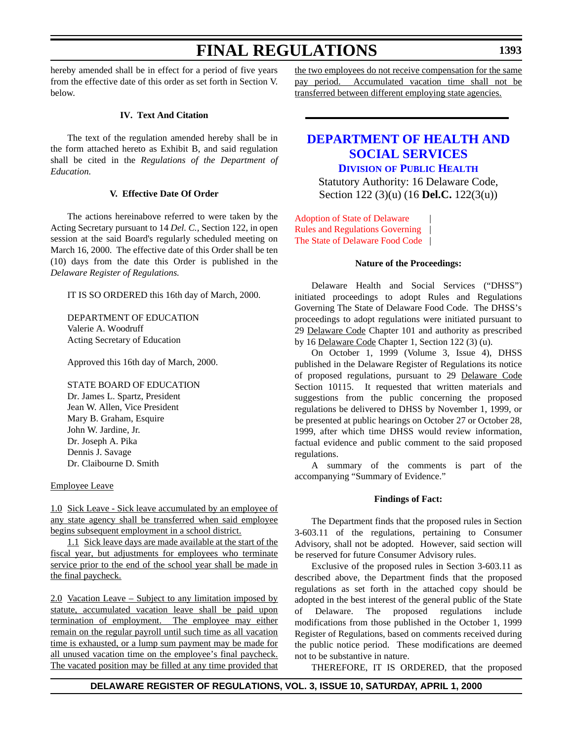hereby amended shall be in effect for a period of five years from the effective date of this order as set forth in Section V. below.

#### **IV. Text And Citation**

The text of the regulation amended hereby shall be in the form attached hereto as Exhibit B, and said regulation shall be cited in the *Regulations of the Department of Education.*

### **V. Effective Date Of Order**

The actions hereinabove referred to were taken by the Acting Secretary pursuant to 14 *Del. C.,* Section 122, in open session at the said Board's regularly scheduled meeting on March 16, 2000. The effective date of this Order shall be ten (10) days from the date this Order is published in the *Delaware Register of Regulations.*

IT IS SO ORDERED this 16th day of March, 2000.

DEPARTMENT OF EDUCATION Valerie A. Woodruff Acting Secretary of Education

Approved this 16th day of March, 2000.

STATE BOARD OF EDUCATION Dr. James L. Spartz, President Jean W. Allen, Vice President Mary B. Graham, Esquire John W. Jardine, Jr. Dr. Joseph A. Pika Dennis J. Savage Dr. Claibourne D. Smith

#### Employee Leave

1.0 Sick Leave - Sick leave accumulated by an employee of any state agency shall be transferred when said employee begins subsequent employment in a school district.

1.1 Sick leave days are made available at the start of the fiscal year, but adjustments for employees who terminate service prior to the end of the school year shall be made in the final paycheck.

2.0 Vacation Leave – Subject to any limitation imposed by statute, accumulated vacation leave shall be paid upon termination of employment. The employee may either remain on the regular payroll until such time as all vacation time is exhausted, or a lump sum payment may be made for all unused vacation time on the employee's final paycheck. The vacated position may be filled at any time provided that

the two employees do not receive compensation for the same pay period. Accumulated vacation time shall not be transferred between different employing state agencies.

# **[DEPARTMENT OF HEALTH AND](http://www.state.de.us/dhss/irm/dph/dphhome.htm) SOCIAL SERVICES DIVISION OF PUBLIC HEALTH**

Statutory Authority: 16 Delaware Code, Section 122 (3)(u) (16 **Del.C.** 122(3(u))

Adoption of State of Delaware | Rules and Regulations Governing | [The State of Delaware Food Code](#page-3-0) |

#### **Nature of the Proceedings:**

Delaware Health and Social Services ("DHSS") initiated proceedings to adopt Rules and Regulations Governing The State of Delaware Food Code. The DHSS's proceedings to adopt regulations were initiated pursuant to 29 Delaware Code Chapter 101 and authority as prescribed by 16 Delaware Code Chapter 1, Section 122 (3) (u).

On October 1, 1999 (Volume 3, Issue 4), DHSS published in the Delaware Register of Regulations its notice of proposed regulations, pursuant to 29 Delaware Code Section 10115. It requested that written materials and suggestions from the public concerning the proposed regulations be delivered to DHSS by November 1, 1999, or be presented at public hearings on October 27 or October 28, 1999, after which time DHSS would review information, factual evidence and public comment to the said proposed regulations.

A summary of the comments is part of the accompanying "Summary of Evidence."

# **Findings of Fact:**

The Department finds that the proposed rules in Section 3-603.11 of the regulations, pertaining to Consumer Advisory, shall not be adopted. However, said section will be reserved for future Consumer Advisory rules.

Exclusive of the proposed rules in Section 3-603.11 as described above, the Department finds that the proposed regulations as set forth in the attached copy should be adopted in the best interest of the general public of the State of Delaware. The proposed regulations include modifications from those published in the October 1, 1999 Register of Regulations, based on comments received during the public notice period. These modifications are deemed not to be substantive in nature.

THEREFORE, IT IS ORDERED, that the proposed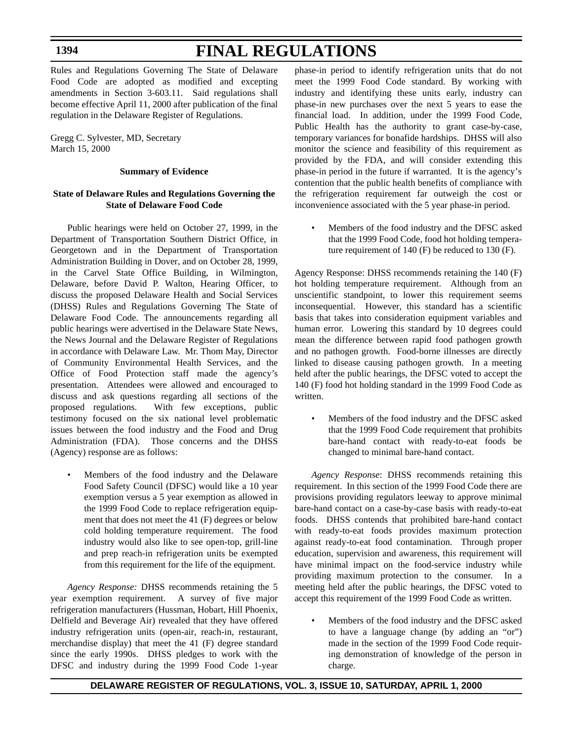#### **1394**

# **FINAL REGULATIONS**

Rules and Regulations Governing The State of Delaware Food Code are adopted as modified and excepting amendments in Section 3-603.11. Said regulations shall become effective April 11, 2000 after publication of the final regulation in the Delaware Register of Regulations.

Gregg C. Sylvester, MD, Secretary March 15, 2000

### **Summary of Evidence**

# **State of Delaware Rules and Regulations Governing the State of Delaware Food Code**

Public hearings were held on October 27, 1999, in the Department of Transportation Southern District Office, in Georgetown and in the Department of Transportation Administration Building in Dover, and on October 28, 1999, in the Carvel State Office Building, in Wilmington, Delaware, before David P. Walton, Hearing Officer, to discuss the proposed Delaware Health and Social Services (DHSS) Rules and Regulations Governing The State of Delaware Food Code. The announcements regarding all public hearings were advertised in the Delaware State News, the News Journal and the Delaware Register of Regulations in accordance with Delaware Law. Mr. Thom May, Director of Community Environmental Health Services, and the Office of Food Protection staff made the agency's presentation. Attendees were allowed and encouraged to discuss and ask questions regarding all sections of the proposed regulations. With few exceptions, public testimony focused on the six national level problematic issues between the food industry and the Food and Drug Administration (FDA). Those concerns and the DHSS (Agency) response are as follows:

Members of the food industry and the Delaware Food Safety Council (DFSC) would like a 10 year exemption versus a 5 year exemption as allowed in the 1999 Food Code to replace refrigeration equipment that does not meet the 41 (F) degrees or below cold holding temperature requirement. The food industry would also like to see open-top, grill-line and prep reach-in refrigeration units be exempted from this requirement for the life of the equipment.

*Agency Response:* DHSS recommends retaining the 5 year exemption requirement. A survey of five major refrigeration manufacturers (Hussman, Hobart, Hill Phoenix, Delfield and Beverage Air) revealed that they have offered industry refrigeration units (open-air, reach-in, restaurant, merchandise display) that meet the 41 (F) degree standard since the early 1990s. DHSS pledges to work with the DFSC and industry during the 1999 Food Code 1-year

phase-in period to identify refrigeration units that do not meet the 1999 Food Code standard. By working with industry and identifying these units early, industry can phase-in new purchases over the next 5 years to ease the financial load. In addition, under the 1999 Food Code, Public Health has the authority to grant case-by-case, temporary variances for bonafide hardships. DHSS will also monitor the science and feasibility of this requirement as provided by the FDA, and will consider extending this phase-in period in the future if warranted. It is the agency's contention that the public health benefits of compliance with the refrigeration requirement far outweigh the cost or inconvenience associated with the 5 year phase-in period.

Members of the food industry and the DFSC asked that the 1999 Food Code, food hot holding temperature requirement of 140 (F) be reduced to 130 (F).

Agency Response: DHSS recommends retaining the 140 (F) hot holding temperature requirement. Although from an unscientific standpoint, to lower this requirement seems inconsequential. However, this standard has a scientific basis that takes into consideration equipment variables and human error. Lowering this standard by 10 degrees could mean the difference between rapid food pathogen growth and no pathogen growth. Food-borne illnesses are directly linked to disease causing pathogen growth. In a meeting held after the public hearings, the DFSC voted to accept the 140 (F) food hot holding standard in the 1999 Food Code as written.

• Members of the food industry and the DFSC asked that the 1999 Food Code requirement that prohibits bare-hand contact with ready-to-eat foods be changed to minimal bare-hand contact.

*Agency Response*: DHSS recommends retaining this requirement. In this section of the 1999 Food Code there are provisions providing regulators leeway to approve minimal bare-hand contact on a case-by-case basis with ready-to-eat foods. DHSS contends that prohibited bare-hand contact with ready-to-eat foods provides maximum protection against ready-to-eat food contamination. Through proper education, supervision and awareness, this requirement will have minimal impact on the food-service industry while providing maximum protection to the consumer. In a meeting held after the public hearings, the DFSC voted to accept this requirement of the 1999 Food Code as written.

Members of the food industry and the DFSC asked to have a language change (by adding an "or") made in the section of the 1999 Food Code requiring demonstration of knowledge of the person in charge.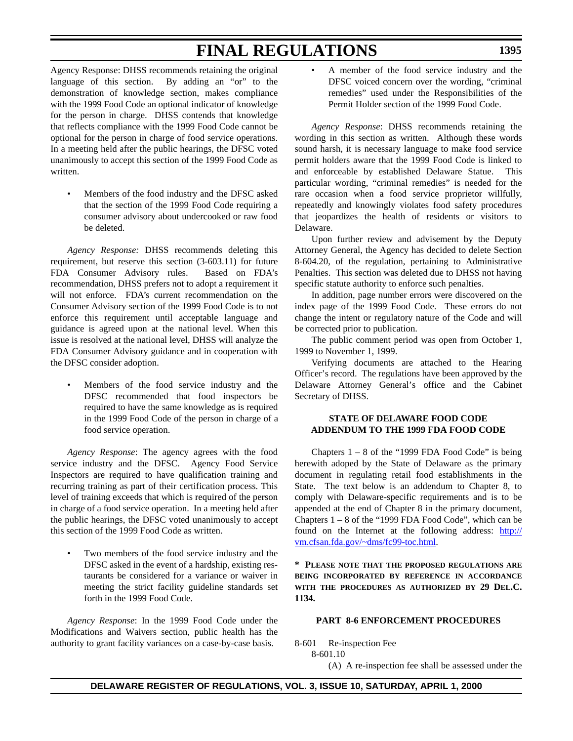Agency Response: DHSS recommends retaining the original language of this section. By adding an "or" to the demonstration of knowledge section, makes compliance with the 1999 Food Code an optional indicator of knowledge for the person in charge. DHSS contends that knowledge that reflects compliance with the 1999 Food Code cannot be optional for the person in charge of food service operations. In a meeting held after the public hearings, the DFSC voted unanimously to accept this section of the 1999 Food Code as written.

Members of the food industry and the DFSC asked that the section of the 1999 Food Code requiring a consumer advisory about undercooked or raw food be deleted.

*Agency Response:* DHSS recommends deleting this requirement, but reserve this section (3-603.11) for future FDA Consumer Advisory rules. Based on FDA's recommendation, DHSS prefers not to adopt a requirement it will not enforce. FDA's current recommendation on the Consumer Advisory section of the 1999 Food Code is to not enforce this requirement until acceptable language and guidance is agreed upon at the national level. When this issue is resolved at the national level, DHSS will analyze the FDA Consumer Advisory guidance and in cooperation with the DFSC consider adoption.

Members of the food service industry and the DFSC recommended that food inspectors be required to have the same knowledge as is required in the 1999 Food Code of the person in charge of a food service operation.

*Agency Response*: The agency agrees with the food service industry and the DFSC. Agency Food Service Inspectors are required to have qualification training and recurring training as part of their certification process. This level of training exceeds that which is required of the person in charge of a food service operation. In a meeting held after the public hearings, the DFSC voted unanimously to accept this section of the 1999 Food Code as written.

Two members of the food service industry and the DFSC asked in the event of a hardship, existing restaurants be considered for a variance or waiver in meeting the strict facility guideline standards set forth in the 1999 Food Code.

*Agency Response*: In the 1999 Food Code under the Modifications and Waivers section, public health has the authority to grant facility variances on a case-by-case basis.

• A member of the food service industry and the DFSC voiced concern over the wording, "criminal remedies" used under the Responsibilities of the Permit Holder section of the 1999 Food Code.

*Agency Response*: DHSS recommends retaining the wording in this section as written. Although these words sound harsh, it is necessary language to make food service permit holders aware that the 1999 Food Code is linked to and enforceable by established Delaware Statue. This particular wording, "criminal remedies" is needed for the rare occasion when a food service proprietor willfully, repeatedly and knowingly violates food safety procedures that jeopardizes the health of residents or visitors to Delaware.

Upon further review and advisement by the Deputy Attorney General, the Agency has decided to delete Section 8-604.20, of the regulation, pertaining to Administrative Penalties. This section was deleted due to DHSS not having specific statute authority to enforce such penalties.

In addition, page number errors were discovered on the index page of the 1999 Food Code. These errors do not change the intent or regulatory nature of the Code and will be corrected prior to publication.

The public comment period was open from October 1, 1999 to November 1, 1999.

Verifying documents are attached to the Hearing Officer's record. The regulations have been approved by the Delaware Attorney General's office and the Cabinet Secretary of DHSS.

# **STATE OF DELAWARE FOOD CODE ADDENDUM TO THE 1999 FDA FOOD CODE**

Chapters  $1 - 8$  of the "1999 FDA Food Code" is being herewith adoped by the State of Delaware as the primary document in regulating retail food establishments in the State. The text below is an addendum to Chapter 8, to comply with Delaware-specific requirements and is to be appended at the end of Chapter 8 in the primary document, Chapters 1 – 8 of the "1999 FDA Food Code", which can be found on the Internet at the following address: http:// vm.cfsan.fda.gov/~dms/fc99-toc.html.

**\* PLEASE NOTE THAT THE PROPOSED REGULATIONS ARE BEING INCORPORATED BY REFERENCE IN ACCORDANCE WITH THE PROCEDURES AS AUTHORIZED BY 29 DEL.C. 1134.**

# **PART 8-6 ENFORCEMENT PROCEDURES**

8-601 Re-inspection Fee

8-601.10

(A) A re-inspection fee shall be assessed under the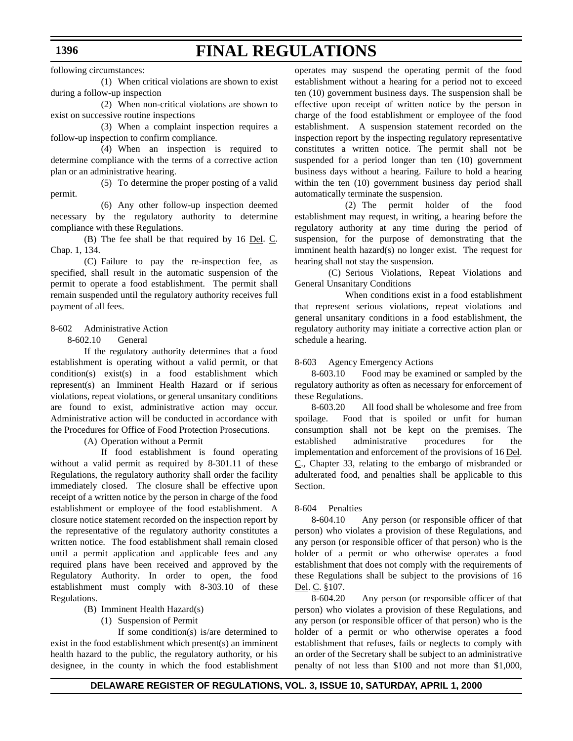following circumstances:

(1) When critical violations are shown to exist during a follow-up inspection

(2) When non-critical violations are shown to exist on successive routine inspections

(3) When a complaint inspection requires a follow-up inspection to confirm compliance.

(4) When an inspection is required to determine compliance with the terms of a corrective action plan or an administrative hearing.

(5) To determine the proper posting of a valid permit.

(6) Any other follow-up inspection deemed necessary by the regulatory authority to determine compliance with these Regulations.

(B) The fee shall be that required by 16 Del. C. Chap. 1, 134.

(C) Failure to pay the re-inspection fee, as specified, shall result in the automatic suspension of the permit to operate a food establishment. The permit shall remain suspended until the regulatory authority receives full payment of all fees.

# 8-602 Administrative Action

8-602.10 General

If the regulatory authority determines that a food establishment is operating without a valid permit, or that condition(s) exist(s) in a food establishment which represent(s) an Imminent Health Hazard or if serious violations, repeat violations, or general unsanitary conditions are found to exist, administrative action may occur. Administrative action will be conducted in accordance with the Procedures for Office of Food Protection Prosecutions.

(A) Operation without a Permit

If food establishment is found operating without a valid permit as required by 8-301.11 of these Regulations, the regulatory authority shall order the facility immediately closed. The closure shall be effective upon receipt of a written notice by the person in charge of the food establishment or employee of the food establishment. A closure notice statement recorded on the inspection report by the representative of the regulatory authority constitutes a written notice. The food establishment shall remain closed until a permit application and applicable fees and any required plans have been received and approved by the Regulatory Authority. In order to open, the food establishment must comply with 8-303.10 of these Regulations.

# (B) Imminent Health Hazard(s)

(1) Suspension of Permit

If some condition(s) is/are determined to exist in the food establishment which present(s) an imminent health hazard to the public, the regulatory authority, or his designee, in the county in which the food establishment

operates may suspend the operating permit of the food establishment without a hearing for a period not to exceed ten (10) government business days. The suspension shall be effective upon receipt of written notice by the person in charge of the food establishment or employee of the food establishment. A suspension statement recorded on the inspection report by the inspecting regulatory representative constitutes a written notice. The permit shall not be suspended for a period longer than ten (10) government business days without a hearing. Failure to hold a hearing within the ten (10) government business day period shall automatically terminate the suspension.

(2) The permit holder of the food establishment may request, in writing, a hearing before the regulatory authority at any time during the period of suspension, for the purpose of demonstrating that the imminent health hazard(s) no longer exist. The request for hearing shall not stay the suspension.

(C) Serious Violations, Repeat Violations and General Unsanitary Conditions

When conditions exist in a food establishment that represent serious violations, repeat violations and general unsanitary conditions in a food establishment, the regulatory authority may initiate a corrective action plan or schedule a hearing.

# 8-603 Agency Emergency Actions

8-603.10 Food may be examined or sampled by the regulatory authority as often as necessary for enforcement of these Regulations.

8-603.20 All food shall be wholesome and free from spoilage. Food that is spoiled or unfit for human consumption shall not be kept on the premises. The established administrative procedures for the implementation and enforcement of the provisions of 16 Del.  $C<sub>1</sub>$ , Chapter 33, relating to the embargo of misbranded or adulterated food, and penalties shall be applicable to this Section.

# 8-604 Penalties

8-604.10 Any person (or responsible officer of that person) who violates a provision of these Regulations, and any person (or responsible officer of that person) who is the holder of a permit or who otherwise operates a food establishment that does not comply with the requirements of these Regulations shall be subject to the provisions of 16 Del. C. §107.

8-604.20 Any person (or responsible officer of that person) who violates a provision of these Regulations, and any person (or responsible officer of that person) who is the holder of a permit or who otherwise operates a food establishment that refuses, fails or neglects to comply with an order of the Secretary shall be subject to an administrative penalty of not less than \$100 and not more than \$1,000,

# **DELAWARE REGISTER OF REGULATIONS, VOL. 3, ISSUE 10, SATURDAY, APRIL 1, 2000**

# **1396**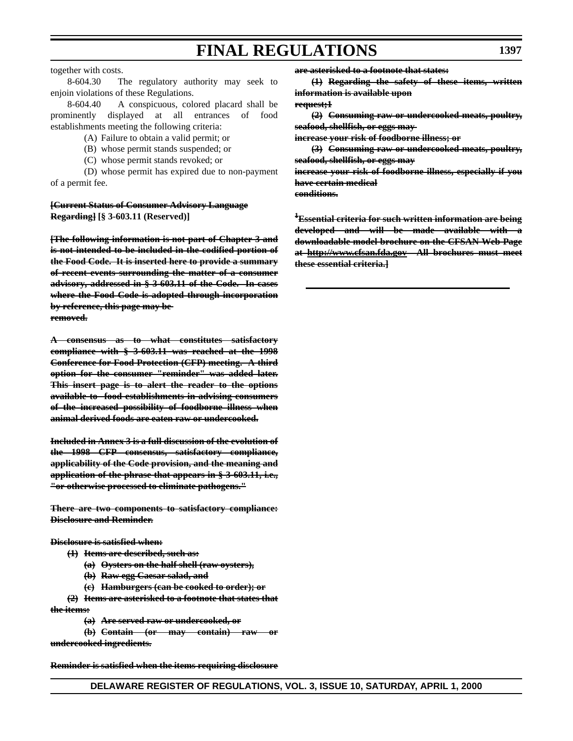#### together with costs.

8-604.30 The regulatory authority may seek to enjoin violations of these Regulations.

8-604.40 A conspicuous, colored placard shall be prominently displayed at all entrances of food establishments meeting the following criteria:

(A) Failure to obtain a valid permit; or

(B) whose permit stands suspended; or

(C) whose permit stands revoked; or

(D) whose permit has expired due to non-payment of a permit fee.

# **[Current Status of Consumer Advisory Language Regarding] [§ 3-603.11 (Reserved)]**

**[The following information is not part of Chapter 3 and is not intended to be included in the codified portion of the Food Code. It is inserted here to provide a summary of recent events surrounding the matter of a consumer advisory, addressed in § 3-603.11 of the Code. In cases where the Food Code is adopted through incorporation by reference, this page may be removed.**

**A consensus as to what constitutes satisfactory compliance with § 3-603.11 was reached at the 1998 Conference for Food Protection (CFP) meeting. A third option for the consumer "reminder" was added later. This insert page is to alert the reader to the options available to food establishments in advising consumers of the increased possibility of foodborne illness when animal derived foods are eaten raw or undercooked.**

**Included in Annex 3 is a full discussion of the evolution of the 1998 CFP consensus, satisfactory compliance, applicability of the Code provision, and the meaning and application of the phrase that appears in § 3-603.11, i.e., "or otherwise processed to eliminate pathogens."**

**There are two components to satisfactory compliance: Disclosure and Reminder.**

### **Disclosure is satisfied when:**

- **(1) Items are described, such as:**
	- **(a) Oysters on the half shell (raw oysters),**
	- **(b) Raw egg Caesar salad, and**
	- **(c) Hamburgers (can be cooked to order); or**

**(2) Items are asterisked to a footnote that states that the items:**

**(a) Are served raw or undercooked, or**

**(b) Contain** (or may contain) raw **undercooked ingredients.**

**Reminder is satisfied when the items requiring disclosure**

**DELAWARE REGISTER OF REGULATIONS, VOL. 3, ISSUE 10, SATURDAY, APRIL 1, 2000**

**are asterisked to a footnote that states:**

**(1) Regarding the safety of these items, written information is available upon**

**request;1**

**(2) Consuming raw or undercooked meats, poultry, seafood, shellfish, or eggs may** 

**increase your risk of foodborne illness; or**

**(3) Consuming raw or undercooked meats, poultry, seafood, shellfish, or eggs may increase your risk of foodborne illness, especially if you have certain medical conditions.**

**<sup>1</sup>Essential criteria for such written information are being** developed and will be made available with **downloadable model brochure on the CFSAN Web Page at http://www.cfsan.fda.gov All brochures must meet these essential criteria.]**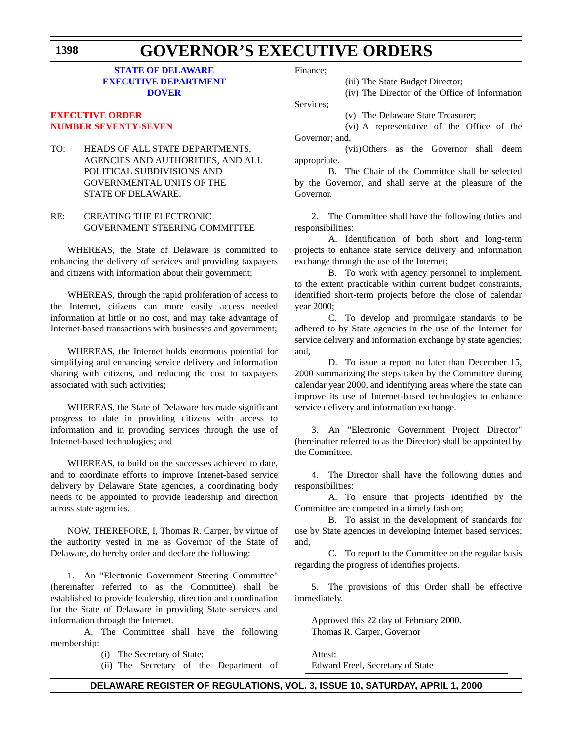# **GOVERNOR'S EXECUTIVE ORDERS**

# **STATE OF DELAWARE [EXECUTIVE DEPARTMENT](http://www.state.de.us/governor/index.htm) DOVER**

# **EXECUTIVE ORDER [NUMBER SEVENTY-SEVEN](#page-4-0)**

TO: HEADS OF ALL STATE DEPARTMENTS, AGENCIES AND AUTHORITIES, AND ALL POLITICAL SUBDIVISIONS AND GOVERNMENTAL UNITS OF THE STATE OF DELAWARE.

# RE: CREATING THE ELECTRONIC GOVERNMENT STEERING COMMITTEE

WHEREAS, the State of Delaware is committed to enhancing the delivery of services and providing taxpayers and citizens with information about their government;

WHEREAS, through the rapid proliferation of access to the Internet, citizens can more easily access needed information at little or no cost, and may take advantage of Internet-based transactions with businesses and government;

WHEREAS, the Internet holds enormous potential for simplifying and enhancing service delivery and information sharing with citizens, and reducing the cost to taxpayers associated with such activities;

WHEREAS, the State of Delaware has made significant progress to date in providing citizens with access to information and in providing services through the use of Internet-based technologies; and

WHEREAS, to build on the successes achieved to date, and to coordinate efforts to improve Intenet-based service delivery by Delaware State agencies, a coordinating body needs to be appointed to provide leadership and direction across state agencies.

NOW, THEREFORE, I, Thomas R. Carper, by virtue of the authority vested in me as Governor of the State of Delaware, do hereby order and declare the following:

1. An "Electronic Government Steering Committee" (hereinafter referred to as the Committee) shall be established to provide leadership, direction and coordination for the State of Delaware in providing State services and information through the Internet.

A. The Committee shall have the following membership:

(i) The Secretary of State;

(ii) The Secretary of the Department of

Finance;

(iii) The State Budget Director;

(iv) The Director of the Office of Information

Services;

(v) The Delaware State Treasurer; (vi) A representative of the Office of the Governor; and,

(vii)Others as the Governor shall deem appropriate.

B. The Chair of the Committee shall be selected by the Governor, and shall serve at the pleasure of the Governor.

2. The Committee shall have the following duties and responsibilities:

A. Identification of both short and long-term projects to enhance state service delivery and information exchange through the use of the Internet;

B. To work with agency personnel to implement, to the extent practicable within current budget constraints, identified short-term projects before the close of calendar year 2000;

C. To develop and promulgate standards to be adhered to by State agencies in the use of the Internet for service delivery and information exchange by state agencies; and,

D. To issue a report no later than December 15, 2000 summarizing the steps taken by the Committee during calendar year 2000, and identifying areas where the state can improve its use of Internet-based technologies to enhance service delivery and information exchange.

3. An "Electronic Government Project Director" (hereinafter referred to as the Director) shall be appointed by the Committee.

4. The Director shall have the following duties and responsibilities:

A. To ensure that projects identified by the Committee are competed in a timely fashion;

B. To assist in the development of standards for use by State agencies in developing Internet based services; and,

C. To report to the Committee on the regular basis regarding the progress of identifies projects.

5. The provisions of this Order shall be effective immediately.

Approved this 22 day of February 2000. Thomas R. Carper, Governor

Attest: Edward Freel, Secretary of State

**1398**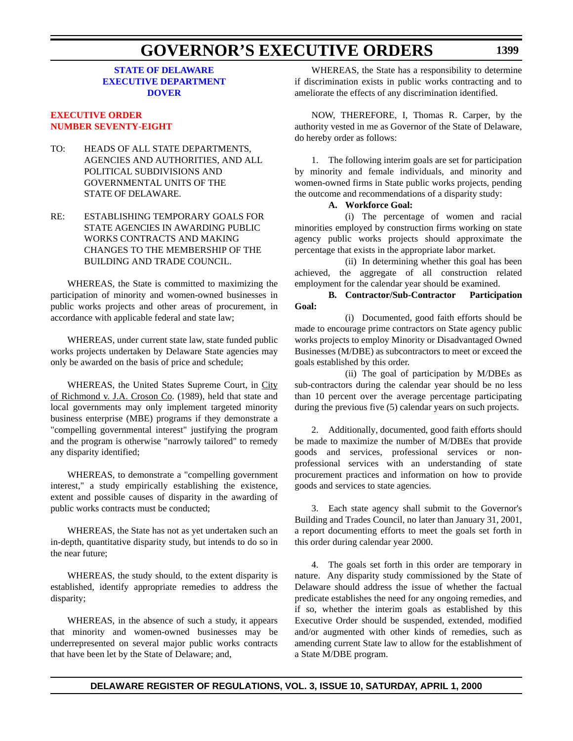# **GOVERNOR'S EXECUTIVE ORDERS**

# **STATE OF DELAWARE [EXECUTIVE DEPARTMENT](http://www.state.de.us/governor/index.htm) DOVER**

# **EXECUTIVE ORDER [NUMBER SEVENTY-EIGHT](#page-4-0)**

TO: HEADS OF ALL STATE DEPARTMENTS, AGENCIES AND AUTHORITIES, AND ALL POLITICAL SUBDIVISIONS AND GOVERNMENTAL UNITS OF THE STATE OF DELAWARE.

# RE: ESTABLISHING TEMPORARY GOALS FOR STATE AGENCIES IN AWARDING PUBLIC WORKS CONTRACTS AND MAKING CHANGES TO THE MEMBERSHIP OF THE BUILDING AND TRADE COUNCIL.

WHEREAS, the State is committed to maximizing the participation of minority and women-owned businesses in public works projects and other areas of procurement, in accordance with applicable federal and state law;

WHEREAS, under current state law, state funded public works projects undertaken by Delaware State agencies may only be awarded on the basis of price and schedule;

WHEREAS, the United States Supreme Court, in City of Richmond v. J.A. Croson Co. (1989), held that state and local governments may only implement targeted minority business enterprise (MBE) programs if they demonstrate a "compelling governmental interest" justifying the program and the program is otherwise "narrowly tailored" to remedy any disparity identified;

WHEREAS, to demonstrate a "compelling government interest," a study empirically establishing the existence, extent and possible causes of disparity in the awarding of public works contracts must be conducted;

WHEREAS, the State has not as yet undertaken such an in-depth, quantitative disparity study, but intends to do so in the near future;

WHEREAS, the study should, to the extent disparity is established, identify appropriate remedies to address the disparity;

WHEREAS, in the absence of such a study, it appears that minority and women-owned businesses may be underrepresented on several major public works contracts that have been let by the State of Delaware; and,

WHEREAS, the State has a responsibility to determine if discrimination exists in public works contracting and to ameliorate the effects of any discrimination identified.

NOW, THEREFORE, I, Thomas R. Carper, by the authority vested in me as Governor of the State of Delaware, do hereby order as follows:

1. The following interim goals are set for participation by minority and female individuals, and minority and women-owned firms in State public works projects, pending the outcome and recommendations of a disparity study:

# **A. Workforce Goal:**

(i) The percentage of women and racial minorities employed by construction firms working on state agency public works projects should approximate the percentage that exists in the appropriate labor market.

(ii) In determining whether this goal has been achieved, the aggregate of all construction related employment for the calendar year should be examined.

**B. Contractor/Sub-Contractor Participation Goal:**

(i) Documented, good faith efforts should be made to encourage prime contractors on State agency public works projects to employ Minority or Disadvantaged Owned Businesses (M/DBE) as subcontractors to meet or exceed the goals established by this order.

(ii) The goal of participation by M/DBEs as sub-contractors during the calendar year should be no less than 10 percent over the average percentage participating during the previous five (5) calendar years on such projects.

2. Additionally, documented, good faith efforts should be made to maximize the number of M/DBEs that provide goods and services, professional services or nonprofessional services with an understanding of state procurement practices and information on how to provide goods and services to state agencies.

3. Each state agency shall submit to the Governor's Building and Trades Council, no later than January 31, 2001, a report documenting efforts to meet the goals set forth in this order during calendar year 2000.

4. The goals set forth in this order are temporary in nature. Any disparity study commissioned by the State of Delaware should address the issue of whether the factual predicate establishes the need for any ongoing remedies, and if so, whether the interim goals as established by this Executive Order should be suspended, extended, modified and/or augmented with other kinds of remedies, such as amending current State law to allow for the establishment of a State M/DBE program.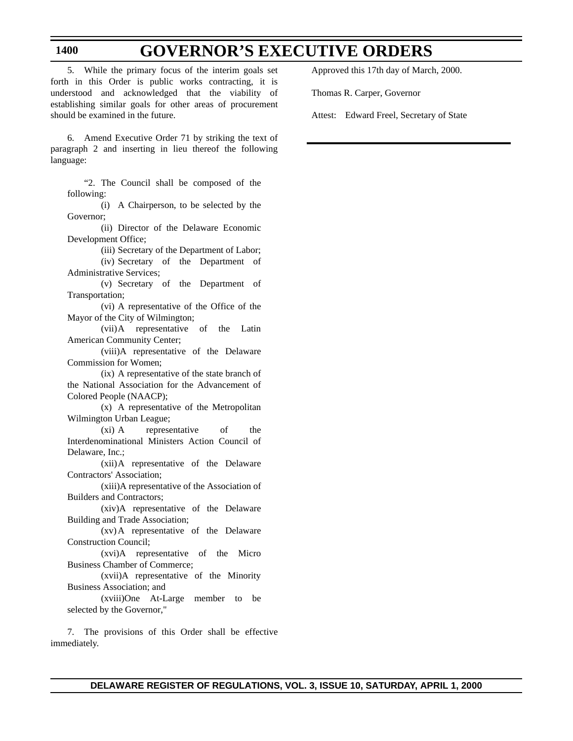# **GOVERNOR'S EXECUTIVE ORDERS**

5. While the primary focus of the interim goals set forth in this Order is public works contracting, it is understood and acknowledged that the viability of establishing similar goals for other areas of procurement should be examined in the future.

**1400**

6. Amend Executive Order 71 by striking the text of paragraph 2 and inserting in lieu thereof the following language:

"2. The Council shall be composed of the following:

(i) A Chairperson, to be selected by the Governor;

(ii) Director of the Delaware Economic Development Office;

(iii) Secretary of the Department of Labor;

(iv) Secretary of the Department of Administrative Services;

(v) Secretary of the Department of Transportation;

(vi) A representative of the Office of the Mayor of the City of Wilmington;

(vii)A representative of the Latin American Community Center;

(viii)A representative of the Delaware Commission for Women;

(ix) A representative of the state branch of the National Association for the Advancement of Colored People (NAACP);

(x) A representative of the Metropolitan Wilmington Urban League;

(xi) A representative of the Interdenominational Ministers Action Council of Delaware, Inc.;

(xii)A representative of the Delaware Contractors' Association;

(xiii)A representative of the Association of Builders and Contractors;

(xiv)A representative of the Delaware Building and Trade Association;

(xv)A representative of the Delaware Construction Council;

(xvi)A representative of the Micro Business Chamber of Commerce;

(xvii)A representative of the Minority Business Association; and

(xviii)One At-Large member to be selected by the Governor,"

7. The provisions of this Order shall be effective immediately.

Approved this 17th day of March, 2000.

Thomas R. Carper, Governor

Attest: Edward Freel, Secretary of State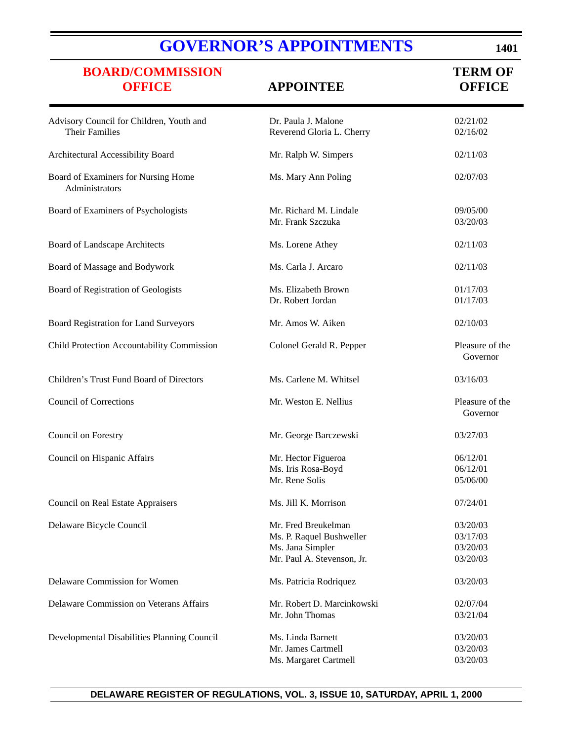# **[GOVERNOR'S APPOINTMENTS](http://www.state.de.us/governor/index.htm)**

| 1401 |
|------|
|      |

| <b>BOARD/COMMISSION</b><br><b>OFFICE</b>                          | <b>APPOINTEE</b>                                                                                  | <b>TERM OF</b><br><b>OFFICE</b>              |
|-------------------------------------------------------------------|---------------------------------------------------------------------------------------------------|----------------------------------------------|
| Advisory Council for Children, Youth and<br><b>Their Families</b> | Dr. Paula J. Malone<br>Reverend Gloria L. Cherry                                                  | 02/21/02<br>02/16/02                         |
| Architectural Accessibility Board                                 | Mr. Ralph W. Simpers                                                                              | 02/11/03                                     |
| Board of Examiners for Nursing Home<br>Administrators             | Ms. Mary Ann Poling                                                                               | 02/07/03                                     |
| Board of Examiners of Psychologists                               | Mr. Richard M. Lindale<br>Mr. Frank Szczuka                                                       | 09/05/00<br>03/20/03                         |
| Board of Landscape Architects                                     | Ms. Lorene Athey                                                                                  | 02/11/03                                     |
| Board of Massage and Bodywork                                     | Ms. Carla J. Arcaro                                                                               | 02/11/03                                     |
| Board of Registration of Geologists                               | Ms. Elizabeth Brown<br>Dr. Robert Jordan                                                          | 01/17/03<br>01/17/03                         |
| Board Registration for Land Surveyors                             | Mr. Amos W. Aiken                                                                                 | 02/10/03                                     |
| Child Protection Accountability Commission                        | Colonel Gerald R. Pepper                                                                          | Pleasure of the<br>Governor                  |
| Children's Trust Fund Board of Directors                          | Ms. Carlene M. Whitsel                                                                            | 03/16/03                                     |
| <b>Council of Corrections</b>                                     | Mr. Weston E. Nellius                                                                             | Pleasure of the<br>Governor                  |
| Council on Forestry                                               | Mr. George Barczewski                                                                             | 03/27/03                                     |
| Council on Hispanic Affairs                                       | Mr. Hector Figueroa<br>Ms. Iris Rosa-Boyd<br>Mr. Rene Solis                                       | 06/12/01<br>06/12/01<br>05/06/00             |
| <b>Council on Real Estate Appraisers</b>                          | Ms. Jill K. Morrison                                                                              | 07/24/01                                     |
| Delaware Bicycle Council                                          | Mr. Fred Breukelman<br>Ms. P. Raquel Bushweller<br>Ms. Jana Simpler<br>Mr. Paul A. Stevenson, Jr. | 03/20/03<br>03/17/03<br>03/20/03<br>03/20/03 |
| Delaware Commission for Women                                     | Ms. Patricia Rodriquez                                                                            | 03/20/03                                     |
| Delaware Commission on Veterans Affairs                           | Mr. Robert D. Marcinkowski<br>Mr. John Thomas                                                     | 02/07/04<br>03/21/04                         |
| Developmental Disabilities Planning Council                       | Ms. Linda Barnett<br>Mr. James Cartmell<br>Ms. Margaret Cartmell                                  | 03/20/03<br>03/20/03<br>03/20/03             |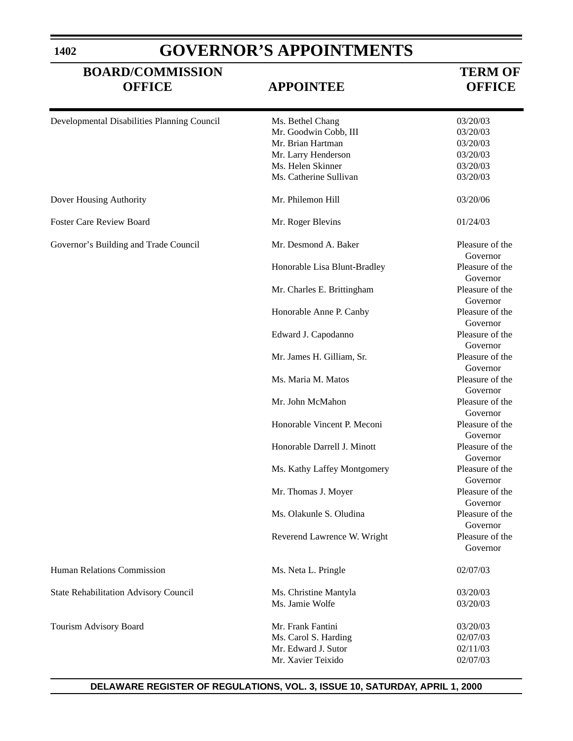**1402**

# **GOVERNOR'S APPOINTMENTS**

# **BOARD/COMMISSION TERM OF OFFICE APPOINTEE OFFICE**

| Developmental Disabilities Planning Council | Ms. Bethel Chang             | 03/20/03                    |
|---------------------------------------------|------------------------------|-----------------------------|
|                                             | Mr. Goodwin Cobb, III        | 03/20/03                    |
|                                             | Mr. Brian Hartman            | 03/20/03                    |
|                                             | Mr. Larry Henderson          | 03/20/03                    |
|                                             | Ms. Helen Skinner            | 03/20/03                    |
|                                             | Ms. Catherine Sullivan       | 03/20/03                    |
| Dover Housing Authority                     | Mr. Philemon Hill            | 03/20/06                    |
| <b>Foster Care Review Board</b>             | Mr. Roger Blevins            | 01/24/03                    |
| Governor's Building and Trade Council       | Mr. Desmond A. Baker         | Pleasure of the<br>Governor |
|                                             | Honorable Lisa Blunt-Bradley | Pleasure of the<br>Governor |
|                                             | Mr. Charles E. Brittingham   | Pleasure of the<br>Governor |
|                                             | Honorable Anne P. Canby      | Pleasure of the<br>Governor |
|                                             | Edward J. Capodanno          | Pleasure of the<br>Governor |
|                                             | Mr. James H. Gilliam, Sr.    | Pleasure of the<br>Governor |
|                                             | Ms. Maria M. Matos           | Pleasure of the<br>Governor |
|                                             | Mr. John McMahon             | Pleasure of the<br>Governor |
|                                             | Honorable Vincent P. Meconi  | Pleasure of the<br>Governor |
|                                             | Honorable Darrell J. Minott  | Pleasure of the<br>Governor |
|                                             | Ms. Kathy Laffey Montgomery  | Pleasure of the<br>Governor |
|                                             | Mr. Thomas J. Moyer          | Pleasure of the<br>Governor |
|                                             | Ms. Olakunle S. Oludina      | Pleasure of the<br>Governor |
|                                             | Reverend Lawrence W. Wright  | Pleasure of the<br>Governor |
| Human Relations Commission                  | Ms. Neta L. Pringle          | 02/07/03                    |
| State Rehabilitation Advisory Council       | Ms. Christine Mantyla        | 03/20/03                    |
|                                             | Ms. Jamie Wolfe              | 03/20/03                    |
| Tourism Advisory Board                      | Mr. Frank Fantini            | 03/20/03                    |
|                                             | Ms. Carol S. Harding         | 02/07/03                    |
|                                             | Mr. Edward J. Sutor          | 02/11/03                    |
|                                             | Mr. Xavier Teixido           | 02/07/03                    |

# **DELAWARE REGISTER OF REGULATIONS, VOL. 3, ISSUE 10, SATURDAY, APRIL 1, 2000**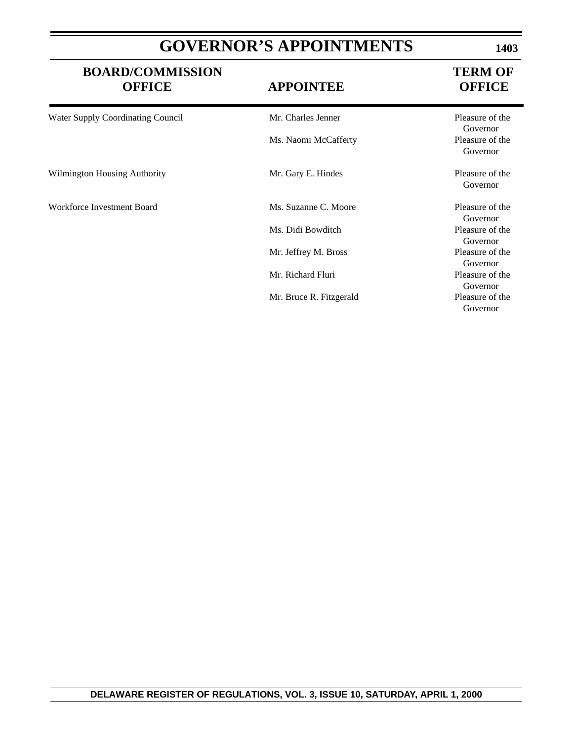# **GOVERNOR'S APPOINTMENTS**

# **BOARD/COMMISSION TERM OF OFFICE APPOINTEE OFFICE**

| Water Supply Coordinating Council   | Mr. Charles Jenner      | Pleasure of the<br>Governor |
|-------------------------------------|-------------------------|-----------------------------|
|                                     | Ms. Naomi McCafferty    | Pleasure of the<br>Governor |
| <b>Wilmington Housing Authority</b> | Mr. Gary E. Hindes      | Pleasure of the<br>Governor |
| Workforce Investment Board          | Ms. Suzanne C. Moore    | Pleasure of the<br>Governor |
|                                     | Ms. Didi Bowditch       | Pleasure of the<br>Governor |
|                                     | Mr. Jeffrey M. Bross    | Pleasure of the<br>Governor |
|                                     | Mr. Richard Fluri       | Pleasure of the<br>Governor |
|                                     | Mr. Bruce R. Fitzgerald | Pleasure of the<br>Governor |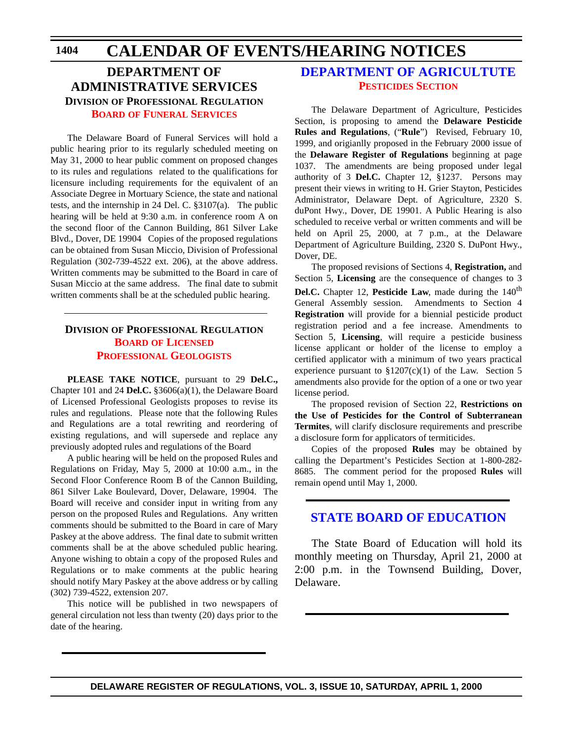#### **CALENDAR OF EVENTS/HEARING NOTICES 1404 DEPARTMENT OF ADMINISTRATIVE SERVICES DIVISION OF PROFESSIONAL REGULATION [DEPARTMENT OF AGRICULTUTE](http://www.state.de.us/deptagri/pest/pest.htm) [PESTICIDES SECTION](#page-4-0)**

**BOARD [OF FUNERAL SERVICES](#page-4-0)**

The Delaware Board of Funeral Services will hold a public hearing prior to its regularly scheduled meeting on May 31, 2000 to hear public comment on proposed changes to its rules and regulations related to the qualifications for licensure including requirements for the equivalent of an Associate Degree in Mortuary Science, the state and national tests, and the internship in 24 Del. C. §3107(a). The public hearing will be held at 9:30 a.m. in conference room A on the second floor of the Cannon Building, 861 Silver Lake Blvd., Dover, DE 19904 Copies of the proposed regulations can be obtained from Susan Miccio, Division of Professional Regulation (302-739-4522 ext. 206), at the above address. Written comments may be submitted to the Board in care of Susan Miccio at the same address. The final date to submit written comments shall be at the scheduled public hearing.

# **DIVISION OF PROFESSIONAL REGULATION BOARD OF LICENSED [PROFESSIONAL GEOLOGISTS](#page-4-0)**

**PLEASE TAKE NOTICE**, pursuant to 29 **Del.C.,** Chapter 101 and 24 **Del.C.** §3606(a)(1), the Delaware Board of Licensed Professional Geologists proposes to revise its rules and regulations. Please note that the following Rules and Regulations are a total rewriting and reordering of existing regulations, and will supersede and replace any previously adopted rules and regulations of the Board

A public hearing will be held on the proposed Rules and Regulations on Friday, May 5, 2000 at 10:00 a.m., in the Second Floor Conference Room B of the Cannon Building, 861 Silver Lake Boulevard, Dover, Delaware, 19904. The Board will receive and consider input in writing from any person on the proposed Rules and Regulations. Any written comments should be submitted to the Board in care of Mary Paskey at the above address. The final date to submit written comments shall be at the above scheduled public hearing. Anyone wishing to obtain a copy of the proposed Rules and Regulations or to make comments at the public hearing should notify Mary Paskey at the above address or by calling (302) 739-4522, extension 207.

This notice will be published in two newspapers of general circulation not less than twenty (20) days prior to the date of the hearing.

The Delaware Department of Agriculture, Pesticides Section, is proposing to amend the **Delaware Pesticide Rules and Regulations**, ("**Rule**") Revised, February 10, 1999, and origianlly proposed in the February 2000 issue of the **Delaware Register of Regulations** beginning at page 1037. The amendments are being proposed under legal authority of 3 **Del.C.** Chapter 12, §1237. Persons may present their views in writing to H. Grier Stayton, Pesticides Administrator, Delaware Dept. of Agriculture, 2320 S. duPont Hwy., Dover, DE 19901. A Public Hearing is also scheduled to receive verbal or written comments and will be held on April 25, 2000, at 7 p.m., at the Delaware Department of Agriculture Building, 2320 S. DuPont Hwy., Dover, DE.

The proposed revisions of Sections 4, **Registration,** and Section 5, **Licensing** are the consequence of changes to 3 **Del.C.** Chapter 12, **Pesticide Law**, made during the 140<sup>th</sup> General Assembly session. Amendments to Section 4 **Registration** will provide for a biennial pesticide product registration period and a fee increase. Amendments to Section 5, **Licensing**, will require a pesticide business license applicant or holder of the license to employ a certified applicator with a minimum of two years practical experience pursuant to  $$1207(c)(1)$  of the Law. Section 5 amendments also provide for the option of a one or two year license period.

The proposed revision of Section 22, **Restrictions on the Use of Pesticides for the Control of Subterranean Termites**, will clarify disclosure requirements and prescribe a disclosure form for applicators of termiticides.

Copies of the proposed **Rules** may be obtained by calling the Department's Pesticides Section at 1-800-282- 8685. The comment period for the proposed **Rules** will remain opend until May 1, 2000.

# **[STATE BOARD OF EDUCATION](http://www.doe.state.de.us/)**

The State Board of Education will hold its monthly meeting on Thursday, April 21, 2000 at 2:00 p.m. in the Townsend Building, Dover, Delaware.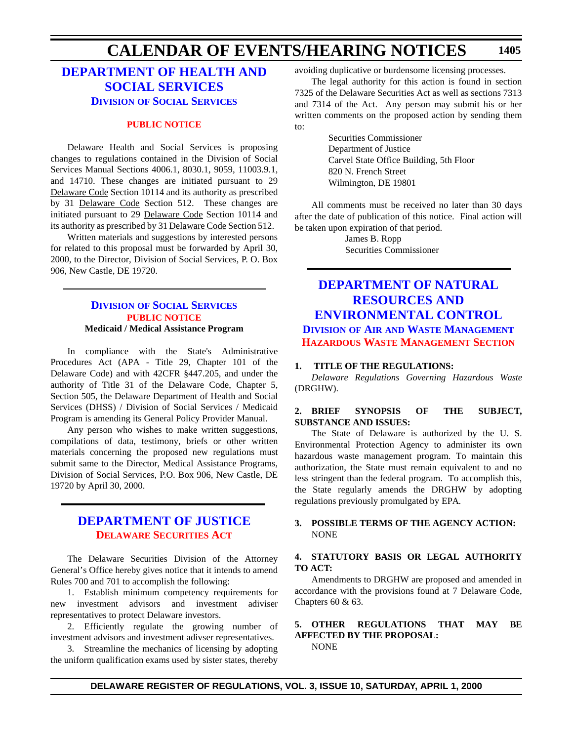#### **CALENDAR OF EVENTS/HEARING NOTICES 1405**

# **[DEPARTMENT OF HEALTH AND](http://www.state.de.us/dhss/irm/dss/dsshome.htm) SOCIAL SERVICES DIVISION OF SOCIAL SERVICES**

# **[PUBLIC NOTICE](#page-4-0)**

Delaware Health and Social Services is proposing changes to regulations contained in the Division of Social Services Manual Sections 4006.1, 8030.1, 9059, 11003.9.1, and 14710. These changes are initiated pursuant to 29 Delaware Code Section 10114 and its authority as prescribed by 31 Delaware Code Section 512. These changes are initiated pursuant to 29 Delaware Code Section 10114 and its authority as prescribed by 31 Delaware Code Section 512.

Written materials and suggestions by interested persons for related to this proposal must be forwarded by April 30, 2000, to the Director, Division of Social Services, P. O. Box 906, New Castle, DE 19720.

# **DIVISION [OF SOCIAL SERVICES](http://www.state.de.us/dhss/irm/dss/dsshome.htm) [PUBLIC NOTICE](#page-4-0) Medicaid / Medical Assistance Program**

In compliance with the State's Administrative Procedures Act (APA - Title 29, Chapter 101 of the Delaware Code) and with 42CFR §447.205, and under the authority of Title 31 of the Delaware Code, Chapter 5, Section 505, the Delaware Department of Health and Social Services (DHSS) / Division of Social Services / Medicaid Program is amending its General Policy Provider Manual.

Any person who wishes to make written suggestions, compilations of data, testimony, briefs or other written materials concerning the proposed new regulations must submit same to the Director, Medical Assistance Programs, Division of Social Services, P.O. Box 906, New Castle, DE 19720 by April 30, 2000.

# **[DEPARTMENT OF JUSTICE](http://www.state.de.us/attgen/index.htm) [DELAWARE SECURITIES ACT](#page-4-0)**

The Delaware Securities Division of the Attorney General's Office hereby gives notice that it intends to amend Rules 700 and 701 to accomplish the following:

1. Establish minimum competency requirements for new investment advisors and investment adiviser representatives to protect Delaware investors.

2. Efficiently regulate the growing number of investment advisors and investment adivser representatives.

3. Streamline the mechanics of licensing by adopting the uniform qualification exams used by sister states, thereby avoiding duplicative or burdensome licensing processes.

The legal authority for this action is found in section 7325 of the Delaware Securities Act as well as sections 7313 and 7314 of the Act. Any person may submit his or her written comments on the proposed action by sending them to:

> Securities Commissioner Department of Justice Carvel State Office Building, 5th Floor 820 N. French Street Wilmington, DE 19801

All comments must be received no later than 30 days after the date of publication of this notice. Final action will be taken upon expiration of that period.

> James B. Ropp Securities Commissioner

# **DEPARTMENT OF NATURAL RESOURCES AND [ENVIRONMENTAL CONTROL](http://www.dnrec.state.de.us/aandw.htm) DIVISION OF AIR AND WASTE MANAGEMENT**

**[HAZARDOUS WASTE MANAGEMENT SECTION](#page-4-0)**

# **1. TITLE OF THE REGULATIONS:**

*Delaware Regulations Governing Hazardous Waste* (DRGHW).

# **2. BRIEF SYNOPSIS OF THE SUBJECT, SUBSTANCE AND ISSUES:**

The State of Delaware is authorized by the U. S. Environmental Protection Agency to administer its own hazardous waste management program. To maintain this authorization, the State must remain equivalent to and no less stringent than the federal program. To accomplish this, the State regularly amends the DRGHW by adopting regulations previously promulgated by EPA.

# **3. POSSIBLE TERMS OF THE AGENCY ACTION:** NONE

# **4. STATUTORY BASIS OR LEGAL AUTHORITY TO ACT:**

Amendments to DRGHW are proposed and amended in accordance with the provisions found at 7 Delaware Code, Chapters 60 & 63.

# **5. OTHER REGULATIONS THAT MAY BE AFFECTED BY THE PROPOSAL:**

**NONE**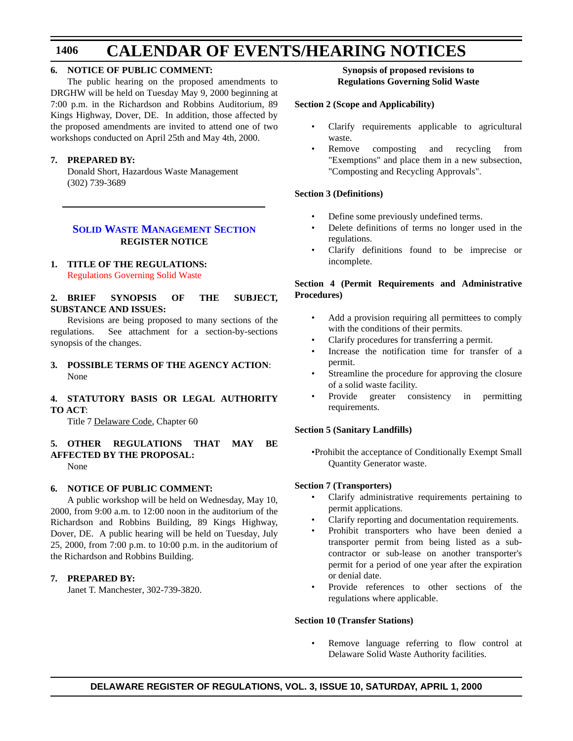#### **CALENDAR OF EVENTS/HEARING NOTICES 1406**

# **6. NOTICE OF PUBLIC COMMENT:**

The public hearing on the proposed amendments to DRGHW will be held on Tuesday May 9, 2000 beginning at 7:00 p.m. in the Richardson and Robbins Auditorium, 89 Kings Highway, Dover, DE. In addition, those affected by the proposed amendments are invited to attend one of two workshops conducted on April 25th and May 4th, 2000.

# **7. PREPARED BY:**

Donald Short, Hazardous Waste Management (302) 739-3689

# **[SOLID WASTE MANAGEMENT SECTION](http://www.dnrec.state.de.us/aandw.htm) REGISTER NOTICE**

**1. TITLE OF THE REGULATIONS:** [Regulations Governing Solid Waste](#page-4-0)

# **2. BRIEF SYNOPSIS OF THE SUBJECT, SUBSTANCE AND ISSUES:**

Revisions are being proposed to many sections of the regulations. See attachment for a section-by-sections synopsis of the changes.

**3. POSSIBLE TERMS OF THE AGENCY ACTION**: None

# **4. STATUTORY BASIS OR LEGAL AUTHORITY TO ACT**:

Title 7 Delaware Code, Chapter 60

# **5. OTHER REGULATIONS THAT MAY BE AFFECTED BY THE PROPOSAL:**

None

# **6. NOTICE OF PUBLIC COMMENT:**

A public workshop will be held on Wednesday, May 10, 2000, from 9:00 a.m. to 12:00 noon in the auditorium of the Richardson and Robbins Building, 89 Kings Highway, Dover, DE. A public hearing will be held on Tuesday, July 25, 2000, from 7:00 p.m. to 10:00 p.m. in the auditorium of the Richardson and Robbins Building.

# **7. PREPARED BY:**

Janet T. Manchester, 302-739-3820.

# **Synopsis of proposed revisions to Regulations Governing Solid Waste**

# **Section 2 (Scope and Applicability)**

- Clarify requirements applicable to agricultural waste.
- Remove composting and recycling from "Exemptions" and place them in a new subsection, "Composting and Recycling Approvals".

# **Section 3 (Definitions)**

- Define some previously undefined terms.
- Delete definitions of terms no longer used in the regulations.
- Clarify definitions found to be imprecise or incomplete.

# **Section 4 (Permit Requirements and Administrative Procedures)**

- Add a provision requiring all permittees to comply with the conditions of their permits.
- Clarify procedures for transferring a permit.
- Increase the notification time for transfer of a permit.
- Streamline the procedure for approving the closure of a solid waste facility.
- Provide greater consistency in permitting requirements.

# **Section 5 (Sanitary Landfills)**

•Prohibit the acceptance of Conditionally Exempt Small Quantity Generator waste.

# **Section 7 (Transporters)**

- Clarify administrative requirements pertaining to permit applications.
- Clarify reporting and documentation requirements.
- Prohibit transporters who have been denied a transporter permit from being listed as a subcontractor or sub-lease on another transporter's permit for a period of one year after the expiration or denial date.
- Provide references to other sections of the regulations where applicable.

# **Section 10 (Transfer Stations)**

• Remove language referring to flow control at Delaware Solid Waste Authority facilities.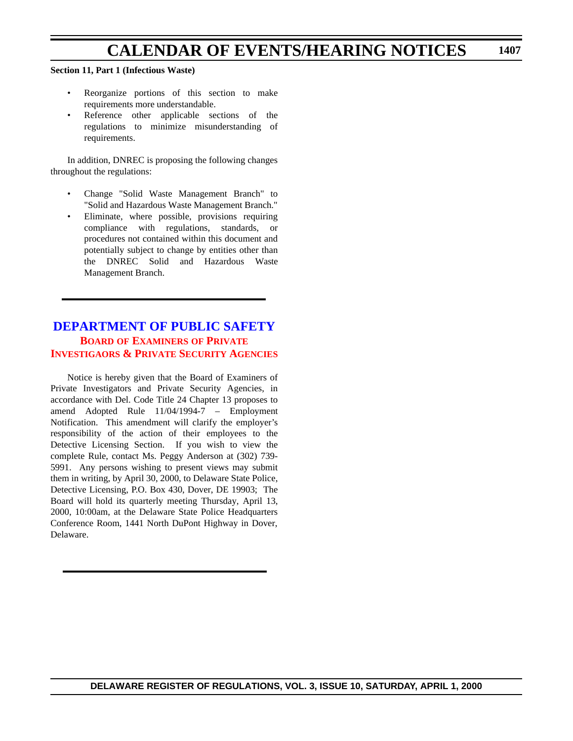#### **CALENDAR OF EVENTS/HEARING NOTICES 1407**

# **Section 11, Part 1 (Infectious Waste)**

- Reorganize portions of this section to make requirements more understandable.
- Reference other applicable sections of the regulations to minimize misunderstanding of requirements.

In addition, DNREC is proposing the following changes throughout the regulations:

- Change "Solid Waste Management Branch" to "Solid and Hazardous Waste Management Branch."
- Eliminate, where possible, provisions requiring compliance with regulations, standards, or procedures not contained within this document and potentially subject to change by entities other than the DNREC Solid and Hazardous Waste Management Branch.

# **[DEPARTMENT OF PUBLIC SAFETY](http://www.state.de.us/pubsafe/index.htm) BOARD OF EXAMINERS OF PRIVATE [INVESTIGAORS & PRIVATE SECURITY AGENCIES](#page-4-0)**

Notice is hereby given that the Board of Examiners of Private Investigators and Private Security Agencies, in accordance with Del. Code Title 24 Chapter 13 proposes to amend Adopted Rule 11/04/1994-7 – Employment Notification. This amendment will clarify the employer's responsibility of the action of their employees to the Detective Licensing Section. If you wish to view the complete Rule, contact Ms. Peggy Anderson at (302) 739- 5991. Any persons wishing to present views may submit them in writing, by April 30, 2000, to Delaware State Police, Detective Licensing, P.O. Box 430, Dover, DE 19903; The Board will hold its quarterly meeting Thursday, April 13, 2000, 10:00am, at the Delaware State Police Headquarters Conference Room, 1441 North DuPont Highway in Dover, Delaware.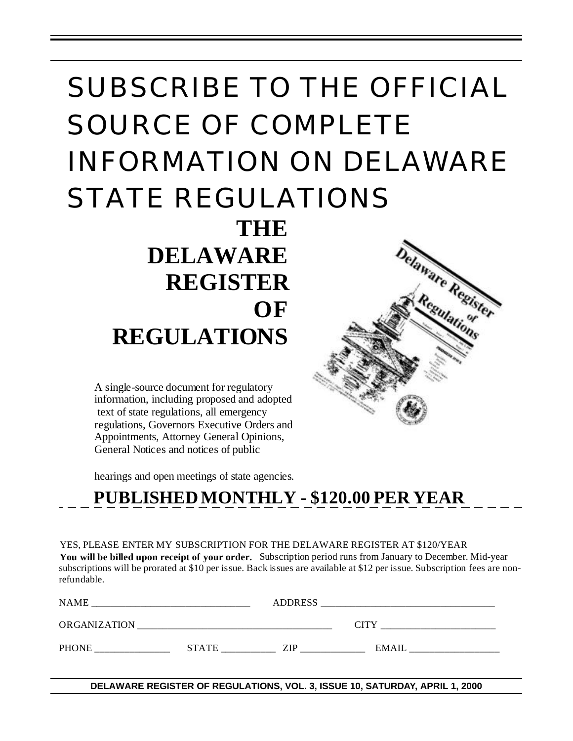# SUBSCRIBE TO THE OFFICIAL SOURCE OF COMPLETE INFORMATION ON DELAWARE STATE REGULATIONS **THE**

 **DELAWARE REGISTER OF REGULATIONS**

A single-source document for regulatory information, including proposed and adopted text of state regulations, all emergency regulations, Governors Executive Orders and Appointments, Attorney General Opinions, General Notices and notices of public

hearings and open meetings of state agencies.

# **PUBLISHED MONTHLY - \$120.00 PER YEAR**

YES, PLEASE ENTER MY SUBSCRIPTION FOR THE DELAWARE REGISTER AT \$120/YEAR **You will be billed upon receipt of your order.** Subscription period runs from January to December. Mid-year subscriptions will be prorated at \$10 per issue. Back issues are available at \$12 per issue. Subscription fees are nonrefundable.

| <b>NAME</b>         |              | <b>ADDRESS</b> |              |
|---------------------|--------------|----------------|--------------|
| <b>ORGANIZATION</b> |              |                | CITY         |
| <b>PHONE</b>        | <b>STATE</b> | ZIP            | <b>EMAIL</b> |

**DELAWARE REGISTER OF REGULATIONS, VOL. 3, ISSUE 10, SATURDAY, APRIL 1, 2000**

Delaware Register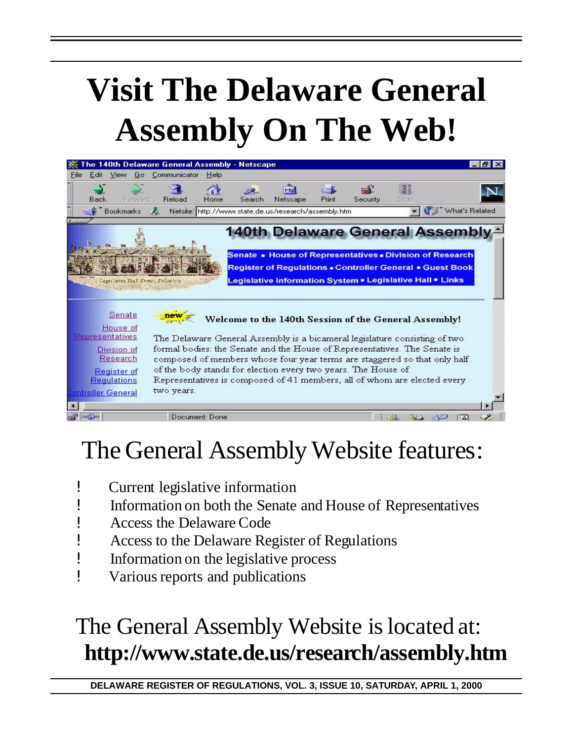# **Visit The Delaware General Assembly On The Web!**



# The General Assembly Website features:

- ! Current legislative information
- ! Information on both the Senate and House of Representatives
- ! Access the Delaware Code
- ! Access to the Delaware Register of Regulations
- ! Information on the legislative process
- ! Various reports and publications

# The General Assembly Website is located at: **http://www.state.de.us/research/assembly.htm**